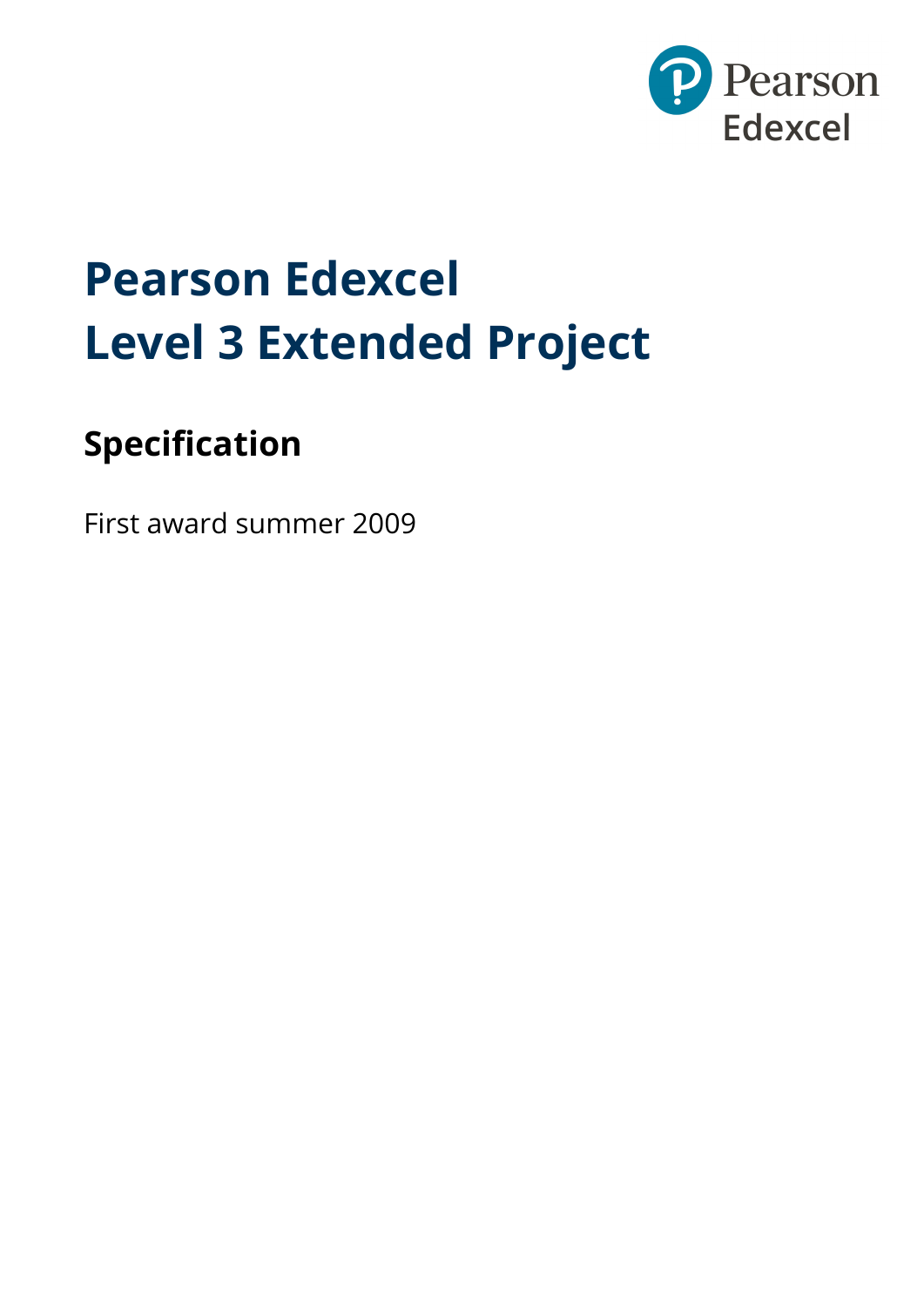

# **Pearson Edexcel Level 3 Extended Project**

## **Specification**

First award summer 2009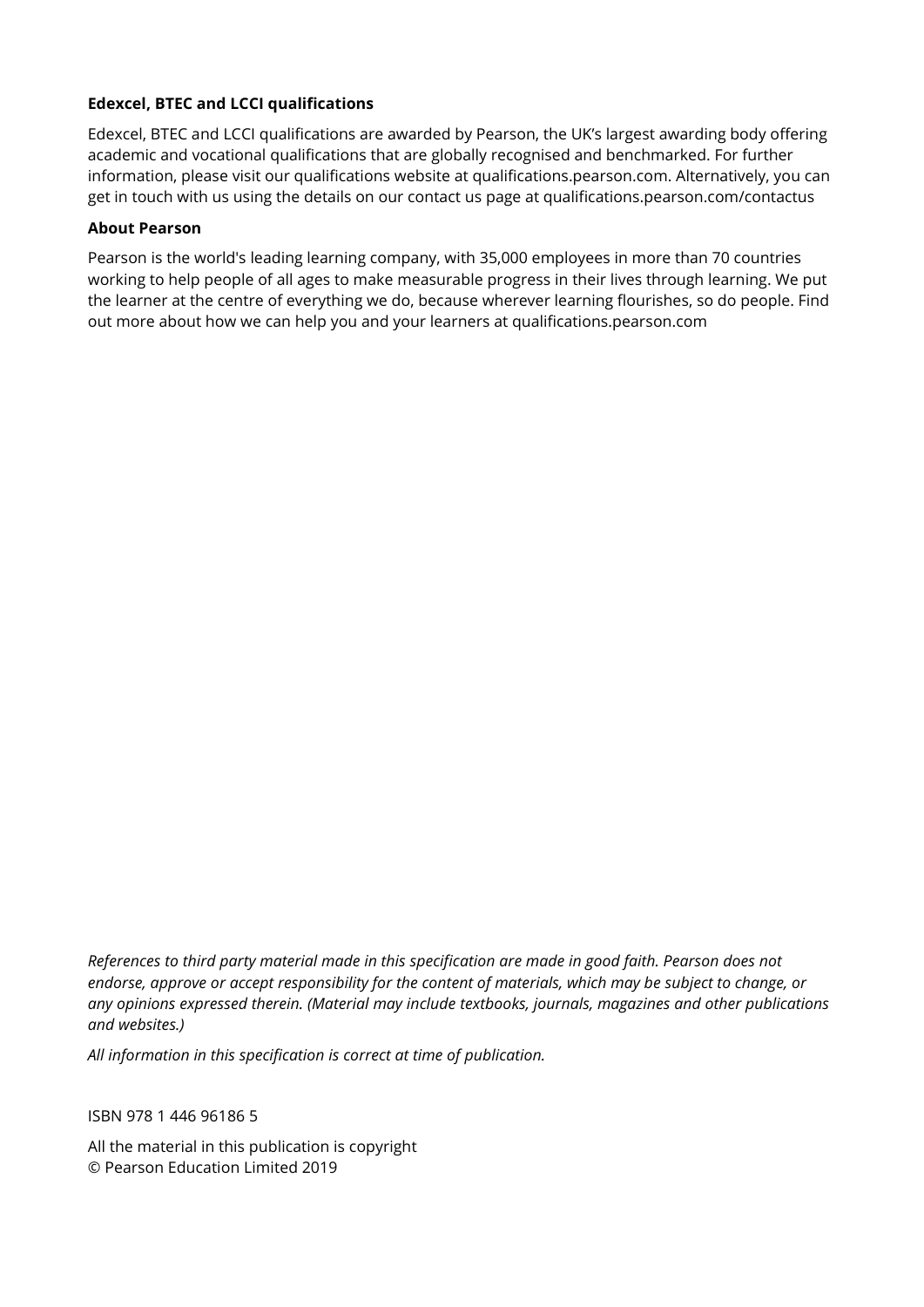#### **Edexcel, BTEC and LCCI qualifications**

Edexcel, BTEC and LCCI qualifications are awarded by Pearson, the UK's largest awarding body offering academic and vocational qualifications that are globally recognised and benchmarked. For further information, please visit our qualifications website at qualifications.pearson.com. Alternatively, you can get in touch with us using the details on our contact us page at qualifications.pearson.com/contactus

#### **About Pearson**

Pearson is the world's leading learning company, with 35,000 employees in more than 70 countries working to help people of all ages to make measurable progress in their lives through learning. We put the learner at the centre of everything we do, because wherever learning flourishes, so do people. Find out more about how we can help you and your learners at qualifications.pearson.com

*References to third party material made in this specification are made in good faith. Pearson does not endorse, approve or accept responsibility for the content of materials, which may be subject to change, or any opinions expressed therein. (Material may include textbooks, journals, magazines and other publications and websites.)*

*All information in this specification is correct at time of publication.*

ISBN 978 1 446 96186 5

All the material in this publication is copyright © Pearson Education Limited 2019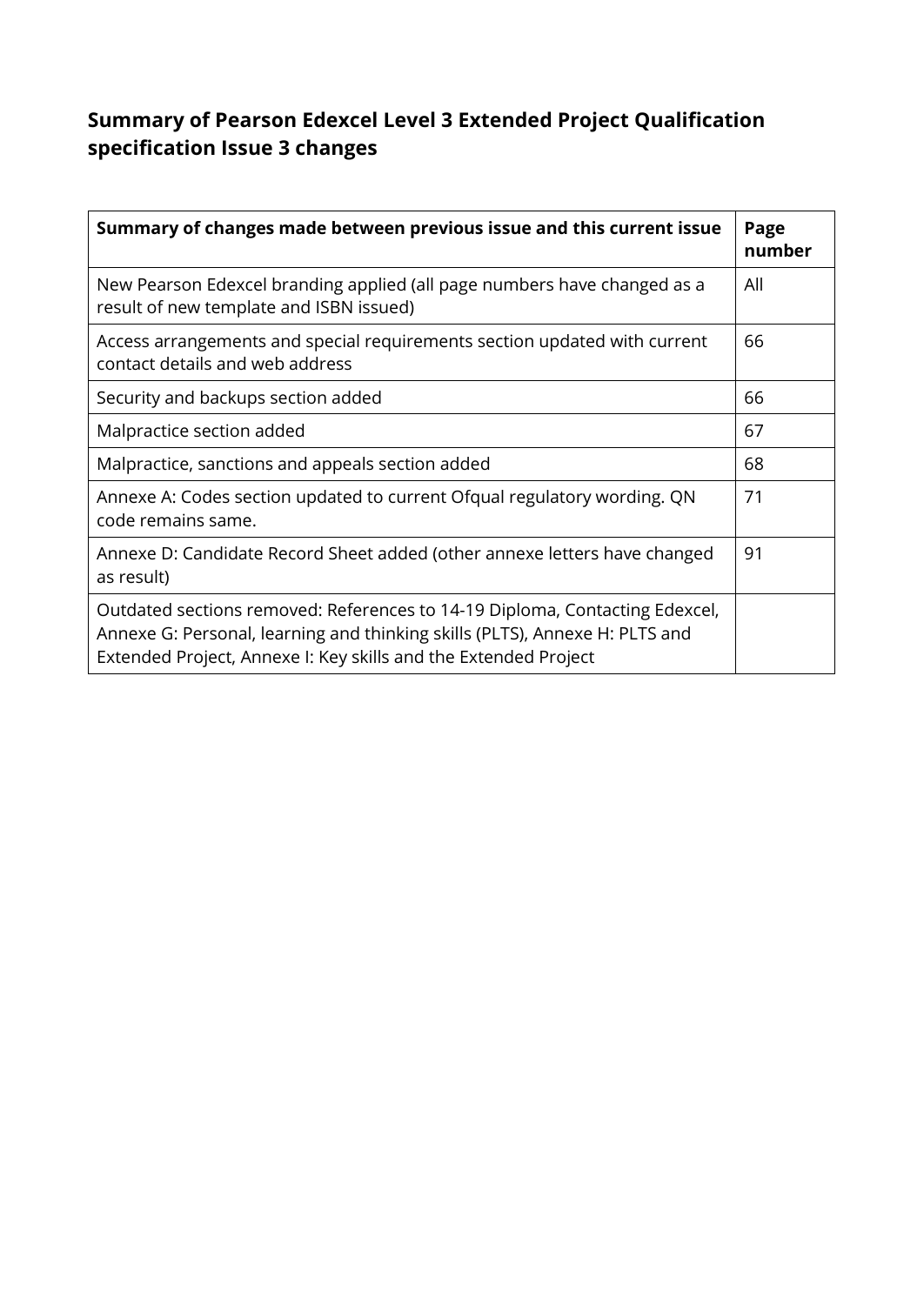### **Summary of Pearson Edexcel Level 3 Extended Project Qualification specification Issue 3 changes**

| Summary of changes made between previous issue and this current issue                                                                                                                                                         | Page<br>number |
|-------------------------------------------------------------------------------------------------------------------------------------------------------------------------------------------------------------------------------|----------------|
| New Pearson Edexcel branding applied (all page numbers have changed as a<br>result of new template and ISBN issued)                                                                                                           | All            |
| Access arrangements and special requirements section updated with current<br>contact details and web address                                                                                                                  | 66             |
| Security and backups section added                                                                                                                                                                                            | 66             |
| Malpractice section added                                                                                                                                                                                                     | 67             |
| Malpractice, sanctions and appeals section added                                                                                                                                                                              | 68             |
| Annexe A: Codes section updated to current Ofqual regulatory wording. QN<br>code remains same.                                                                                                                                | 71             |
| Annexe D: Candidate Record Sheet added (other annexe letters have changed<br>as result)                                                                                                                                       | 91             |
| Outdated sections removed: References to 14-19 Diploma, Contacting Edexcel,<br>Annexe G: Personal, learning and thinking skills (PLTS), Annexe H: PLTS and<br>Extended Project, Annexe I: Key skills and the Extended Project |                |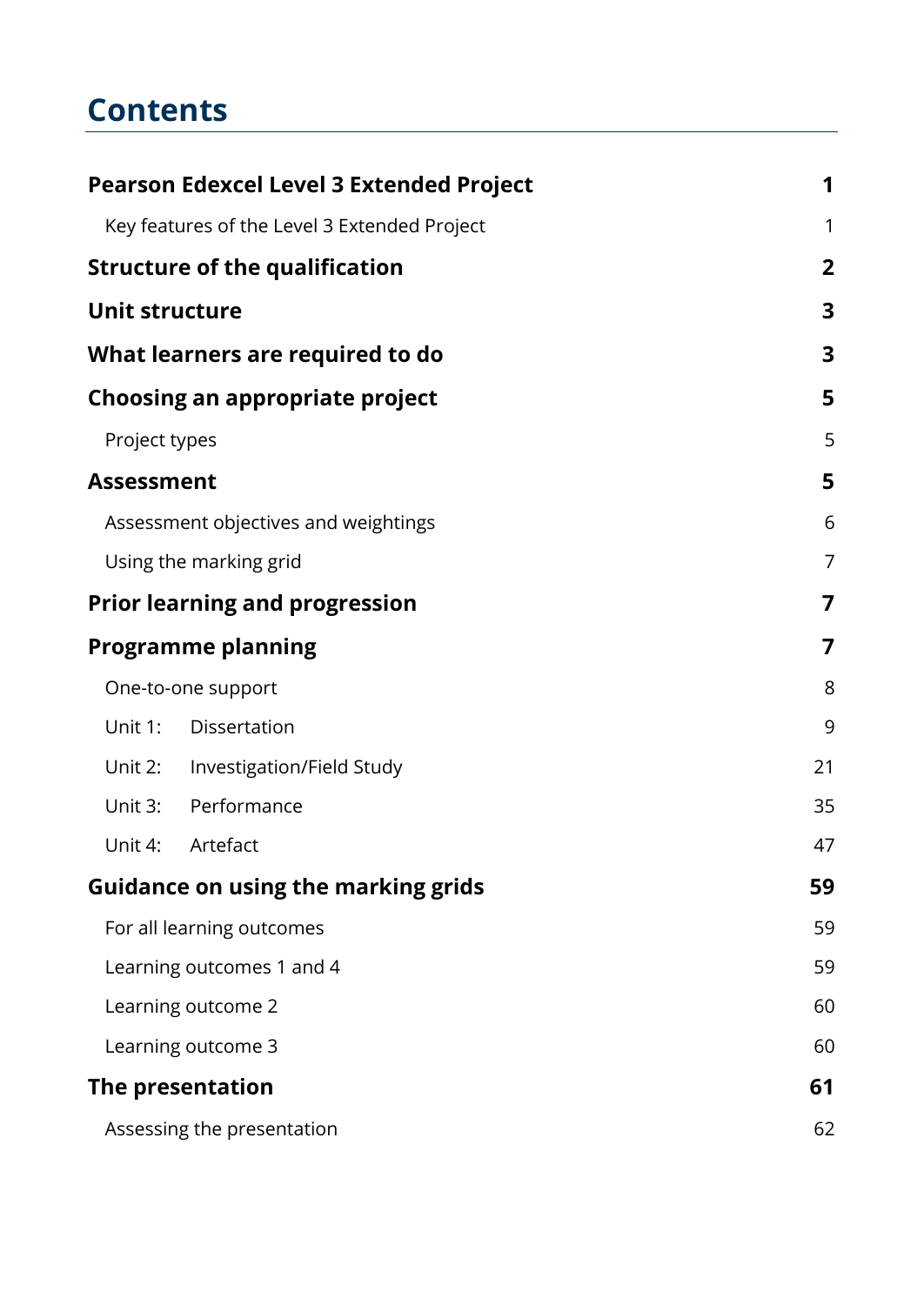### **Contents**

|                       | <b>Pearson Edexcel Level 3 Extended Project</b> | 1                       |
|-----------------------|-------------------------------------------------|-------------------------|
|                       | Key features of the Level 3 Extended Project    | 1                       |
|                       | <b>Structure of the qualification</b>           | $\overline{2}$          |
| <b>Unit structure</b> |                                                 | 3                       |
|                       | What learners are required to do                | $\overline{\mathbf{3}}$ |
|                       | Choosing an appropriate project                 | 5                       |
| Project types         |                                                 | 5                       |
| <b>Assessment</b>     |                                                 | 5                       |
|                       | Assessment objectives and weightings            | 6                       |
|                       | Using the marking grid                          | 7                       |
|                       | <b>Prior learning and progression</b>           | 7                       |
|                       | <b>Programme planning</b>                       | 7                       |
|                       | One-to-one support                              | 8                       |
| Unit 1:               | Dissertation                                    | 9                       |
|                       | Unit 2: Investigation/Field Study               | 21                      |
| Unit 3:               | Performance                                     | 35                      |
| Unit 4:               | Artefact                                        | 47                      |
|                       | <b>Guidance on using the marking grids</b>      | 59                      |
|                       | For all learning outcomes                       | 59                      |
|                       | Learning outcomes 1 and 4                       | 59                      |
|                       | Learning outcome 2                              | 60                      |
|                       | Learning outcome 3                              | 60                      |
|                       | The presentation                                | 61                      |
|                       | Assessing the presentation                      | 62                      |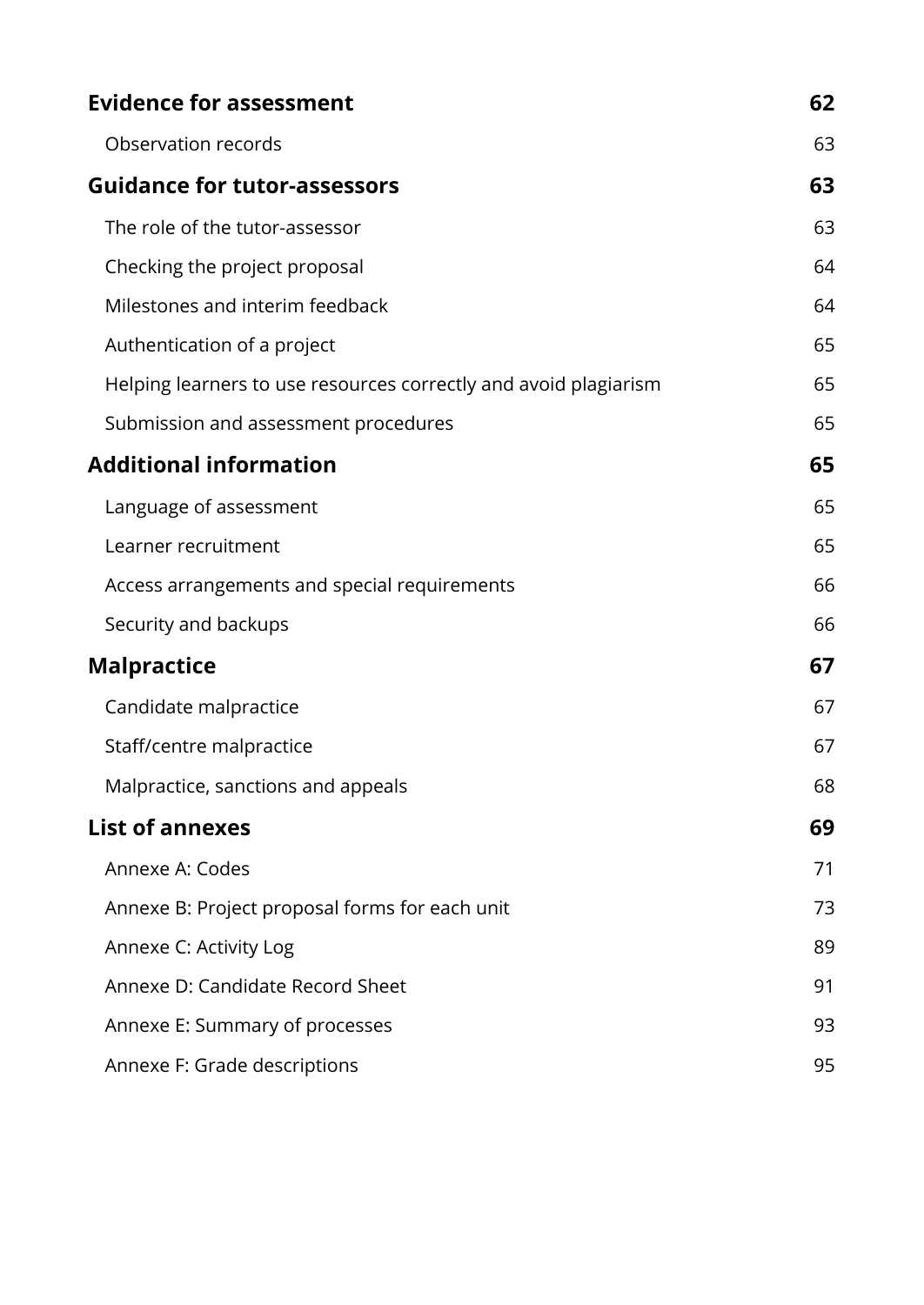| <b>Evidence for assessment</b>                                   | 62 |
|------------------------------------------------------------------|----|
| Observation records                                              | 63 |
| <b>Guidance for tutor-assessors</b>                              | 63 |
| The role of the tutor-assessor                                   | 63 |
| Checking the project proposal                                    | 64 |
| Milestones and interim feedback                                  | 64 |
| Authentication of a project                                      | 65 |
| Helping learners to use resources correctly and avoid plagiarism | 65 |
| Submission and assessment procedures                             | 65 |
| <b>Additional information</b>                                    | 65 |
| Language of assessment                                           | 65 |
| Learner recruitment                                              | 65 |
| Access arrangements and special requirements                     | 66 |
| Security and backups                                             | 66 |
| <b>Malpractice</b>                                               | 67 |
| Candidate malpractice                                            | 67 |
| Staff/centre malpractice                                         | 67 |
| Malpractice, sanctions and appeals                               | 68 |
| <b>List of annexes</b>                                           | 69 |
| Annexe A: Codes                                                  | 71 |
| Annexe B: Project proposal forms for each unit                   | 73 |
| Annexe C: Activity Log                                           | 89 |
| Annexe D: Candidate Record Sheet                                 | 91 |
| Annexe E: Summary of processes                                   | 93 |
| Annexe F: Grade descriptions                                     | 95 |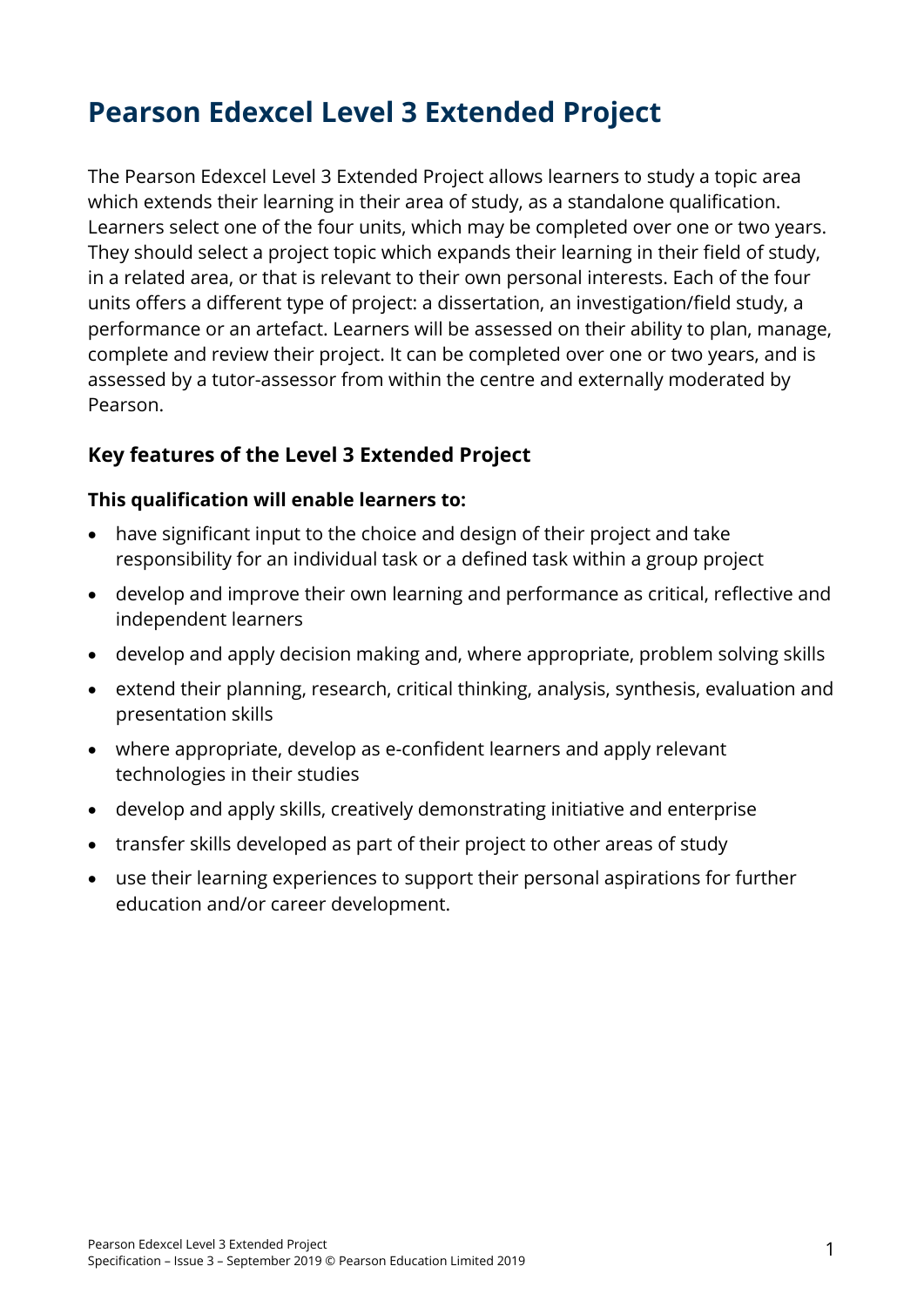### <span id="page-6-0"></span>**Pearson Edexcel Level 3 Extended Project**

The Pearson Edexcel Level 3 Extended Project allows learners to study a topic area which extends their learning in their area of study, as a standalone qualification. Learners select one of the four units, which may be completed over one or two years. They should select a project topic which expands their learning in their field of study, in a related area, or that is relevant to their own personal interests. Each of the four units offers a different type of project: a dissertation, an investigation/field study, a performance or an artefact. Learners will be assessed on their ability to plan, manage, complete and review their project. It can be completed over one or two years, and is assessed by a tutor-assessor from within the centre and externally moderated by Pearson.

#### <span id="page-6-1"></span>**Key features of the Level 3 Extended Project**

#### **This qualification will enable learners to:**

- have significant input to the choice and design of their project and take responsibility for an individual task or a defined task within a group project
- develop and improve their own learning and performance as critical, reflective and independent learners
- develop and apply decision making and, where appropriate, problem solving skills
- extend their planning, research, critical thinking, analysis, synthesis, evaluation and presentation skills
- where appropriate, develop as e-confident learners and apply relevant technologies in their studies
- develop and apply skills, creatively demonstrating initiative and enterprise
- transfer skills developed as part of their project to other areas of study
- use their learning experiences to support their personal aspirations for further education and/or career development.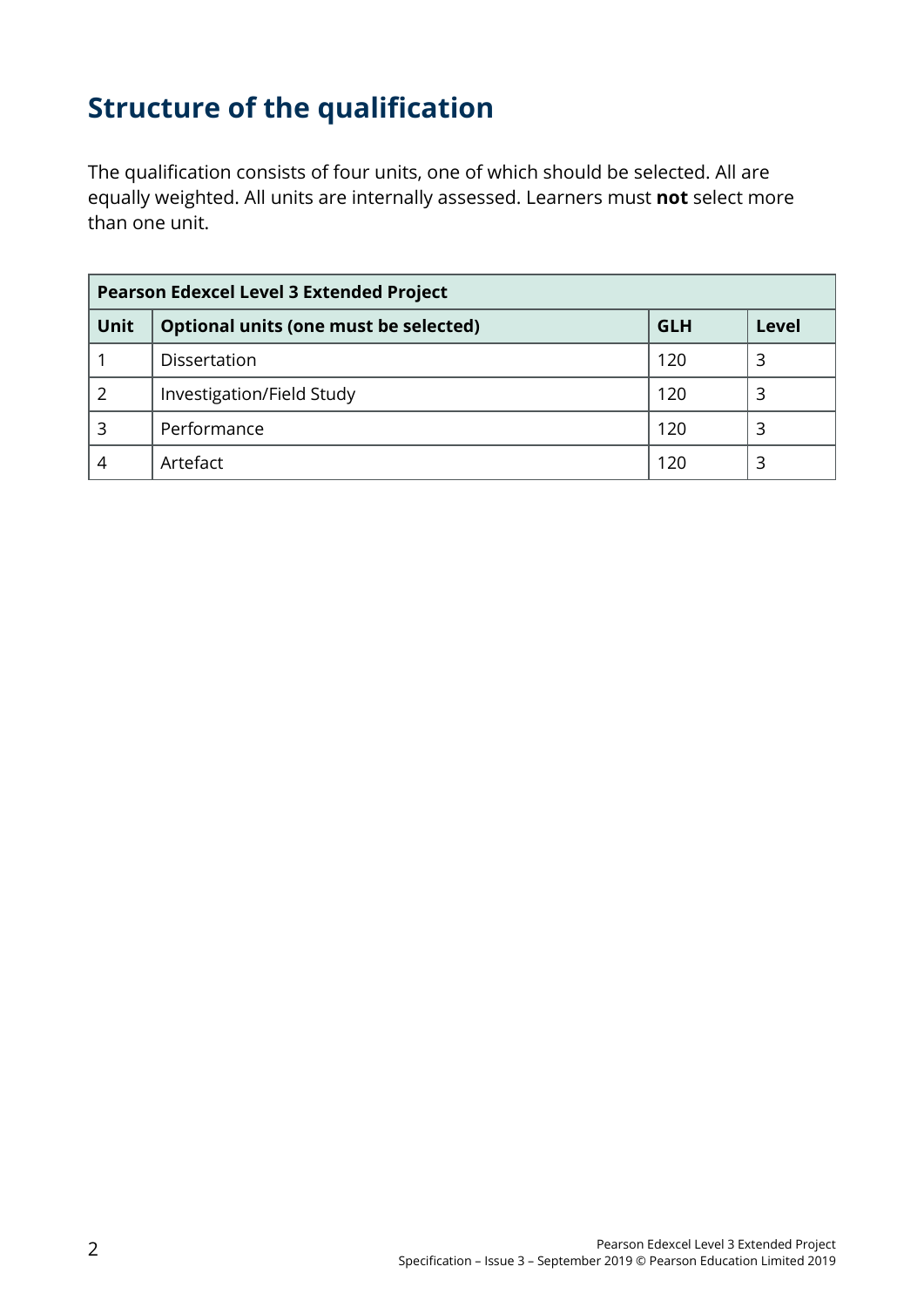### <span id="page-7-0"></span>**Structure of the qualification**

The qualification consists of four units, one of which should be selected. All are equally weighted. All units are internally assessed. Learners must **not** select more than one unit.

| <b>Pearson Edexcel Level 3 Extended Project</b> |                                       |            |       |
|-------------------------------------------------|---------------------------------------|------------|-------|
| <b>Unit</b>                                     | Optional units (one must be selected) | <b>GLH</b> | Level |
|                                                 | Dissertation                          | 120        | 3     |
| 2                                               | Investigation/Field Study             | 120        | 3     |
| 3                                               | Performance                           | 120        |       |
|                                                 | Artefact                              | 120        | 3     |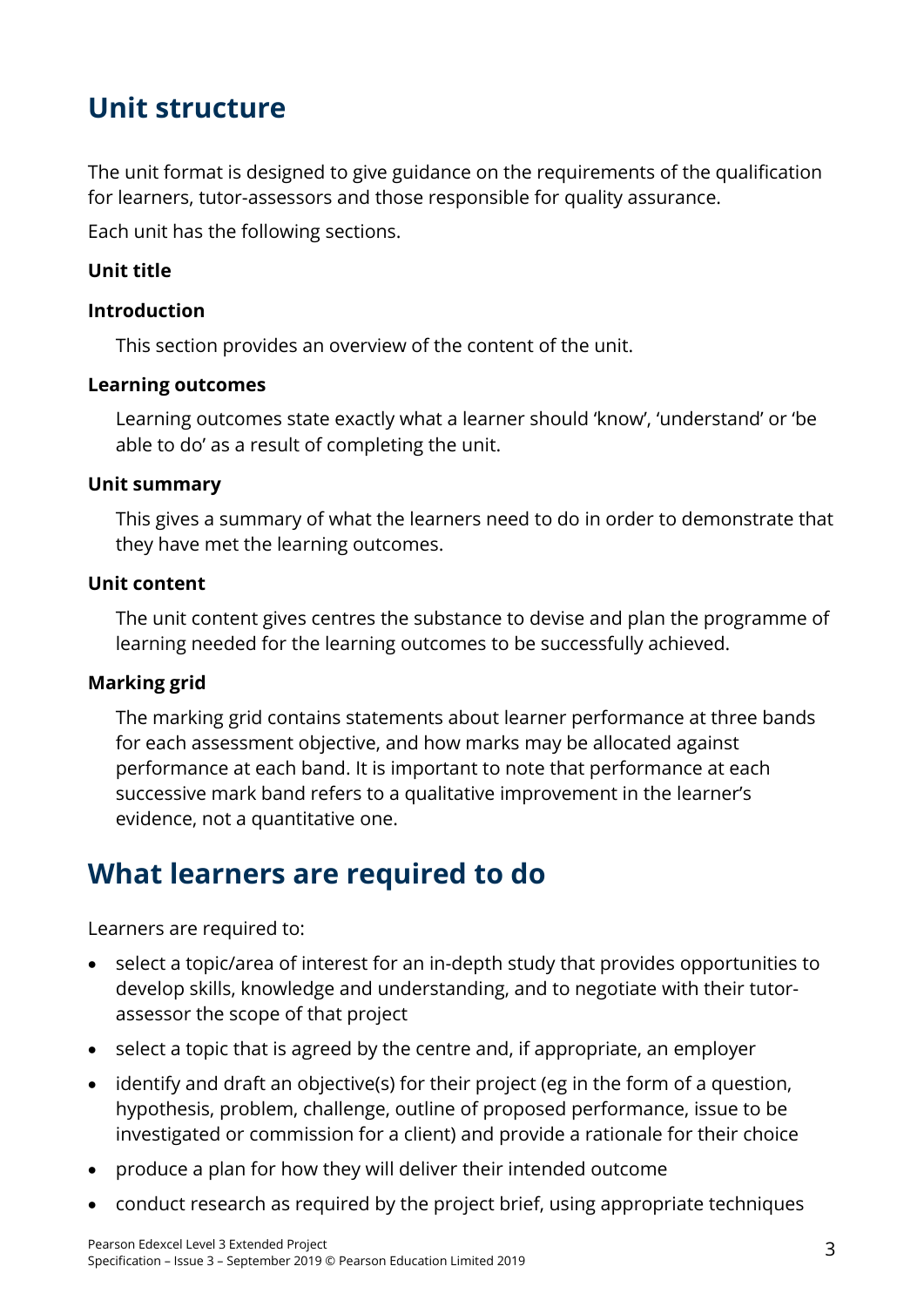### <span id="page-8-0"></span>**Unit structure**

The unit format is designed to give guidance on the requirements of the qualification for learners, tutor-assessors and those responsible for quality assurance.

Each unit has the following sections.

#### **Unit title**

#### **Introduction**

This section provides an overview of the content of the unit.

#### **Learning outcomes**

Learning outcomes state exactly what a learner should 'know', 'understand' or 'be able to do' as a result of completing the unit.

#### **Unit summary**

This gives a summary of what the learners need to do in order to demonstrate that they have met the learning outcomes.

#### **Unit content**

The unit content gives centres the substance to devise and plan the programme of learning needed for the learning outcomes to be successfully achieved.

#### **Marking grid**

The marking grid contains statements about learner performance at three bands for each assessment objective, and how marks may be allocated against performance at each band. It is important to note that performance at each successive mark band refers to a qualitative improvement in the learner's evidence, not a quantitative one.

### <span id="page-8-1"></span>**What learners are required to do**

Learners are required to:

- select a topic/area of interest for an in-depth study that provides opportunities to develop skills, knowledge and understanding, and to negotiate with their tutorassessor the scope of that project
- select a topic that is agreed by the centre and, if appropriate, an employer
- identify and draft an objective(s) for their project (eg in the form of a question, hypothesis, problem, challenge, outline of proposed performance, issue to be investigated or commission for a client) and provide a rationale for their choice
- produce a plan for how they will deliver their intended outcome
- conduct research as required by the project brief, using appropriate techniques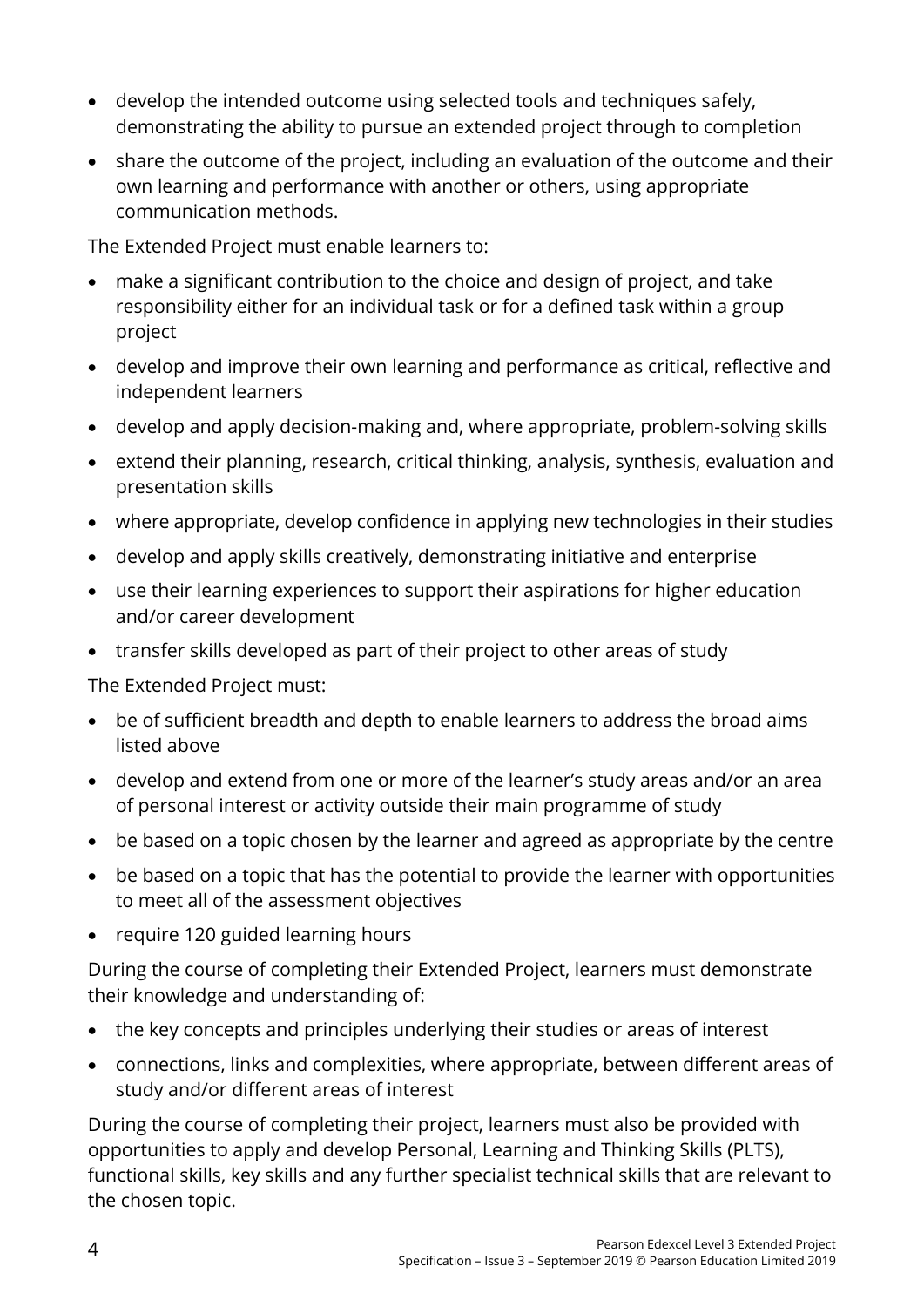- develop the intended outcome using selected tools and techniques safely, demonstrating the ability to pursue an extended project through to completion
- share the outcome of the project, including an evaluation of the outcome and their own learning and performance with another or others, using appropriate communication methods.

The Extended Project must enable learners to:

- make a significant contribution to the choice and design of project, and take responsibility either for an individual task or for a defined task within a group project
- develop and improve their own learning and performance as critical, reflective and independent learners
- develop and apply decision-making and, where appropriate, problem-solving skills
- extend their planning, research, critical thinking, analysis, synthesis, evaluation and presentation skills
- where appropriate, develop confidence in applying new technologies in their studies
- develop and apply skills creatively, demonstrating initiative and enterprise
- use their learning experiences to support their aspirations for higher education and/or career development
- transfer skills developed as part of their project to other areas of study

The Extended Project must:

- be of sufficient breadth and depth to enable learners to address the broad aims listed above
- develop and extend from one or more of the learner's study areas and/or an area of personal interest or activity outside their main programme of study
- be based on a topic chosen by the learner and agreed as appropriate by the centre
- be based on a topic that has the potential to provide the learner with opportunities to meet all of the assessment objectives
- require 120 guided learning hours

During the course of completing their Extended Project, learners must demonstrate their knowledge and understanding of:

- the key concepts and principles underlying their studies or areas of interest
- connections, links and complexities, where appropriate, between different areas of study and/or different areas of interest

During the course of completing their project, learners must also be provided with opportunities to apply and develop Personal, Learning and Thinking Skills (PLTS), functional skills, key skills and any further specialist technical skills that are relevant to the chosen topic.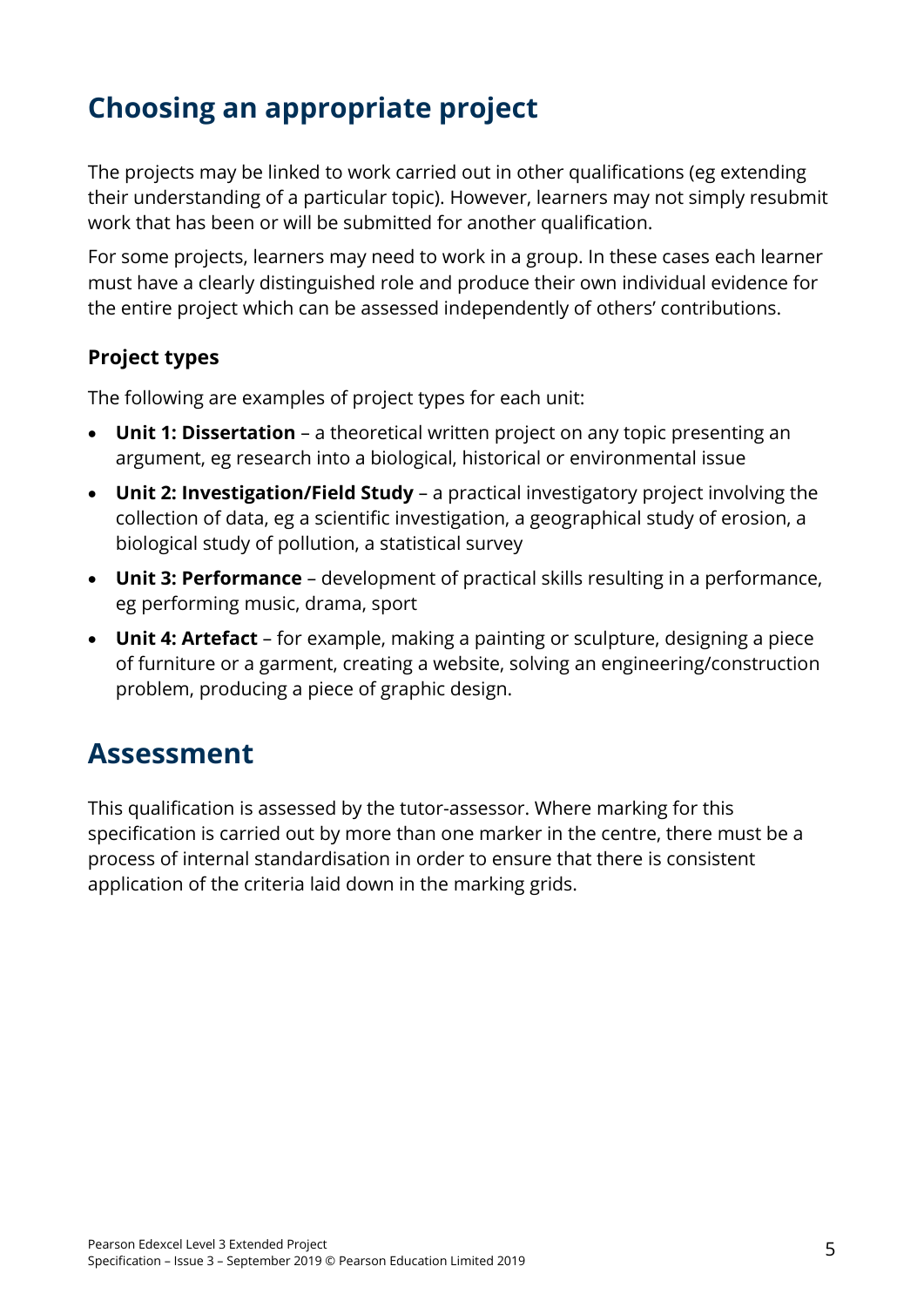### <span id="page-10-0"></span>**Choosing an appropriate project**

The projects may be linked to work carried out in other qualifications (eg extending their understanding of a particular topic). However, learners may not simply resubmit work that has been or will be submitted for another qualification.

For some projects, learners may need to work in a group. In these cases each learner must have a clearly distinguished role and produce their own individual evidence for the entire project which can be assessed independently of others' contributions.

#### <span id="page-10-1"></span>**Project types**

The following are examples of project types for each unit:

- **Unit 1: Dissertation**  a theoretical written project on any topic presenting an argument, eg research into a biological, historical or environmental issue
- **Unit 2: Investigation/Field Study**  a practical investigatory project involving the collection of data, eg a scientific investigation, a geographical study of erosion, a biological study of pollution, a statistical survey
- **Unit 3: Performance**  development of practical skills resulting in a performance, eg performing music, drama, sport
- **Unit 4: Artefact**  for example, making a painting or sculpture, designing a piece of furniture or a garment, creating a website, solving an engineering/construction problem, producing a piece of graphic design.

### <span id="page-10-2"></span>**Assessment**

This qualification is assessed by the tutor-assessor. Where marking for this specification is carried out by more than one marker in the centre, there must be a process of internal standardisation in order to ensure that there is consistent application of the criteria laid down in the marking grids.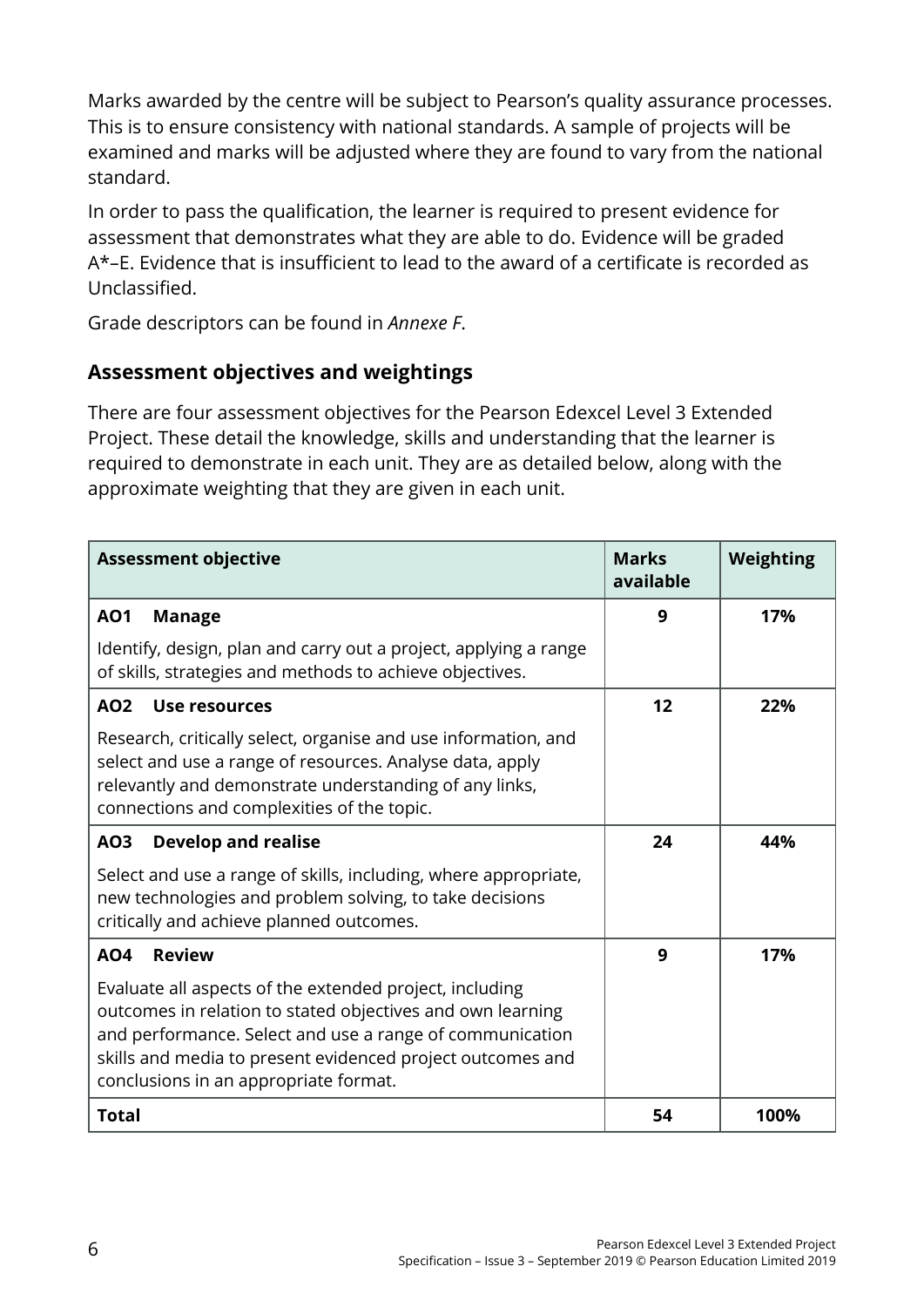Marks awarded by the centre will be subject to Pearson's quality assurance processes. This is to ensure consistency with national standards. A sample of projects will be examined and marks will be adjusted where they are found to vary from the national standard.

In order to pass the qualification, the learner is required to present evidence for assessment that demonstrates what they are able to do. Evidence will be graded A\*–E. Evidence that is insufficient to lead to the award of a certificate is recorded as Unclassified.

Grade descriptors can be found in *Annexe F*.

#### <span id="page-11-0"></span>**Assessment objectives and weightings**

There are four assessment objectives for the Pearson Edexcel Level 3 Extended Project. These detail the knowledge, skills and understanding that the learner is required to demonstrate in each unit. They are as detailed below, along with the approximate weighting that they are given in each unit.

| <b>Assessment objective</b>                                                                                                                                                                                                                                                              | <b>Marks</b><br>available | Weighting |
|------------------------------------------------------------------------------------------------------------------------------------------------------------------------------------------------------------------------------------------------------------------------------------------|---------------------------|-----------|
| <b>AO1</b><br><b>Manage</b>                                                                                                                                                                                                                                                              | 9                         | 17%       |
| Identify, design, plan and carry out a project, applying a range<br>of skills, strategies and methods to achieve objectives.                                                                                                                                                             |                           |           |
| Use resources<br>AO <sub>2</sub>                                                                                                                                                                                                                                                         | 12                        | 22%       |
| Research, critically select, organise and use information, and<br>select and use a range of resources. Analyse data, apply<br>relevantly and demonstrate understanding of any links,<br>connections and complexities of the topic.                                                       |                           |           |
| <b>Develop and realise</b><br>A03                                                                                                                                                                                                                                                        | 24                        | 44%       |
| Select and use a range of skills, including, where appropriate,<br>new technologies and problem solving, to take decisions<br>critically and achieve planned outcomes.                                                                                                                   |                           |           |
| <b>Review</b><br>AO <sub>4</sub>                                                                                                                                                                                                                                                         | 9                         | 17%       |
| Evaluate all aspects of the extended project, including<br>outcomes in relation to stated objectives and own learning<br>and performance. Select and use a range of communication<br>skills and media to present evidenced project outcomes and<br>conclusions in an appropriate format. |                           |           |
| <b>Total</b>                                                                                                                                                                                                                                                                             | 54                        | 100%      |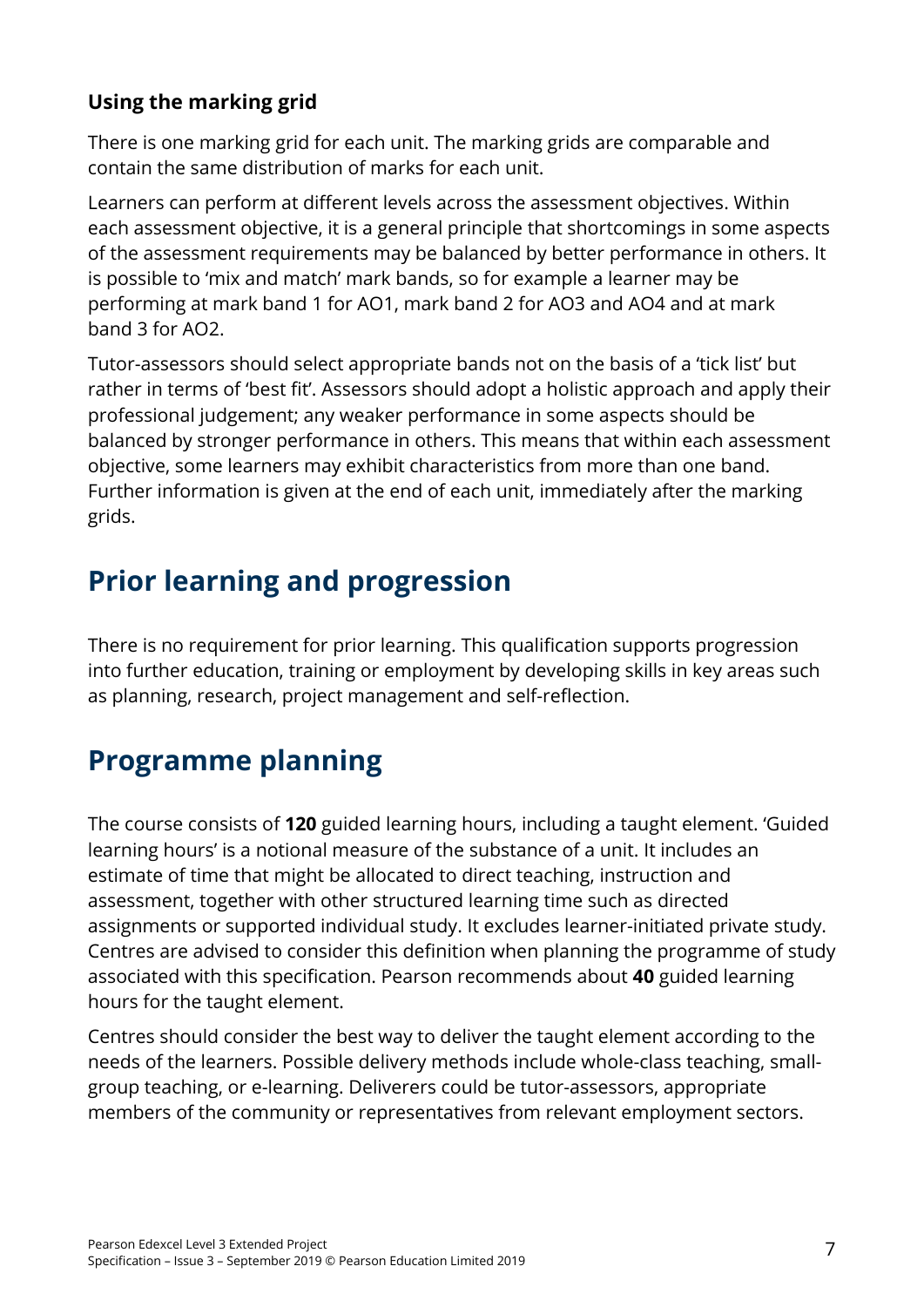#### <span id="page-12-0"></span>**Using the marking grid**

There is one marking grid for each unit. The marking grids are comparable and contain the same distribution of marks for each unit.

Learners can perform at different levels across the assessment objectives. Within each assessment objective, it is a general principle that shortcomings in some aspects of the assessment requirements may be balanced by better performance in others. It is possible to 'mix and match' mark bands, so for example a learner may be performing at mark band 1 for AO1, mark band 2 for AO3 and AO4 and at mark band 3 for AO2.

Tutor-assessors should select appropriate bands not on the basis of a 'tick list' but rather in terms of 'best fit'. Assessors should adopt a holistic approach and apply their professional judgement; any weaker performance in some aspects should be balanced by stronger performance in others. This means that within each assessment objective, some learners may exhibit characteristics from more than one band. Further information is given at the end of each unit, immediately after the marking grids.

### <span id="page-12-1"></span>**Prior learning and progression**

There is no requirement for prior learning. This qualification supports progression into further education, training or employment by developing skills in key areas such as planning, research, project management and self-reflection.

### <span id="page-12-2"></span>**Programme planning**

The course consists of **120** guided learning hours, including a taught element. 'Guided learning hours' is a notional measure of the substance of a unit. It includes an estimate of time that might be allocated to direct teaching, instruction and assessment, together with other structured learning time such as directed assignments or supported individual study. It excludes learner-initiated private study. Centres are advised to consider this definition when planning the programme of study associated with this specification. Pearson recommends about **40** guided learning hours for the taught element.

Centres should consider the best way to deliver the taught element according to the needs of the learners. Possible delivery methods include whole-class teaching, smallgroup teaching, or e-learning. Deliverers could be tutor-assessors, appropriate members of the community or representatives from relevant employment sectors.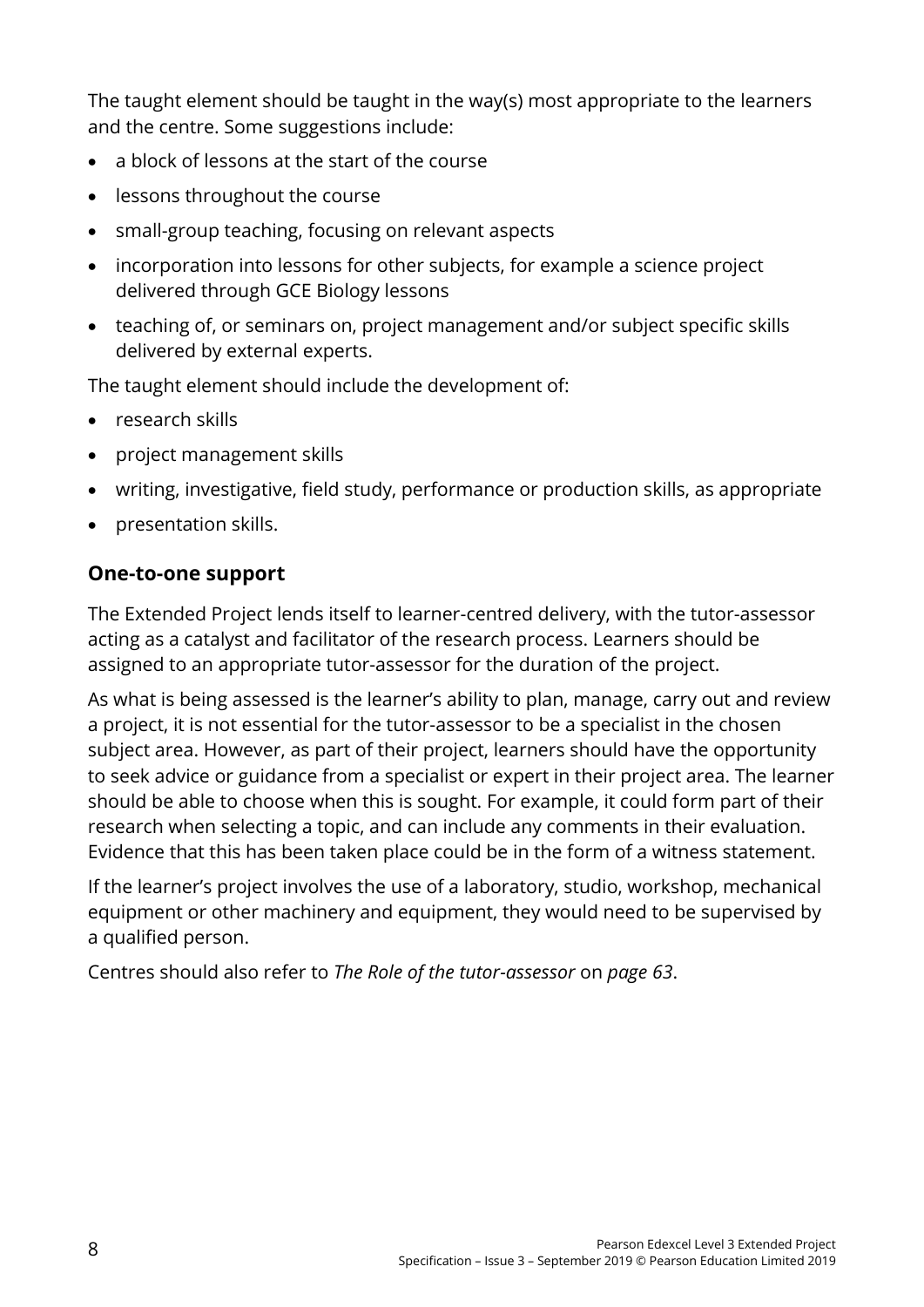The taught element should be taught in the way(s) most appropriate to the learners and the centre. Some suggestions include:

- a block of lessons at the start of the course
- lessons throughout the course
- small-group teaching, focusing on relevant aspects
- incorporation into lessons for other subjects, for example a science project delivered through GCE Biology lessons
- teaching of, or seminars on, project management and/or subject specific skills delivered by external experts.

The taught element should include the development of:

- research skills
- project management skills
- writing, investigative, field study, performance or production skills, as appropriate
- presentation skills.

#### <span id="page-13-0"></span>**One-to-one support**

The Extended Project lends itself to learner-centred delivery, with the tutor-assessor acting as a catalyst and facilitator of the research process. Learners should be assigned to an appropriate tutor-assessor for the duration of the project.

As what is being assessed is the learner's ability to plan, manage, carry out and review a project, it is not essential for the tutor-assessor to be a specialist in the chosen subject area. However, as part of their project, learners should have the opportunity to seek advice or guidance from a specialist or expert in their project area. The learner should be able to choose when this is sought. For example, it could form part of their research when selecting a topic, and can include any comments in their evaluation. Evidence that this has been taken place could be in the form of a witness statement.

If the learner's project involves the use of a laboratory, studio, workshop, mechanical equipment or other machinery and equipment, they would need to be supervised by a qualified person.

Centres should also refer to *The Role of the tutor-assessor* on *page 63*.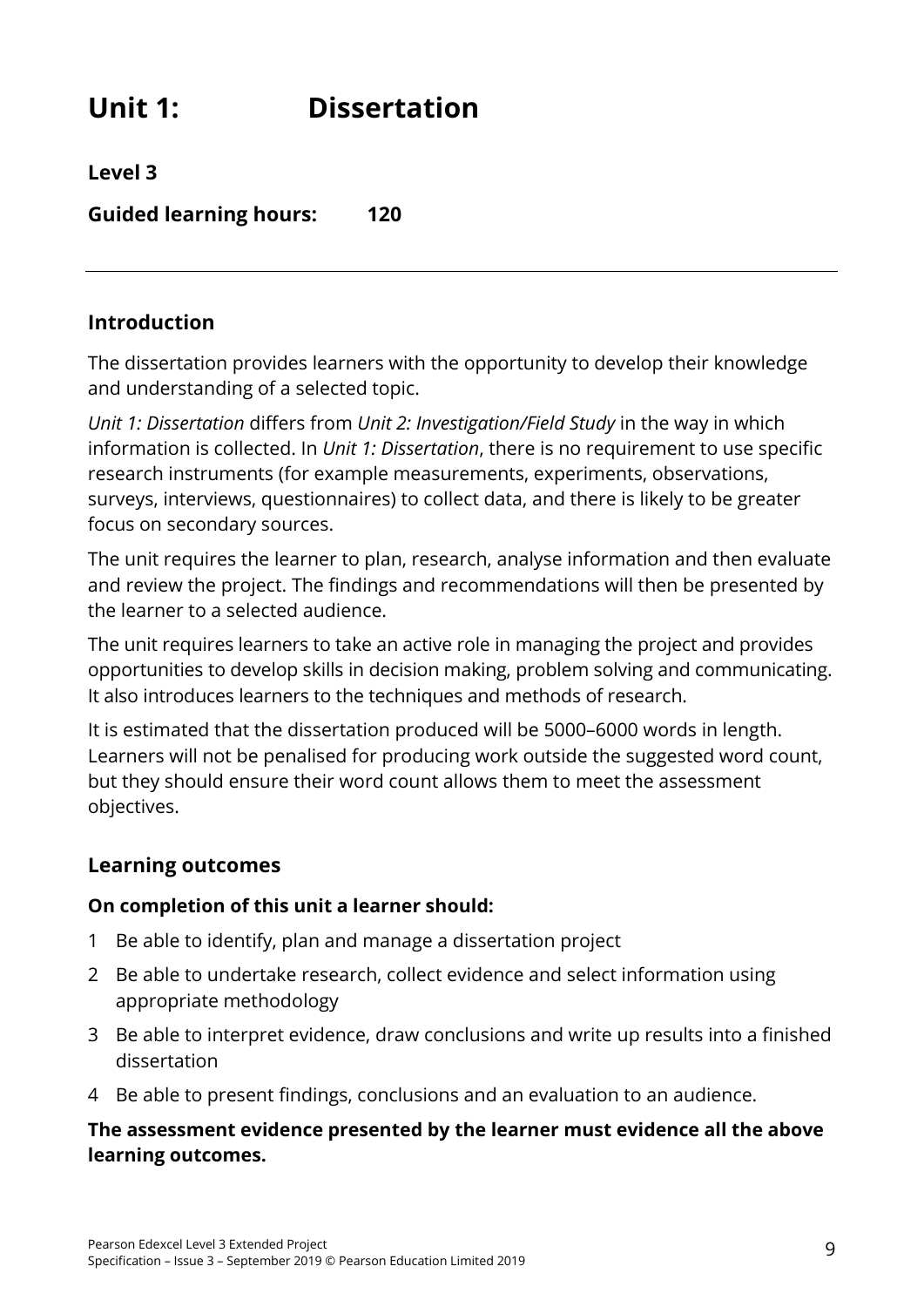### <span id="page-14-0"></span>**Unit 1: Dissertation**

**Level 3**

**Guided learning hours: 120**

#### **Introduction**

The dissertation provides learners with the opportunity to develop their knowledge and understanding of a selected topic.

*Unit 1: Dissertation* differs from *Unit 2: Investigation/Field Study* in the way in which information is collected. In *Unit 1: Dissertation*, there is no requirement to use specific research instruments (for example measurements, experiments, observations, surveys, interviews, questionnaires) to collect data, and there is likely to be greater focus on secondary sources.

The unit requires the learner to plan, research, analyse information and then evaluate and review the project. The findings and recommendations will then be presented by the learner to a selected audience.

The unit requires learners to take an active role in managing the project and provides opportunities to develop skills in decision making, problem solving and communicating. It also introduces learners to the techniques and methods of research.

It is estimated that the dissertation produced will be 5000–6000 words in length. Learners will not be penalised for producing work outside the suggested word count, but they should ensure their word count allows them to meet the assessment objectives.

#### **Learning outcomes**

#### **On completion of this unit a learner should:**

- 1 Be able to identify, plan and manage a dissertation project
- 2 Be able to undertake research, collect evidence and select information using appropriate methodology
- 3 Be able to interpret evidence, draw conclusions and write up results into a finished dissertation
- 4 Be able to present findings, conclusions and an evaluation to an audience.

#### **The assessment evidence presented by the learner must evidence all the above learning outcomes.**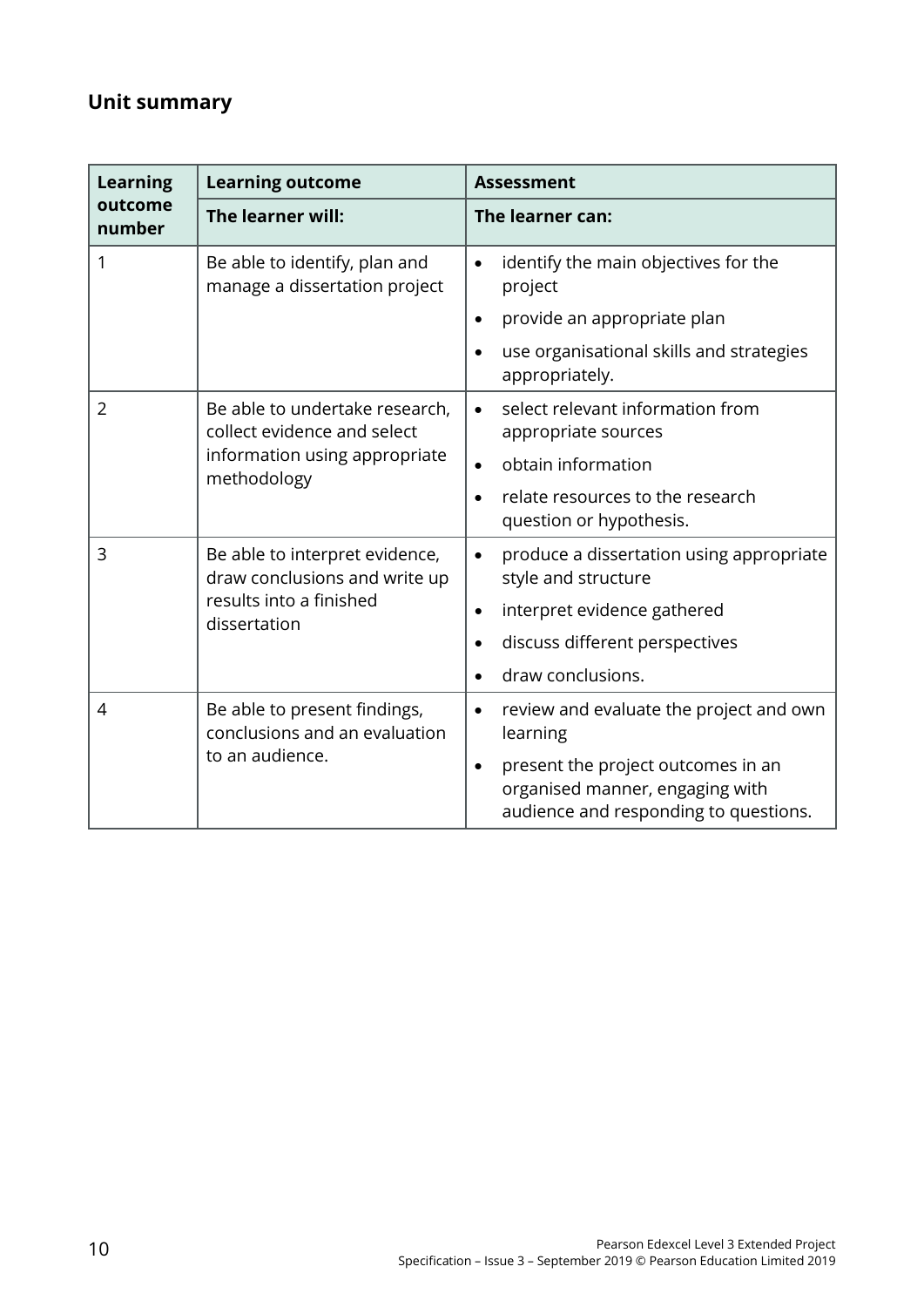### **Unit summary**

| <b>Learning</b>                              | <b>Learning outcome</b>                                         | <b>Assessment</b>                                                                                                           |  |
|----------------------------------------------|-----------------------------------------------------------------|-----------------------------------------------------------------------------------------------------------------------------|--|
| outcome<br>number                            | The learner will:                                               | The learner can:                                                                                                            |  |
| 1                                            | Be able to identify, plan and<br>manage a dissertation project  | identify the main objectives for the<br>$\bullet$<br>project                                                                |  |
|                                              |                                                                 | provide an appropriate plan                                                                                                 |  |
|                                              |                                                                 | use organisational skills and strategies<br>appropriately.                                                                  |  |
| $\overline{2}$                               | Be able to undertake research,<br>collect evidence and select   | select relevant information from<br>appropriate sources                                                                     |  |
| information using appropriate<br>methodology | obtain information                                              |                                                                                                                             |  |
|                                              | relate resources to the research<br>question or hypothesis.     |                                                                                                                             |  |
| 3                                            | Be able to interpret evidence,<br>draw conclusions and write up | produce a dissertation using appropriate<br>$\bullet$<br>style and structure                                                |  |
|                                              | results into a finished<br>dissertation                         | interpret evidence gathered<br>$\bullet$                                                                                    |  |
|                                              |                                                                 | discuss different perspectives                                                                                              |  |
|                                              |                                                                 | draw conclusions.                                                                                                           |  |
| 4                                            | Be able to present findings,<br>conclusions and an evaluation   | review and evaluate the project and own<br>learning                                                                         |  |
| to an audience.                              |                                                                 | present the project outcomes in an<br>$\bullet$<br>organised manner, engaging with<br>audience and responding to questions. |  |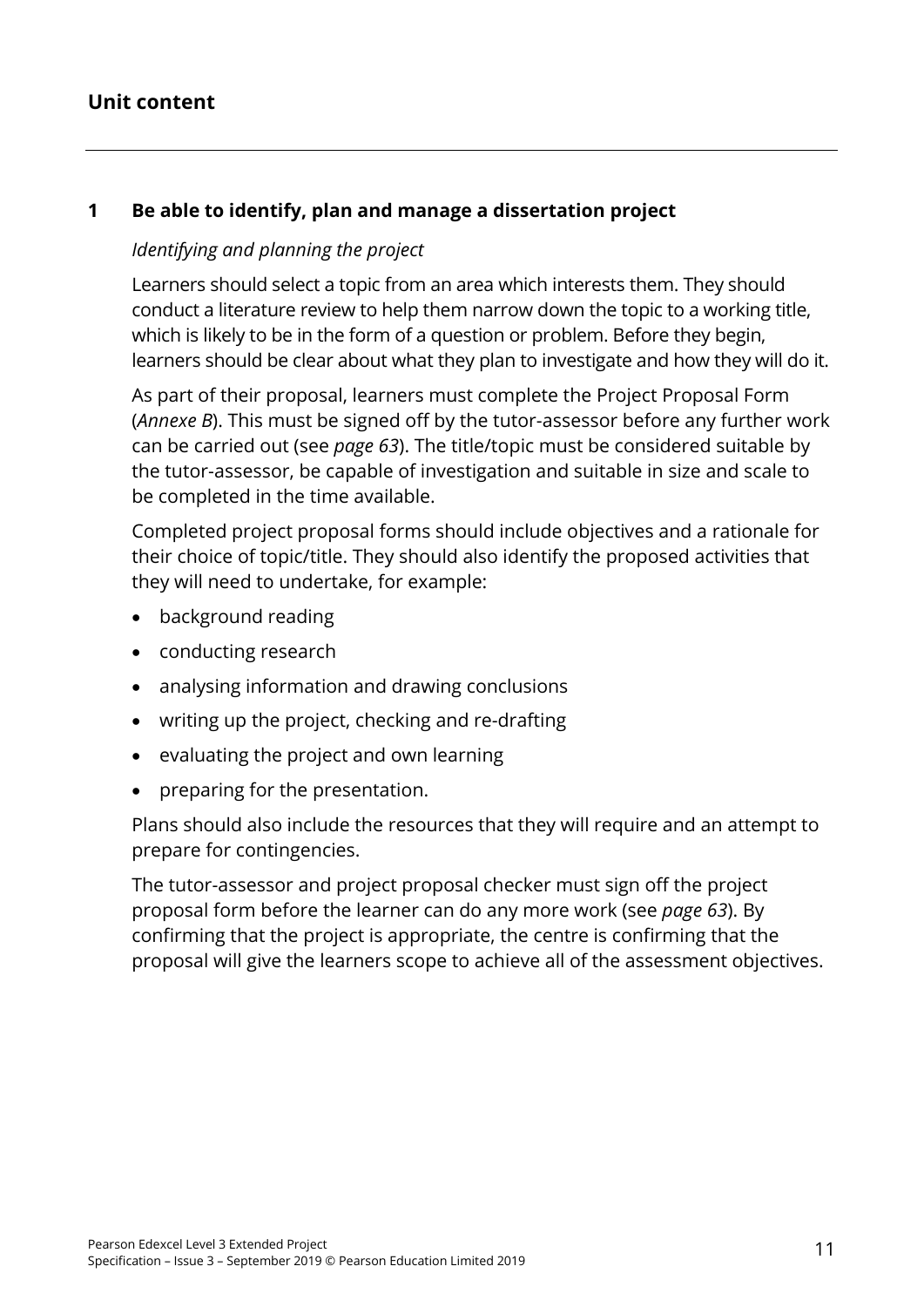#### **Unit content**

#### **1 Be able to identify, plan and manage a dissertation project**

#### *Identifying and planning the project*

Learners should select a topic from an area which interests them. They should conduct a literature review to help them narrow down the topic to a working title, which is likely to be in the form of a question or problem. Before they begin, learners should be clear about what they plan to investigate and how they will do it.

As part of their proposal, learners must complete the Project Proposal Form (*Annexe B*). This must be signed off by the tutor-assessor before any further work can be carried out (see *page 63*). The title/topic must be considered suitable by the tutor-assessor, be capable of investigation and suitable in size and scale to be completed in the time available.

Completed project proposal forms should include objectives and a rationale for their choice of topic/title. They should also identify the proposed activities that they will need to undertake, for example:

- background reading
- conducting research
- analysing information and drawing conclusions
- writing up the project, checking and re-drafting
- evaluating the project and own learning
- preparing for the presentation.

Plans should also include the resources that they will require and an attempt to prepare for contingencies.

The tutor-assessor and project proposal checker must sign off the project proposal form before the learner can do any more work (see *page 63*). By confirming that the project is appropriate, the centre is confirming that the proposal will give the learners scope to achieve all of the assessment objectives.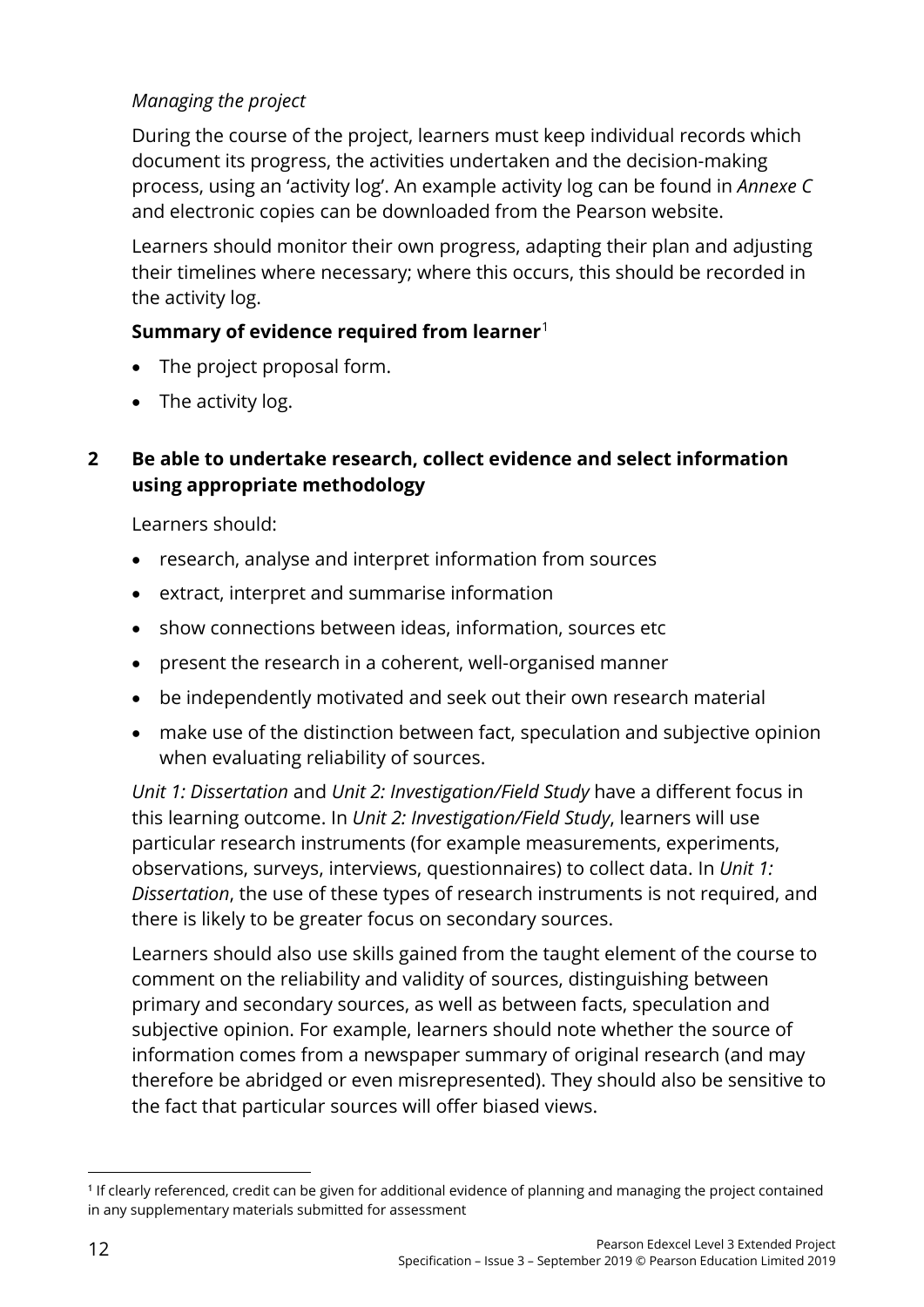#### *Managing the project*

During the course of the project, learners must keep individual records which document its progress, the activities undertaken and the decision-making process, using an 'activity log'. An example activity log can be found in *Annexe C* and electronic copies can be downloaded from the Pearson website.

Learners should monitor their own progress, adapting their plan and adjusting their timelines where necessary; where this occurs, this should be recorded in the activity log.

#### **Summary of evidence required from learner**[1](#page-17-0)

- The project proposal form.
- The activity log.

#### **2 Be able to undertake research, collect evidence and select information using appropriate methodology**

Learners should:

- research, analyse and interpret information from sources
- extract, interpret and summarise information
- show connections between ideas, information, sources etc
- present the research in a coherent, well-organised manner
- be independently motivated and seek out their own research material
- make use of the distinction between fact, speculation and subjective opinion when evaluating reliability of sources.

*Unit 1: Dissertation* and *Unit 2: Investigation/Field Study* have a different focus in this learning outcome. In *Unit 2: Investigation/Field Study*, learners will use particular research instruments (for example measurements, experiments, observations, surveys, interviews, questionnaires) to collect data. In *Unit 1: Dissertation*, the use of these types of research instruments is not required, and there is likely to be greater focus on secondary sources.

Learners should also use skills gained from the taught element of the course to comment on the reliability and validity of sources, distinguishing between primary and secondary sources, as well as between facts, speculation and subjective opinion. For example, learners should note whether the source of information comes from a newspaper summary of original research (and may therefore be abridged or even misrepresented). They should also be sensitive to the fact that particular sources will offer biased views.

<span id="page-17-0"></span><sup>&</sup>lt;u>.</u> <sup>1</sup> If clearly referenced, credit can be given for additional evidence of planning and managing the project contained in any supplementary materials submitted for assessment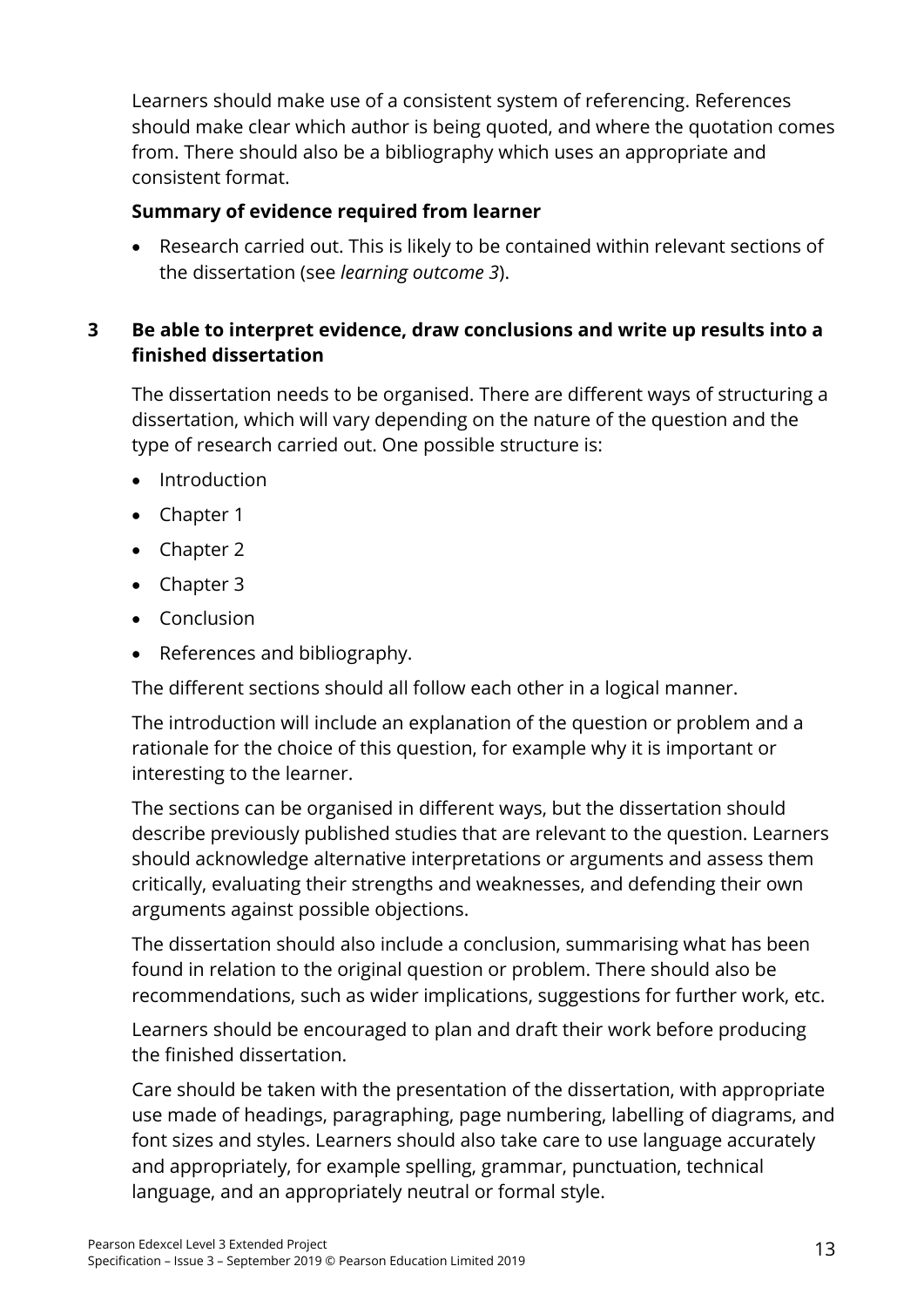Learners should make use of a consistent system of referencing. References should make clear which author is being quoted, and where the quotation comes from. There should also be a bibliography which uses an appropriate and consistent format.

#### **Summary of evidence required from learner**

• Research carried out. This is likely to be contained within relevant sections of the dissertation (see *learning outcome 3*).

#### **3 Be able to interpret evidence, draw conclusions and write up results into a finished dissertation**

The dissertation needs to be organised. There are different ways of structuring a dissertation, which will vary depending on the nature of the question and the type of research carried out. One possible structure is:

- Introduction
- Chapter 1
- Chapter 2
- Chapter 3
- Conclusion
- References and bibliography.

The different sections should all follow each other in a logical manner.

The introduction will include an explanation of the question or problem and a rationale for the choice of this question, for example why it is important or interesting to the learner.

The sections can be organised in different ways, but the dissertation should describe previously published studies that are relevant to the question. Learners should acknowledge alternative interpretations or arguments and assess them critically, evaluating their strengths and weaknesses, and defending their own arguments against possible objections.

The dissertation should also include a conclusion, summarising what has been found in relation to the original question or problem. There should also be recommendations, such as wider implications, suggestions for further work, etc.

Learners should be encouraged to plan and draft their work before producing the finished dissertation.

Care should be taken with the presentation of the dissertation, with appropriate use made of headings, paragraphing, page numbering, labelling of diagrams, and font sizes and styles. Learners should also take care to use language accurately and appropriately, for example spelling, grammar, punctuation, technical language, and an appropriately neutral or formal style.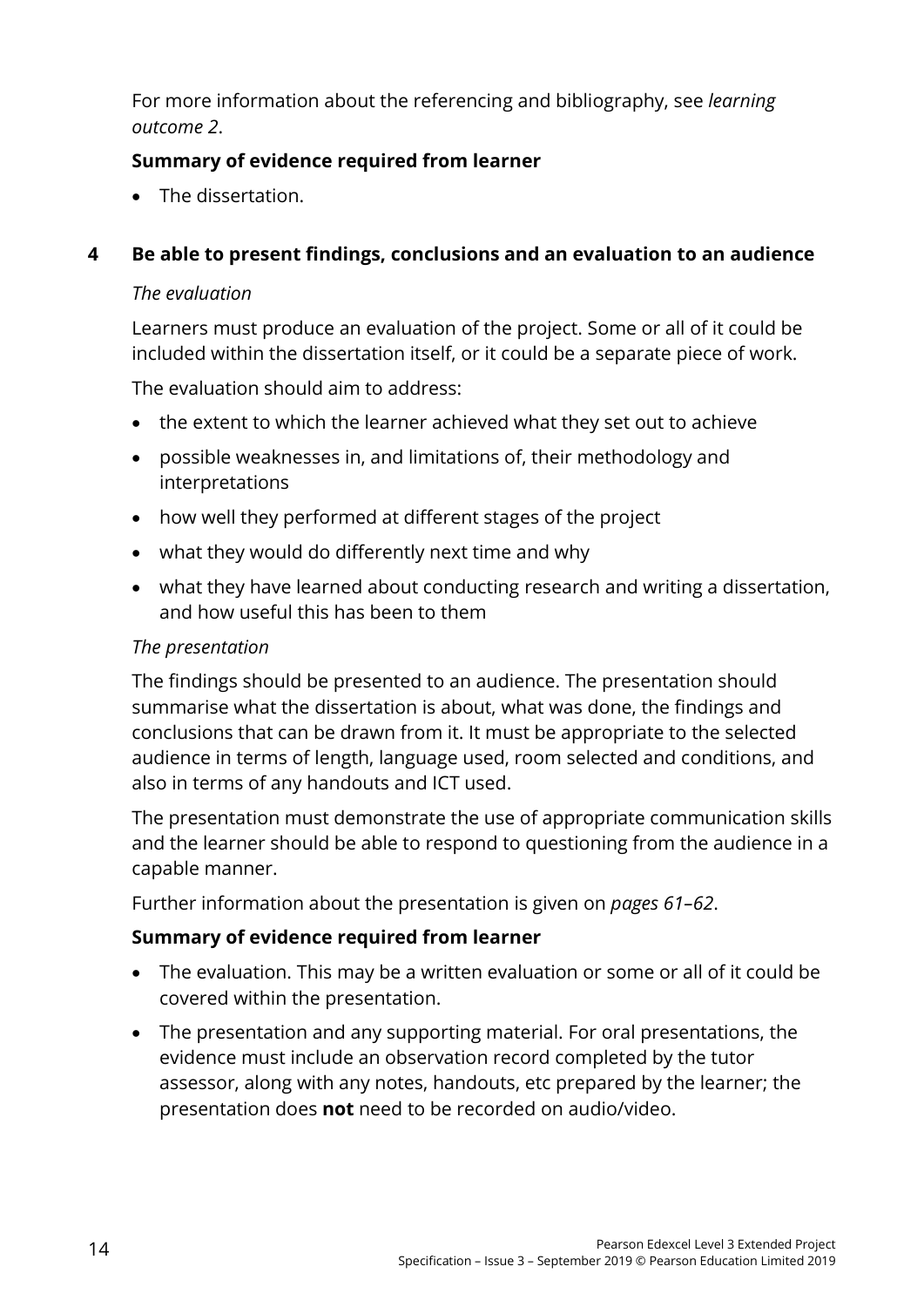For more information about the referencing and bibliography, see *learning outcome 2*.

#### **Summary of evidence required from learner**

• The dissertation.

#### **4 Be able to present findings, conclusions and an evaluation to an audience**

#### *The evaluation*

Learners must produce an evaluation of the project. Some or all of it could be included within the dissertation itself, or it could be a separate piece of work.

The evaluation should aim to address:

- the extent to which the learner achieved what they set out to achieve
- possible weaknesses in, and limitations of, their methodology and interpretations
- how well they performed at different stages of the project
- what they would do differently next time and why
- what they have learned about conducting research and writing a dissertation, and how useful this has been to them

#### *The presentation*

The findings should be presented to an audience. The presentation should summarise what the dissertation is about, what was done, the findings and conclusions that can be drawn from it. It must be appropriate to the selected audience in terms of length, language used, room selected and conditions, and also in terms of any handouts and ICT used.

The presentation must demonstrate the use of appropriate communication skills and the learner should be able to respond to questioning from the audience in a capable manner.

Further information about the presentation is given on *pages 61–62*.

#### **Summary of evidence required from learner**

- The evaluation. This may be a written evaluation or some or all of it could be covered within the presentation.
- The presentation and any supporting material. For oral presentations, the evidence must include an observation record completed by the tutor assessor, along with any notes, handouts, etc prepared by the learner; the presentation does **not** need to be recorded on audio/video.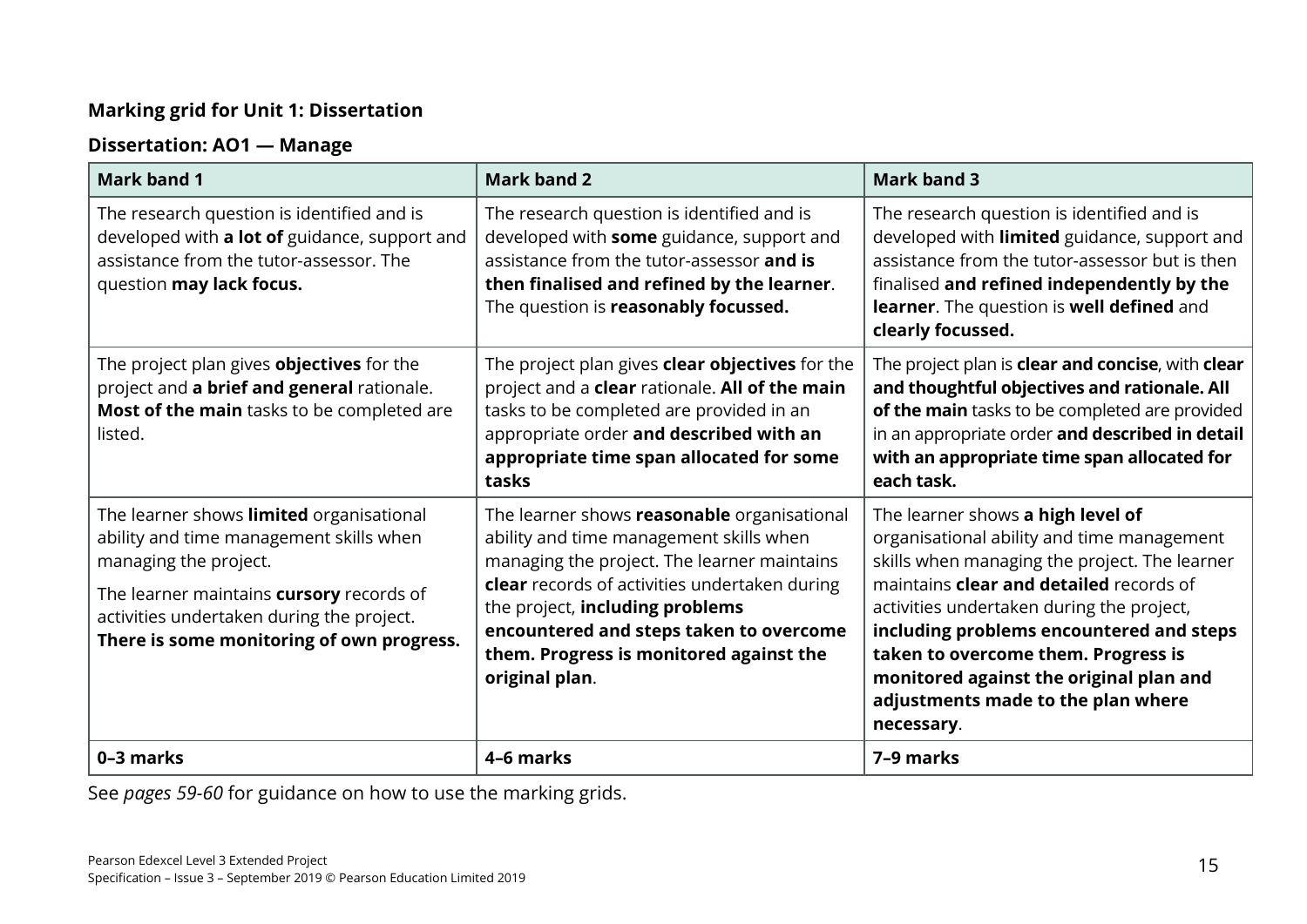#### **Marking grid for Unit 1: Dissertation**

#### **Dissertation: AO1 — Manage**

| <b>Mark band 1</b>                                                                                                                                                                                                                                 | <b>Mark band 2</b>                                                                                                                                                                                                                                                                                                                | <b>Mark band 3</b>                                                                                                                                                                                                                                                                                                                                                                                         |
|----------------------------------------------------------------------------------------------------------------------------------------------------------------------------------------------------------------------------------------------------|-----------------------------------------------------------------------------------------------------------------------------------------------------------------------------------------------------------------------------------------------------------------------------------------------------------------------------------|------------------------------------------------------------------------------------------------------------------------------------------------------------------------------------------------------------------------------------------------------------------------------------------------------------------------------------------------------------------------------------------------------------|
| The research question is identified and is<br>developed with a lot of guidance, support and<br>assistance from the tutor-assessor. The<br>question may lack focus.                                                                                 | The research question is identified and is<br>developed with some guidance, support and<br>assistance from the tutor-assessor and is<br>then finalised and refined by the learner.<br>The question is reasonably focussed.                                                                                                        | The research question is identified and is<br>developed with limited guidance, support and<br>assistance from the tutor-assessor but is then<br>finalised and refined independently by the<br>learner. The question is well defined and<br>clearly focussed.                                                                                                                                               |
| The project plan gives <b>objectives</b> for the<br>project and a brief and general rationale.<br>Most of the main tasks to be completed are<br>listed.                                                                                            | The project plan gives <b>clear objectives</b> for the<br>project and a clear rationale. All of the main<br>tasks to be completed are provided in an<br>appropriate order and described with an<br>appropriate time span allocated for some<br>tasks                                                                              | The project plan is clear and concise, with clear<br>and thoughtful objectives and rationale. All<br>of the main tasks to be completed are provided<br>in an appropriate order and described in detail<br>with an appropriate time span allocated for<br>each task.                                                                                                                                        |
| The learner shows limited organisational<br>ability and time management skills when<br>managing the project.<br>The learner maintains cursory records of<br>activities undertaken during the project.<br>There is some monitoring of own progress. | The learner shows reasonable organisational<br>ability and time management skills when<br>managing the project. The learner maintains<br>clear records of activities undertaken during<br>the project, including problems<br>encountered and steps taken to overcome<br>them. Progress is monitored against the<br>original plan. | The learner shows a high level of<br>organisational ability and time management<br>skills when managing the project. The learner<br>maintains clear and detailed records of<br>activities undertaken during the project,<br>including problems encountered and steps<br>taken to overcome them. Progress is<br>monitored against the original plan and<br>adjustments made to the plan where<br>necessary. |
| 0-3 marks                                                                                                                                                                                                                                          | 4-6 marks                                                                                                                                                                                                                                                                                                                         | 7-9 marks                                                                                                                                                                                                                                                                                                                                                                                                  |

See *pages 59-60* for guidance on how to use the marking grids.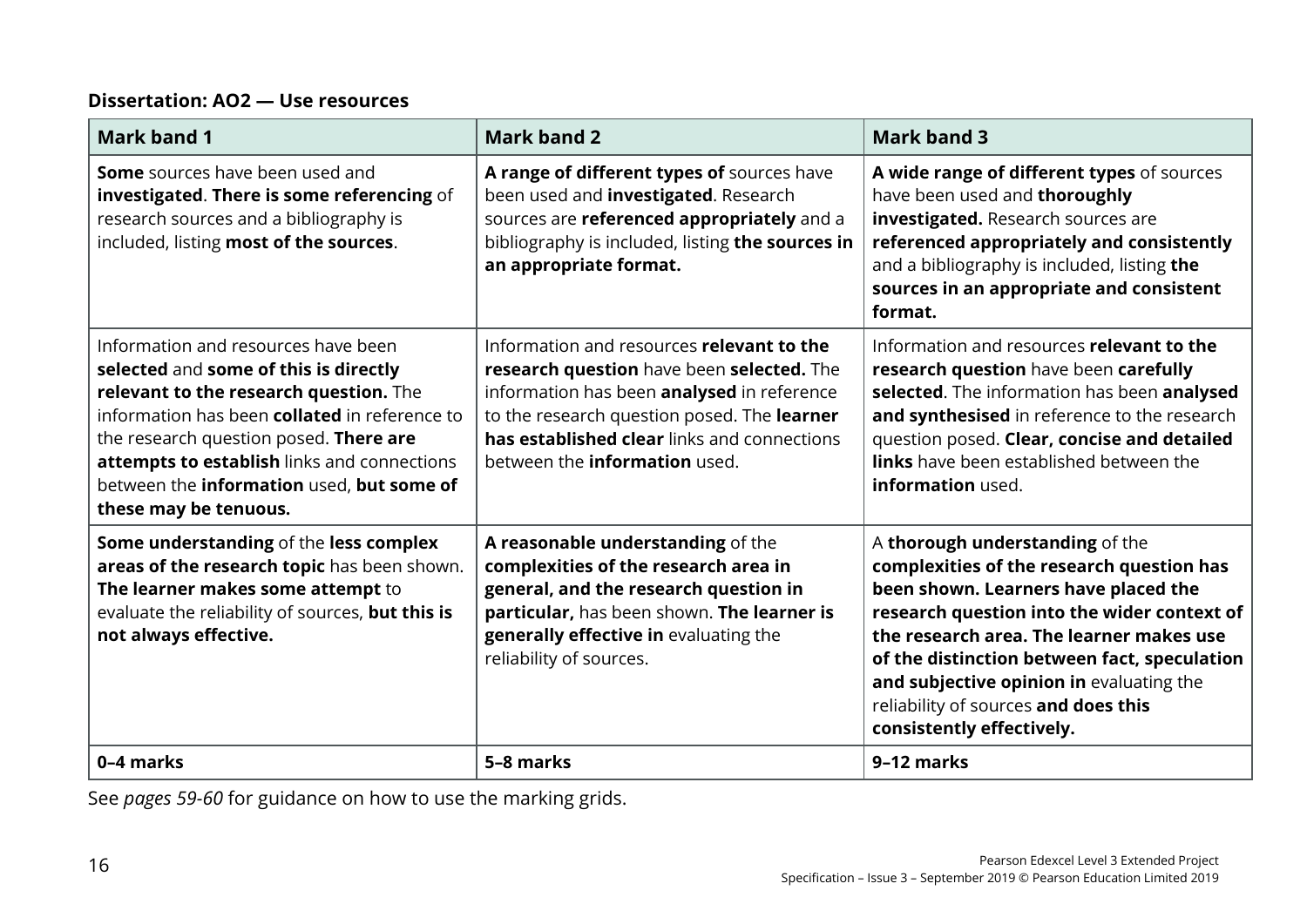#### **Dissertation: AO2 — Use resources**

| <b>Mark band 1</b>                                                                                                                                                                                                                                                                                                                     | <b>Mark band 2</b>                                                                                                                                                                                                                                                         | <b>Mark band 3</b>                                                                                                                                                                                                                                                                                                                                                               |
|----------------------------------------------------------------------------------------------------------------------------------------------------------------------------------------------------------------------------------------------------------------------------------------------------------------------------------------|----------------------------------------------------------------------------------------------------------------------------------------------------------------------------------------------------------------------------------------------------------------------------|----------------------------------------------------------------------------------------------------------------------------------------------------------------------------------------------------------------------------------------------------------------------------------------------------------------------------------------------------------------------------------|
| <b>Some</b> sources have been used and<br>investigated. There is some referencing of<br>research sources and a bibliography is<br>included, listing most of the sources.                                                                                                                                                               | A range of different types of sources have<br>been used and <i>investigated</i> . Research<br>sources are referenced appropriately and a<br>bibliography is included, listing the sources in<br>an appropriate format.                                                     | A wide range of different types of sources<br>have been used and thoroughly<br>investigated. Research sources are<br>referenced appropriately and consistently<br>and a bibliography is included, listing the<br>sources in an appropriate and consistent<br>format.                                                                                                             |
| Information and resources have been<br>selected and some of this is directly<br>relevant to the research question. The<br>information has been collated in reference to<br>the research question posed. There are<br>attempts to establish links and connections<br>between the information used, but some of<br>these may be tenuous. | Information and resources relevant to the<br>research question have been selected. The<br>information has been analysed in reference<br>to the research question posed. The learner<br>has established clear links and connections<br>between the <b>information</b> used. | Information and resources relevant to the<br>research question have been carefully<br>selected. The information has been analysed<br>and synthesised in reference to the research<br>question posed. Clear, concise and detailed<br><b>links</b> have been established between the<br>information used.                                                                          |
| Some understanding of the less complex<br>areas of the research topic has been shown.<br>The learner makes some attempt to<br>evaluate the reliability of sources, but this is<br>not always effective.                                                                                                                                | A reasonable understanding of the<br>complexities of the research area in<br>general, and the research question in<br>particular, has been shown. The learner is<br>generally effective in evaluating the<br>reliability of sources.                                       | A thorough understanding of the<br>complexities of the research question has<br>been shown. Learners have placed the<br>research question into the wider context of<br>the research area. The learner makes use<br>of the distinction between fact, speculation<br>and subjective opinion in evaluating the<br>reliability of sources and does this<br>consistently effectively. |
| 0-4 marks                                                                                                                                                                                                                                                                                                                              | 5-8 marks                                                                                                                                                                                                                                                                  | 9-12 marks                                                                                                                                                                                                                                                                                                                                                                       |

See *pages 59-60* for guidance on how to use the marking grids.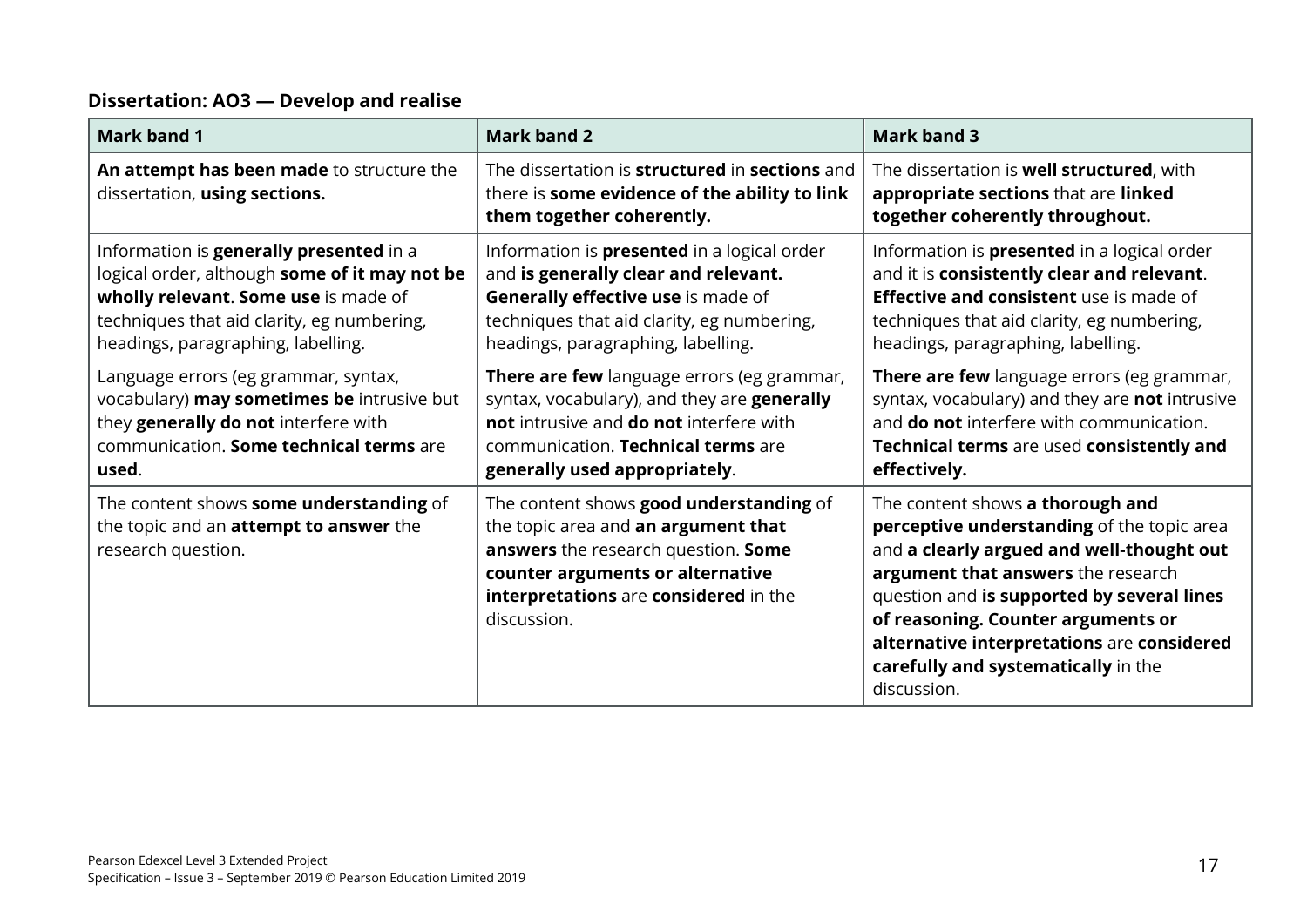#### **Dissertation: AO3 — Develop and realise**

| <b>Mark band 1</b>                                                                                                                                                                                                                                                                                                                                                                                     | <b>Mark band 2</b>                                                                                                                                                                                                                                                                                                                                                                                                                  | <b>Mark band 3</b>                                                                                                                                                                                                                                                                                                                                                                                                                                     |
|--------------------------------------------------------------------------------------------------------------------------------------------------------------------------------------------------------------------------------------------------------------------------------------------------------------------------------------------------------------------------------------------------------|-------------------------------------------------------------------------------------------------------------------------------------------------------------------------------------------------------------------------------------------------------------------------------------------------------------------------------------------------------------------------------------------------------------------------------------|--------------------------------------------------------------------------------------------------------------------------------------------------------------------------------------------------------------------------------------------------------------------------------------------------------------------------------------------------------------------------------------------------------------------------------------------------------|
| An attempt has been made to structure the<br>dissertation, using sections.                                                                                                                                                                                                                                                                                                                             | The dissertation is structured in sections and<br>there is some evidence of the ability to link<br>them together coherently.                                                                                                                                                                                                                                                                                                        | The dissertation is <b>well structured</b> , with<br>appropriate sections that are linked<br>together coherently throughout.                                                                                                                                                                                                                                                                                                                           |
| Information is generally presented in a<br>logical order, although some of it may not be<br>wholly relevant. Some use is made of<br>techniques that aid clarity, eg numbering,<br>headings, paragraphing, labelling.<br>Language errors (eg grammar, syntax,<br>vocabulary) may sometimes be intrusive but<br>they generally do not interfere with<br>communication. Some technical terms are<br>used. | Information is <b>presented</b> in a logical order<br>and is generally clear and relevant.<br>Generally effective use is made of<br>techniques that aid clarity, eg numbering,<br>headings, paragraphing, labelling.<br>There are few language errors (eg grammar,<br>syntax, vocabulary), and they are generally<br>not intrusive and do not interfere with<br>communication. Technical terms are<br>generally used appropriately. | Information is <b>presented</b> in a logical order<br>and it is consistently clear and relevant.<br><b>Effective and consistent</b> use is made of<br>techniques that aid clarity, eg numbering,<br>headings, paragraphing, labelling.<br>There are few language errors (eg grammar,<br>syntax, vocabulary) and they are not intrusive<br>and <b>do not</b> interfere with communication.<br>Technical terms are used consistently and<br>effectively. |
| The content shows some understanding of<br>the topic and an <b>attempt to answer</b> the<br>research question.                                                                                                                                                                                                                                                                                         | The content shows good understanding of<br>the topic area and an argument that<br>answers the research question. Some<br>counter arguments or alternative<br>interpretations are considered in the<br>discussion.                                                                                                                                                                                                                   | The content shows a thorough and<br>perceptive understanding of the topic area<br>and a clearly argued and well-thought out<br>argument that answers the research<br>question and is supported by several lines<br>of reasoning. Counter arguments or<br>alternative interpretations are considered<br>carefully and systematically in the<br>discussion.                                                                                              |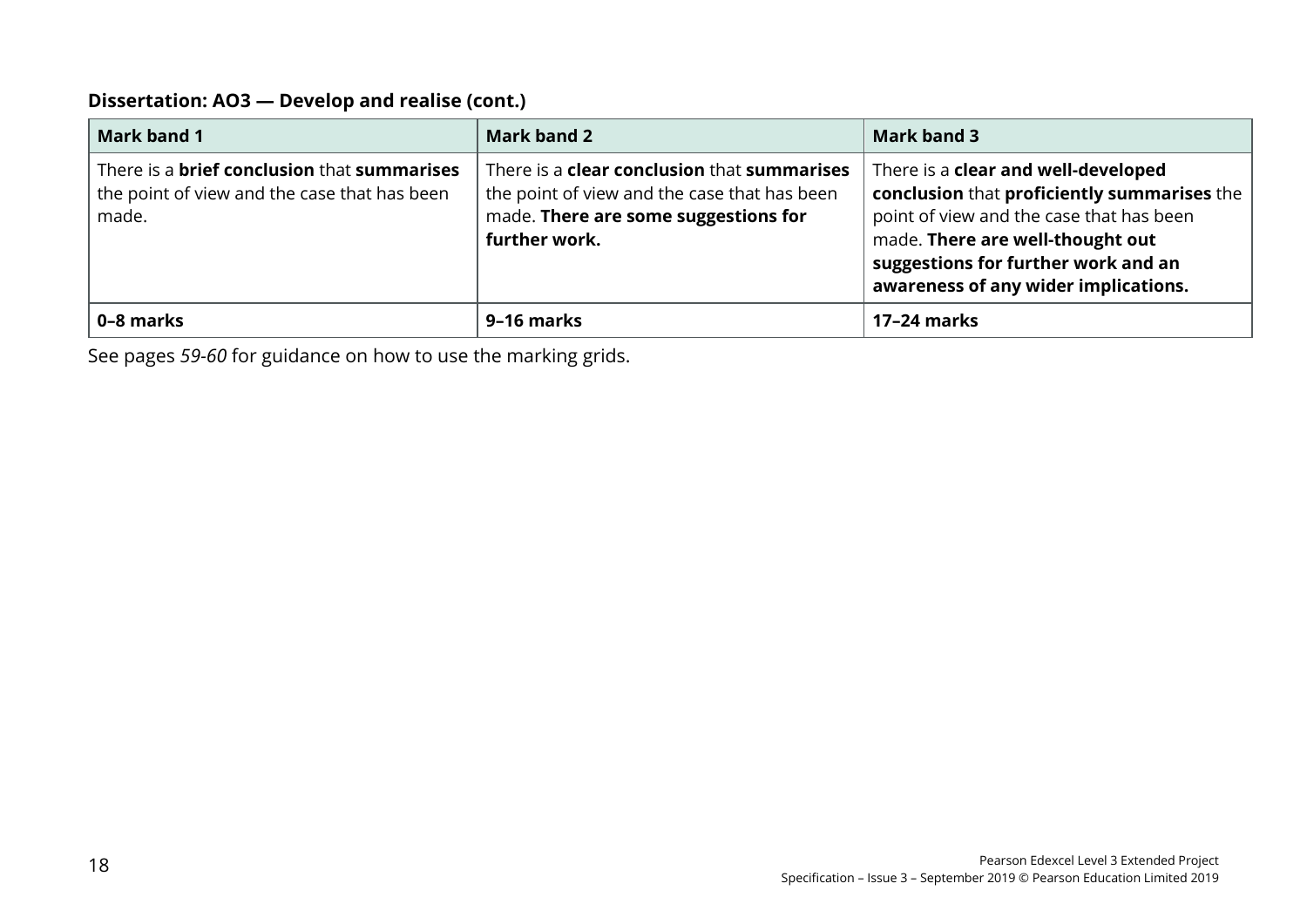#### **Dissertation: AO3 — Develop and realise (cont.)**

| <b>Mark band 1</b>                                                                                                 | <b>Mark band 2</b>                                                                                                                                                 | Mark band 3                                                                                                                                                                                                                                       |
|--------------------------------------------------------------------------------------------------------------------|--------------------------------------------------------------------------------------------------------------------------------------------------------------------|---------------------------------------------------------------------------------------------------------------------------------------------------------------------------------------------------------------------------------------------------|
| There is a <b>brief conclusion</b> that <b>summarises</b><br>the point of view and the case that has been<br>made. | There is a <b>clear conclusion</b> that <b>summarises</b><br>the point of view and the case that has been<br>made. There are some suggestions for<br>further work. | There is a clear and well-developed<br>conclusion that proficiently summarises the<br>point of view and the case that has been<br>made. There are well-thought out<br>suggestions for further work and an<br>awareness of any wider implications. |
| 0-8 marks                                                                                                          | 9-16 marks                                                                                                                                                         | 17-24 marks                                                                                                                                                                                                                                       |

See pages *59-60* for guidance on how to use the marking grids.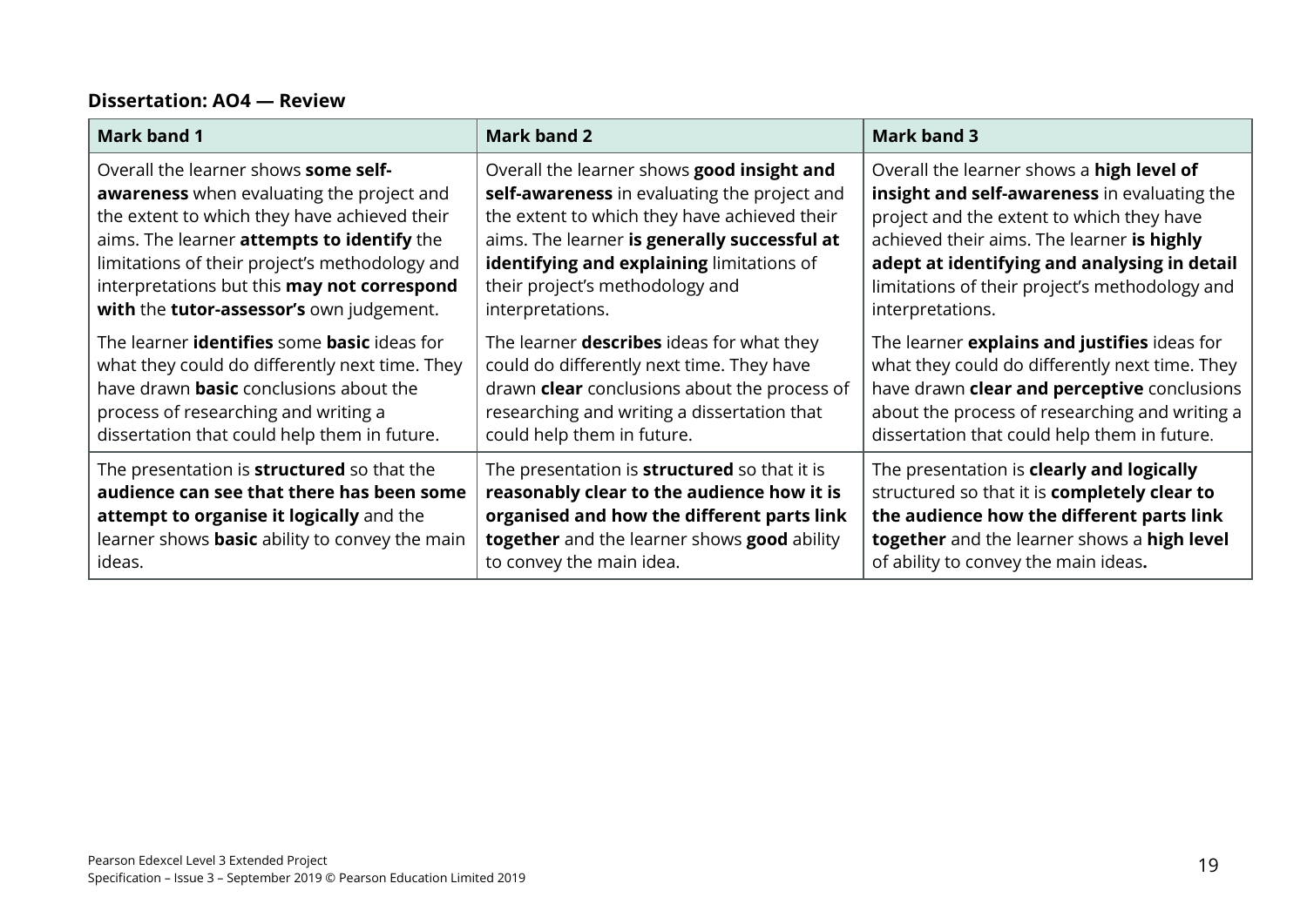#### **Dissertation: AO4 — Review**

| Mark band 1                                               | <b>Mark band 2</b>                                  | Mark band 3                                    |
|-----------------------------------------------------------|-----------------------------------------------------|------------------------------------------------|
| Overall the learner shows some self-                      | Overall the learner shows good insight and          | Overall the learner shows a high level of      |
| <b>awareness</b> when evaluating the project and          | self-awareness in evaluating the project and        | insight and self-awareness in evaluating the   |
| the extent to which they have achieved their              | the extent to which they have achieved their        | project and the extent to which they have      |
| aims. The learner attempts to identify the                | aims. The learner is generally successful at        | achieved their aims. The learner is highly     |
| limitations of their project's methodology and            | identifying and explaining limitations of           | adept at identifying and analysing in detail   |
| interpretations but this may not correspond               | their project's methodology and                     | limitations of their project's methodology and |
| with the tutor-assessor's own judgement.                  | interpretations.                                    | interpretations.                               |
| The learner <b>identifies</b> some <b>basic</b> ideas for | The learner <b>describes</b> ideas for what they    | The learner explains and justifies ideas for   |
| what they could do differently next time. They            | could do differently next time. They have           | what they could do differently next time. They |
| have drawn <b>basic</b> conclusions about the             | drawn <b>clear</b> conclusions about the process of | have drawn clear and perceptive conclusions    |
| process of researching and writing a                      | researching and writing a dissertation that         | about the process of researching and writing a |
| dissertation that could help them in future.              | could help them in future.                          | dissertation that could help them in future.   |
| The presentation is <b>structured</b> so that the         | The presentation is <b>structured</b> so that it is | The presentation is clearly and logically      |
| audience can see that there has been some                 | reasonably clear to the audience how it is          | structured so that it is completely clear to   |
| attempt to organise it logically and the                  | organised and how the different parts link          | the audience how the different parts link      |
| learner shows <b>basic</b> ability to convey the main     | together and the learner shows good ability         | together and the learner shows a high level    |
| ideas.                                                    | to convey the main idea.                            | of ability to convey the main ideas.           |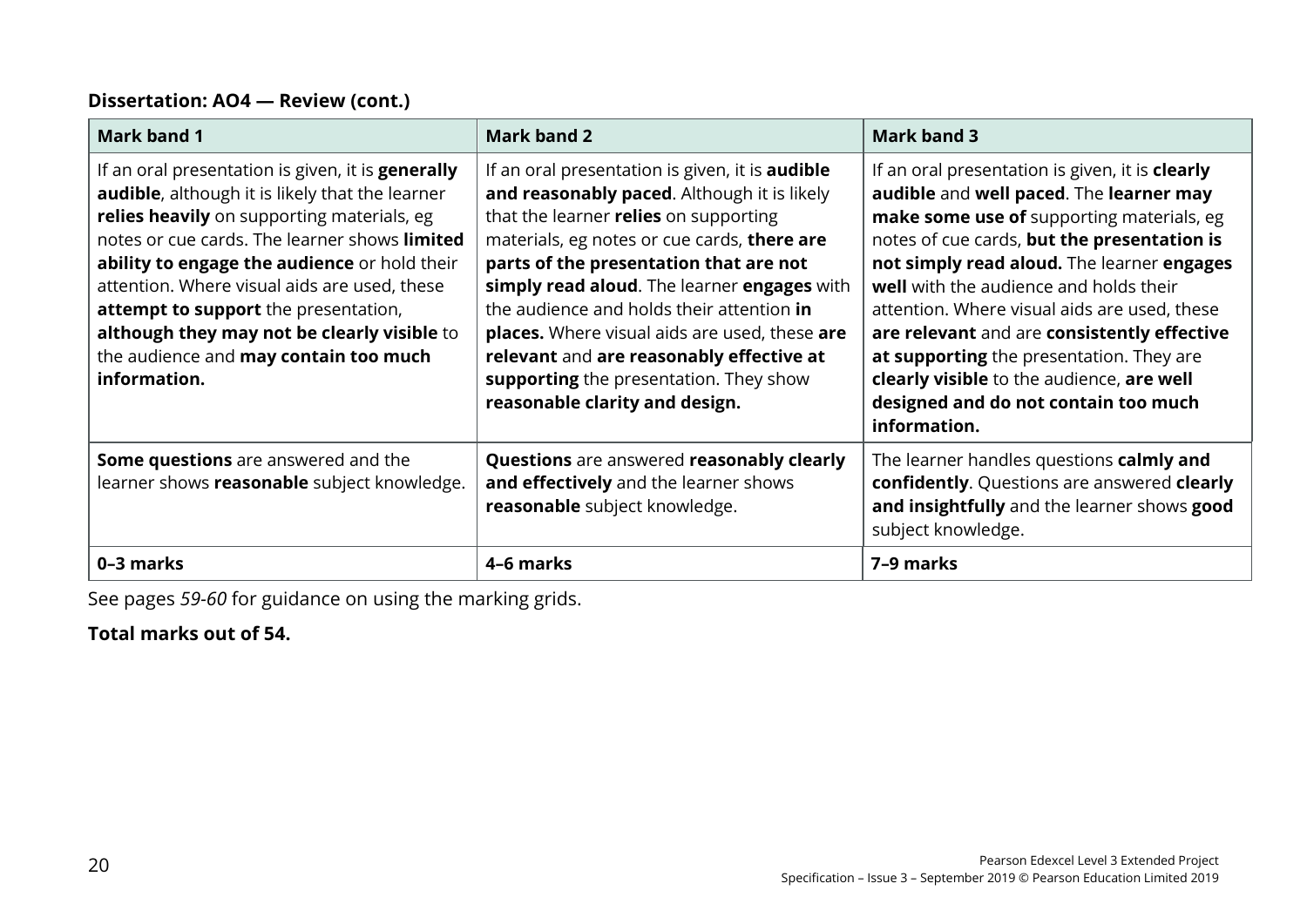#### **Dissertation: AO4 — Review (cont.)**

| Mark band 1                                                                                                                                                                                                                                                                                                                                                                                                                                                        | <b>Mark band 2</b>                                                                                                                                                                                                                                                                                                                                                                                                                                                                                           | <b>Mark band 3</b>                                                                                                                                                                                                                                                                                                                                                                                                                                                                                                                    |
|--------------------------------------------------------------------------------------------------------------------------------------------------------------------------------------------------------------------------------------------------------------------------------------------------------------------------------------------------------------------------------------------------------------------------------------------------------------------|--------------------------------------------------------------------------------------------------------------------------------------------------------------------------------------------------------------------------------------------------------------------------------------------------------------------------------------------------------------------------------------------------------------------------------------------------------------------------------------------------------------|---------------------------------------------------------------------------------------------------------------------------------------------------------------------------------------------------------------------------------------------------------------------------------------------------------------------------------------------------------------------------------------------------------------------------------------------------------------------------------------------------------------------------------------|
| If an oral presentation is given, it is <b>generally</b><br><b>audible</b> , although it is likely that the learner<br>relies heavily on supporting materials, eg<br>notes or cue cards. The learner shows limited<br>ability to engage the audience or hold their<br>attention. Where visual aids are used, these<br>attempt to support the presentation,<br>although they may not be clearly visible to<br>the audience and may contain too much<br>information. | If an oral presentation is given, it is <b>audible</b><br>and reasonably paced. Although it is likely<br>that the learner relies on supporting<br>materials, eg notes or cue cards, there are<br>parts of the presentation that are not<br>simply read aloud. The learner engages with<br>the audience and holds their attention in<br>places. Where visual aids are used, these are<br>relevant and are reasonably effective at<br>supporting the presentation. They show<br>reasonable clarity and design. | If an oral presentation is given, it is <b>clearly</b><br>audible and well paced. The learner may<br>make some use of supporting materials, eg<br>notes of cue cards, but the presentation is<br>not simply read aloud. The learner engages<br>well with the audience and holds their<br>attention. Where visual aids are used, these<br>are relevant and are consistently effective<br>at supporting the presentation. They are<br>clearly visible to the audience, are well<br>designed and do not contain too much<br>information. |
| <b>Some questions</b> are answered and the<br>learner shows reasonable subject knowledge.                                                                                                                                                                                                                                                                                                                                                                          | Questions are answered reasonably clearly<br>and effectively and the learner shows<br>reasonable subject knowledge.                                                                                                                                                                                                                                                                                                                                                                                          | The learner handles questions calmly and<br>confidently. Questions are answered clearly<br>and insightfully and the learner shows good<br>subject knowledge.                                                                                                                                                                                                                                                                                                                                                                          |
| 0-3 marks                                                                                                                                                                                                                                                                                                                                                                                                                                                          | 4-6 marks                                                                                                                                                                                                                                                                                                                                                                                                                                                                                                    | 7-9 marks                                                                                                                                                                                                                                                                                                                                                                                                                                                                                                                             |

See pages *59-60* for guidance on using the marking grids.

#### **Total marks out of 54.**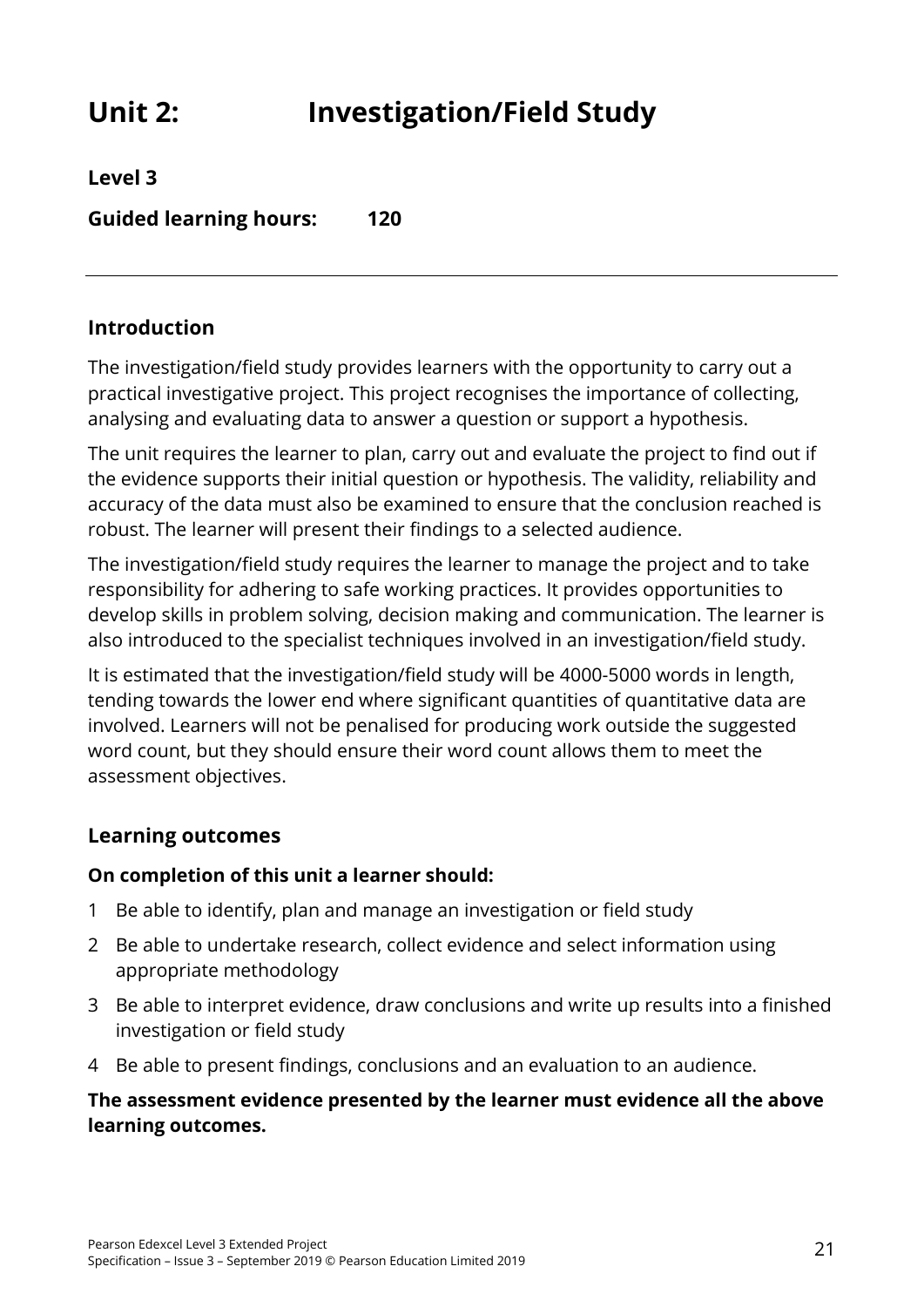### <span id="page-26-0"></span>**Unit 2: Investigation/Field Study**

**Level 3**

**Guided learning hours: 120**

#### **Introduction**

The investigation/field study provides learners with the opportunity to carry out a practical investigative project. This project recognises the importance of collecting, analysing and evaluating data to answer a question or support a hypothesis.

The unit requires the learner to plan, carry out and evaluate the project to find out if the evidence supports their initial question or hypothesis. The validity, reliability and accuracy of the data must also be examined to ensure that the conclusion reached is robust. The learner will present their findings to a selected audience.

The investigation/field study requires the learner to manage the project and to take responsibility for adhering to safe working practices. It provides opportunities to develop skills in problem solving, decision making and communication. The learner is also introduced to the specialist techniques involved in an investigation/field study.

It is estimated that the investigation/field study will be 4000-5000 words in length, tending towards the lower end where significant quantities of quantitative data are involved. Learners will not be penalised for producing work outside the suggested word count, but they should ensure their word count allows them to meet the assessment objectives.

#### **Learning outcomes**

#### **On completion of this unit a learner should:**

- 1 Be able to identify, plan and manage an investigation or field study
- 2 Be able to undertake research, collect evidence and select information using appropriate methodology
- 3 Be able to interpret evidence, draw conclusions and write up results into a finished investigation or field study
- 4 Be able to present findings, conclusions and an evaluation to an audience.

#### **The assessment evidence presented by the learner must evidence all the above learning outcomes.**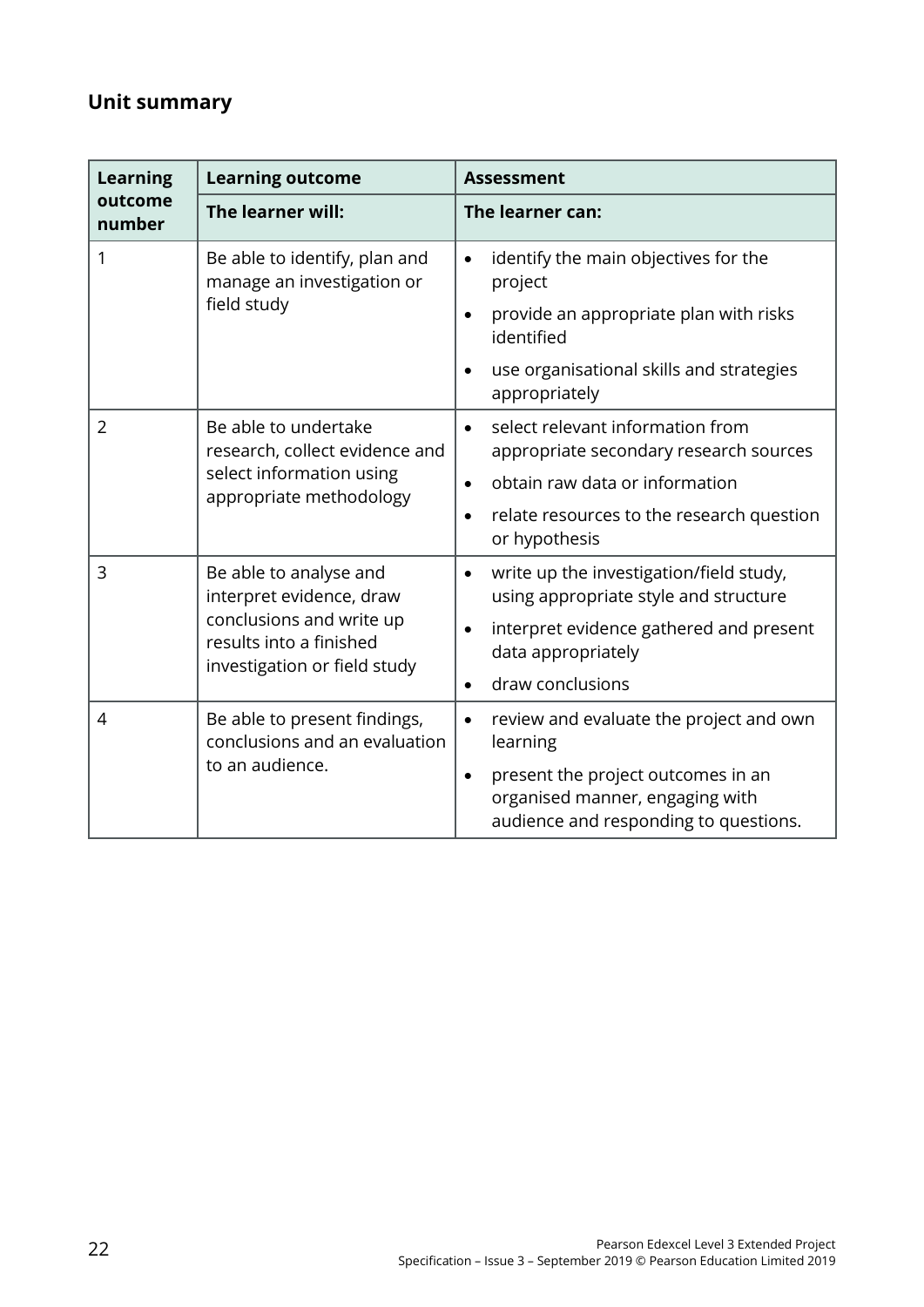### **Unit summary**

| <b>Learning</b>   | <b>Learning outcome</b>                                                                                                                   | <b>Assessment</b>                                                                                                                                                                               |  |
|-------------------|-------------------------------------------------------------------------------------------------------------------------------------------|-------------------------------------------------------------------------------------------------------------------------------------------------------------------------------------------------|--|
| outcome<br>number | The learner will:                                                                                                                         | The learner can:                                                                                                                                                                                |  |
| 1                 | Be able to identify, plan and<br>manage an investigation or<br>field study                                                                | identify the main objectives for the<br>$\bullet$<br>project<br>provide an appropriate plan with risks<br>$\bullet$<br>identified<br>use organisational skills and strategies<br>appropriately  |  |
| $\overline{2}$    | Be able to undertake<br>research, collect evidence and<br>select information using<br>appropriate methodology                             | select relevant information from<br>$\bullet$<br>appropriate secondary research sources<br>obtain raw data or information<br>relate resources to the research question<br>or hypothesis         |  |
| 3                 | Be able to analyse and<br>interpret evidence, draw<br>conclusions and write up<br>results into a finished<br>investigation or field study | write up the investigation/field study,<br>$\bullet$<br>using appropriate style and structure<br>interpret evidence gathered and present<br>data appropriately<br>draw conclusions<br>$\bullet$ |  |
| $\overline{4}$    | Be able to present findings,<br>conclusions and an evaluation<br>to an audience.                                                          | review and evaluate the project and own<br>$\bullet$<br>learning<br>present the project outcomes in an<br>$\bullet$<br>organised manner, engaging with<br>audience and responding to questions. |  |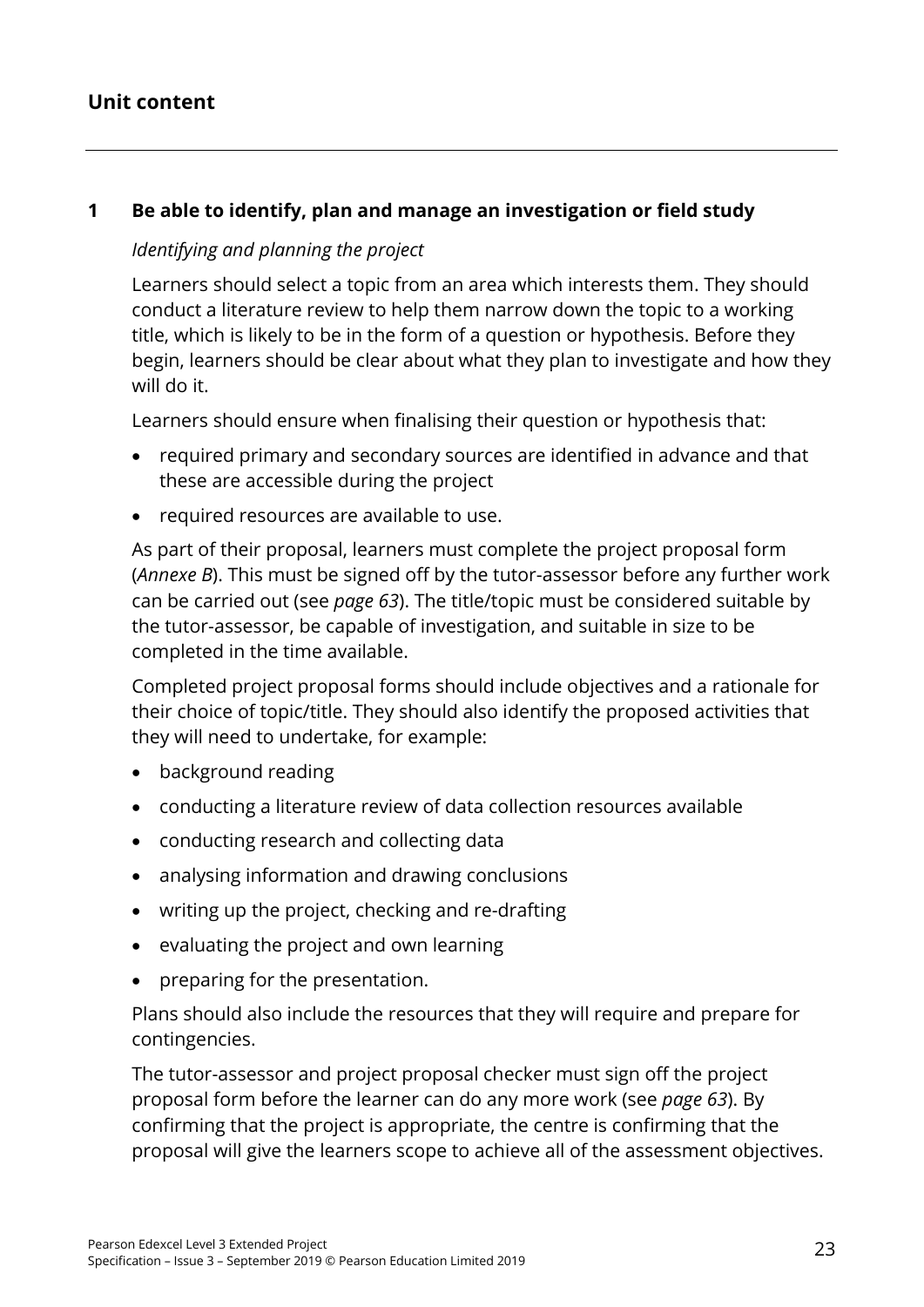#### **Unit content**

#### **1 Be able to identify, plan and manage an investigation or field study**

#### *Identifying and planning the project*

Learners should select a topic from an area which interests them. They should conduct a literature review to help them narrow down the topic to a working title, which is likely to be in the form of a question or hypothesis. Before they begin, learners should be clear about what they plan to investigate and how they will do it.

Learners should ensure when finalising their question or hypothesis that:

- required primary and secondary sources are identified in advance and that these are accessible during the project
- required resources are available to use.

As part of their proposal, learners must complete the project proposal form (*Annexe B*). This must be signed off by the tutor-assessor before any further work can be carried out (see *page 63*). The title/topic must be considered suitable by the tutor-assessor, be capable of investigation, and suitable in size to be completed in the time available.

Completed project proposal forms should include objectives and a rationale for their choice of topic/title. They should also identify the proposed activities that they will need to undertake, for example:

- background reading
- conducting a literature review of data collection resources available
- conducting research and collecting data
- analysing information and drawing conclusions
- writing up the project, checking and re-drafting
- evaluating the project and own learning
- preparing for the presentation.

Plans should also include the resources that they will require and prepare for contingencies.

The tutor-assessor and project proposal checker must sign off the project proposal form before the learner can do any more work (see *page 63*). By confirming that the project is appropriate, the centre is confirming that the proposal will give the learners scope to achieve all of the assessment objectives.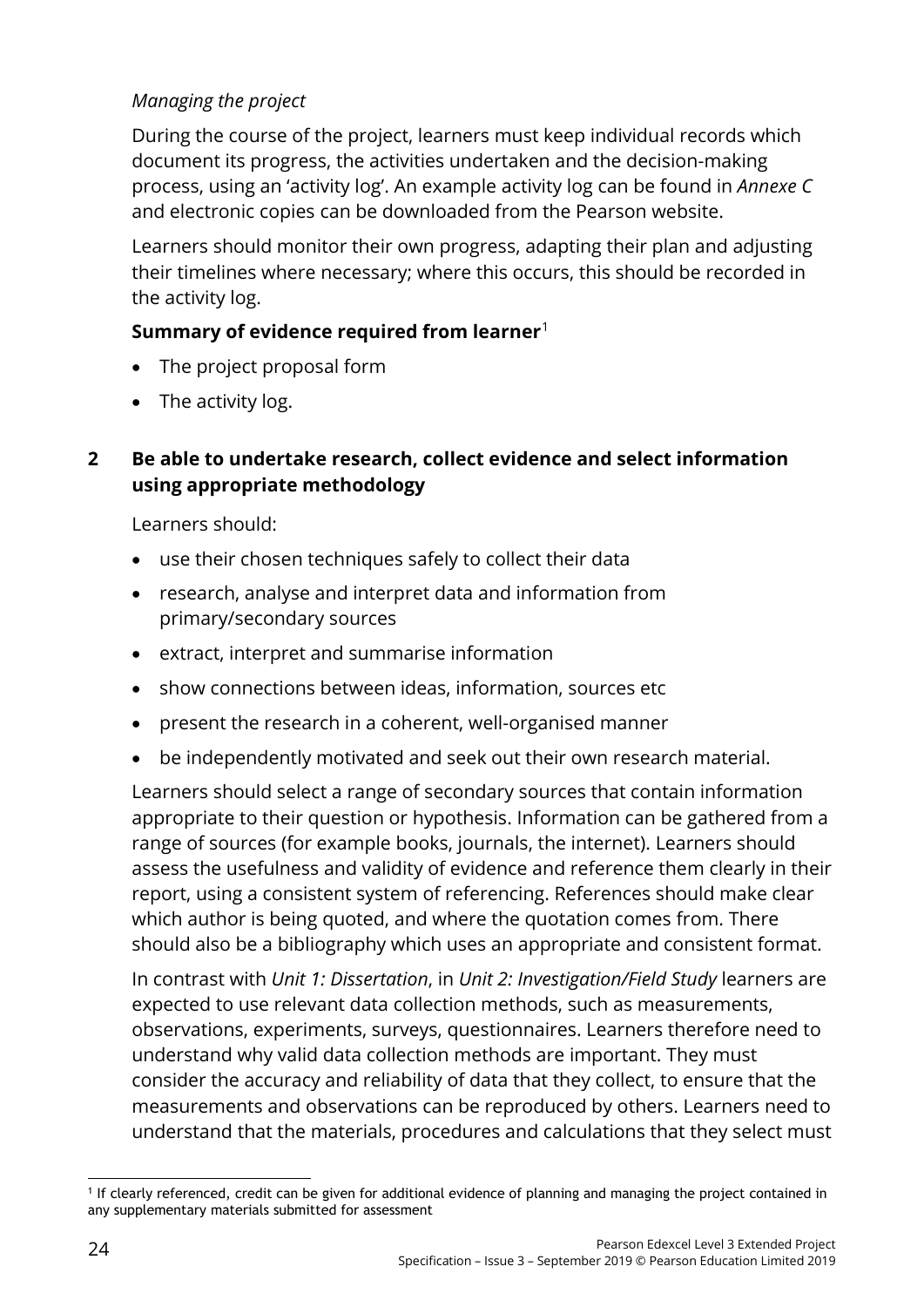#### *Managing the project*

During the course of the project, learners must keep individual records which document its progress, the activities undertaken and the decision-making process, using an 'activity log'. An example activity log can be found in *Annexe C* and electronic copies can be downloaded from the Pearson website.

Learners should monitor their own progress, adapting their plan and adjusting their timelines where necessary; where this occurs, this should be recorded in the activity log.

#### **Summary of evidence required from learner**[1](#page-29-0)

- The project proposal form
- The activity log.

#### **2 Be able to undertake research, collect evidence and select information using appropriate methodology**

Learners should:

- use their chosen techniques safely to collect their data
- research, analyse and interpret data and information from primary/secondary sources
- extract, interpret and summarise information
- show connections between ideas, information, sources etc
- present the research in a coherent, well-organised manner
- be independently motivated and seek out their own research material.

Learners should select a range of secondary sources that contain information appropriate to their question or hypothesis. Information can be gathered from a range of sources (for example books, journals, the internet). Learners should assess the usefulness and validity of evidence and reference them clearly in their report, using a consistent system of referencing. References should make clear which author is being quoted, and where the quotation comes from. There should also be a bibliography which uses an appropriate and consistent format.

In contrast with *Unit 1: Dissertation*, in *Unit 2: Investigation/Field Study* learners are expected to use relevant data collection methods, such as measurements, observations, experiments, surveys, questionnaires. Learners therefore need to understand why valid data collection methods are important. They must consider the accuracy and reliability of data that they collect, to ensure that the measurements and observations can be reproduced by others. Learners need to understand that the materials, procedures and calculations that they select must

<span id="page-29-0"></span><sup>&</sup>lt;u>.</u> <sup>1</sup> If clearly referenced, credit can be given for additional evidence of planning and managing the project contained in any supplementary materials submitted for assessment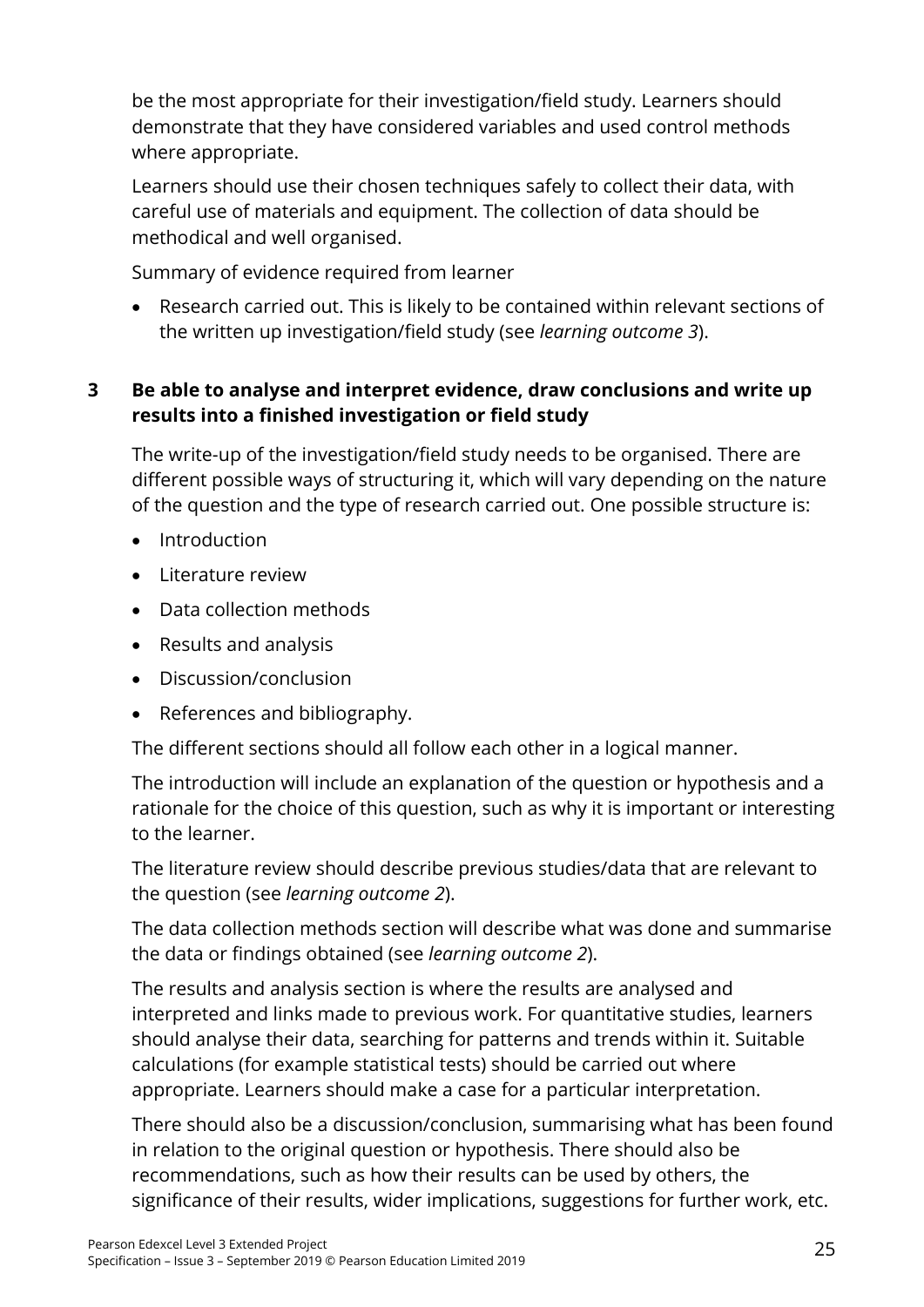be the most appropriate for their investigation/field study. Learners should demonstrate that they have considered variables and used control methods where appropriate.

Learners should use their chosen techniques safely to collect their data, with careful use of materials and equipment. The collection of data should be methodical and well organised.

Summary of evidence required from learner

• Research carried out. This is likely to be contained within relevant sections of the written up investigation/field study (see *learning outcome 3*).

#### **3 Be able to analyse and interpret evidence, draw conclusions and write up results into a finished investigation or field study**

The write-up of the investigation/field study needs to be organised. There are different possible ways of structuring it, which will vary depending on the nature of the question and the type of research carried out. One possible structure is:

- **Introduction**
- Literature review
- Data collection methods
- Results and analysis
- Discussion/conclusion
- References and bibliography.

The different sections should all follow each other in a logical manner.

The introduction will include an explanation of the question or hypothesis and a rationale for the choice of this question, such as why it is important or interesting to the learner.

The literature review should describe previous studies/data that are relevant to the question (see *learning outcome 2*).

The data collection methods section will describe what was done and summarise the data or findings obtained (see *learning outcome 2*).

The results and analysis section is where the results are analysed and interpreted and links made to previous work. For quantitative studies, learners should analyse their data, searching for patterns and trends within it. Suitable calculations (for example statistical tests) should be carried out where appropriate. Learners should make a case for a particular interpretation.

There should also be a discussion/conclusion, summarising what has been found in relation to the original question or hypothesis. There should also be recommendations, such as how their results can be used by others, the significance of their results, wider implications, suggestions for further work, etc.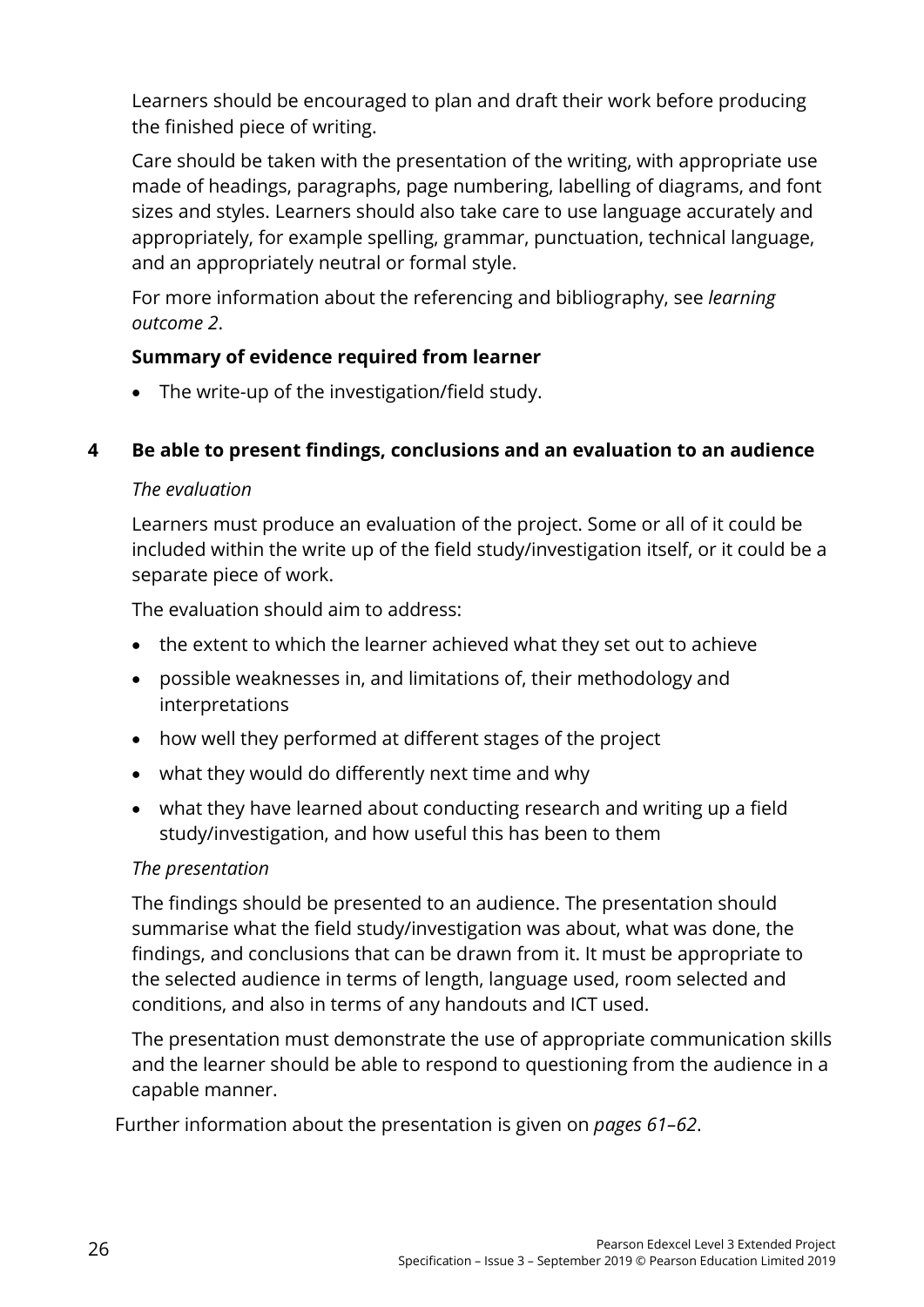Learners should be encouraged to plan and draft their work before producing the finished piece of writing.

Care should be taken with the presentation of the writing, with appropriate use made of headings, paragraphs, page numbering, labelling of diagrams, and font sizes and styles. Learners should also take care to use language accurately and appropriately, for example spelling, grammar, punctuation, technical language, and an appropriately neutral or formal style.

For more information about the referencing and bibliography, see *learning outcome 2*.

#### **Summary of evidence required from learner**

• The write-up of the investigation/field study.

#### **4 Be able to present findings, conclusions and an evaluation to an audience**

#### *The evaluation*

Learners must produce an evaluation of the project. Some or all of it could be included within the write up of the field study/investigation itself, or it could be a separate piece of work.

The evaluation should aim to address:

- the extent to which the learner achieved what they set out to achieve
- possible weaknesses in, and limitations of, their methodology and interpretations
- how well they performed at different stages of the project
- what they would do differently next time and why
- what they have learned about conducting research and writing up a field study/investigation, and how useful this has been to them

#### *The presentation*

The findings should be presented to an audience. The presentation should summarise what the field study/investigation was about, what was done, the findings, and conclusions that can be drawn from it. It must be appropriate to the selected audience in terms of length, language used, room selected and conditions, and also in terms of any handouts and ICT used.

The presentation must demonstrate the use of appropriate communication skills and the learner should be able to respond to questioning from the audience in a capable manner.

Further information about the presentation is given on *pages 61–62*.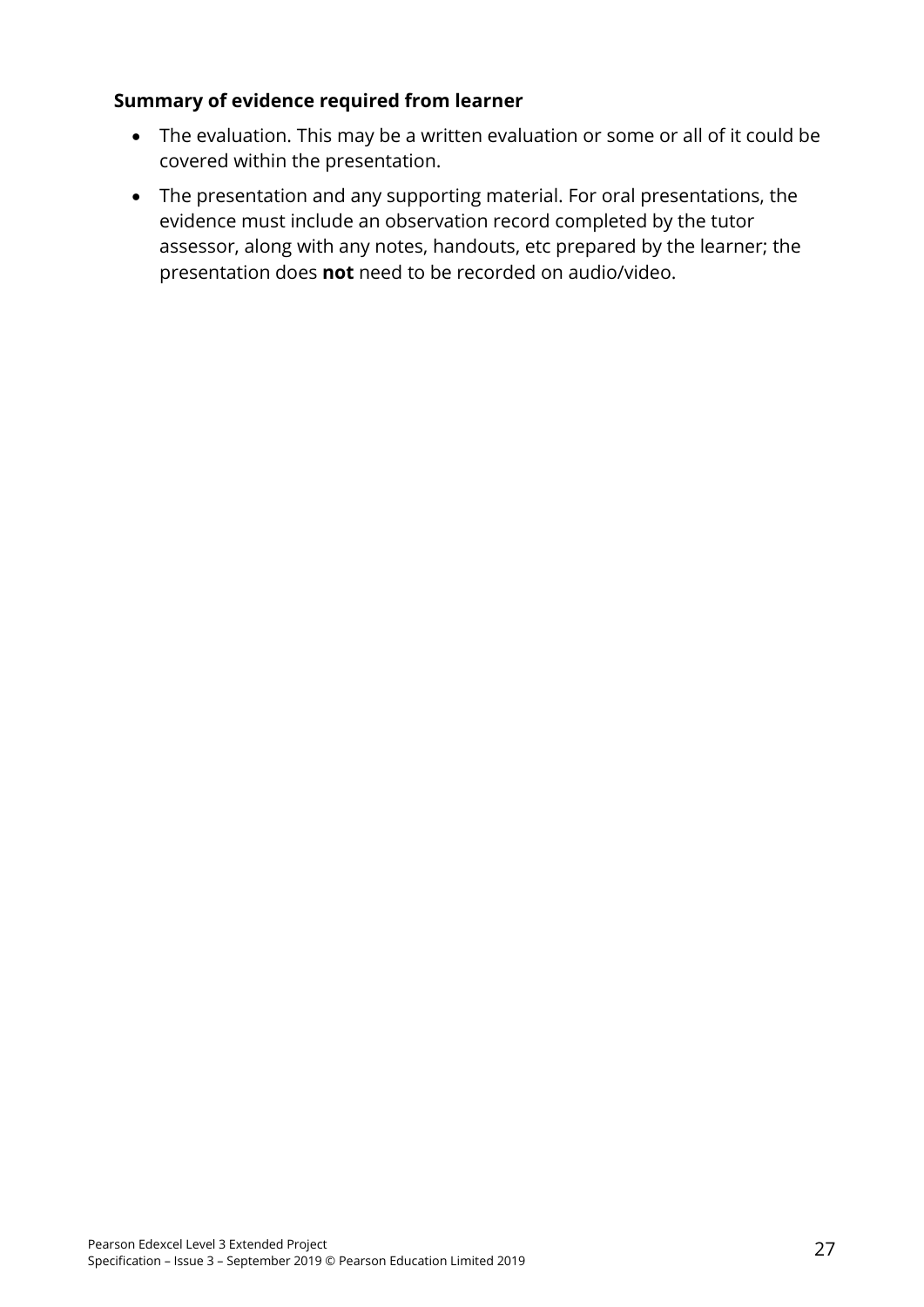#### **Summary of evidence required from learner**

- The evaluation. This may be a written evaluation or some or all of it could be covered within the presentation.
- The presentation and any supporting material. For oral presentations, the evidence must include an observation record completed by the tutor assessor, along with any notes, handouts, etc prepared by the learner; the presentation does **not** need to be recorded on audio/video.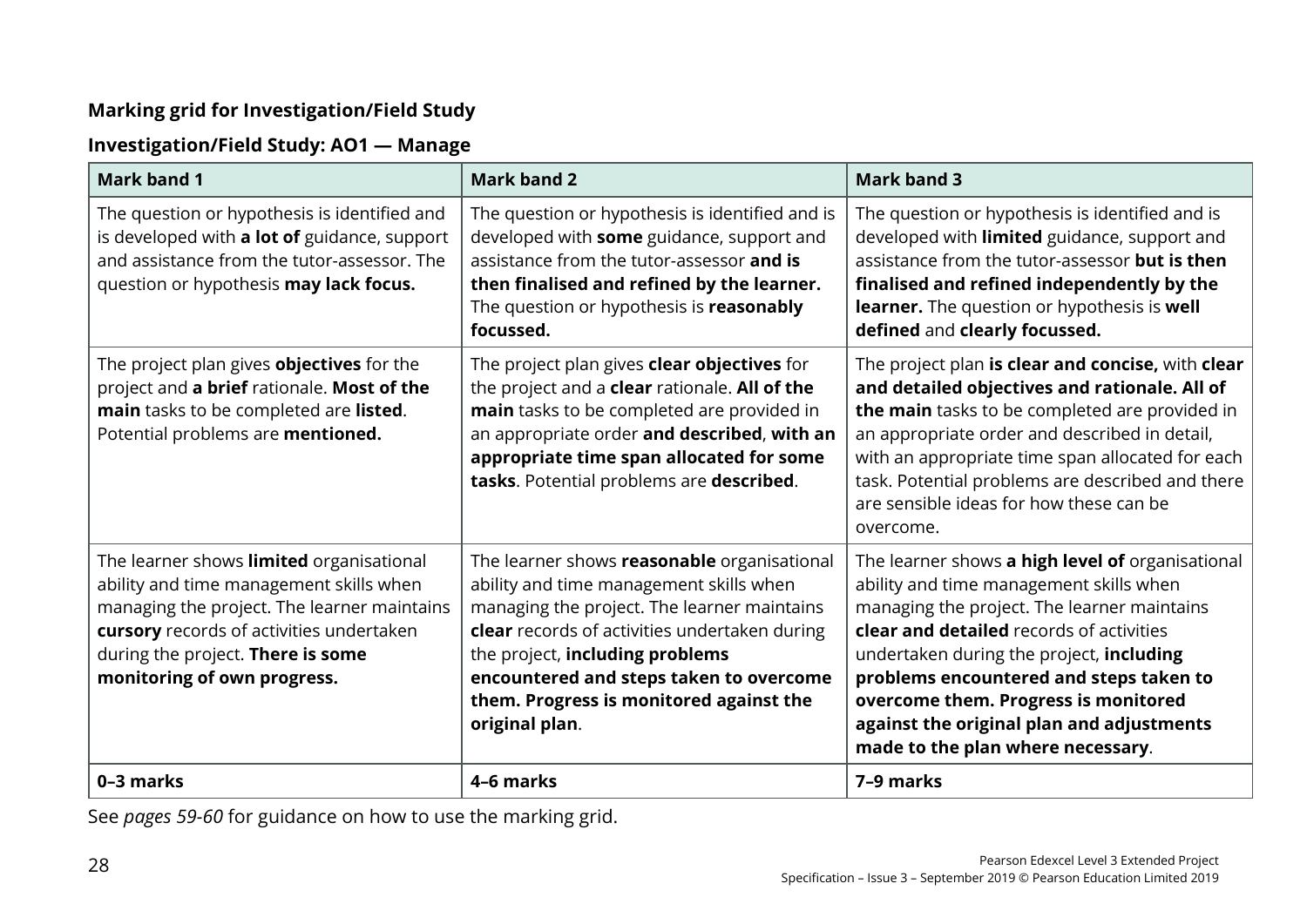#### **Marking grid for Investigation/Field Study**

#### **Investigation/Field Study: AO1 — Manage**

| <b>Mark band 1</b>                                                                                                                                                                                                                                 | <b>Mark band 2</b>                                                                                                                                                                                                                                                                                                                | <b>Mark band 3</b>                                                                                                                                                                                                                                                                                                                                                                                      |
|----------------------------------------------------------------------------------------------------------------------------------------------------------------------------------------------------------------------------------------------------|-----------------------------------------------------------------------------------------------------------------------------------------------------------------------------------------------------------------------------------------------------------------------------------------------------------------------------------|---------------------------------------------------------------------------------------------------------------------------------------------------------------------------------------------------------------------------------------------------------------------------------------------------------------------------------------------------------------------------------------------------------|
| The question or hypothesis is identified and<br>is developed with a lot of guidance, support<br>and assistance from the tutor-assessor. The<br>question or hypothesis may lack focus.                                                              | The question or hypothesis is identified and is<br>developed with some guidance, support and<br>assistance from the tutor-assessor and is<br>then finalised and refined by the learner.<br>The question or hypothesis is reasonably<br>focussed.                                                                                  | The question or hypothesis is identified and is<br>developed with limited guidance, support and<br>assistance from the tutor-assessor but is then<br>finalised and refined independently by the<br>learner. The question or hypothesis is well<br>defined and clearly focussed.                                                                                                                         |
| The project plan gives <b>objectives</b> for the<br>project and a brief rationale. Most of the<br>main tasks to be completed are listed.<br>Potential problems are mentioned.                                                                      | The project plan gives <b>clear objectives</b> for<br>the project and a <b>clear</b> rationale. All of the<br>main tasks to be completed are provided in<br>an appropriate order and described, with an<br>appropriate time span allocated for some<br>tasks. Potential problems are described.                                   | The project plan is clear and concise, with clear<br>and detailed objectives and rationale. All of<br>the main tasks to be completed are provided in<br>an appropriate order and described in detail,<br>with an appropriate time span allocated for each<br>task. Potential problems are described and there<br>are sensible ideas for how these can be<br>overcome.                                   |
| The learner shows limited organisational<br>ability and time management skills when<br>managing the project. The learner maintains<br>cursory records of activities undertaken<br>during the project. There is some<br>monitoring of own progress. | The learner shows reasonable organisational<br>ability and time management skills when<br>managing the project. The learner maintains<br>clear records of activities undertaken during<br>the project, including problems<br>encountered and steps taken to overcome<br>them. Progress is monitored against the<br>original plan. | The learner shows a high level of organisational<br>ability and time management skills when<br>managing the project. The learner maintains<br>clear and detailed records of activities<br>undertaken during the project, including<br>problems encountered and steps taken to<br>overcome them. Progress is monitored<br>against the original plan and adjustments<br>made to the plan where necessary. |
| 0-3 marks                                                                                                                                                                                                                                          | 4-6 marks                                                                                                                                                                                                                                                                                                                         | 7-9 marks                                                                                                                                                                                                                                                                                                                                                                                               |

See *pages 59-60* for guidance on how to use the marking grid.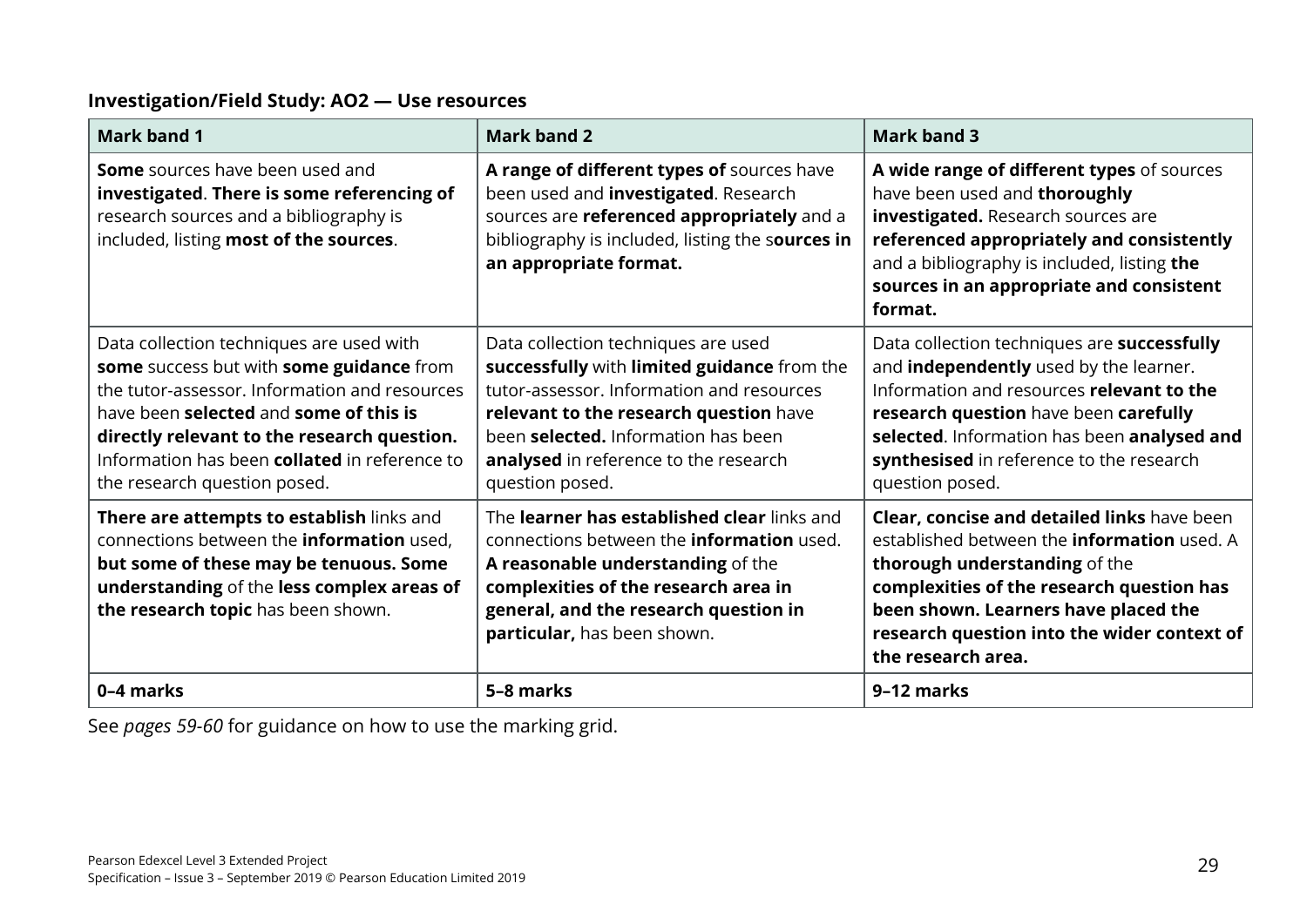#### **Investigation/Field Study: AO2 — Use resources**

| <b>Mark band 1</b>                                                                                                                                                                                                                                                                                                     | <b>Mark band 2</b>                                                                                                                                                                                                                                                                  | <b>Mark band 3</b>                                                                                                                                                                                                                                                                               |
|------------------------------------------------------------------------------------------------------------------------------------------------------------------------------------------------------------------------------------------------------------------------------------------------------------------------|-------------------------------------------------------------------------------------------------------------------------------------------------------------------------------------------------------------------------------------------------------------------------------------|--------------------------------------------------------------------------------------------------------------------------------------------------------------------------------------------------------------------------------------------------------------------------------------------------|
| <b>Some</b> sources have been used and<br>investigated. There is some referencing of<br>research sources and a bibliography is<br>included, listing most of the sources.                                                                                                                                               | A range of different types of sources have<br>been used and <i>investigated</i> . Research<br>sources are referenced appropriately and a<br>bibliography is included, listing the sources in<br>an appropriate format.                                                              | A wide range of different types of sources<br>have been used and thoroughly<br>investigated. Research sources are<br>referenced appropriately and consistently<br>and a bibliography is included, listing the<br>sources in an appropriate and consistent<br>format.                             |
| Data collection techniques are used with<br>some success but with some guidance from<br>the tutor-assessor. Information and resources<br>have been selected and some of this is<br>directly relevant to the research question.<br>Information has been <b>collated</b> in reference to<br>the research question posed. | Data collection techniques are used<br>successfully with limited guidance from the<br>tutor-assessor. Information and resources<br>relevant to the research question have<br>been <b>selected.</b> Information has been<br>analysed in reference to the research<br>question posed. | Data collection techniques are successfully<br>and <b>independently</b> used by the learner.<br>Information and resources relevant to the<br>research question have been carefully<br>selected. Information has been analysed and<br>synthesised in reference to the research<br>question posed. |
| There are attempts to establish links and<br>connections between the <b>information</b> used,<br>but some of these may be tenuous. Some<br>understanding of the less complex areas of<br>the research topic has been shown.                                                                                            | The learner has established clear links and<br>connections between the <b>information</b> used.<br>A reasonable understanding of the<br>complexities of the research area in<br>general, and the research question in<br>particular, has been shown.                                | Clear, concise and detailed links have been<br>established between the <b>information</b> used. A<br>thorough understanding of the<br>complexities of the research question has<br>been shown. Learners have placed the<br>research question into the wider context of<br>the research area.     |
| 0-4 marks                                                                                                                                                                                                                                                                                                              | 5-8 marks                                                                                                                                                                                                                                                                           | 9-12 marks                                                                                                                                                                                                                                                                                       |

See *pages 59-60* for guidance on how to use the marking grid.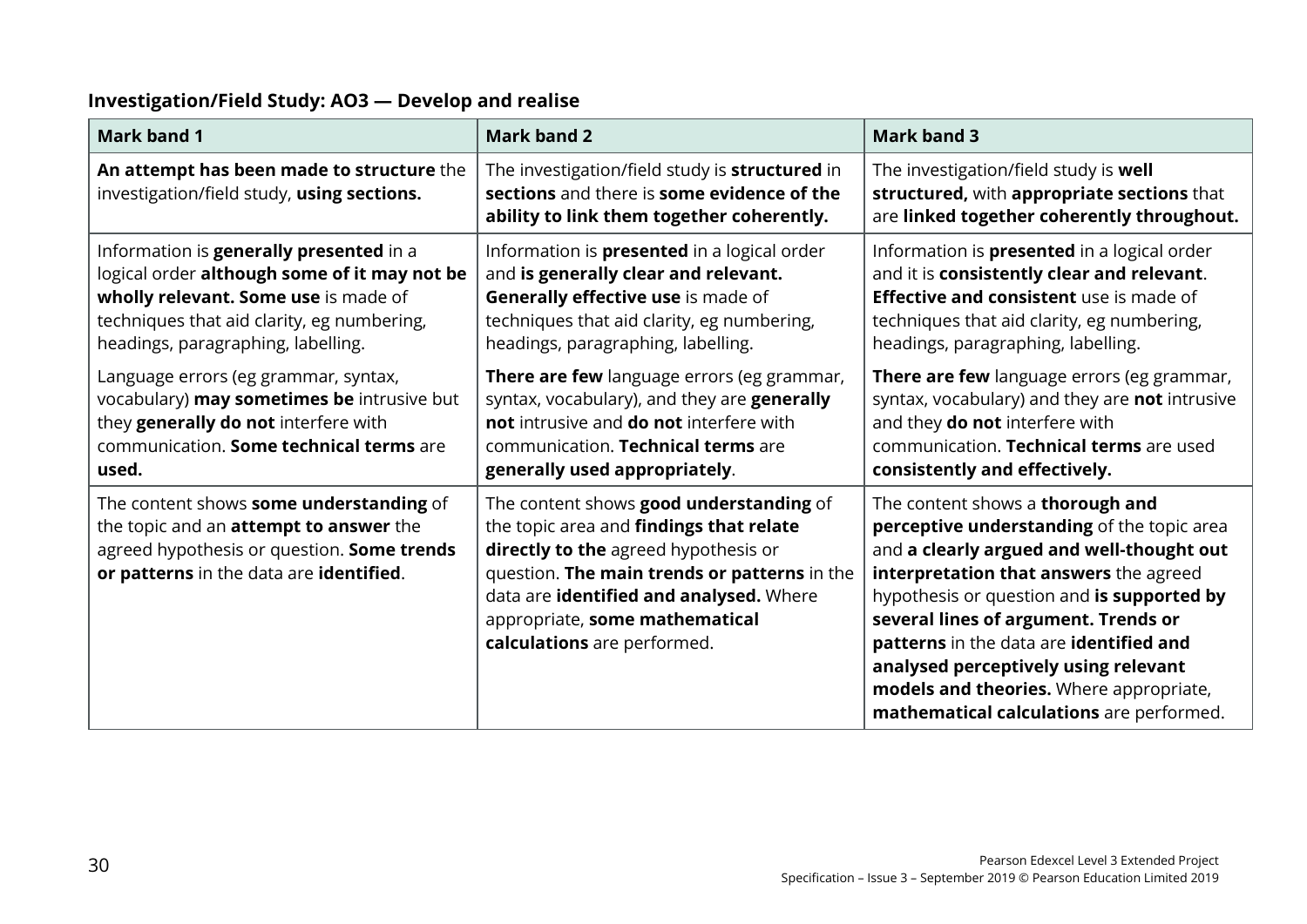#### **Investigation/Field Study: AO3 — Develop and realise**

| <b>Mark band 1</b>                                                                                                                                                                                                  | <b>Mark band 2</b>                                                                                                                                                                                                                                                                     | <b>Mark band 3</b>                                                                                                                                                                                                                                                                                                                                                                                                                    |
|---------------------------------------------------------------------------------------------------------------------------------------------------------------------------------------------------------------------|----------------------------------------------------------------------------------------------------------------------------------------------------------------------------------------------------------------------------------------------------------------------------------------|---------------------------------------------------------------------------------------------------------------------------------------------------------------------------------------------------------------------------------------------------------------------------------------------------------------------------------------------------------------------------------------------------------------------------------------|
| An attempt has been made to structure the<br>investigation/field study, using sections.                                                                                                                             | The investigation/field study is structured in<br>sections and there is some evidence of the<br>ability to link them together coherently.                                                                                                                                              | The investigation/field study is well<br>structured, with appropriate sections that<br>are linked together coherently throughout.                                                                                                                                                                                                                                                                                                     |
| Information is generally presented in a<br>logical order although some of it may not be<br>wholly relevant. Some use is made of<br>techniques that aid clarity, eg numbering,<br>headings, paragraphing, labelling. | Information is <b>presented</b> in a logical order<br>and is generally clear and relevant.<br>Generally effective use is made of<br>techniques that aid clarity, eg numbering,<br>headings, paragraphing, labelling.                                                                   | Information is <b>presented</b> in a logical order<br>and it is consistently clear and relevant.<br><b>Effective and consistent</b> use is made of<br>techniques that aid clarity, eg numbering,<br>headings, paragraphing, labelling.                                                                                                                                                                                                |
| Language errors (eg grammar, syntax,<br>vocabulary) may sometimes be intrusive but<br>they generally do not interfere with<br>communication. Some technical terms are<br>used.                                      | There are few language errors (eg grammar,<br>syntax, vocabulary), and they are generally<br>not intrusive and do not interfere with<br>communication. Technical terms are<br>generally used appropriately.                                                                            | There are few language errors (eg grammar,<br>syntax, vocabulary) and they are not intrusive<br>and they do not interfere with<br>communication. Technical terms are used<br>consistently and effectively.                                                                                                                                                                                                                            |
| The content shows some understanding of<br>the topic and an <b>attempt to answer</b> the<br>agreed hypothesis or question. Some trends<br>or patterns in the data are identified.                                   | The content shows good understanding of<br>the topic area and findings that relate<br>directly to the agreed hypothesis or<br>question. The main trends or patterns in the<br>data are identified and analysed. Where<br>appropriate, some mathematical<br>calculations are performed. | The content shows a thorough and<br>perceptive understanding of the topic area<br>and a clearly argued and well-thought out<br>interpretation that answers the agreed<br>hypothesis or question and is supported by<br>several lines of argument. Trends or<br>patterns in the data are identified and<br>analysed perceptively using relevant<br>models and theories. Where appropriate,<br>mathematical calculations are performed. |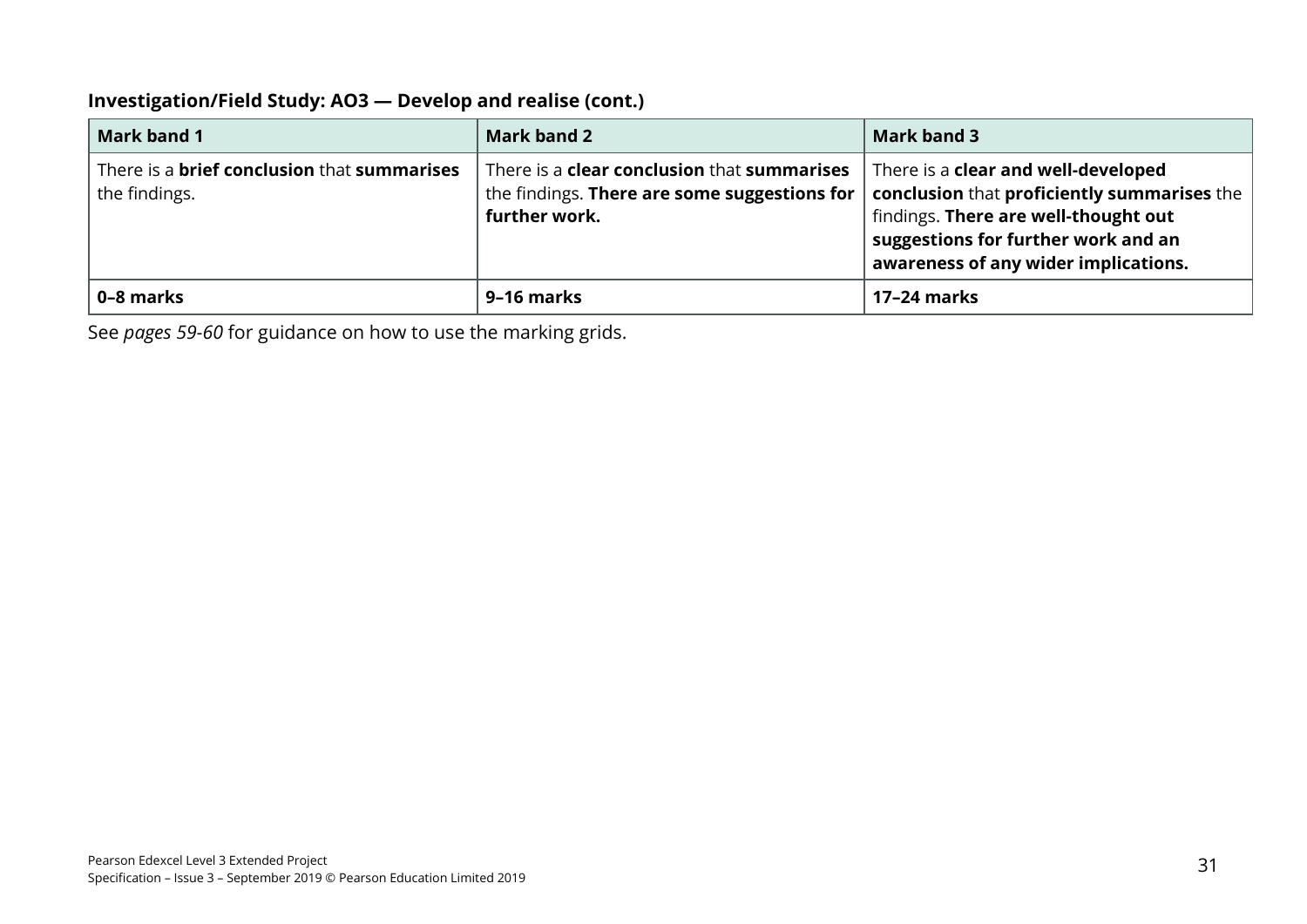#### **Investigation/Field Study: AO3 — Develop and realise (cont.)**

| <b>Mark band 1</b>                                                         | <b>Mark band 2</b>                                                                                                             | <b>Mark band 3</b>                                                                                                                                                                                               |
|----------------------------------------------------------------------------|--------------------------------------------------------------------------------------------------------------------------------|------------------------------------------------------------------------------------------------------------------------------------------------------------------------------------------------------------------|
| There is a <b>brief conclusion</b> that <b>summarises</b><br>the findings. | There is a <b>clear conclusion</b> that <b>summarises</b><br>the findings. There are some suggestions for $ $<br>further work. | There is a <b>clear and well-developed</b><br>conclusion that proficiently summarises the<br>findings. There are well-thought out<br>suggestions for further work and an<br>awareness of any wider implications. |
| 0-8 marks                                                                  | 9–16 marks                                                                                                                     | 17-24 marks                                                                                                                                                                                                      |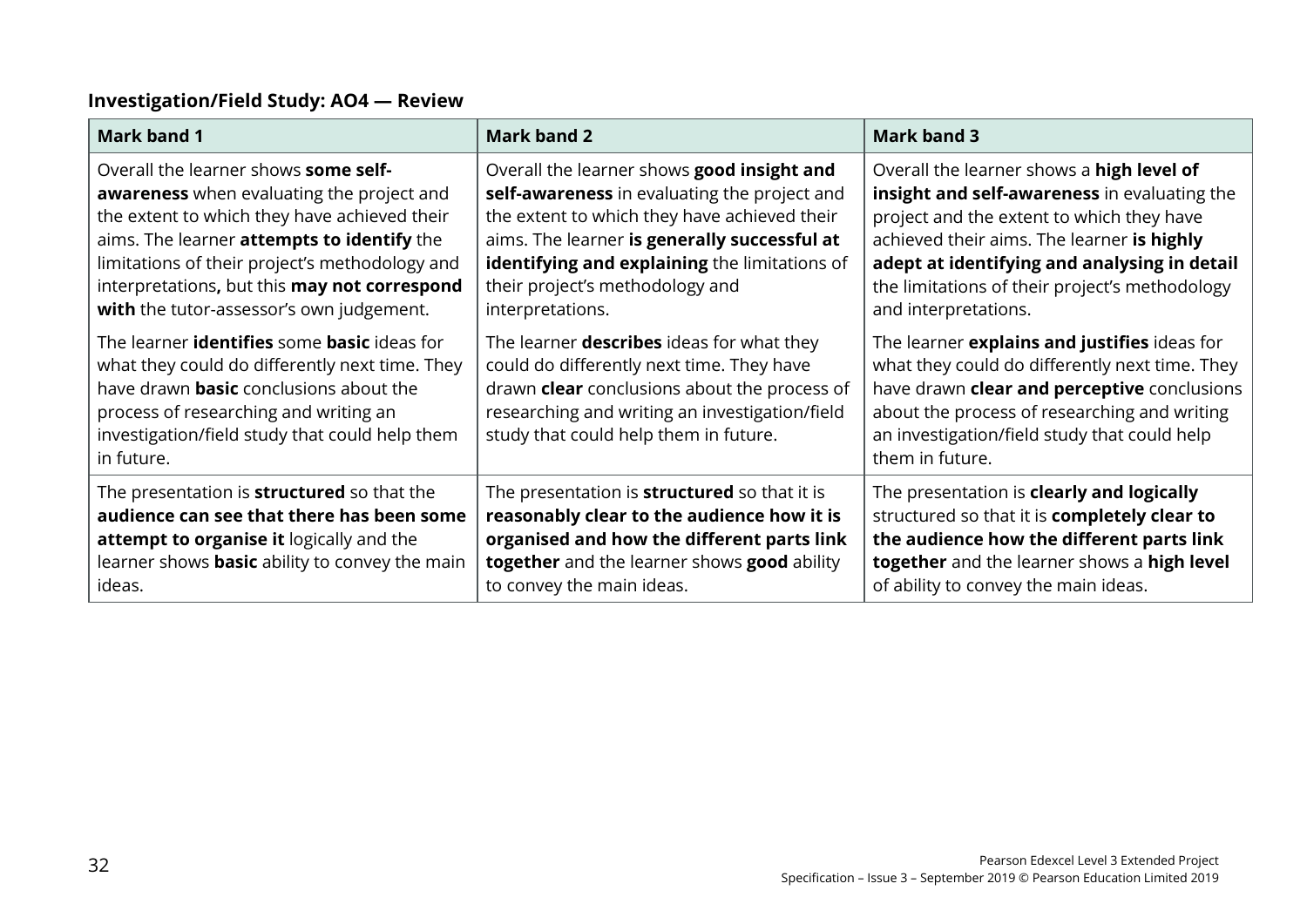# **Investigation/Field Study: AO4 — Review**

| <b>Mark band 1</b>                                                                                                                                                                                                                                                    | <b>Mark band 2</b>                                                                                                                                                                                                                       | <b>Mark band 3</b>                                                                                                                                                                                                                                               |
|-----------------------------------------------------------------------------------------------------------------------------------------------------------------------------------------------------------------------------------------------------------------------|------------------------------------------------------------------------------------------------------------------------------------------------------------------------------------------------------------------------------------------|------------------------------------------------------------------------------------------------------------------------------------------------------------------------------------------------------------------------------------------------------------------|
| Overall the learner shows some self-                                                                                                                                                                                                                                  | Overall the learner shows good insight and                                                                                                                                                                                               | Overall the learner shows a high level of                                                                                                                                                                                                                        |
| <b>awareness</b> when evaluating the project and                                                                                                                                                                                                                      | self-awareness in evaluating the project and                                                                                                                                                                                             | insight and self-awareness in evaluating the                                                                                                                                                                                                                     |
| the extent to which they have achieved their                                                                                                                                                                                                                          | the extent to which they have achieved their                                                                                                                                                                                             | project and the extent to which they have                                                                                                                                                                                                                        |
| aims. The learner attempts to identify the                                                                                                                                                                                                                            | aims. The learner is generally successful at                                                                                                                                                                                             | achieved their aims. The learner is highly                                                                                                                                                                                                                       |
| limitations of their project's methodology and                                                                                                                                                                                                                        | identifying and explaining the limitations of                                                                                                                                                                                            | adept at identifying and analysing in detail                                                                                                                                                                                                                     |
| interpretations, but this may not correspond                                                                                                                                                                                                                          | their project's methodology and                                                                                                                                                                                                          | the limitations of their project's methodology                                                                                                                                                                                                                   |
| with the tutor-assessor's own judgement.                                                                                                                                                                                                                              | interpretations.                                                                                                                                                                                                                         | and interpretations.                                                                                                                                                                                                                                             |
| The learner <b>identifies</b> some <b>basic</b> ideas for<br>what they could do differently next time. They<br>have drawn <b>basic</b> conclusions about the<br>process of researching and writing an<br>investigation/field study that could help them<br>in future. | The learner <b>describes</b> ideas for what they<br>could do differently next time. They have<br>drawn clear conclusions about the process of<br>researching and writing an investigation/field<br>study that could help them in future. | The learner explains and justifies ideas for<br>what they could do differently next time. They<br>have drawn clear and perceptive conclusions<br>about the process of researching and writing<br>an investigation/field study that could help<br>them in future. |
| The presentation is <b>structured</b> so that the                                                                                                                                                                                                                     | The presentation is <b>structured</b> so that it is                                                                                                                                                                                      | The presentation is clearly and logically                                                                                                                                                                                                                        |
| audience can see that there has been some                                                                                                                                                                                                                             | reasonably clear to the audience how it is                                                                                                                                                                                               | structured so that it is completely clear to                                                                                                                                                                                                                     |
| attempt to organise it logically and the                                                                                                                                                                                                                              | organised and how the different parts link                                                                                                                                                                                               | the audience how the different parts link                                                                                                                                                                                                                        |
| learner shows <b>basic</b> ability to convey the main                                                                                                                                                                                                                 | together and the learner shows good ability                                                                                                                                                                                              | together and the learner shows a high level                                                                                                                                                                                                                      |
| ideas.                                                                                                                                                                                                                                                                | to convey the main ideas.                                                                                                                                                                                                                | of ability to convey the main ideas.                                                                                                                                                                                                                             |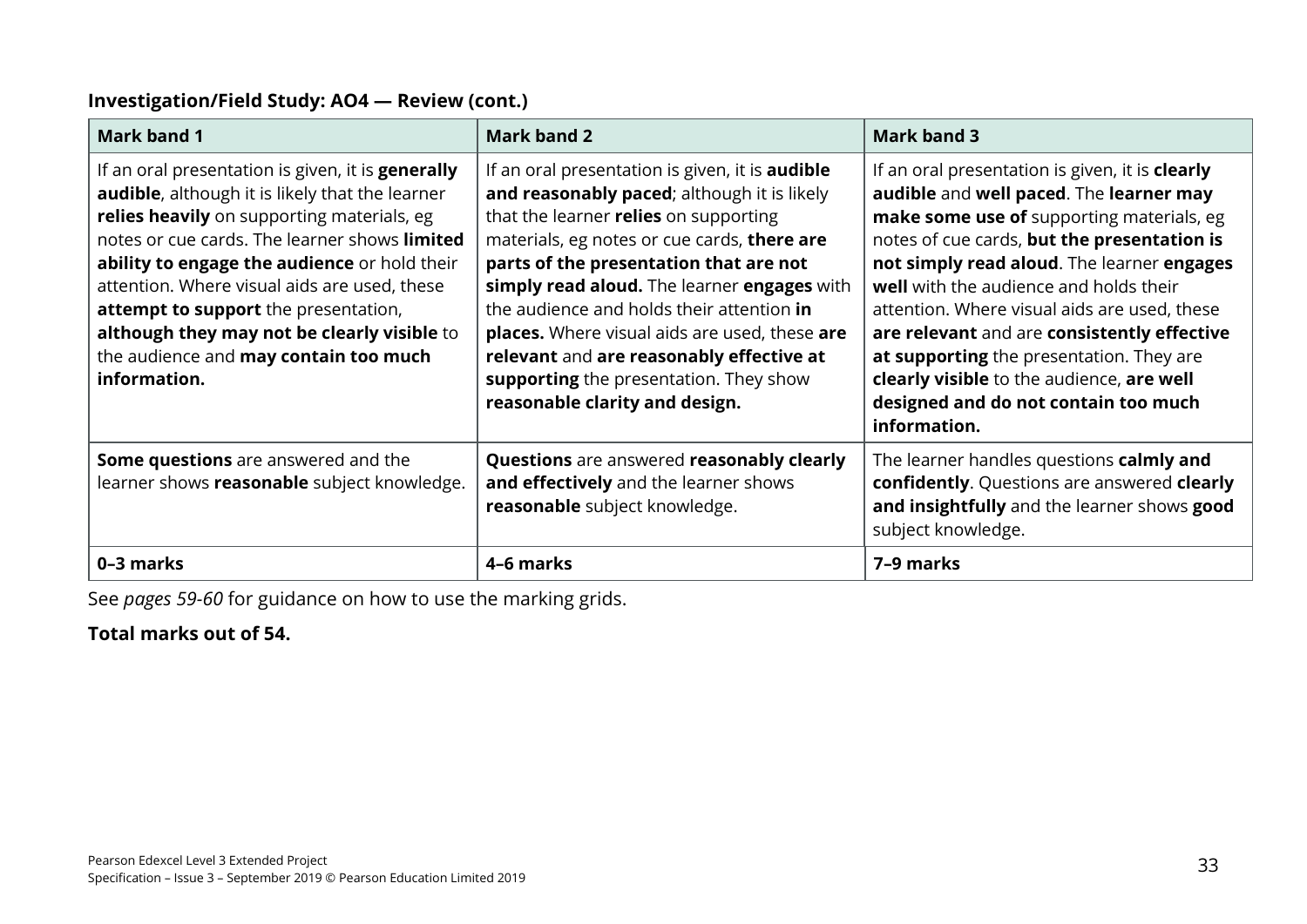#### **Investigation/Field Study: AO4 — Review (cont.)**

| <b>Mark band 1</b>                                                                                                                                                                                                                                                                                                                                                                                                                                                 | <b>Mark band 2</b>                                                                                                                                                                                                                                                                                                                                                                                                                                                                                           | <b>Mark band 3</b>                                                                                                                                                                                                                                                                                                                                                                                                                                                                                                             |
|--------------------------------------------------------------------------------------------------------------------------------------------------------------------------------------------------------------------------------------------------------------------------------------------------------------------------------------------------------------------------------------------------------------------------------------------------------------------|--------------------------------------------------------------------------------------------------------------------------------------------------------------------------------------------------------------------------------------------------------------------------------------------------------------------------------------------------------------------------------------------------------------------------------------------------------------------------------------------------------------|--------------------------------------------------------------------------------------------------------------------------------------------------------------------------------------------------------------------------------------------------------------------------------------------------------------------------------------------------------------------------------------------------------------------------------------------------------------------------------------------------------------------------------|
| If an oral presentation is given, it is <b>generally</b><br><b>audible</b> , although it is likely that the learner<br>relies heavily on supporting materials, eg<br>notes or cue cards. The learner shows limited<br>ability to engage the audience or hold their<br>attention. Where visual aids are used, these<br>attempt to support the presentation,<br>although they may not be clearly visible to<br>the audience and may contain too much<br>information. | If an oral presentation is given, it is <b>audible</b><br>and reasonably paced; although it is likely<br>that the learner relies on supporting<br>materials, eg notes or cue cards, there are<br>parts of the presentation that are not<br>simply read aloud. The learner engages with<br>the audience and holds their attention in<br>places. Where visual aids are used, these are<br>relevant and are reasonably effective at<br>supporting the presentation. They show<br>reasonable clarity and design. | If an oral presentation is given, it is clearly<br>audible and well paced. The learner may<br>make some use of supporting materials, eg<br>notes of cue cards, but the presentation is<br>not simply read aloud. The learner engages<br>well with the audience and holds their<br>attention. Where visual aids are used, these<br>are relevant and are consistently effective<br>at supporting the presentation. They are<br>clearly visible to the audience, are well<br>designed and do not contain too much<br>information. |
| <b>Some questions</b> are answered and the<br>learner shows reasonable subject knowledge.                                                                                                                                                                                                                                                                                                                                                                          | Questions are answered reasonably clearly<br>and effectively and the learner shows<br>reasonable subject knowledge.                                                                                                                                                                                                                                                                                                                                                                                          | The learner handles questions calmly and<br>confidently. Questions are answered clearly<br>and insightfully and the learner shows good<br>subject knowledge.                                                                                                                                                                                                                                                                                                                                                                   |
| 0-3 marks                                                                                                                                                                                                                                                                                                                                                                                                                                                          | 4-6 marks                                                                                                                                                                                                                                                                                                                                                                                                                                                                                                    | 7-9 marks                                                                                                                                                                                                                                                                                                                                                                                                                                                                                                                      |

See *pages 59-60* for guidance on how to use the marking grids.

### **Total marks out of 54.**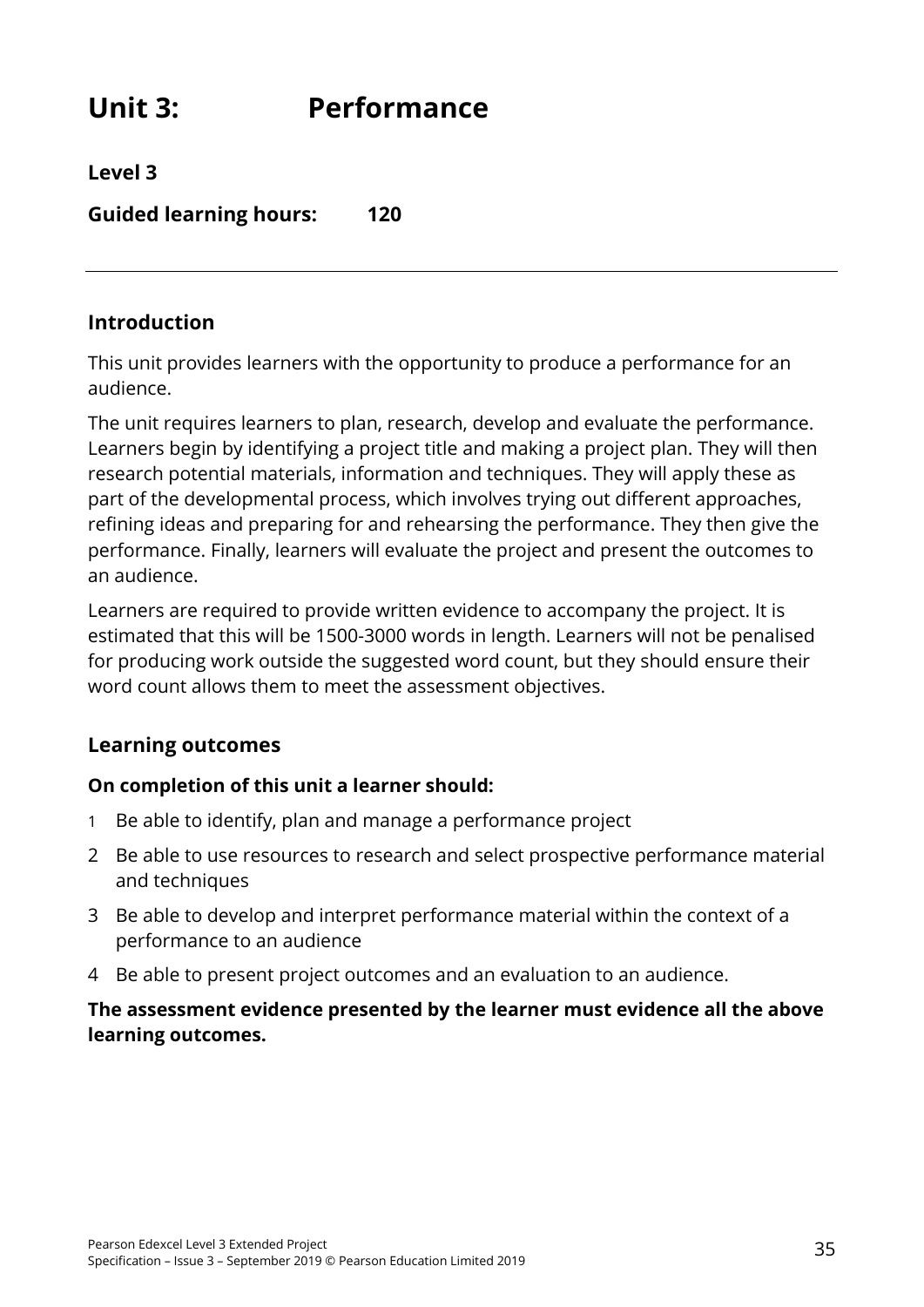# **Unit 3: Performance**

**Level 3**

**Guided learning hours: 120**

## **Introduction**

This unit provides learners with the opportunity to produce a performance for an audience.

The unit requires learners to plan, research, develop and evaluate the performance. Learners begin by identifying a project title and making a project plan. They will then research potential materials, information and techniques. They will apply these as part of the developmental process, which involves trying out different approaches, refining ideas and preparing for and rehearsing the performance. They then give the performance. Finally, learners will evaluate the project and present the outcomes to an audience.

Learners are required to provide written evidence to accompany the project. It is estimated that this will be 1500-3000 words in length. Learners will not be penalised for producing work outside the suggested word count, but they should ensure their word count allows them to meet the assessment objectives.

# **Learning outcomes**

#### **On completion of this unit a learner should:**

- 1 Be able to identify, plan and manage a performance project
- 2 Be able to use resources to research and select prospective performance material and techniques
- 3 Be able to develop and interpret performance material within the context of a performance to an audience
- 4 Be able to present project outcomes and an evaluation to an audience.

#### **The assessment evidence presented by the learner must evidence all the above learning outcomes.**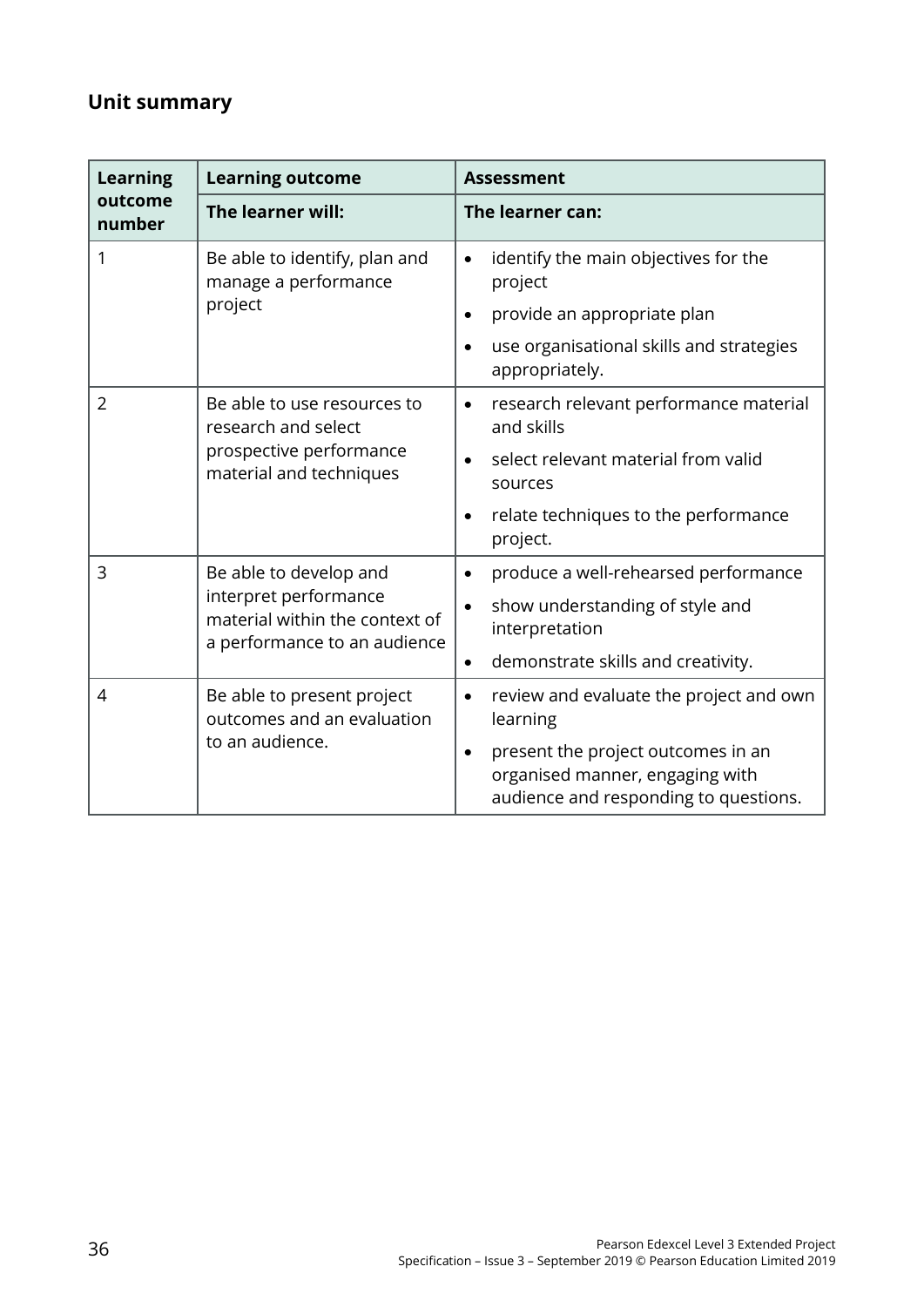# **Unit summary**

| <b>Learning</b>   | <b>Learning outcome</b>                                                                 | <b>Assessment</b>                                                                                                           |
|-------------------|-----------------------------------------------------------------------------------------|-----------------------------------------------------------------------------------------------------------------------------|
| outcome<br>number | The learner will:                                                                       | The learner can:                                                                                                            |
| 1                 | Be able to identify, plan and<br>manage a performance                                   | identify the main objectives for the<br>$\bullet$<br>project                                                                |
|                   | project                                                                                 | provide an appropriate plan<br>$\bullet$                                                                                    |
|                   |                                                                                         | use organisational skills and strategies<br>$\bullet$<br>appropriately.                                                     |
| $\overline{2}$    | Be able to use resources to<br>research and select                                      | research relevant performance material<br>$\bullet$<br>and skills                                                           |
|                   | prospective performance<br>material and techniques                                      | select relevant material from valid<br>sources                                                                              |
|                   |                                                                                         | relate techniques to the performance<br>$\bullet$<br>project.                                                               |
| 3                 | Be able to develop and                                                                  | produce a well-rehearsed performance<br>$\bullet$                                                                           |
|                   | interpret performance<br>material within the context of<br>a performance to an audience | show understanding of style and<br>$\bullet$<br>interpretation                                                              |
|                   |                                                                                         | demonstrate skills and creativity.<br>$\bullet$                                                                             |
| 4                 | Be able to present project<br>outcomes and an evaluation<br>to an audience.             | review and evaluate the project and own<br>$\bullet$<br>learning                                                            |
|                   |                                                                                         | present the project outcomes in an<br>$\bullet$<br>organised manner, engaging with<br>audience and responding to questions. |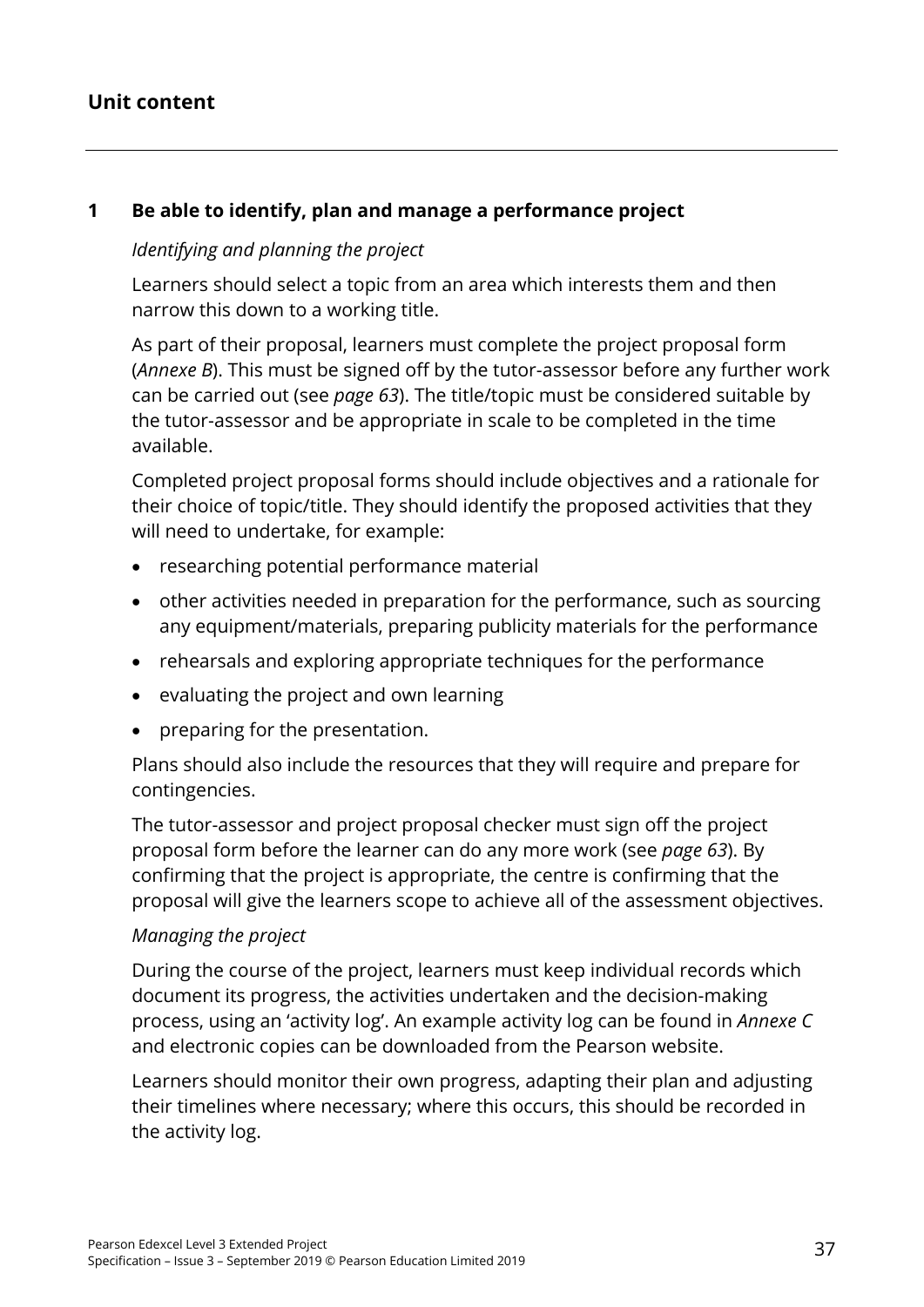## **Unit content**

#### **1 Be able to identify, plan and manage a performance project**

#### *Identifying and planning the project*

Learners should select a topic from an area which interests them and then narrow this down to a working title.

As part of their proposal, learners must complete the project proposal form (*Annexe B*). This must be signed off by the tutor-assessor before any further work can be carried out (see *page 63*). The title/topic must be considered suitable by the tutor-assessor and be appropriate in scale to be completed in the time available.

Completed project proposal forms should include objectives and a rationale for their choice of topic/title. They should identify the proposed activities that they will need to undertake, for example:

- researching potential performance material
- other activities needed in preparation for the performance, such as sourcing any equipment/materials, preparing publicity materials for the performance
- rehearsals and exploring appropriate techniques for the performance
- evaluating the project and own learning
- preparing for the presentation.

Plans should also include the resources that they will require and prepare for contingencies.

The tutor-assessor and project proposal checker must sign off the project proposal form before the learner can do any more work (see *page 63*). By confirming that the project is appropriate, the centre is confirming that the proposal will give the learners scope to achieve all of the assessment objectives.

#### *Managing the project*

During the course of the project, learners must keep individual records which document its progress, the activities undertaken and the decision-making process, using an 'activity log'. An example activity log can be found in *Annexe C* and electronic copies can be downloaded from the Pearson website.

Learners should monitor their own progress, adapting their plan and adjusting their timelines where necessary; where this occurs, this should be recorded in the activity log.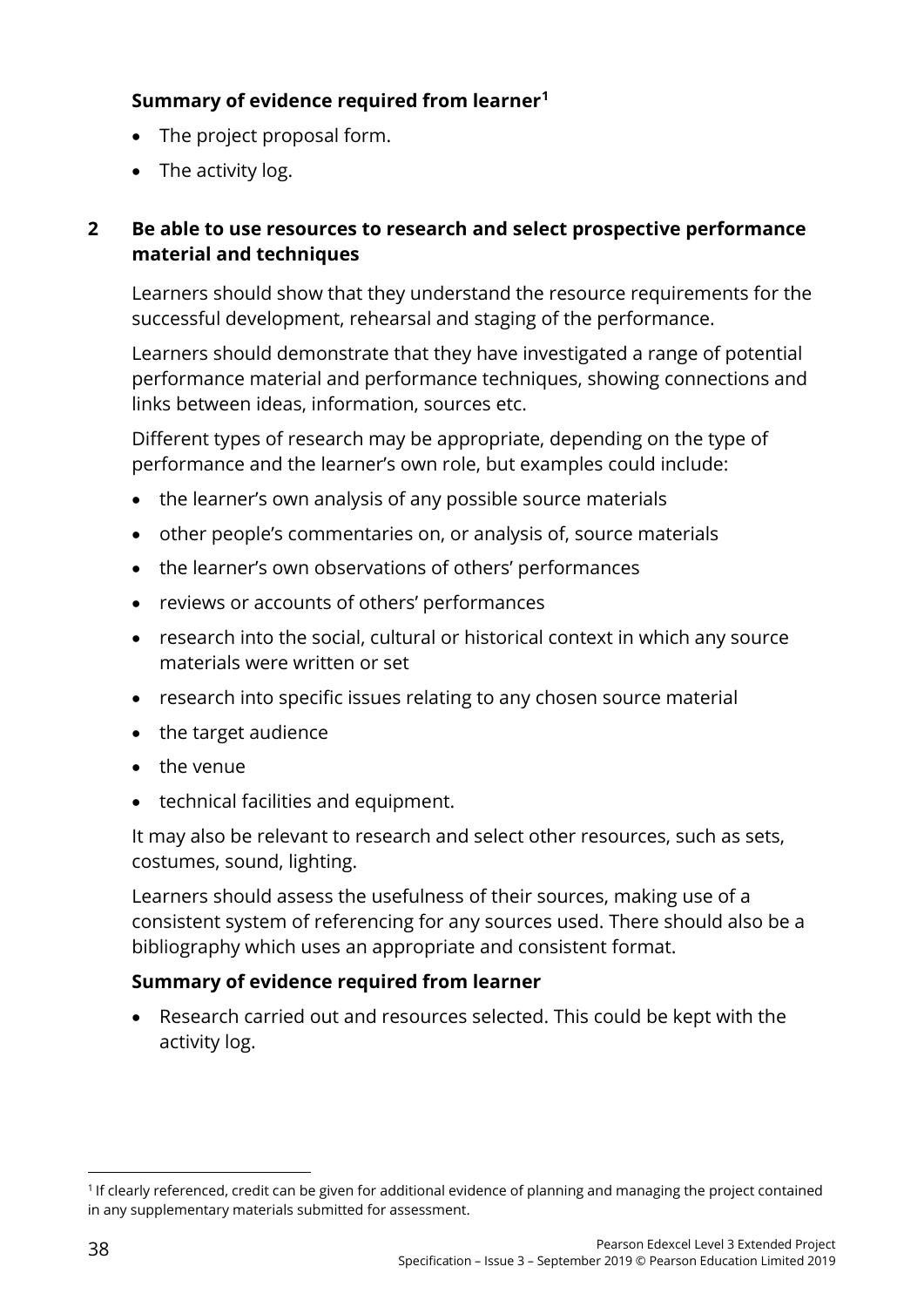# **Summary of evidence required from learner[1](#page-43-0)**

- The project proposal form.
- The activity log.

## **2 Be able to use resources to research and select prospective performance material and techniques**

Learners should show that they understand the resource requirements for the successful development, rehearsal and staging of the performance.

Learners should demonstrate that they have investigated a range of potential performance material and performance techniques, showing connections and links between ideas, information, sources etc.

Different types of research may be appropriate, depending on the type of performance and the learner's own role, but examples could include:

- the learner's own analysis of any possible source materials
- other people's commentaries on, or analysis of, source materials
- the learner's own observations of others' performances
- reviews or accounts of others' performances
- research into the social, cultural or historical context in which any source materials were written or set
- research into specific issues relating to any chosen source material
- the target audience
- the venue
- technical facilities and equipment.

It may also be relevant to research and select other resources, such as sets, costumes, sound, lighting.

Learners should assess the usefulness of their sources, making use of a consistent system of referencing for any sources used. There should also be a bibliography which uses an appropriate and consistent format.

#### **Summary of evidence required from learner**

• Research carried out and resources selected. This could be kept with the activity log.

<span id="page-43-0"></span><sup>&</sup>lt;u>.</u> <sup>1</sup> If clearly referenced, credit can be given for additional evidence of planning and managing the project contained in any supplementary materials submitted for assessment.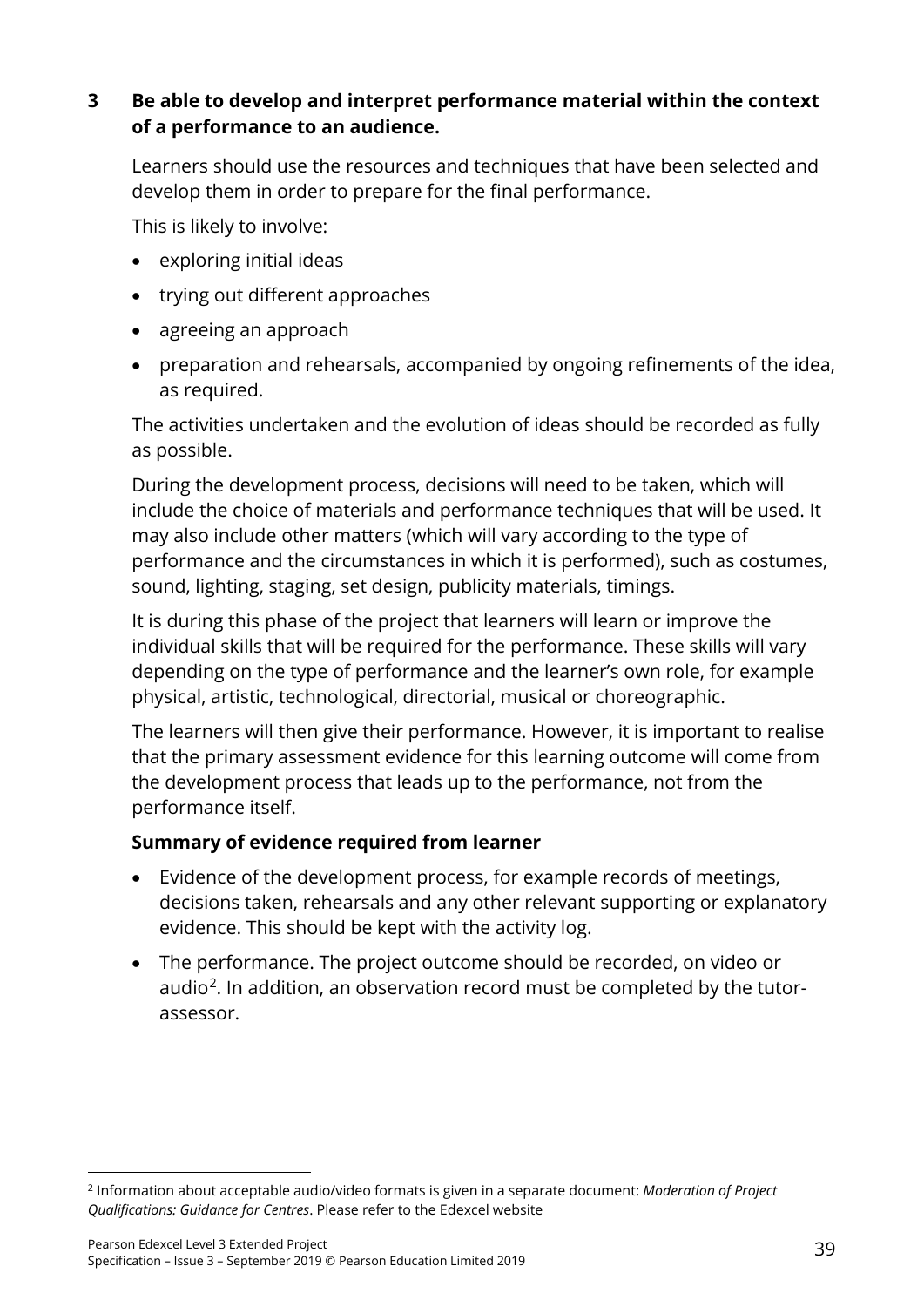## **3 Be able to develop and interpret performance material within the context of a performance to an audience.**

Learners should use the resources and techniques that have been selected and develop them in order to prepare for the final performance.

This is likely to involve:

- exploring initial ideas
- trying out different approaches
- agreeing an approach
- preparation and rehearsals, accompanied by ongoing refinements of the idea, as required.

The activities undertaken and the evolution of ideas should be recorded as fully as possible.

During the development process, decisions will need to be taken, which will include the choice of materials and performance techniques that will be used. It may also include other matters (which will vary according to the type of performance and the circumstances in which it is performed), such as costumes, sound, lighting, staging, set design, publicity materials, timings.

It is during this phase of the project that learners will learn or improve the individual skills that will be required for the performance. These skills will vary depending on the type of performance and the learner's own role, for example physical, artistic, technological, directorial, musical or choreographic.

The learners will then give their performance. However, it is important to realise that the primary assessment evidence for this learning outcome will come from the development process that leads up to the performance, not from the performance itself.

#### **Summary of evidence required from learner**

- Evidence of the development process, for example records of meetings, decisions taken, rehearsals and any other relevant supporting or explanatory evidence. This should be kept with the activity log.
- The performance. The project outcome should be recorded, on video or audio<sup>2</sup>. In addition, an observation record must be completed by the tutorassessor.

<span id="page-44-0"></span><sup>&</sup>lt;u>.</u> <sup>2</sup> Information about acceptable audio/video formats is given in a separate document: *Moderation of Project Qualifications: Guidance for Centres*. Please refer to the Edexcel website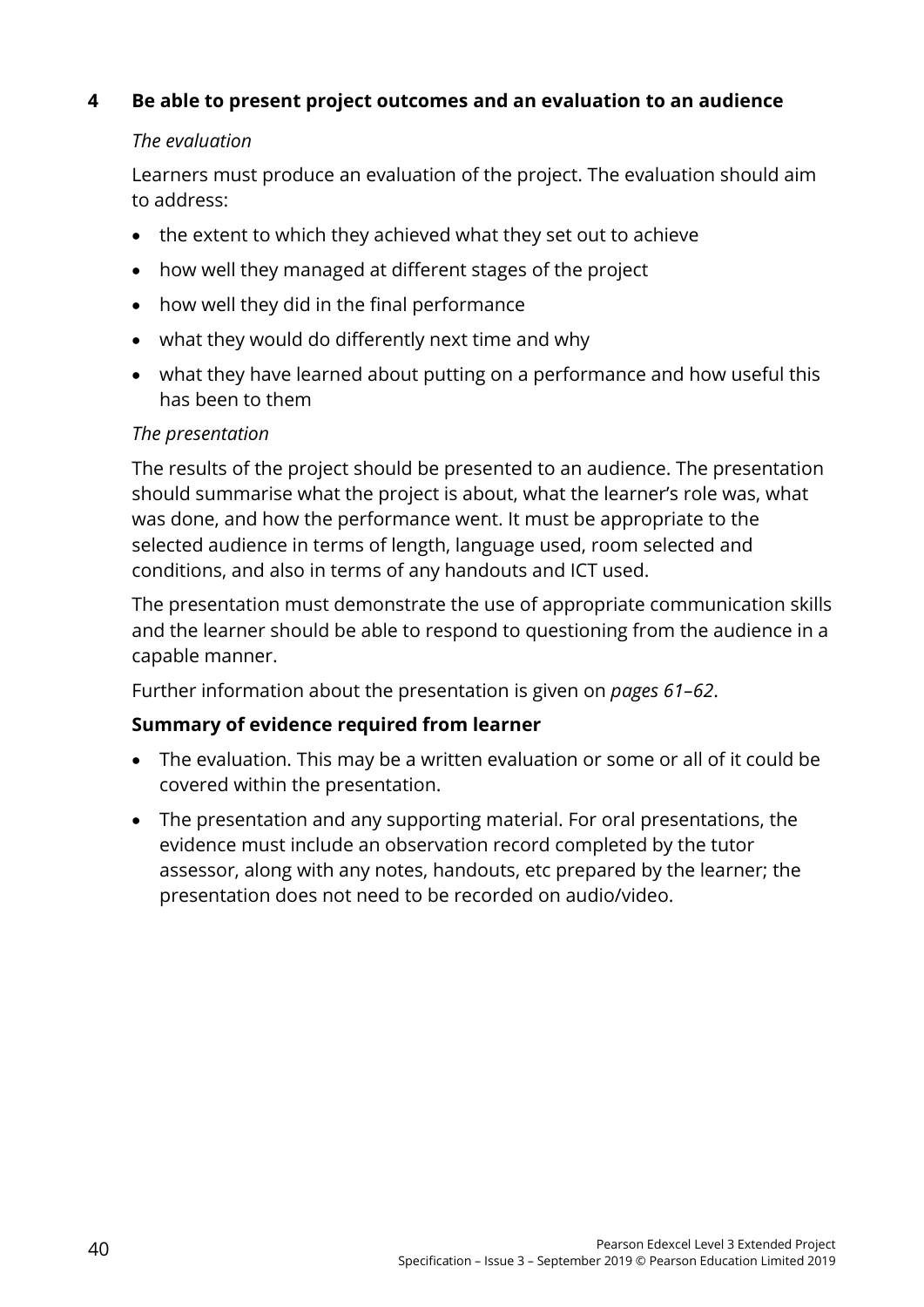## **4 Be able to present project outcomes and an evaluation to an audience**

#### *The evaluation*

Learners must produce an evaluation of the project. The evaluation should aim to address:

- the extent to which they achieved what they set out to achieve
- how well they managed at different stages of the project
- how well they did in the final performance
- what they would do differently next time and why
- what they have learned about putting on a performance and how useful this has been to them

#### *The presentation*

The results of the project should be presented to an audience. The presentation should summarise what the project is about, what the learner's role was, what was done, and how the performance went. It must be appropriate to the selected audience in terms of length, language used, room selected and conditions, and also in terms of any handouts and ICT used.

The presentation must demonstrate the use of appropriate communication skills and the learner should be able to respond to questioning from the audience in a capable manner.

Further information about the presentation is given on *pages 61–62*.

#### **Summary of evidence required from learner**

- The evaluation. This may be a written evaluation or some or all of it could be covered within the presentation.
- The presentation and any supporting material. For oral presentations, the evidence must include an observation record completed by the tutor assessor, along with any notes, handouts, etc prepared by the learner; the presentation does not need to be recorded on audio/video.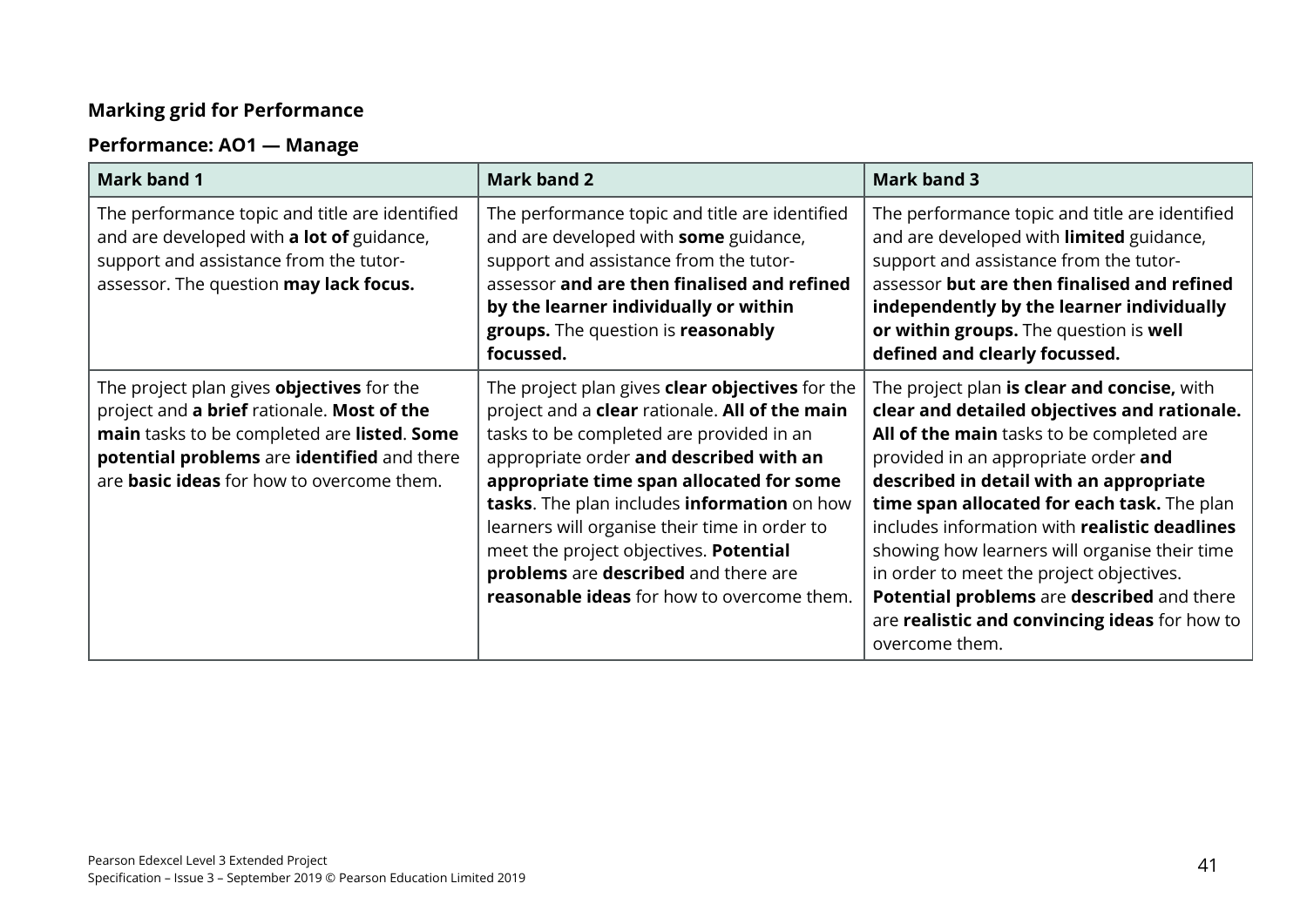# **Marking grid for Performance**

# **Performance: AO1 — Manage**

| <b>Mark band 1</b>                                                                                                                                                                                                                               | <b>Mark band 2</b>                                                                                                                                                                                                                                                                                                                                                                                                                                                                 | <b>Mark band 3</b>                                                                                                                                                                                                                                                                                                                                                                                                                                                                                                                        |
|--------------------------------------------------------------------------------------------------------------------------------------------------------------------------------------------------------------------------------------------------|------------------------------------------------------------------------------------------------------------------------------------------------------------------------------------------------------------------------------------------------------------------------------------------------------------------------------------------------------------------------------------------------------------------------------------------------------------------------------------|-------------------------------------------------------------------------------------------------------------------------------------------------------------------------------------------------------------------------------------------------------------------------------------------------------------------------------------------------------------------------------------------------------------------------------------------------------------------------------------------------------------------------------------------|
| The performance topic and title are identified<br>and are developed with a lot of guidance,<br>support and assistance from the tutor-<br>assessor. The question may lack focus.                                                                  | The performance topic and title are identified<br>and are developed with some guidance,<br>support and assistance from the tutor-<br>assessor and are then finalised and refined<br>by the learner individually or within<br>groups. The question is reasonably<br>focussed.                                                                                                                                                                                                       | The performance topic and title are identified<br>and are developed with limited guidance,<br>support and assistance from the tutor-<br>assessor but are then finalised and refined<br>independently by the learner individually<br>or within groups. The question is well<br>defined and clearly focussed.                                                                                                                                                                                                                               |
| The project plan gives <b>objectives</b> for the<br>project and a brief rationale. Most of the<br>main tasks to be completed are listed. Some<br>potential problems are identified and there<br>are <b>basic ideas</b> for how to overcome them. | The project plan gives <b>clear objectives</b> for the<br>project and a <b>clear</b> rationale. All of the main<br>tasks to be completed are provided in an<br>appropriate order and described with an<br>appropriate time span allocated for some<br>tasks. The plan includes information on how<br>learners will organise their time in order to<br>meet the project objectives. Potential<br>problems are described and there are<br>reasonable ideas for how to overcome them. | The project plan is clear and concise, with<br>clear and detailed objectives and rationale.<br>All of the main tasks to be completed are<br>provided in an appropriate order and<br>described in detail with an appropriate<br>time span allocated for each task. The plan<br>includes information with realistic deadlines<br>showing how learners will organise their time<br>in order to meet the project objectives.<br>Potential problems are described and there<br>are realistic and convincing ideas for how to<br>overcome them. |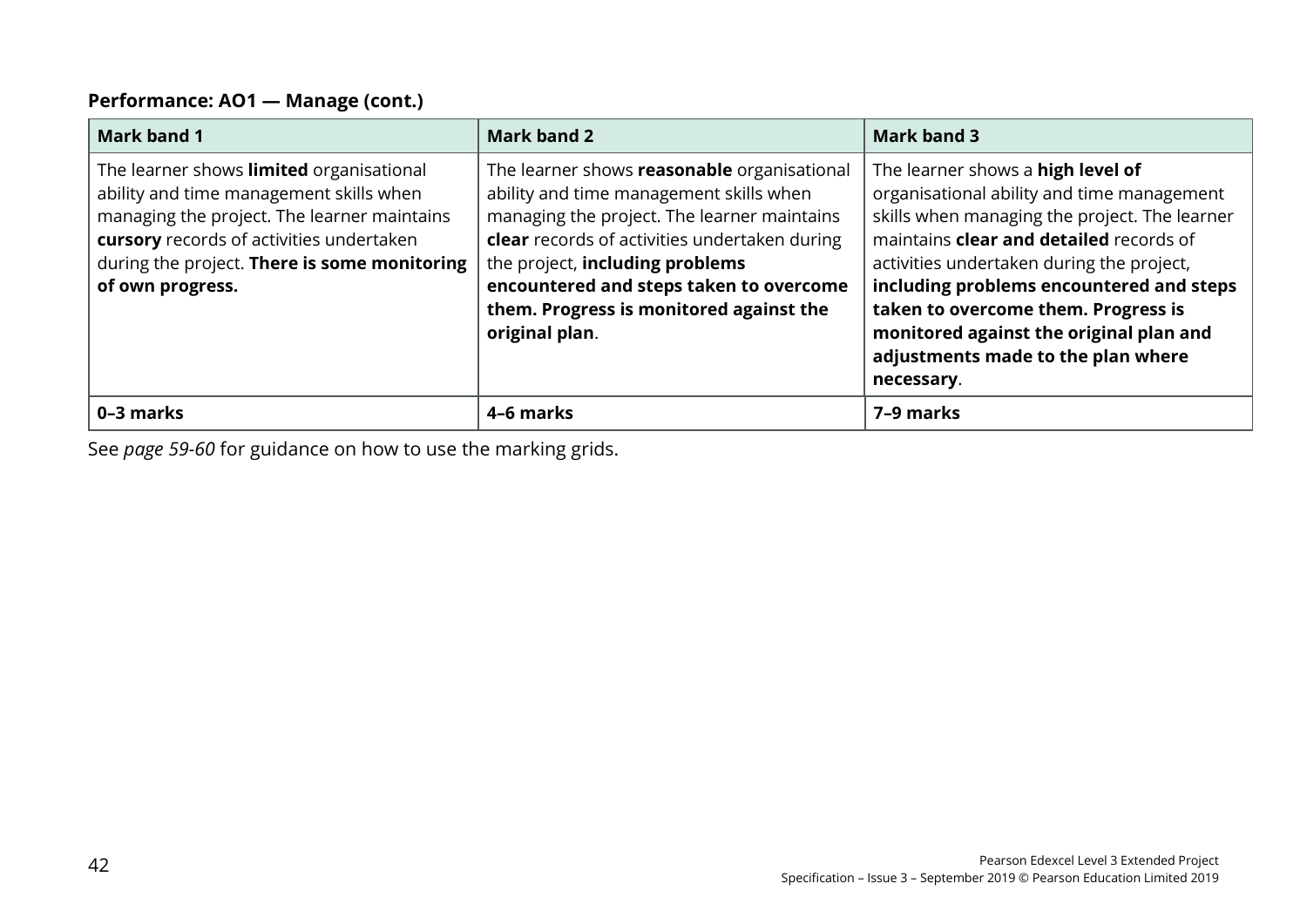#### **Performance: AO1 — Manage (cont.)**

| Mark band 1                                                                                                                                                                                                                                        | <b>Mark band 2</b>                                                                                                                                                                                                                                                                                                                | Mark band 3                                                                                                                                                                                                                                                                                                                                                                                                       |
|----------------------------------------------------------------------------------------------------------------------------------------------------------------------------------------------------------------------------------------------------|-----------------------------------------------------------------------------------------------------------------------------------------------------------------------------------------------------------------------------------------------------------------------------------------------------------------------------------|-------------------------------------------------------------------------------------------------------------------------------------------------------------------------------------------------------------------------------------------------------------------------------------------------------------------------------------------------------------------------------------------------------------------|
| The learner shows limited organisational<br>ability and time management skills when<br>managing the project. The learner maintains<br>cursory records of activities undertaken<br>during the project. There is some monitoring<br>of own progress. | The learner shows reasonable organisational<br>ability and time management skills when<br>managing the project. The learner maintains<br>clear records of activities undertaken during<br>the project, including problems<br>encountered and steps taken to overcome<br>them. Progress is monitored against the<br>original plan. | The learner shows a high level of<br>organisational ability and time management<br>skills when managing the project. The learner<br>maintains <b>clear and detailed</b> records of<br>activities undertaken during the project,<br>including problems encountered and steps<br>taken to overcome them. Progress is<br>monitored against the original plan and<br>adjustments made to the plan where<br>necessary. |
| 0-3 marks                                                                                                                                                                                                                                          | 4-6 marks                                                                                                                                                                                                                                                                                                                         | 7-9 marks                                                                                                                                                                                                                                                                                                                                                                                                         |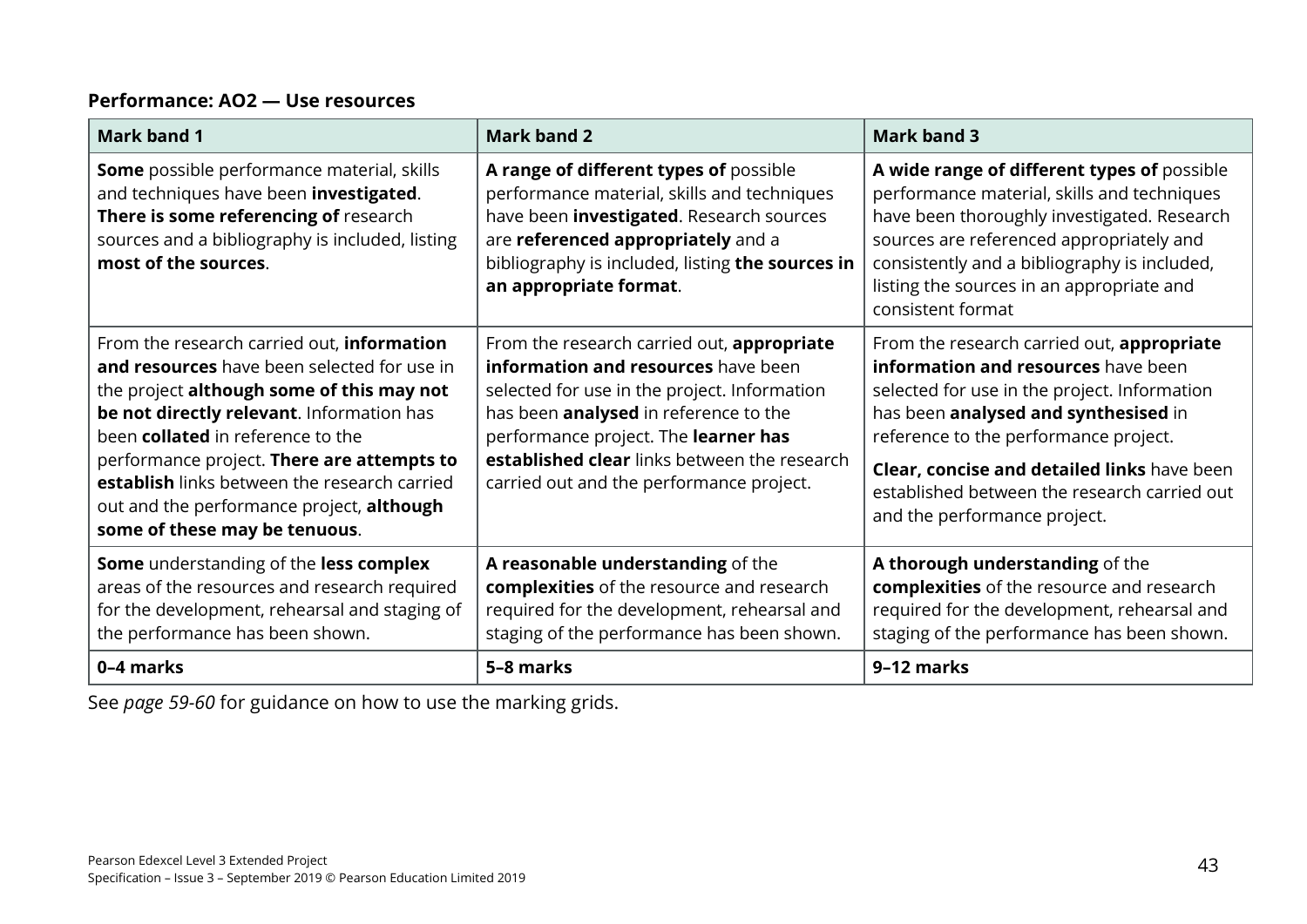#### **Performance: AO2 — Use resources**

| <b>Mark band 1</b>                                                                                                                                                                                                                                                                                                                                                                                   | <b>Mark band 2</b>                                                                                                                                                                                                                                                                                             | <b>Mark band 3</b>                                                                                                                                                                                                                                                                                                                                |
|------------------------------------------------------------------------------------------------------------------------------------------------------------------------------------------------------------------------------------------------------------------------------------------------------------------------------------------------------------------------------------------------------|----------------------------------------------------------------------------------------------------------------------------------------------------------------------------------------------------------------------------------------------------------------------------------------------------------------|---------------------------------------------------------------------------------------------------------------------------------------------------------------------------------------------------------------------------------------------------------------------------------------------------------------------------------------------------|
| Some possible performance material, skills<br>and techniques have been investigated.<br>There is some referencing of research<br>sources and a bibliography is included, listing<br>most of the sources.                                                                                                                                                                                             | A range of different types of possible<br>performance material, skills and techniques<br>have been <i>investigated</i> . Research sources<br>are referenced appropriately and a<br>bibliography is included, listing the sources in<br>an appropriate format.                                                  | A wide range of different types of possible<br>performance material, skills and techniques<br>have been thoroughly investigated. Research<br>sources are referenced appropriately and<br>consistently and a bibliography is included,<br>listing the sources in an appropriate and<br>consistent format                                           |
| From the research carried out, information<br>and resources have been selected for use in<br>the project although some of this may not<br>be not directly relevant. Information has<br>been collated in reference to the<br>performance project. There are attempts to<br>establish links between the research carried<br>out and the performance project, although<br>some of these may be tenuous. | From the research carried out, appropriate<br>information and resources have been<br>selected for use in the project. Information<br>has been analysed in reference to the<br>performance project. The learner has<br>established clear links between the research<br>carried out and the performance project. | From the research carried out, appropriate<br>information and resources have been<br>selected for use in the project. Information<br>has been analysed and synthesised in<br>reference to the performance project.<br>Clear, concise and detailed links have been<br>established between the research carried out<br>and the performance project. |
| Some understanding of the less complex<br>areas of the resources and research required<br>for the development, rehearsal and staging of<br>the performance has been shown.                                                                                                                                                                                                                           | A reasonable understanding of the<br>complexities of the resource and research<br>required for the development, rehearsal and<br>staging of the performance has been shown.                                                                                                                                    | A thorough understanding of the<br>complexities of the resource and research<br>required for the development, rehearsal and<br>staging of the performance has been shown.                                                                                                                                                                         |
| 0-4 marks                                                                                                                                                                                                                                                                                                                                                                                            | 5-8 marks                                                                                                                                                                                                                                                                                                      | 9-12 marks                                                                                                                                                                                                                                                                                                                                        |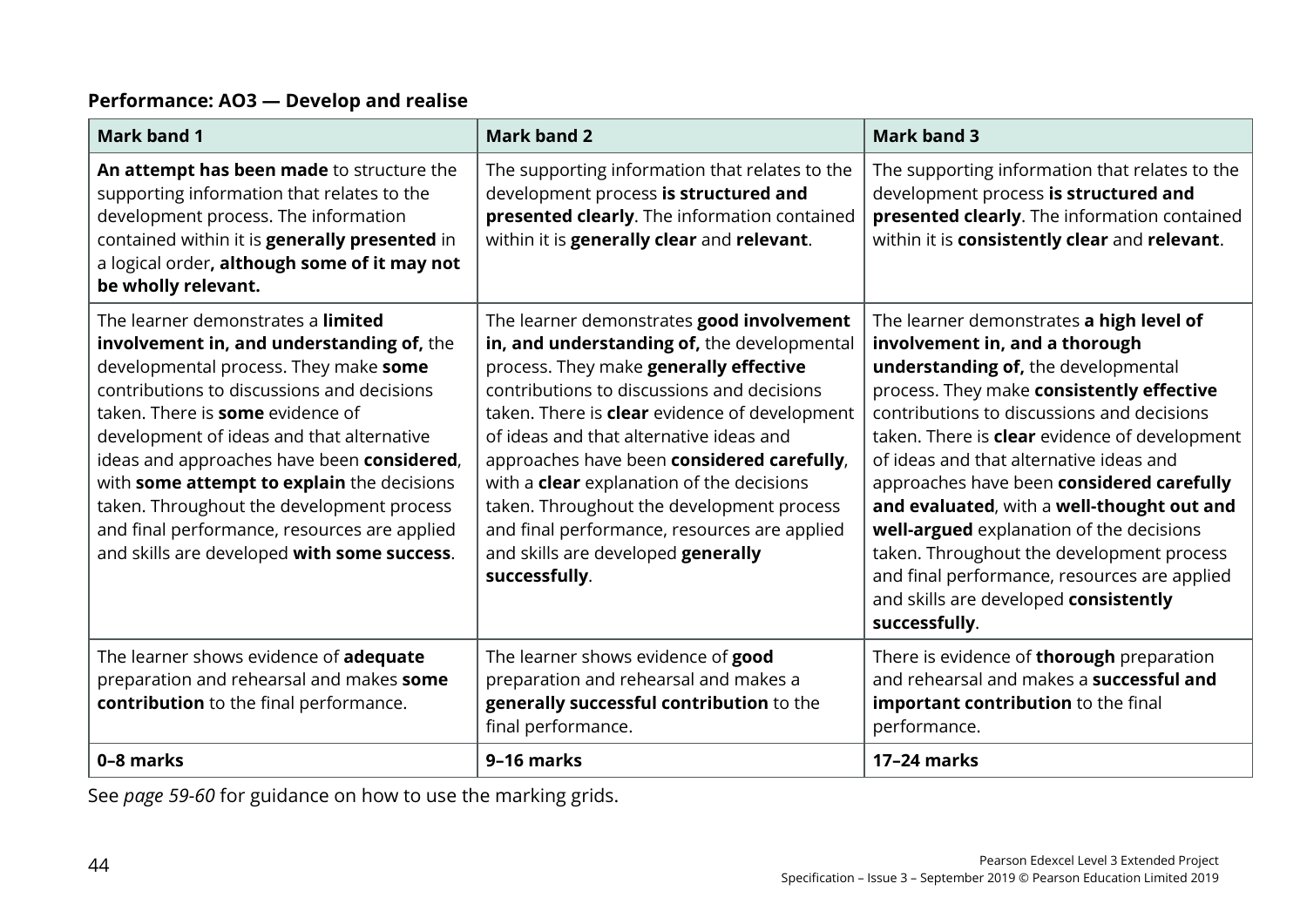#### **Performance: AO3 — Develop and realise**

| <b>Mark band 1</b>                                                                                                                                                                                                                                                                                                                                                                                                                                                                                     | <b>Mark band 2</b>                                                                                                                                                                                                                                                                                                                                                                                                                                                                                                                 | <b>Mark band 3</b>                                                                                                                                                                                                                                                                                                                                                                                                                                                                                                                                                                                            |
|--------------------------------------------------------------------------------------------------------------------------------------------------------------------------------------------------------------------------------------------------------------------------------------------------------------------------------------------------------------------------------------------------------------------------------------------------------------------------------------------------------|------------------------------------------------------------------------------------------------------------------------------------------------------------------------------------------------------------------------------------------------------------------------------------------------------------------------------------------------------------------------------------------------------------------------------------------------------------------------------------------------------------------------------------|---------------------------------------------------------------------------------------------------------------------------------------------------------------------------------------------------------------------------------------------------------------------------------------------------------------------------------------------------------------------------------------------------------------------------------------------------------------------------------------------------------------------------------------------------------------------------------------------------------------|
| An attempt has been made to structure the<br>supporting information that relates to the<br>development process. The information<br>contained within it is generally presented in<br>a logical order, although some of it may not<br>be wholly relevant.                                                                                                                                                                                                                                                | The supporting information that relates to the<br>development process is structured and<br>presented clearly. The information contained<br>within it is generally clear and relevant.                                                                                                                                                                                                                                                                                                                                              | The supporting information that relates to the<br>development process is structured and<br>presented clearly. The information contained<br>within it is consistently clear and relevant.                                                                                                                                                                                                                                                                                                                                                                                                                      |
| The learner demonstrates a limited<br>involvement in, and understanding of, the<br>developmental process. They make some<br>contributions to discussions and decisions<br>taken. There is <b>some</b> evidence of<br>development of ideas and that alternative<br>ideas and approaches have been considered,<br>with some attempt to explain the decisions<br>taken. Throughout the development process<br>and final performance, resources are applied<br>and skills are developed with some success. | The learner demonstrates good involvement<br>in, and understanding of, the developmental<br>process. They make generally effective<br>contributions to discussions and decisions<br>taken. There is clear evidence of development<br>of ideas and that alternative ideas and<br>approaches have been considered carefully,<br>with a <b>clear</b> explanation of the decisions<br>taken. Throughout the development process<br>and final performance, resources are applied<br>and skills are developed generally<br>successfully. | The learner demonstrates a high level of<br>involvement in, and a thorough<br>understanding of, the developmental<br>process. They make consistently effective<br>contributions to discussions and decisions<br>taken. There is <b>clear</b> evidence of development<br>of ideas and that alternative ideas and<br>approaches have been considered carefully<br>and evaluated, with a well-thought out and<br>well-argued explanation of the decisions<br>taken. Throughout the development process<br>and final performance, resources are applied<br>and skills are developed consistently<br>successfully. |
| The learner shows evidence of adequate<br>preparation and rehearsal and makes some<br>contribution to the final performance.                                                                                                                                                                                                                                                                                                                                                                           | The learner shows evidence of good<br>preparation and rehearsal and makes a<br>generally successful contribution to the<br>final performance.                                                                                                                                                                                                                                                                                                                                                                                      | There is evidence of <b>thorough</b> preparation<br>and rehearsal and makes a successful and<br>important contribution to the final<br>performance.                                                                                                                                                                                                                                                                                                                                                                                                                                                           |
| 0-8 marks                                                                                                                                                                                                                                                                                                                                                                                                                                                                                              | 9-16 marks                                                                                                                                                                                                                                                                                                                                                                                                                                                                                                                         | 17-24 marks                                                                                                                                                                                                                                                                                                                                                                                                                                                                                                                                                                                                   |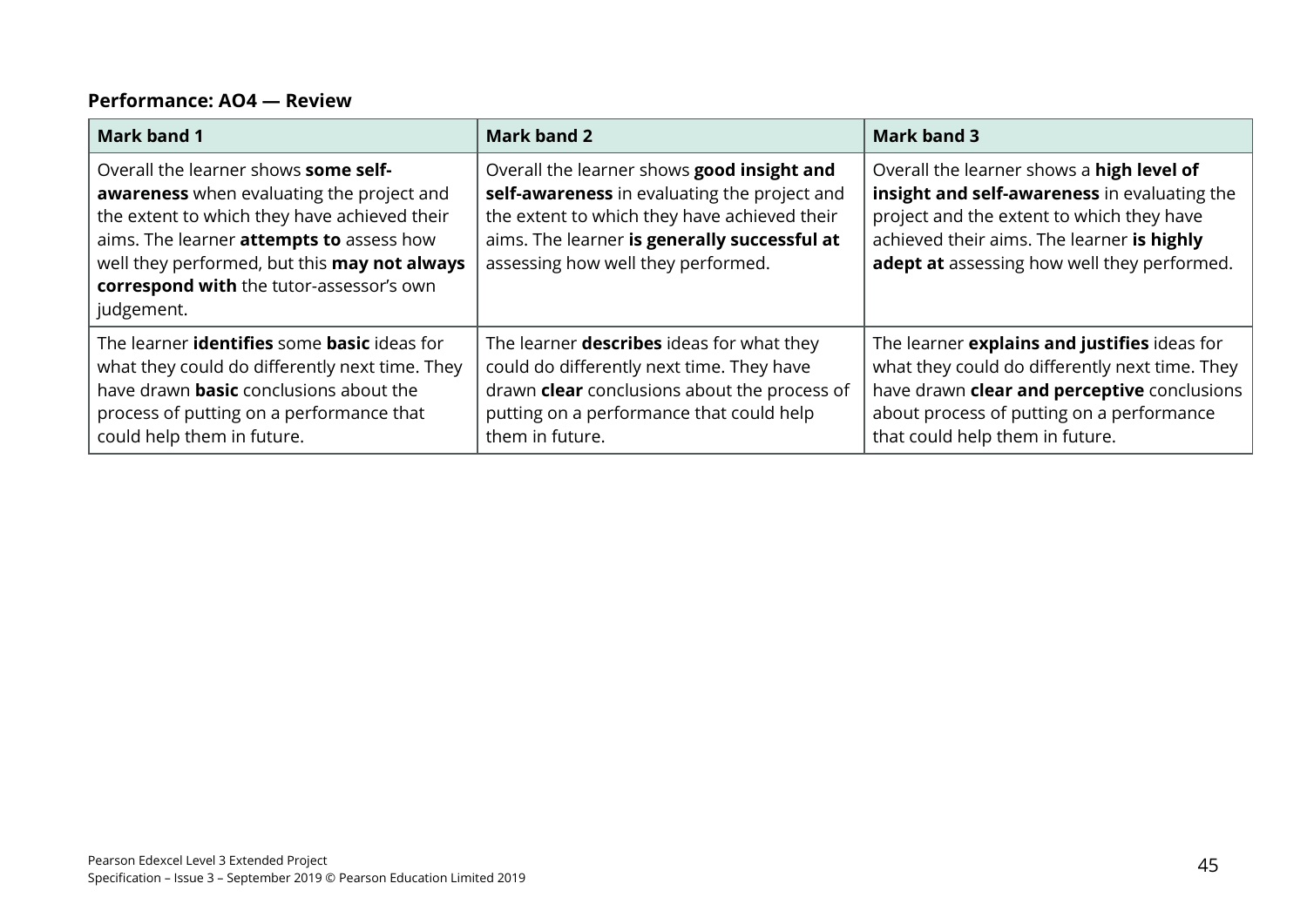#### **Performance: AO4 — Review**

| <b>Mark band 1</b>                                                                                                                                                                                                                                                                                    | <b>Mark band 2</b>                                                                                                                                                                                                               | <b>Mark band 3</b>                                                                                                                                                                                                                  |
|-------------------------------------------------------------------------------------------------------------------------------------------------------------------------------------------------------------------------------------------------------------------------------------------------------|----------------------------------------------------------------------------------------------------------------------------------------------------------------------------------------------------------------------------------|-------------------------------------------------------------------------------------------------------------------------------------------------------------------------------------------------------------------------------------|
| Overall the learner shows some self-<br><b>awareness</b> when evaluating the project and<br>the extent to which they have achieved their<br>aims. The learner <b>attempts to</b> assess how<br>well they performed, but this may not always<br>correspond with the tutor-assessor's own<br>judgement. | Overall the learner shows good insight and<br>self-awareness in evaluating the project and<br>the extent to which they have achieved their<br>aims. The learner is generally successful at<br>assessing how well they performed. | Overall the learner shows a high level of<br>insight and self-awareness in evaluating the<br>project and the extent to which they have<br>achieved their aims. The learner is highly<br>adept at assessing how well they performed. |
| The learner <b>identifies</b> some <b>basic</b> ideas for<br>what they could do differently next time. They<br>have drawn <b>basic</b> conclusions about the<br>process of putting on a performance that<br>could help them in future.                                                                | The learner <b>describes</b> ideas for what they<br>could do differently next time. They have<br>drawn clear conclusions about the process of<br>putting on a performance that could help<br>them in future.                     | The learner explains and justifies ideas for<br>what they could do differently next time. They<br>have drawn clear and perceptive conclusions<br>about process of putting on a performance<br>that could help them in future.       |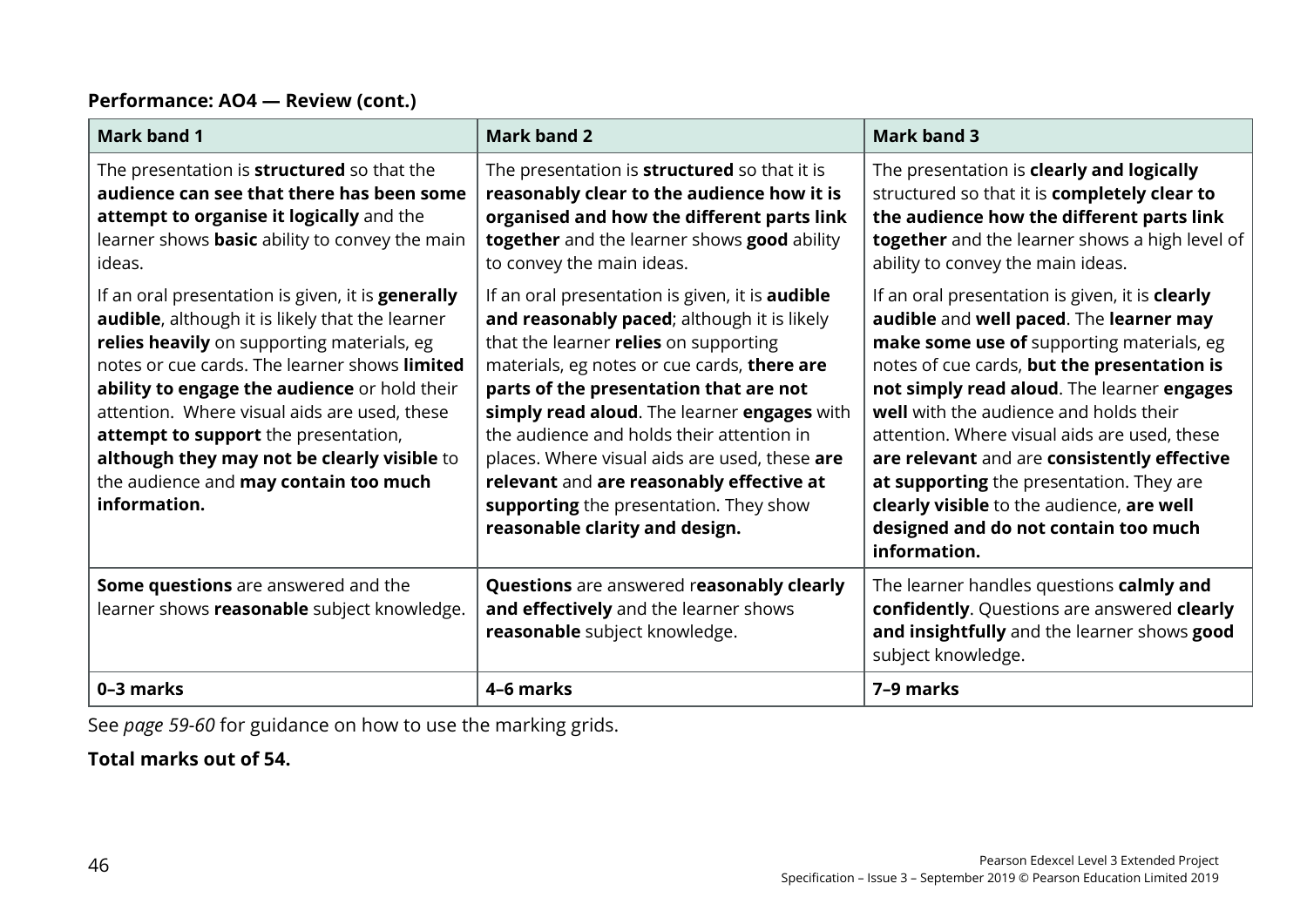#### **Performance: AO4 — Review (cont.)**

| <b>Mark band 1</b>                                                                                                                                                                                                                                                                                                                                                                                                                                  | <b>Mark band 2</b>                                                                                                                                                                                                                                                                                                                                                                                                                                                                                           | <b>Mark band 3</b>                                                                                                                                                                                                                                                                                                                                                                                                                                                                                                             |
|-----------------------------------------------------------------------------------------------------------------------------------------------------------------------------------------------------------------------------------------------------------------------------------------------------------------------------------------------------------------------------------------------------------------------------------------------------|--------------------------------------------------------------------------------------------------------------------------------------------------------------------------------------------------------------------------------------------------------------------------------------------------------------------------------------------------------------------------------------------------------------------------------------------------------------------------------------------------------------|--------------------------------------------------------------------------------------------------------------------------------------------------------------------------------------------------------------------------------------------------------------------------------------------------------------------------------------------------------------------------------------------------------------------------------------------------------------------------------------------------------------------------------|
| The presentation is <b>structured</b> so that the<br>audience can see that there has been some<br>attempt to organise it logically and the<br>learner shows <b>basic</b> ability to convey the main<br>ideas.                                                                                                                                                                                                                                       | The presentation is <b>structured</b> so that it is<br>reasonably clear to the audience how it is<br>organised and how the different parts link<br>together and the learner shows good ability<br>to convey the main ideas.                                                                                                                                                                                                                                                                                  | The presentation is clearly and logically<br>structured so that it is completely clear to<br>the audience how the different parts link<br>together and the learner shows a high level of<br>ability to convey the main ideas.                                                                                                                                                                                                                                                                                                  |
| If an oral presentation is given, it is generally<br>audible, although it is likely that the learner<br>relies heavily on supporting materials, eg<br>notes or cue cards. The learner shows limited<br>ability to engage the audience or hold their<br>attention. Where visual aids are used, these<br>attempt to support the presentation,<br>although they may not be clearly visible to<br>the audience and may contain too much<br>information. | If an oral presentation is given, it is <b>audible</b><br>and reasonably paced; although it is likely<br>that the learner relies on supporting<br>materials, eg notes or cue cards, there are<br>parts of the presentation that are not<br>simply read aloud. The learner engages with<br>the audience and holds their attention in<br>places. Where visual aids are used, these are<br>relevant and are reasonably effective at<br>supporting the presentation. They show<br>reasonable clarity and design. | If an oral presentation is given, it is clearly<br>audible and well paced. The learner may<br>make some use of supporting materials, eg<br>notes of cue cards, but the presentation is<br>not simply read aloud. The learner engages<br>well with the audience and holds their<br>attention. Where visual aids are used, these<br>are relevant and are consistently effective<br>at supporting the presentation. They are<br>clearly visible to the audience, are well<br>designed and do not contain too much<br>information. |
| Some questions are answered and the<br>learner shows reasonable subject knowledge.                                                                                                                                                                                                                                                                                                                                                                  | Questions are answered reasonably clearly<br>and effectively and the learner shows<br>reasonable subject knowledge.                                                                                                                                                                                                                                                                                                                                                                                          | The learner handles questions calmly and<br>confidently. Questions are answered clearly<br>and insightfully and the learner shows good<br>subject knowledge.                                                                                                                                                                                                                                                                                                                                                                   |
| 0-3 marks                                                                                                                                                                                                                                                                                                                                                                                                                                           | 4-6 marks                                                                                                                                                                                                                                                                                                                                                                                                                                                                                                    | 7-9 marks                                                                                                                                                                                                                                                                                                                                                                                                                                                                                                                      |

See *page 59-60* for guidance on how to use the marking grids.

**Total marks out of 54.**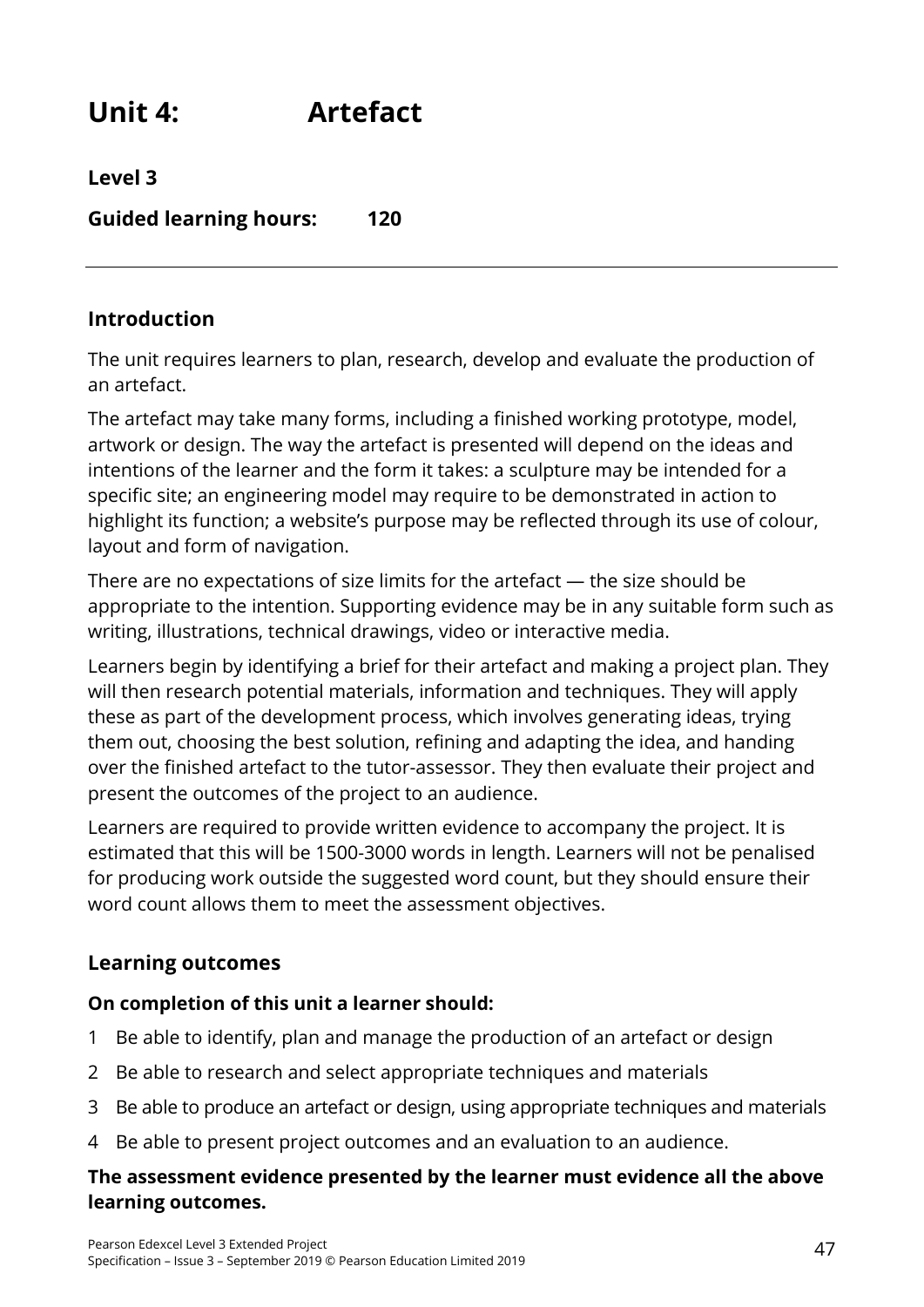**Unit 4: Artefact**

**Level 3**

**Guided learning hours: 120**

### **Introduction**

The unit requires learners to plan, research, develop and evaluate the production of an artefact.

The artefact may take many forms, including a finished working prototype, model, artwork or design. The way the artefact is presented will depend on the ideas and intentions of the learner and the form it takes: a sculpture may be intended for a specific site; an engineering model may require to be demonstrated in action to highlight its function; a website's purpose may be reflected through its use of colour, layout and form of navigation.

There are no expectations of size limits for the artefact — the size should be appropriate to the intention. Supporting evidence may be in any suitable form such as writing, illustrations, technical drawings, video or interactive media.

Learners begin by identifying a brief for their artefact and making a project plan. They will then research potential materials, information and techniques. They will apply these as part of the development process, which involves generating ideas, trying them out, choosing the best solution, refining and adapting the idea, and handing over the finished artefact to the tutor-assessor. They then evaluate their project and present the outcomes of the project to an audience.

Learners are required to provide written evidence to accompany the project. It is estimated that this will be 1500-3000 words in length. Learners will not be penalised for producing work outside the suggested word count, but they should ensure their word count allows them to meet the assessment objectives.

# **Learning outcomes**

#### **On completion of this unit a learner should:**

- 1 Be able to identify, plan and manage the production of an artefact or design
- 2 Be able to research and select appropriate techniques and materials
- 3 Be able to produce an artefact or design, using appropriate techniques and materials
- 4 Be able to present project outcomes and an evaluation to an audience.

#### **The assessment evidence presented by the learner must evidence all the above learning outcomes.**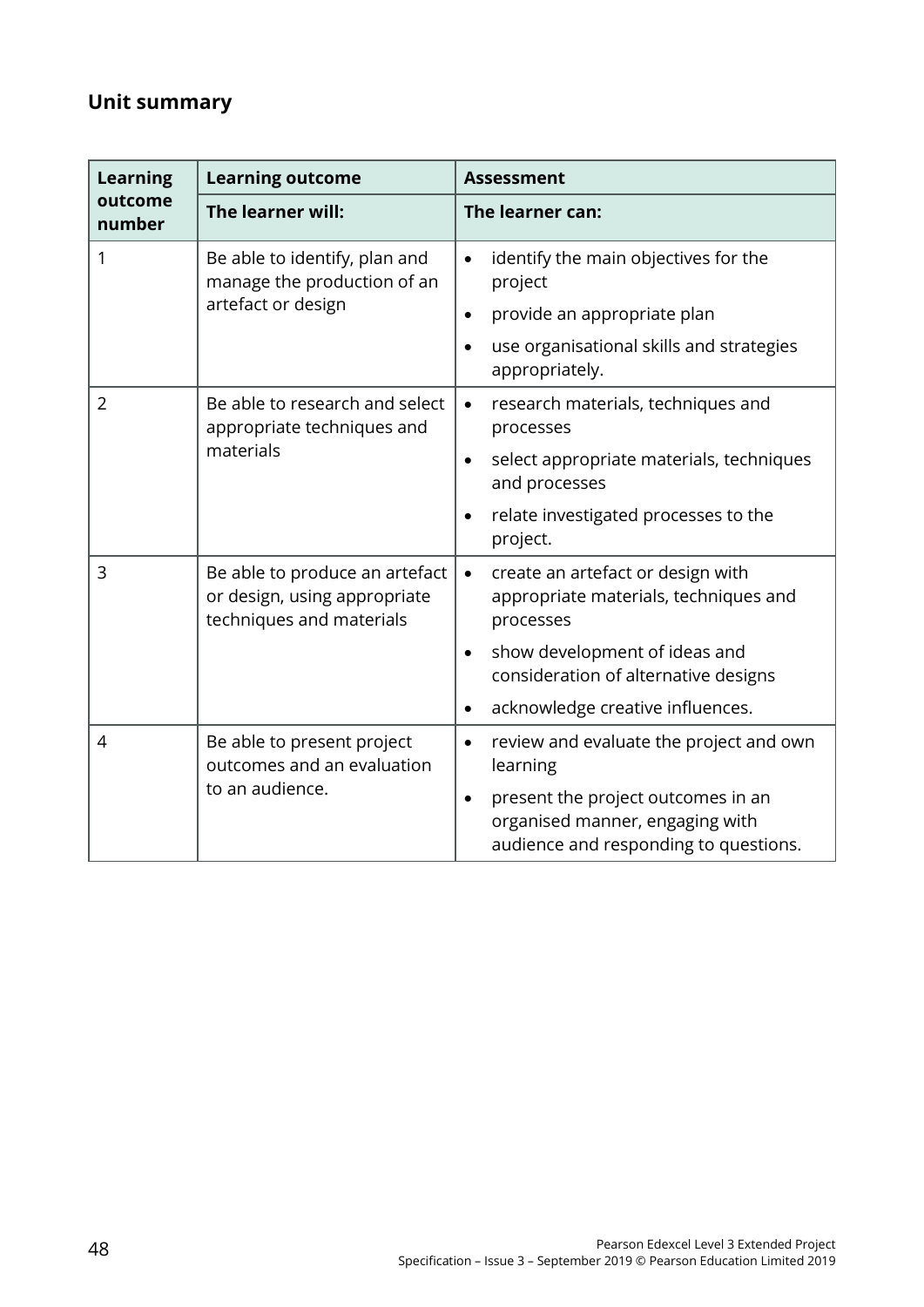# **Unit summary**

| <b>Learning</b>   | <b>Learning outcome</b>                                                                    | <b>Assessment</b>                                                                                                                                                      |
|-------------------|--------------------------------------------------------------------------------------------|------------------------------------------------------------------------------------------------------------------------------------------------------------------------|
| outcome<br>number | The learner will:                                                                          | The learner can:                                                                                                                                                       |
| 1                 | Be able to identify, plan and<br>manage the production of an<br>artefact or design         | identify the main objectives for the<br>$\bullet$<br>project<br>provide an appropriate plan<br>$\bullet$<br>use organisational skills and strategies<br>appropriately. |
| $\overline{2}$    | Be able to research and select<br>appropriate techniques and                               | research materials, techniques and<br>$\bullet$<br>processes                                                                                                           |
|                   | materials                                                                                  | select appropriate materials, techniques<br>$\bullet$<br>and processes                                                                                                 |
|                   |                                                                                            | relate investigated processes to the<br>project.                                                                                                                       |
| 3                 | Be able to produce an artefact<br>or design, using appropriate<br>techniques and materials | create an artefact or design with<br>$\bullet$<br>appropriate materials, techniques and<br>processes                                                                   |
|                   |                                                                                            | show development of ideas and<br>$\bullet$<br>consideration of alternative designs                                                                                     |
|                   |                                                                                            | acknowledge creative influences.<br>$\bullet$                                                                                                                          |
| $\overline{4}$    | Be able to present project<br>outcomes and an evaluation                                   | review and evaluate the project and own<br>$\bullet$<br>learning                                                                                                       |
|                   | to an audience.                                                                            | present the project outcomes in an<br>$\bullet$<br>organised manner, engaging with<br>audience and responding to questions.                                            |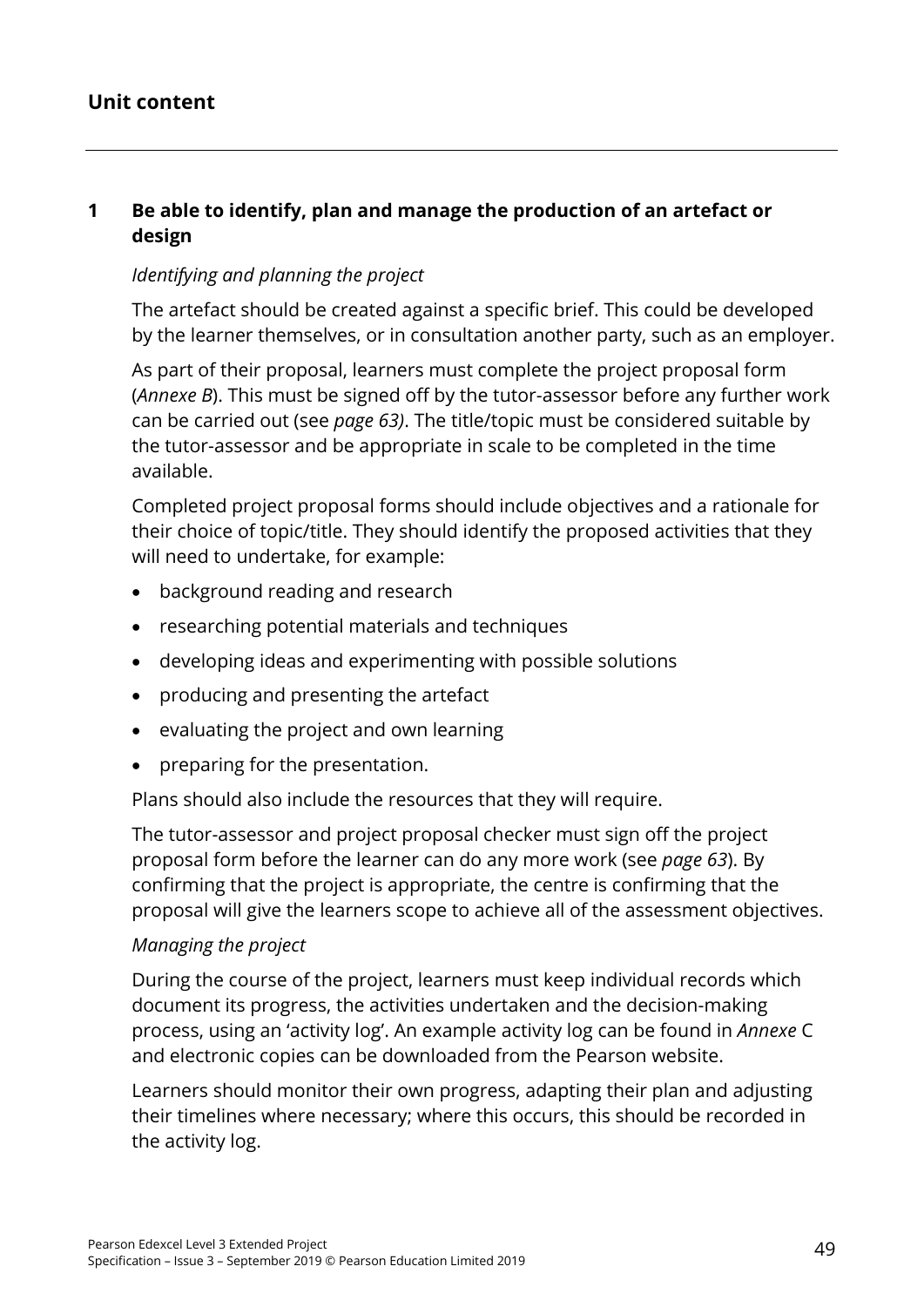## **Unit content**

### **1 Be able to identify, plan and manage the production of an artefact or design**

#### *Identifying and planning the project*

The artefact should be created against a specific brief. This could be developed by the learner themselves, or in consultation another party, such as an employer.

As part of their proposal, learners must complete the project proposal form (*Annexe B*). This must be signed off by the tutor-assessor before any further work can be carried out (see *page 63)*. The title/topic must be considered suitable by the tutor-assessor and be appropriate in scale to be completed in the time available.

Completed project proposal forms should include objectives and a rationale for their choice of topic/title. They should identify the proposed activities that they will need to undertake, for example:

- background reading and research
- researching potential materials and techniques
- developing ideas and experimenting with possible solutions
- producing and presenting the artefact
- evaluating the project and own learning
- preparing for the presentation.

Plans should also include the resources that they will require.

The tutor-assessor and project proposal checker must sign off the project proposal form before the learner can do any more work (see *page 63*). By confirming that the project is appropriate, the centre is confirming that the proposal will give the learners scope to achieve all of the assessment objectives.

#### *Managing the project*

During the course of the project, learners must keep individual records which document its progress, the activities undertaken and the decision-making process, using an 'activity log'. An example activity log can be found in *Annexe* C and electronic copies can be downloaded from the Pearson website.

Learners should monitor their own progress, adapting their plan and adjusting their timelines where necessary; where this occurs, this should be recorded in the activity log.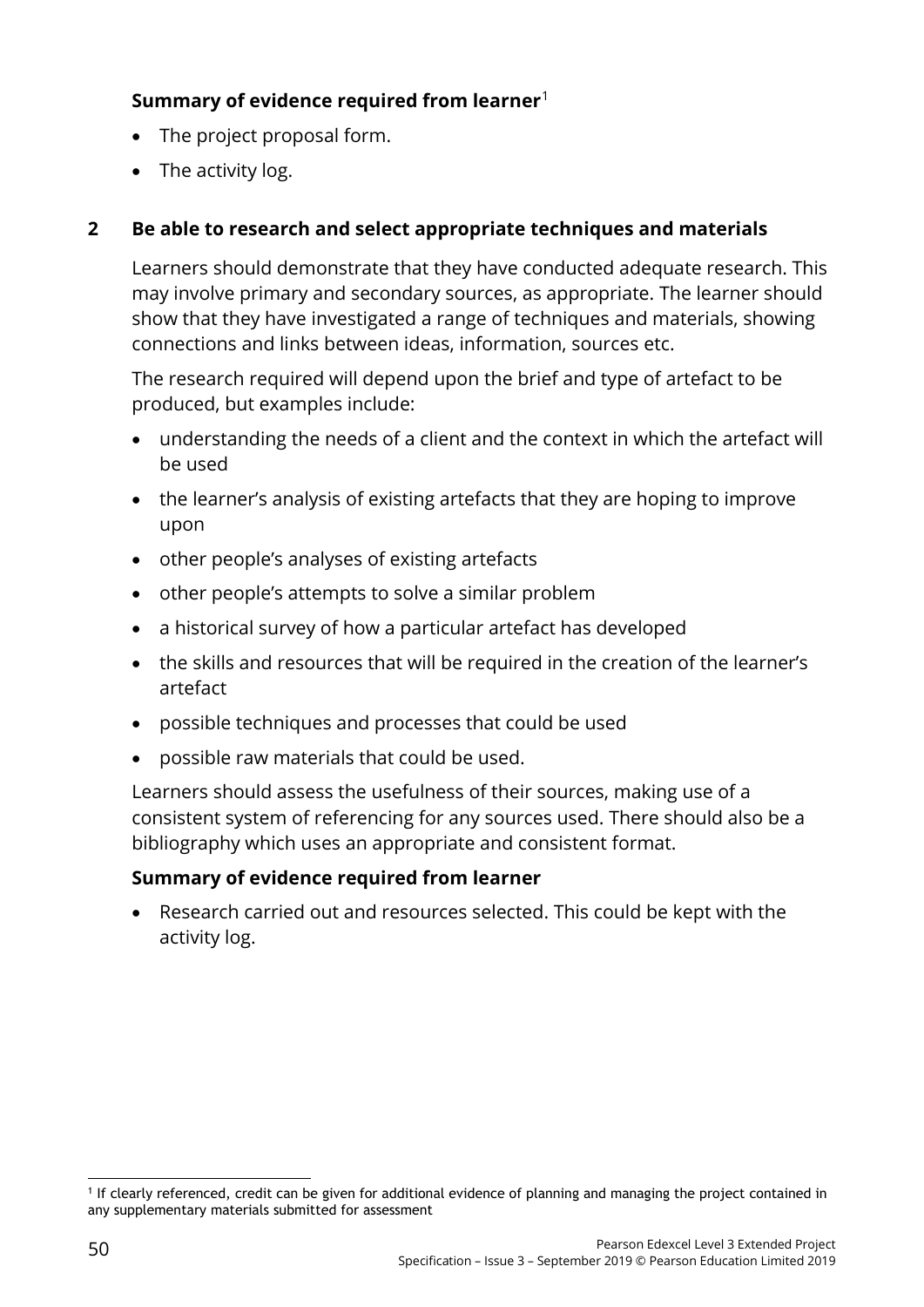# **Summary of evidence required from learner**[1](#page-55-0)

- The project proposal form.
- The activity log.

## **2 Be able to research and select appropriate techniques and materials**

Learners should demonstrate that they have conducted adequate research. This may involve primary and secondary sources, as appropriate. The learner should show that they have investigated a range of techniques and materials, showing connections and links between ideas, information, sources etc.

The research required will depend upon the brief and type of artefact to be produced, but examples include:

- understanding the needs of a client and the context in which the artefact will be used
- the learner's analysis of existing artefacts that they are hoping to improve upon
- other people's analyses of existing artefacts
- other people's attempts to solve a similar problem
- a historical survey of how a particular artefact has developed
- the skills and resources that will be required in the creation of the learner's artefact
- possible techniques and processes that could be used
- possible raw materials that could be used.

Learners should assess the usefulness of their sources, making use of a consistent system of referencing for any sources used. There should also be a bibliography which uses an appropriate and consistent format.

#### **Summary of evidence required from learner**

• Research carried out and resources selected. This could be kept with the activity log.

<span id="page-55-0"></span><sup>&</sup>lt;u>.</u> <sup>1</sup> If clearly referenced, credit can be given for additional evidence of planning and managing the project contained in any supplementary materials submitted for assessment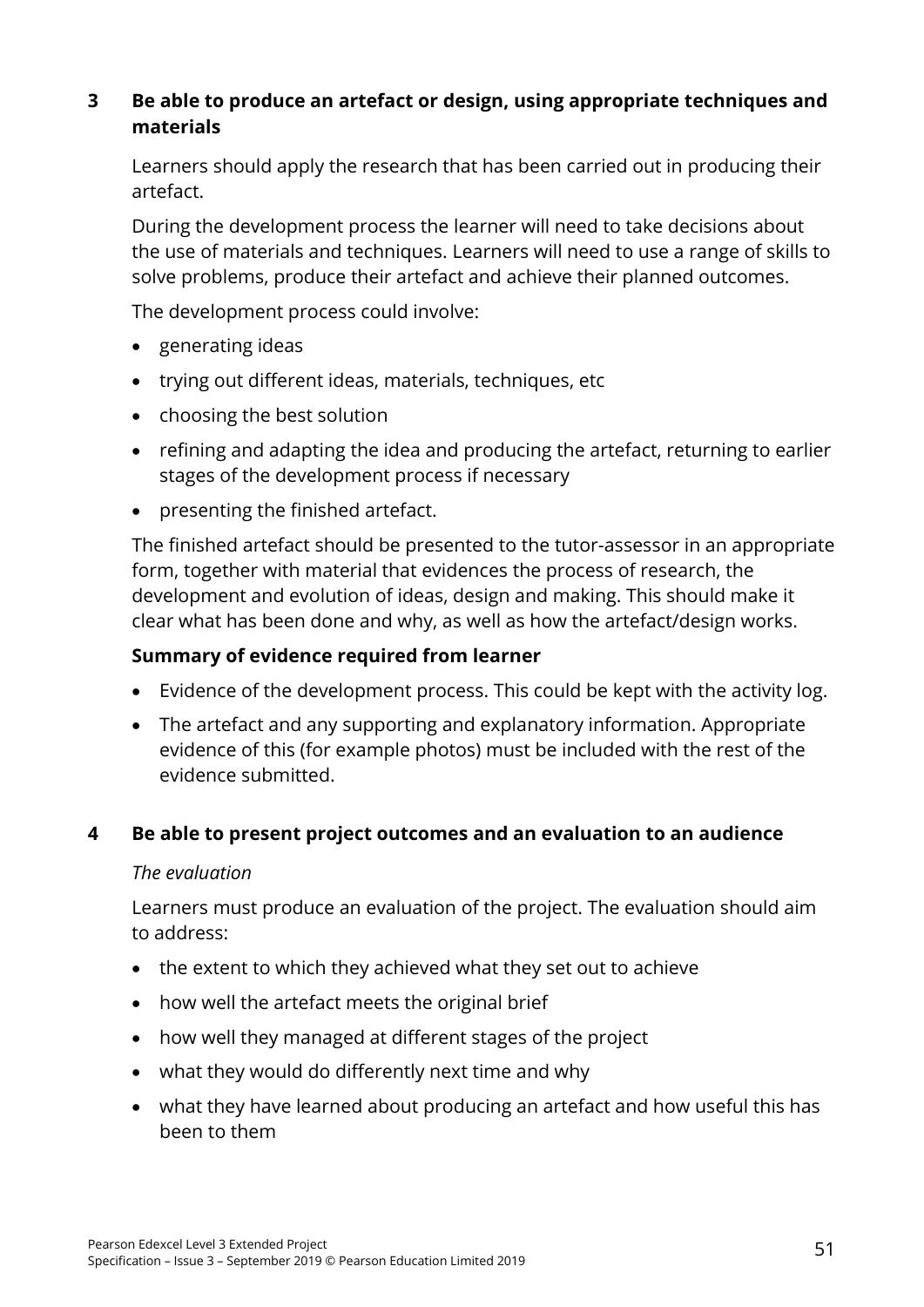## **3 Be able to produce an artefact or design, using appropriate techniques and materials**

Learners should apply the research that has been carried out in producing their artefact.

During the development process the learner will need to take decisions about the use of materials and techniques. Learners will need to use a range of skills to solve problems, produce their artefact and achieve their planned outcomes.

The development process could involve:

- generating ideas
- trying out different ideas, materials, techniques, etc
- choosing the best solution
- refining and adapting the idea and producing the artefact, returning to earlier stages of the development process if necessary
- presenting the finished artefact.

The finished artefact should be presented to the tutor-assessor in an appropriate form, together with material that evidences the process of research, the development and evolution of ideas, design and making. This should make it clear what has been done and why, as well as how the artefact/design works.

#### **Summary of evidence required from learner**

- Evidence of the development process. This could be kept with the activity log.
- The artefact and any supporting and explanatory information. Appropriate evidence of this (for example photos) must be included with the rest of the evidence submitted.

#### **4 Be able to present project outcomes and an evaluation to an audience**

#### *The evaluation*

Learners must produce an evaluation of the project. The evaluation should aim to address:

- the extent to which they achieved what they set out to achieve
- how well the artefact meets the original brief
- how well they managed at different stages of the project
- what they would do differently next time and why
- what they have learned about producing an artefact and how useful this has been to them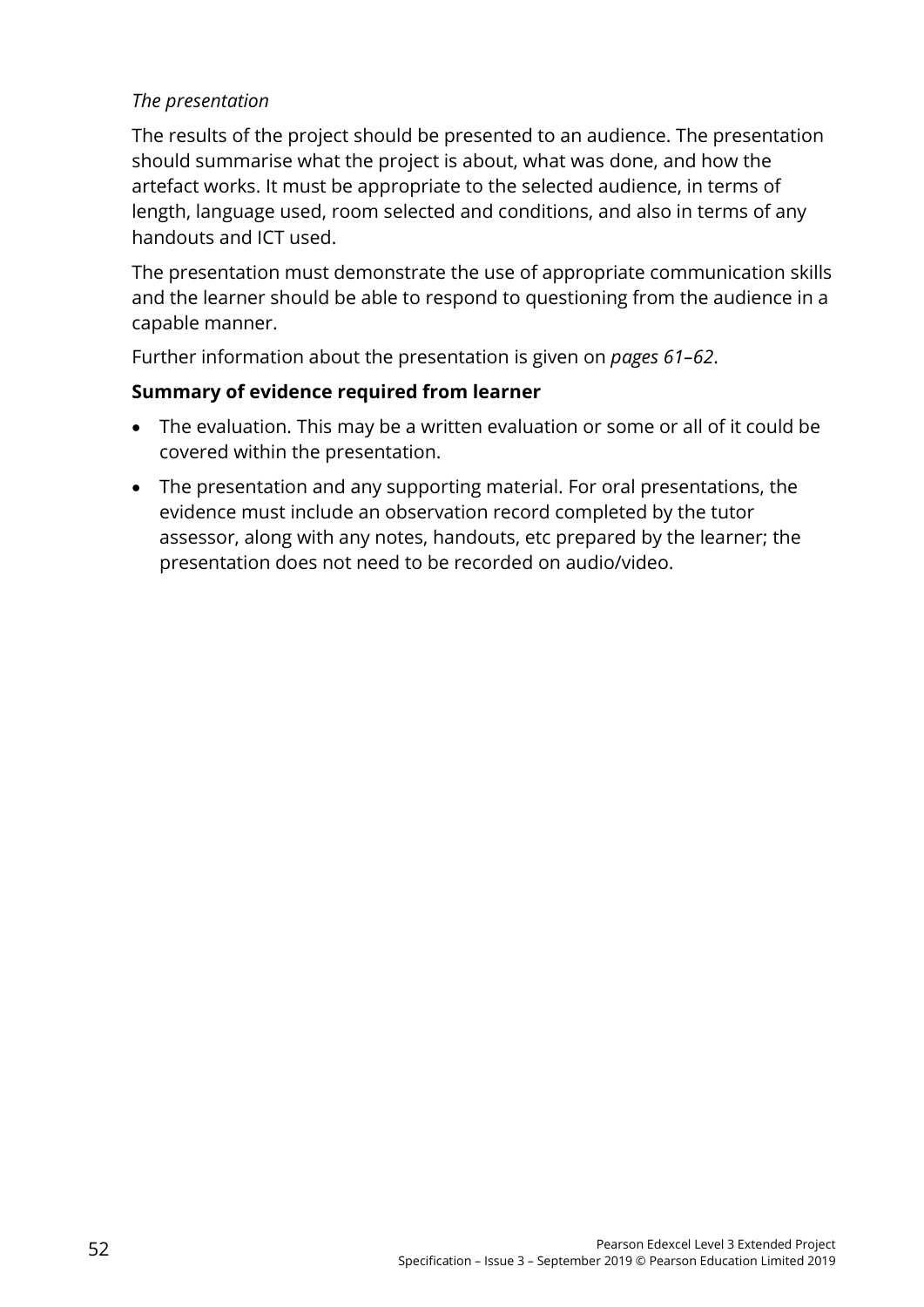### *The presentation*

The results of the project should be presented to an audience. The presentation should summarise what the project is about, what was done, and how the artefact works. It must be appropriate to the selected audience, in terms of length, language used, room selected and conditions, and also in terms of any handouts and ICT used.

The presentation must demonstrate the use of appropriate communication skills and the learner should be able to respond to questioning from the audience in a capable manner.

Further information about the presentation is given on *pages 61–62*.

## **Summary of evidence required from learner**

- The evaluation. This may be a written evaluation or some or all of it could be covered within the presentation.
- The presentation and any supporting material. For oral presentations, the evidence must include an observation record completed by the tutor assessor, along with any notes, handouts, etc prepared by the learner; the presentation does not need to be recorded on audio/video.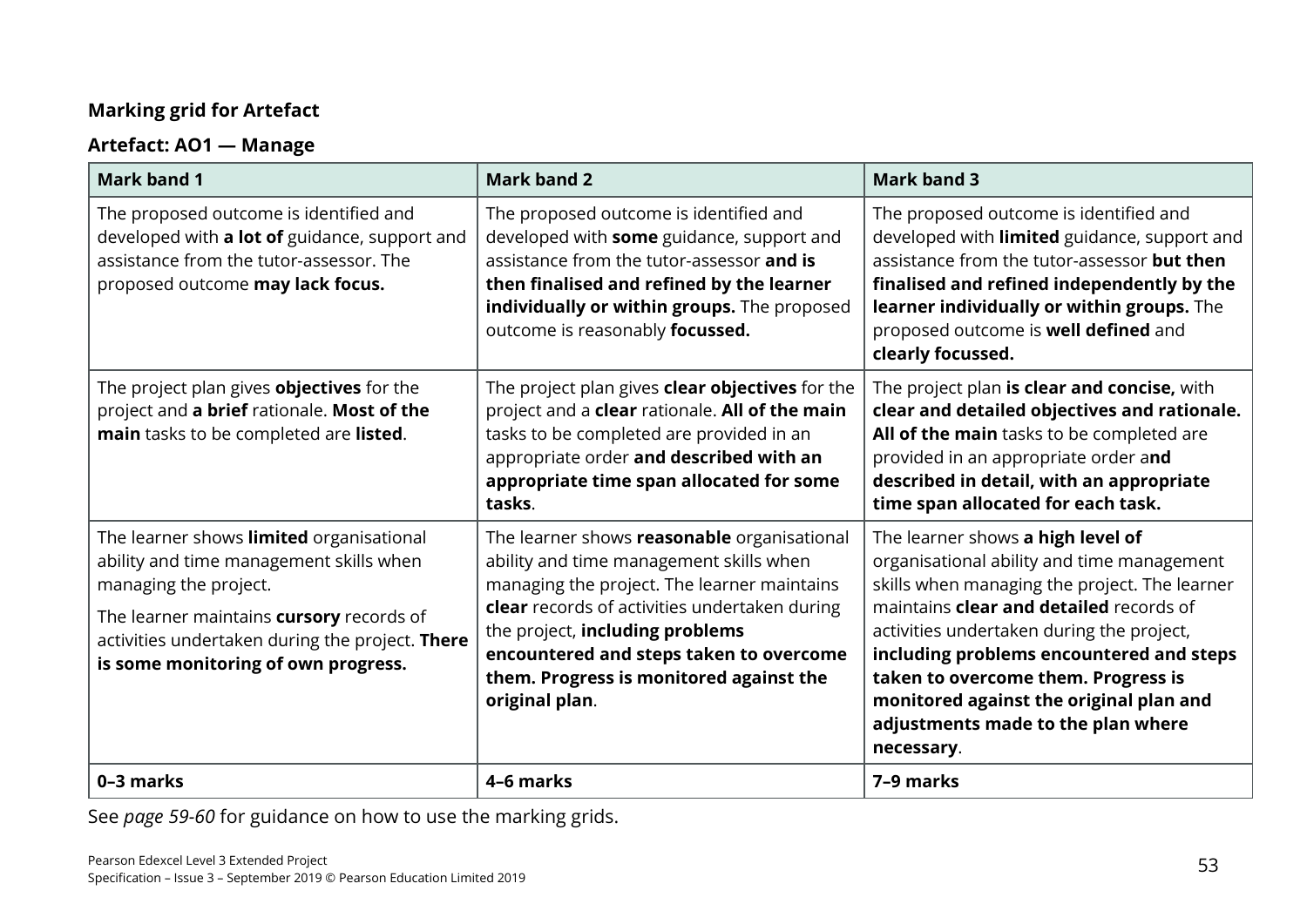# **Marking grid for Artefact**

# **Artefact: AO1 — Manage**

| <b>Mark band 1</b>                                                                                                                                                                                                                                 | <b>Mark band 2</b>                                                                                                                                                                                                                                                                                                                | <b>Mark band 3</b>                                                                                                                                                                                                                                                                                                                                                                                         |
|----------------------------------------------------------------------------------------------------------------------------------------------------------------------------------------------------------------------------------------------------|-----------------------------------------------------------------------------------------------------------------------------------------------------------------------------------------------------------------------------------------------------------------------------------------------------------------------------------|------------------------------------------------------------------------------------------------------------------------------------------------------------------------------------------------------------------------------------------------------------------------------------------------------------------------------------------------------------------------------------------------------------|
| The proposed outcome is identified and<br>developed with a lot of guidance, support and<br>assistance from the tutor-assessor. The<br>proposed outcome may lack focus.                                                                             | The proposed outcome is identified and<br>developed with some guidance, support and<br>assistance from the tutor-assessor and is<br>then finalised and refined by the learner<br>individually or within groups. The proposed<br>outcome is reasonably focussed.                                                                   | The proposed outcome is identified and<br>developed with limited guidance, support and<br>assistance from the tutor-assessor but then<br>finalised and refined independently by the<br>learner individually or within groups. The<br>proposed outcome is well defined and<br>clearly focussed.                                                                                                             |
| The project plan gives <b>objectives</b> for the<br>project and a brief rationale. Most of the<br>main tasks to be completed are listed.                                                                                                           | The project plan gives clear objectives for the<br>project and a clear rationale. All of the main<br>tasks to be completed are provided in an<br>appropriate order and described with an<br>appropriate time span allocated for some<br>tasks.                                                                                    | The project plan is clear and concise, with<br>clear and detailed objectives and rationale.<br>All of the main tasks to be completed are<br>provided in an appropriate order and<br>described in detail, with an appropriate<br>time span allocated for each task.                                                                                                                                         |
| The learner shows limited organisational<br>ability and time management skills when<br>managing the project.<br>The learner maintains cursory records of<br>activities undertaken during the project. There<br>is some monitoring of own progress. | The learner shows reasonable organisational<br>ability and time management skills when<br>managing the project. The learner maintains<br>clear records of activities undertaken during<br>the project, including problems<br>encountered and steps taken to overcome<br>them. Progress is monitored against the<br>original plan. | The learner shows a high level of<br>organisational ability and time management<br>skills when managing the project. The learner<br>maintains clear and detailed records of<br>activities undertaken during the project,<br>including problems encountered and steps<br>taken to overcome them. Progress is<br>monitored against the original plan and<br>adjustments made to the plan where<br>necessary. |
| 0-3 marks                                                                                                                                                                                                                                          | 4-6 marks                                                                                                                                                                                                                                                                                                                         | 7-9 marks                                                                                                                                                                                                                                                                                                                                                                                                  |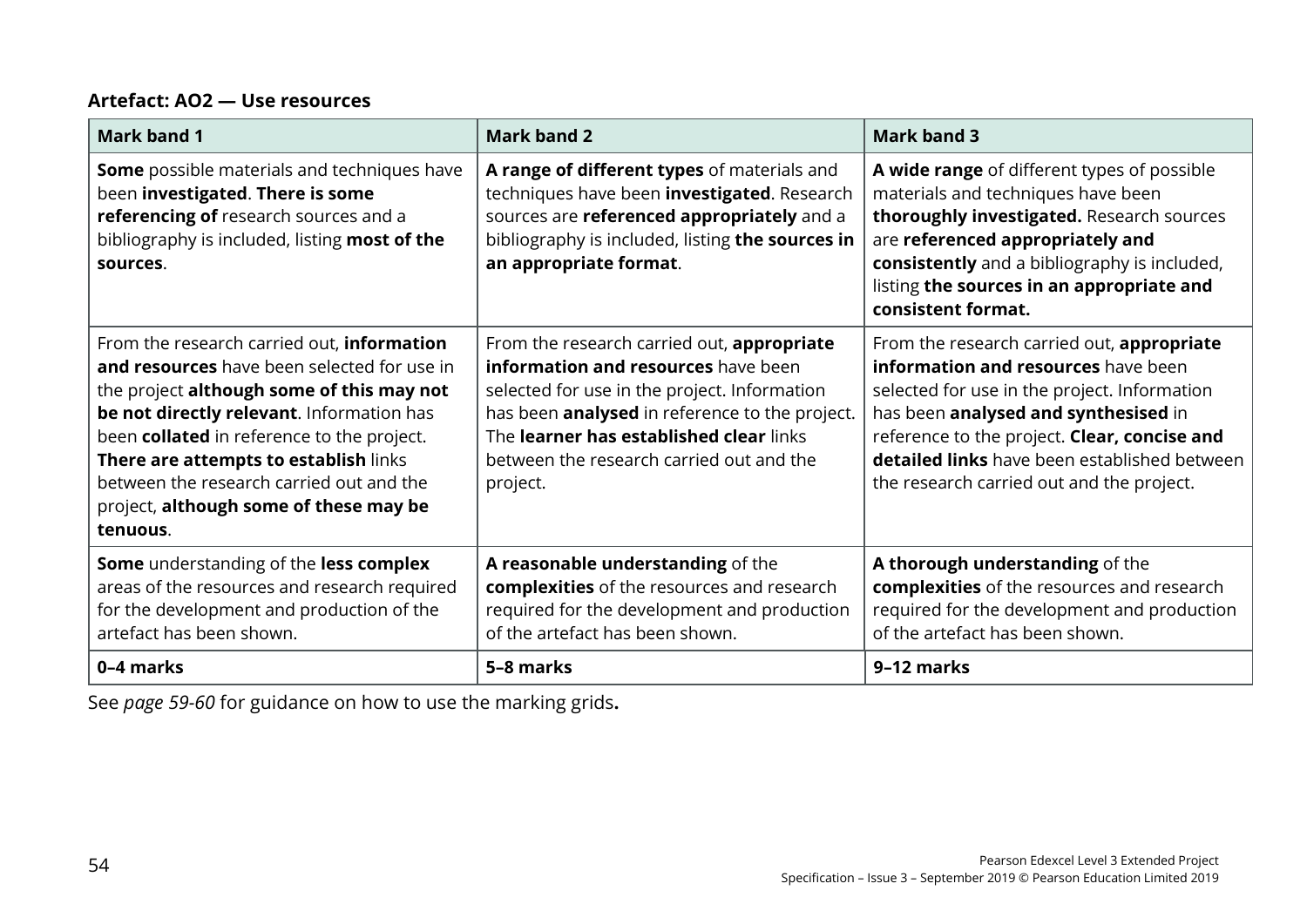#### **Artefact: AO2 — Use resources**

| <b>Mark band 1</b>                                                                                                                                                                                                                                                                                                                                                           | <b>Mark band 2</b>                                                                                                                                                                                                                                                                     | <b>Mark band 3</b>                                                                                                                                                                                                                                                                                                            |
|------------------------------------------------------------------------------------------------------------------------------------------------------------------------------------------------------------------------------------------------------------------------------------------------------------------------------------------------------------------------------|----------------------------------------------------------------------------------------------------------------------------------------------------------------------------------------------------------------------------------------------------------------------------------------|-------------------------------------------------------------------------------------------------------------------------------------------------------------------------------------------------------------------------------------------------------------------------------------------------------------------------------|
| <b>Some</b> possible materials and techniques have<br>been investigated. There is some<br>referencing of research sources and a<br>bibliography is included, listing most of the<br>sources.                                                                                                                                                                                 | A range of different types of materials and<br>techniques have been investigated. Research<br>sources are referenced appropriately and a<br>bibliography is included, listing the sources in<br>an appropriate format.                                                                 | A wide range of different types of possible<br>materials and techniques have been<br>thoroughly investigated. Research sources<br>are referenced appropriately and<br>consistently and a bibliography is included,<br>listing the sources in an appropriate and<br>consistent format.                                         |
| From the research carried out, information<br>and resources have been selected for use in<br>the project although some of this may not<br>be not directly relevant. Information has<br>been collated in reference to the project.<br>There are attempts to establish links<br>between the research carried out and the<br>project, although some of these may be<br>tenuous. | From the research carried out, appropriate<br>information and resources have been<br>selected for use in the project. Information<br>has been analysed in reference to the project.<br>The learner has established clear links<br>between the research carried out and the<br>project. | From the research carried out, appropriate<br>information and resources have been<br>selected for use in the project. Information<br>has been analysed and synthesised in<br>reference to the project. Clear, concise and<br><b>detailed links</b> have been established between<br>the research carried out and the project. |
| Some understanding of the less complex<br>areas of the resources and research required<br>for the development and production of the<br>artefact has been shown.                                                                                                                                                                                                              | A reasonable understanding of the<br>complexities of the resources and research<br>required for the development and production<br>of the artefact has been shown.                                                                                                                      | A thorough understanding of the<br>complexities of the resources and research<br>required for the development and production<br>of the artefact has been shown.                                                                                                                                                               |
| 0-4 marks                                                                                                                                                                                                                                                                                                                                                                    | 5-8 marks                                                                                                                                                                                                                                                                              | 9-12 marks                                                                                                                                                                                                                                                                                                                    |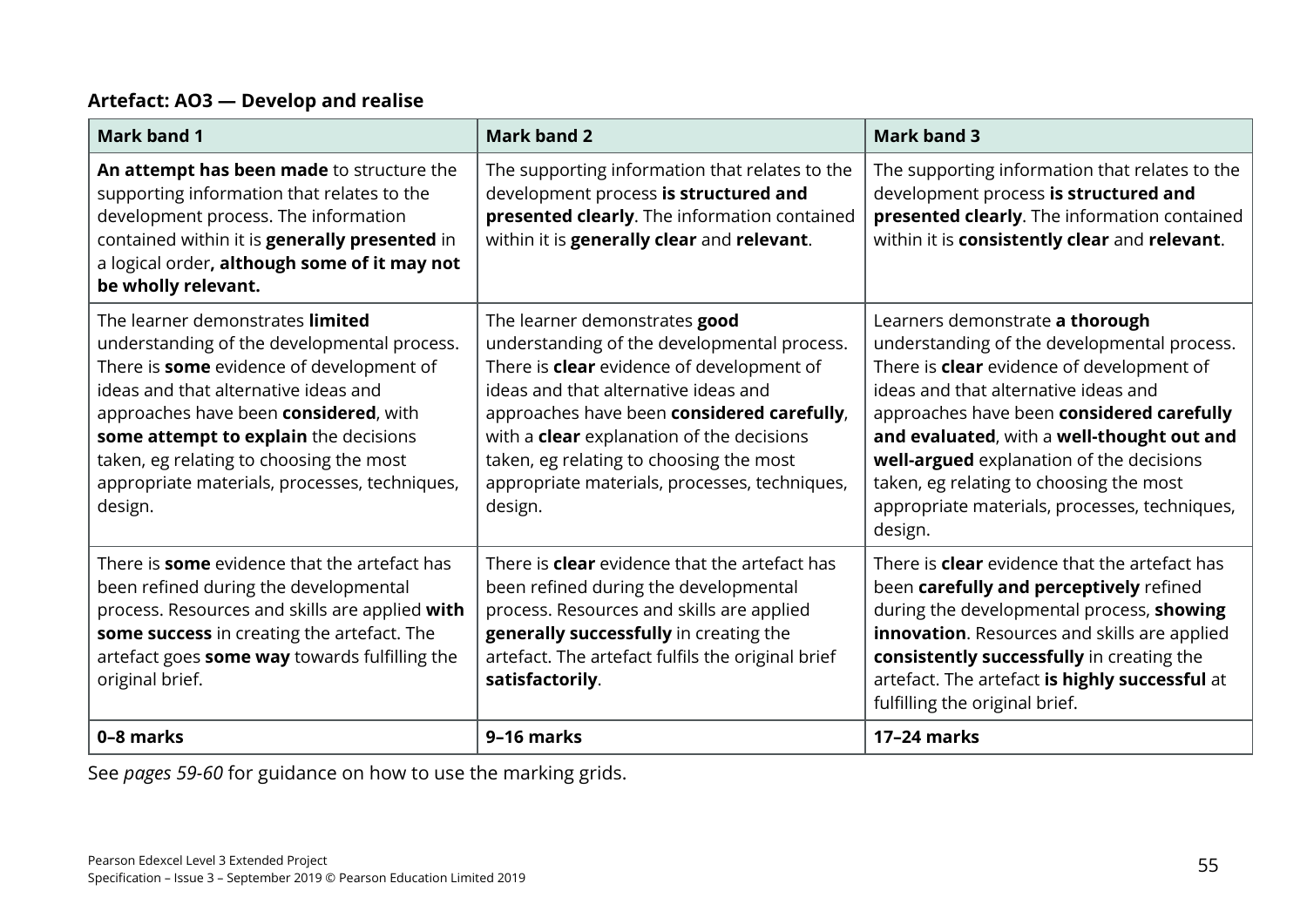### **Artefact: AO3 — Develop and realise**

| <b>Mark band 1</b>                                                                                                                                                                                                                                                                                                                                           | <b>Mark band 2</b>                                                                                                                                                                                                                                                                                                                                                                | <b>Mark band 3</b>                                                                                                                                                                                                                                                                                                                                                                                                       |
|--------------------------------------------------------------------------------------------------------------------------------------------------------------------------------------------------------------------------------------------------------------------------------------------------------------------------------------------------------------|-----------------------------------------------------------------------------------------------------------------------------------------------------------------------------------------------------------------------------------------------------------------------------------------------------------------------------------------------------------------------------------|--------------------------------------------------------------------------------------------------------------------------------------------------------------------------------------------------------------------------------------------------------------------------------------------------------------------------------------------------------------------------------------------------------------------------|
| An attempt has been made to structure the<br>supporting information that relates to the<br>development process. The information<br>contained within it is generally presented in<br>a logical order, although some of it may not<br>be wholly relevant.                                                                                                      | The supporting information that relates to the<br>development process is structured and<br>presented clearly. The information contained<br>within it is generally clear and relevant.                                                                                                                                                                                             | The supporting information that relates to the<br>development process is structured and<br>presented clearly. The information contained<br>within it is consistently clear and relevant.                                                                                                                                                                                                                                 |
| The learner demonstrates limited<br>understanding of the developmental process.<br>There is some evidence of development of<br>ideas and that alternative ideas and<br>approaches have been considered, with<br>some attempt to explain the decisions<br>taken, eg relating to choosing the most<br>appropriate materials, processes, techniques,<br>design. | The learner demonstrates good<br>understanding of the developmental process.<br>There is <b>clear</b> evidence of development of<br>ideas and that alternative ideas and<br>approaches have been considered carefully,<br>with a <b>clear</b> explanation of the decisions<br>taken, eg relating to choosing the most<br>appropriate materials, processes, techniques,<br>design. | Learners demonstrate a thorough<br>understanding of the developmental process.<br>There is <b>clear</b> evidence of development of<br>ideas and that alternative ideas and<br>approaches have been considered carefully<br>and evaluated, with a well-thought out and<br>well-argued explanation of the decisions<br>taken, eg relating to choosing the most<br>appropriate materials, processes, techniques,<br>design. |
| There is <b>some</b> evidence that the artefact has<br>been refined during the developmental<br>process. Resources and skills are applied with<br>some success in creating the artefact. The<br>artefact goes some way towards fulfilling the<br>original brief.                                                                                             | There is <b>clear</b> evidence that the artefact has<br>been refined during the developmental<br>process. Resources and skills are applied<br>generally successfully in creating the<br>artefact. The artefact fulfils the original brief<br>satisfactorily.                                                                                                                      | There is <b>clear</b> evidence that the artefact has<br>been carefully and perceptively refined<br>during the developmental process, showing<br><b>innovation.</b> Resources and skills are applied<br>consistently successfully in creating the<br>artefact. The artefact is highly successful at<br>fulfilling the original brief.                                                                                     |
| 0-8 marks                                                                                                                                                                                                                                                                                                                                                    | 9-16 marks                                                                                                                                                                                                                                                                                                                                                                        | 17-24 marks                                                                                                                                                                                                                                                                                                                                                                                                              |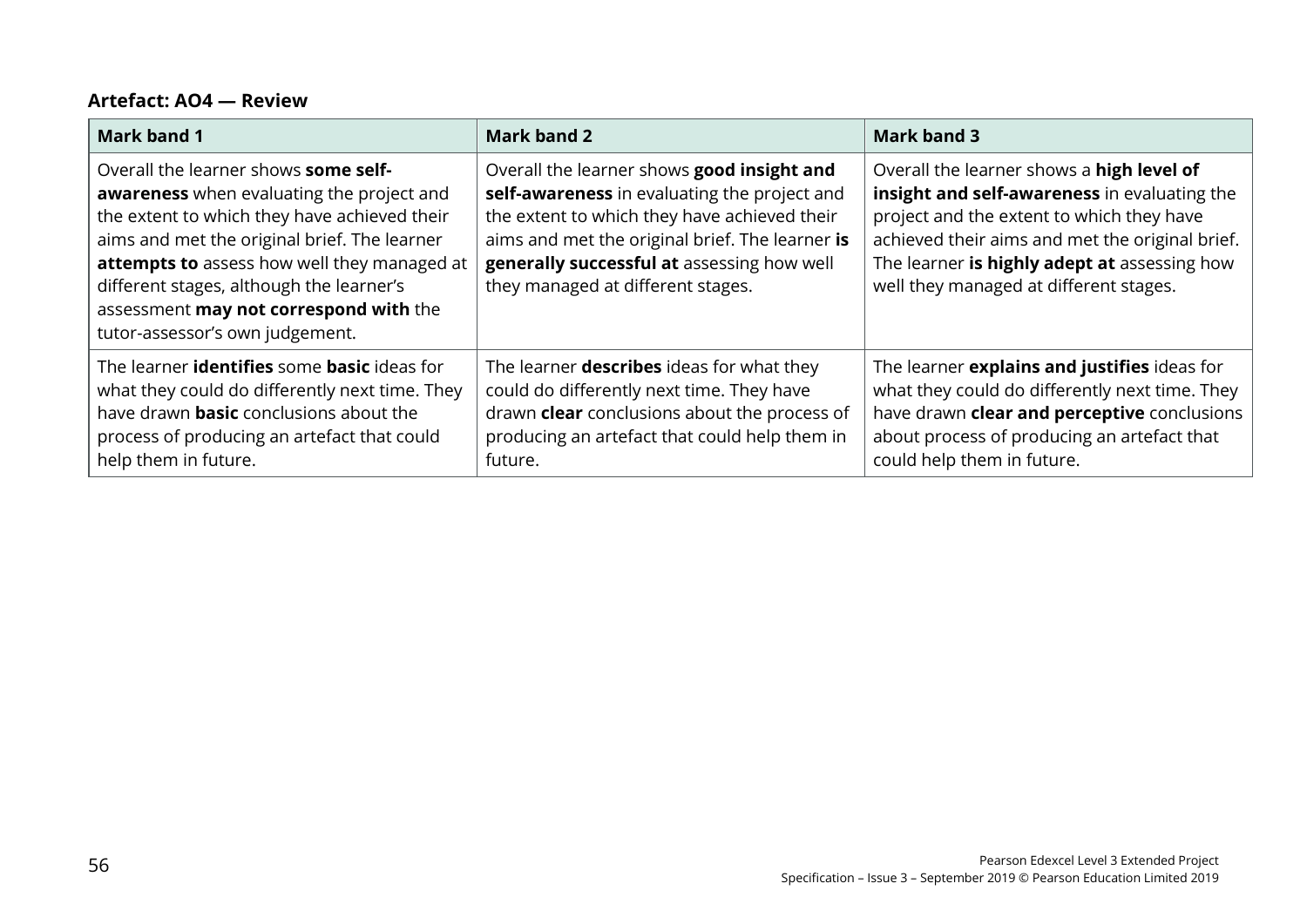#### **Artefact: AO4 — Review**

| <b>Mark band 1</b>                                                                                                                                                                                                                                                                                                                                        | <b>Mark band 2</b>                                                                                                                                                                                                                                                               | <b>Mark band 3</b>                                                                                                                                                                                                                                                                  |
|-----------------------------------------------------------------------------------------------------------------------------------------------------------------------------------------------------------------------------------------------------------------------------------------------------------------------------------------------------------|----------------------------------------------------------------------------------------------------------------------------------------------------------------------------------------------------------------------------------------------------------------------------------|-------------------------------------------------------------------------------------------------------------------------------------------------------------------------------------------------------------------------------------------------------------------------------------|
| Overall the learner shows some self-<br>awareness when evaluating the project and<br>the extent to which they have achieved their<br>aims and met the original brief. The learner<br>attempts to assess how well they managed at<br>different stages, although the learner's<br>assessment may not correspond with the<br>tutor-assessor's own judgement. | Overall the learner shows good insight and<br>self-awareness in evaluating the project and<br>the extent to which they have achieved their<br>aims and met the original brief. The learner is<br>generally successful at assessing how well<br>they managed at different stages. | Overall the learner shows a high level of<br>insight and self-awareness in evaluating the<br>project and the extent to which they have<br>achieved their aims and met the original brief.<br>The learner is highly adept at assessing how<br>well they managed at different stages. |
| The learner identifies some basic ideas for<br>what they could do differently next time. They<br>have drawn <b>basic</b> conclusions about the<br>process of producing an artefact that could<br>help them in future.                                                                                                                                     | The learner <b>describes</b> ideas for what they<br>could do differently next time. They have<br>drawn clear conclusions about the process of<br>producing an artefact that could help them in<br>future.                                                                        | The learner explains and justifies ideas for<br>what they could do differently next time. They<br>have drawn clear and perceptive conclusions<br>about process of producing an artefact that<br>could help them in future.                                                          |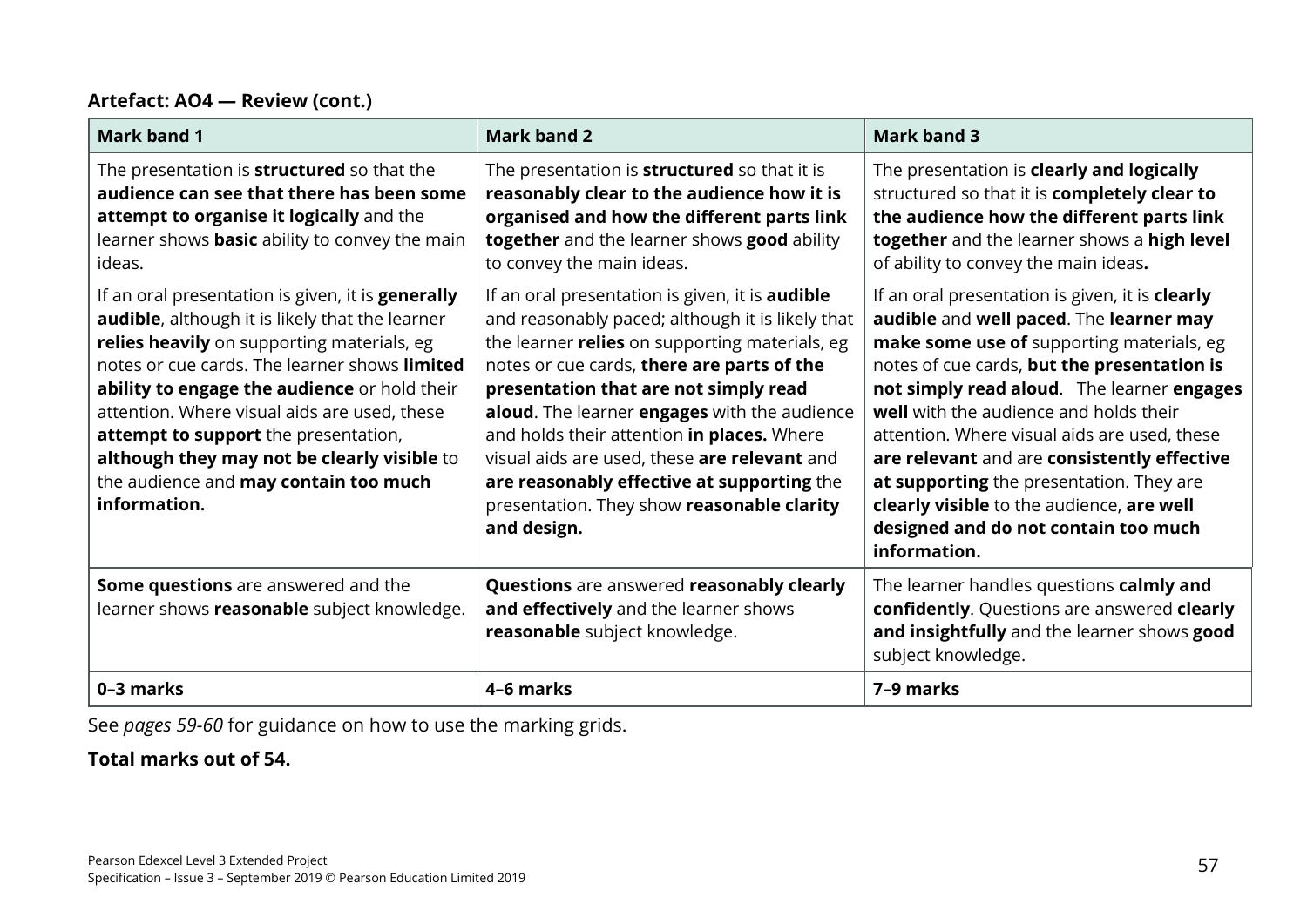#### **Artefact: AO4 — Review (cont.)**

| <b>Mark band 1</b>                                                                                                                                                                                                                                                                                                                                                                                                                                         | <b>Mark band 2</b>                                                                                                                                                                                                                                                                                                                                                                                                                                                                                           | <b>Mark band 3</b>                                                                                                                                                                                                                                                                                                                                                                                                                                                                                                             |
|------------------------------------------------------------------------------------------------------------------------------------------------------------------------------------------------------------------------------------------------------------------------------------------------------------------------------------------------------------------------------------------------------------------------------------------------------------|--------------------------------------------------------------------------------------------------------------------------------------------------------------------------------------------------------------------------------------------------------------------------------------------------------------------------------------------------------------------------------------------------------------------------------------------------------------------------------------------------------------|--------------------------------------------------------------------------------------------------------------------------------------------------------------------------------------------------------------------------------------------------------------------------------------------------------------------------------------------------------------------------------------------------------------------------------------------------------------------------------------------------------------------------------|
| The presentation is <b>structured</b> so that the<br>audience can see that there has been some<br>attempt to organise it logically and the<br>learner shows <b>basic</b> ability to convey the main<br>ideas.                                                                                                                                                                                                                                              | The presentation is <b>structured</b> so that it is<br>reasonably clear to the audience how it is<br>organised and how the different parts link<br>together and the learner shows good ability<br>to convey the main ideas.                                                                                                                                                                                                                                                                                  | The presentation is clearly and logically<br>structured so that it is completely clear to<br>the audience how the different parts link<br>together and the learner shows a high level<br>of ability to convey the main ideas.                                                                                                                                                                                                                                                                                                  |
| If an oral presentation is given, it is <b>generally</b><br>audible, although it is likely that the learner<br>relies heavily on supporting materials, eg<br>notes or cue cards. The learner shows limited<br>ability to engage the audience or hold their<br>attention. Where visual aids are used, these<br>attempt to support the presentation,<br>although they may not be clearly visible to<br>the audience and may contain too much<br>information. | If an oral presentation is given, it is <b>audible</b><br>and reasonably paced; although it is likely that<br>the learner relies on supporting materials, eg<br>notes or cue cards, there are parts of the<br>presentation that are not simply read<br>aloud. The learner engages with the audience<br>and holds their attention in places. Where<br>visual aids are used, these are relevant and<br>are reasonably effective at supporting the<br>presentation. They show reasonable clarity<br>and design. | If an oral presentation is given, it is clearly<br>audible and well paced. The learner may<br>make some use of supporting materials, eg<br>notes of cue cards, but the presentation is<br>not simply read aloud. The learner engages<br>well with the audience and holds their<br>attention. Where visual aids are used, these<br>are relevant and are consistently effective<br>at supporting the presentation. They are<br>clearly visible to the audience, are well<br>designed and do not contain too much<br>information. |
| Some questions are answered and the<br>learner shows reasonable subject knowledge.                                                                                                                                                                                                                                                                                                                                                                         | Questions are answered reasonably clearly<br>and effectively and the learner shows<br>reasonable subject knowledge.                                                                                                                                                                                                                                                                                                                                                                                          | The learner handles questions calmly and<br>confidently. Questions are answered clearly<br>and insightfully and the learner shows good<br>subject knowledge.                                                                                                                                                                                                                                                                                                                                                                   |
| 0-3 marks                                                                                                                                                                                                                                                                                                                                                                                                                                                  | 4-6 marks                                                                                                                                                                                                                                                                                                                                                                                                                                                                                                    | 7-9 marks                                                                                                                                                                                                                                                                                                                                                                                                                                                                                                                      |

See *pages 59-60* for guidance on how to use the marking grids.

#### **Total marks out of 54.**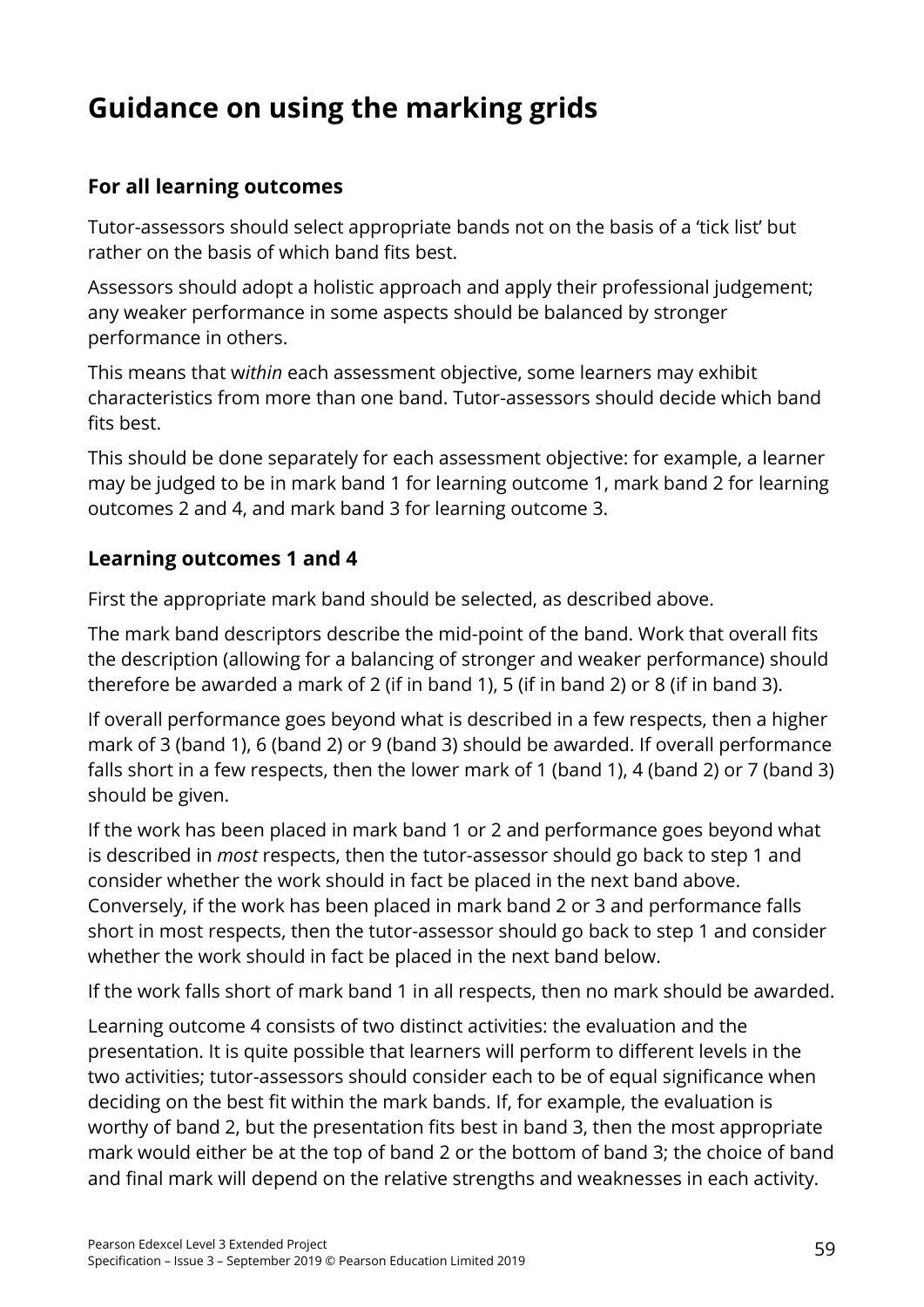# **Guidance on using the marking grids**

# **For all learning outcomes**

Tutor-assessors should select appropriate bands not on the basis of a 'tick list' but rather on the basis of which band fits best.

Assessors should adopt a holistic approach and apply their professional judgement; any weaker performance in some aspects should be balanced by stronger performance in others.

This means that w*ithin* each assessment objective, some learners may exhibit characteristics from more than one band. Tutor-assessors should decide which band fits best.

This should be done separately for each assessment objective: for example, a learner may be judged to be in mark band 1 for learning outcome 1, mark band 2 for learning outcomes 2 and 4, and mark band 3 for learning outcome 3.

# **Learning outcomes 1 and 4**

First the appropriate mark band should be selected, as described above.

The mark band descriptors describe the mid-point of the band. Work that overall fits the description (allowing for a balancing of stronger and weaker performance) should therefore be awarded a mark of 2 (if in band 1), 5 (if in band 2) or 8 (if in band 3).

If overall performance goes beyond what is described in a few respects, then a higher mark of 3 (band 1), 6 (band 2) or 9 (band 3) should be awarded. If overall performance falls short in a few respects, then the lower mark of 1 (band 1), 4 (band 2) or 7 (band 3) should be given.

If the work has been placed in mark band 1 or 2 and performance goes beyond what is described in *most* respects, then the tutor-assessor should go back to step 1 and consider whether the work should in fact be placed in the next band above. Conversely, if the work has been placed in mark band 2 or 3 and performance falls short in most respects, then the tutor-assessor should go back to step 1 and consider whether the work should in fact be placed in the next band below.

If the work falls short of mark band 1 in all respects, then no mark should be awarded.

Learning outcome 4 consists of two distinct activities: the evaluation and the presentation. It is quite possible that learners will perform to different levels in the two activities; tutor-assessors should consider each to be of equal significance when deciding on the best fit within the mark bands. If, for example, the evaluation is worthy of band 2, but the presentation fits best in band 3, then the most appropriate mark would either be at the top of band 2 or the bottom of band 3; the choice of band and final mark will depend on the relative strengths and weaknesses in each activity.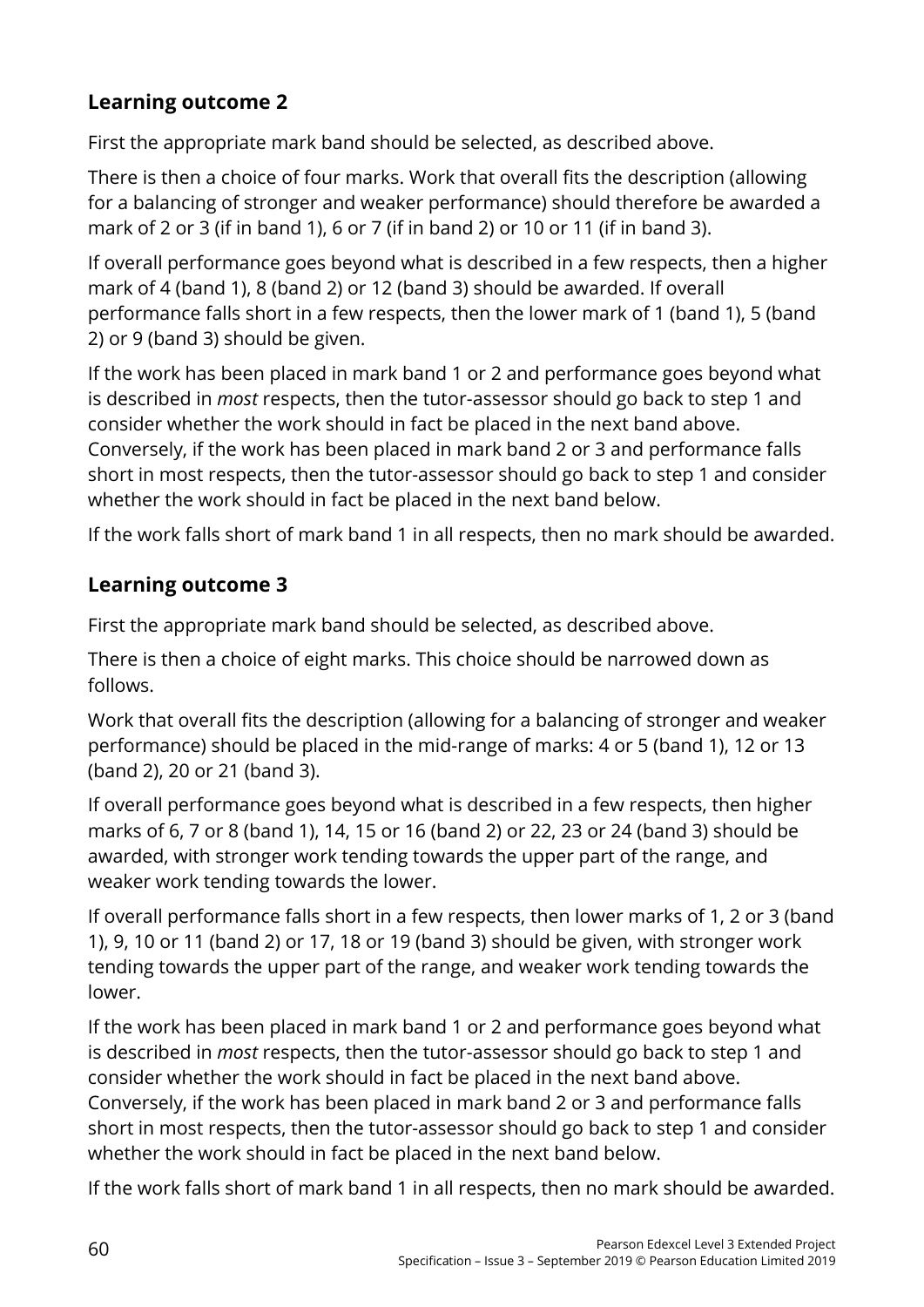# **Learning outcome 2**

First the appropriate mark band should be selected, as described above.

There is then a choice of four marks. Work that overall fits the description (allowing for a balancing of stronger and weaker performance) should therefore be awarded a mark of 2 or 3 (if in band 1), 6 or 7 (if in band 2) or 10 or 11 (if in band 3).

If overall performance goes beyond what is described in a few respects, then a higher mark of 4 (band 1), 8 (band 2) or 12 (band 3) should be awarded. If overall performance falls short in a few respects, then the lower mark of 1 (band 1), 5 (band 2) or 9 (band 3) should be given.

If the work has been placed in mark band 1 or 2 and performance goes beyond what is described in *most* respects, then the tutor-assessor should go back to step 1 and consider whether the work should in fact be placed in the next band above. Conversely, if the work has been placed in mark band 2 or 3 and performance falls short in most respects, then the tutor-assessor should go back to step 1 and consider whether the work should in fact be placed in the next band below.

If the work falls short of mark band 1 in all respects, then no mark should be awarded.

# **Learning outcome 3**

First the appropriate mark band should be selected, as described above.

There is then a choice of eight marks. This choice should be narrowed down as follows.

Work that overall fits the description (allowing for a balancing of stronger and weaker performance) should be placed in the mid-range of marks: 4 or 5 (band 1), 12 or 13 (band 2), 20 or 21 (band 3).

If overall performance goes beyond what is described in a few respects, then higher marks of 6, 7 or 8 (band 1), 14, 15 or 16 (band 2) or 22, 23 or 24 (band 3) should be awarded, with stronger work tending towards the upper part of the range, and weaker work tending towards the lower.

If overall performance falls short in a few respects, then lower marks of 1, 2 or 3 (band 1), 9, 10 or 11 (band 2) or 17, 18 or 19 (band 3) should be given, with stronger work tending towards the upper part of the range, and weaker work tending towards the lower.

If the work has been placed in mark band 1 or 2 and performance goes beyond what is described in *most* respects, then the tutor-assessor should go back to step 1 and consider whether the work should in fact be placed in the next band above. Conversely, if the work has been placed in mark band 2 or 3 and performance falls short in most respects, then the tutor-assessor should go back to step 1 and consider whether the work should in fact be placed in the next band below.

If the work falls short of mark band 1 in all respects, then no mark should be awarded.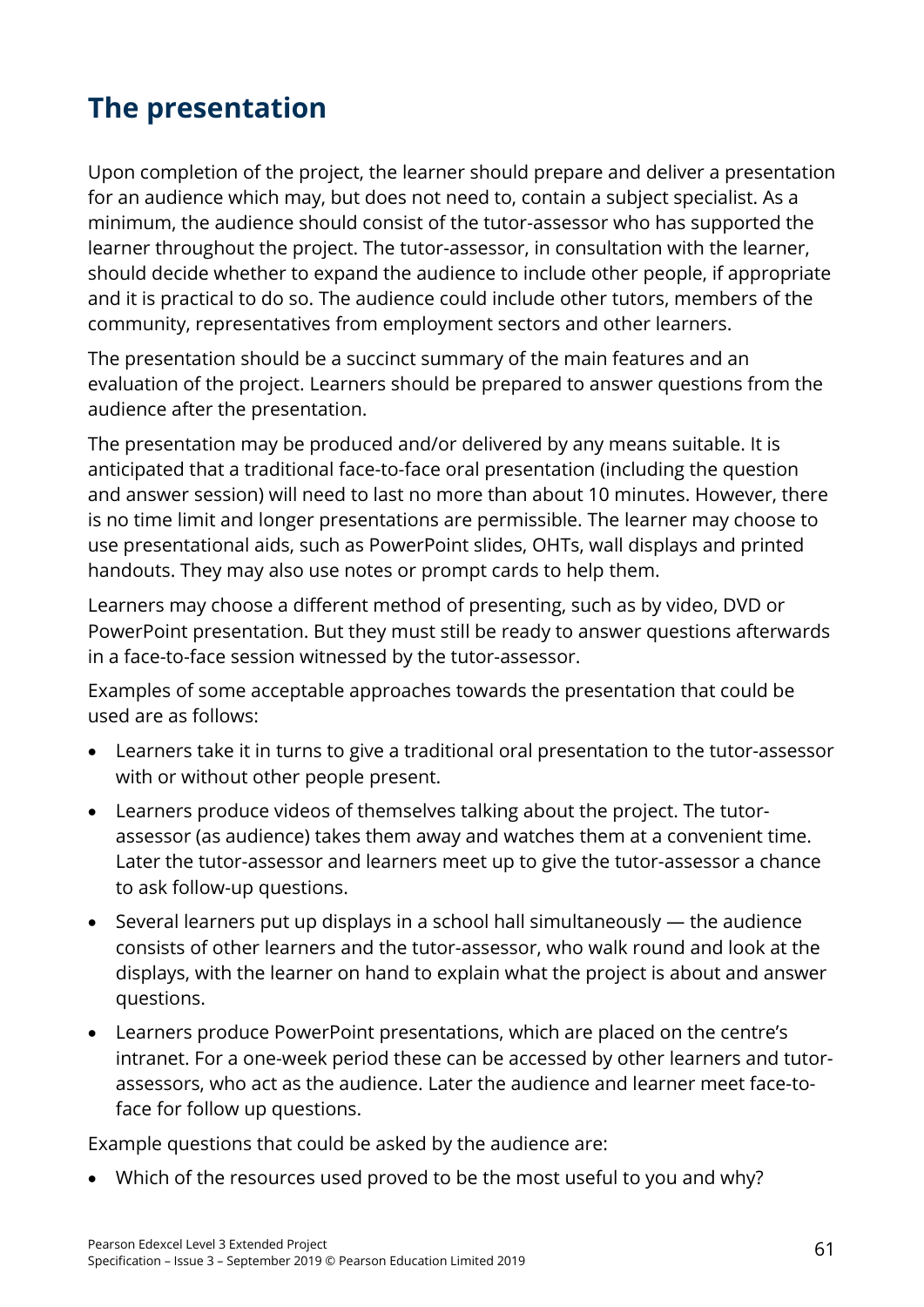# **The presentation**

Upon completion of the project, the learner should prepare and deliver a presentation for an audience which may, but does not need to, contain a subject specialist. As a minimum, the audience should consist of the tutor-assessor who has supported the learner throughout the project. The tutor-assessor, in consultation with the learner, should decide whether to expand the audience to include other people, if appropriate and it is practical to do so. The audience could include other tutors, members of the community, representatives from employment sectors and other learners.

The presentation should be a succinct summary of the main features and an evaluation of the project. Learners should be prepared to answer questions from the audience after the presentation.

The presentation may be produced and/or delivered by any means suitable. It is anticipated that a traditional face-to-face oral presentation (including the question and answer session) will need to last no more than about 10 minutes. However, there is no time limit and longer presentations are permissible. The learner may choose to use presentational aids, such as PowerPoint slides, OHTs, wall displays and printed handouts. They may also use notes or prompt cards to help them.

Learners may choose a different method of presenting, such as by video, DVD or PowerPoint presentation. But they must still be ready to answer questions afterwards in a face-to-face session witnessed by the tutor-assessor.

Examples of some acceptable approaches towards the presentation that could be used are as follows:

- Learners take it in turns to give a traditional oral presentation to the tutor-assessor with or without other people present.
- Learners produce videos of themselves talking about the project. The tutorassessor (as audience) takes them away and watches them at a convenient time. Later the tutor-assessor and learners meet up to give the tutor-assessor a chance to ask follow-up questions.
- Several learners put up displays in a school hall simultaneously the audience consists of other learners and the tutor-assessor, who walk round and look at the displays, with the learner on hand to explain what the project is about and answer questions.
- Learners produce PowerPoint presentations, which are placed on the centre's intranet. For a one-week period these can be accessed by other learners and tutorassessors, who act as the audience. Later the audience and learner meet face-toface for follow up questions.

Example questions that could be asked by the audience are:

• Which of the resources used proved to be the most useful to you and why?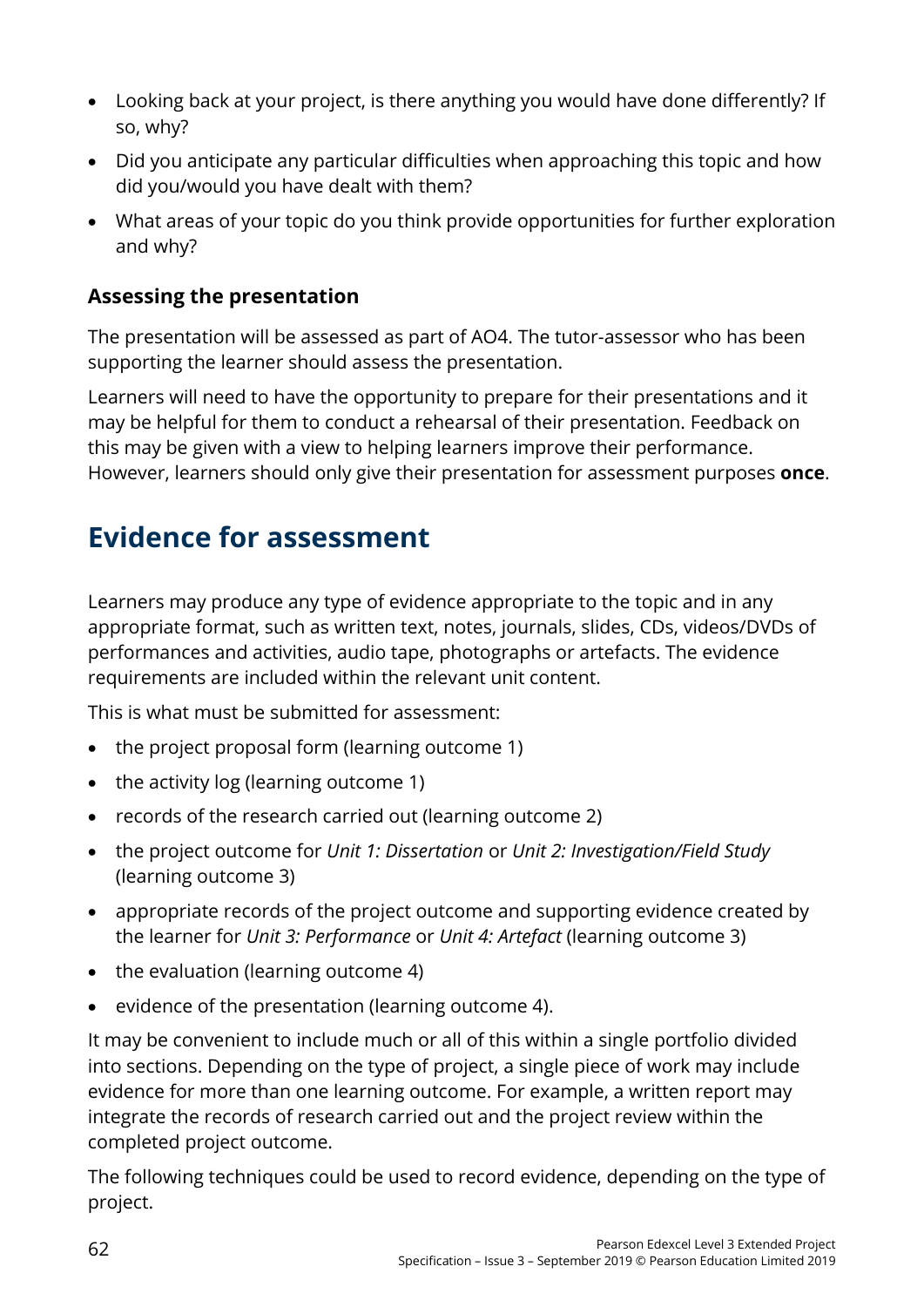- Looking back at your project, is there anything you would have done differently? If so, why?
- Did you anticipate any particular difficulties when approaching this topic and how did you/would you have dealt with them?
- What areas of your topic do you think provide opportunities for further exploration and why?

# **Assessing the presentation**

The presentation will be assessed as part of AO4. The tutor-assessor who has been supporting the learner should assess the presentation.

Learners will need to have the opportunity to prepare for their presentations and it may be helpful for them to conduct a rehearsal of their presentation. Feedback on this may be given with a view to helping learners improve their performance. However, learners should only give their presentation for assessment purposes **once**.

# **Evidence for assessment**

Learners may produce any type of evidence appropriate to the topic and in any appropriate format, such as written text, notes, journals, slides, CDs, videos/DVDs of performances and activities, audio tape, photographs or artefacts. The evidence requirements are included within the relevant unit content.

This is what must be submitted for assessment:

- the project proposal form (learning outcome 1)
- the activity log (learning outcome 1)
- records of the research carried out (learning outcome 2)
- the project outcome for *Unit 1: Dissertation* or *Unit 2: Investigation/Field Study*  (learning outcome 3)
- appropriate records of the project outcome and supporting evidence created by the learner for *Unit 3: Performance* or *Unit 4: Artefact* (learning outcome 3)
- the evaluation (learning outcome 4)
- evidence of the presentation (learning outcome 4).

It may be convenient to include much or all of this within a single portfolio divided into sections. Depending on the type of project, a single piece of work may include evidence for more than one learning outcome. For example, a written report may integrate the records of research carried out and the project review within the completed project outcome.

The following techniques could be used to record evidence, depending on the type of project.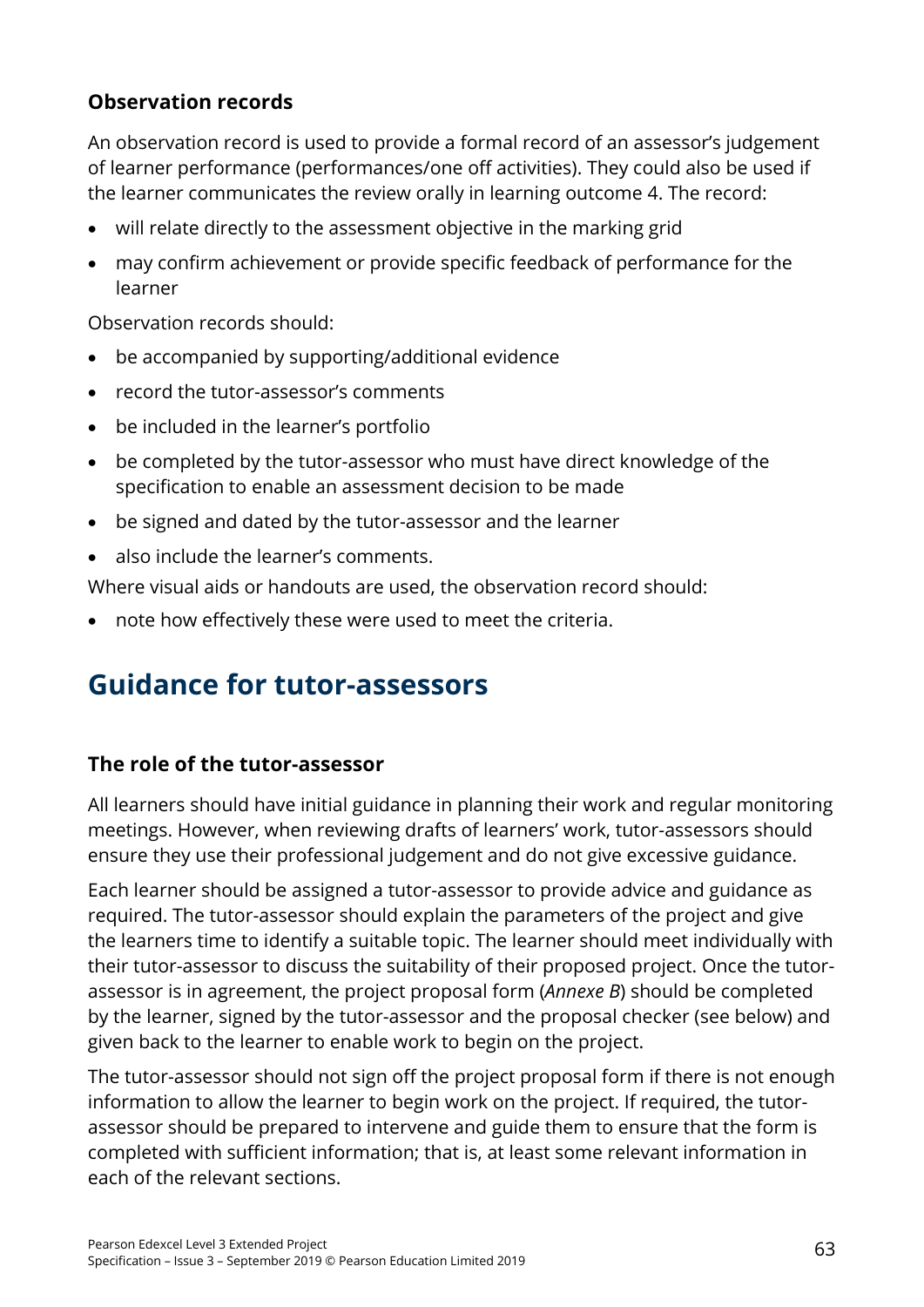# **Observation records**

An observation record is used to provide a formal record of an assessor's judgement of learner performance (performances/one off activities). They could also be used if the learner communicates the review orally in learning outcome 4. The record:

- will relate directly to the assessment objective in the marking grid
- may confirm achievement or provide specific feedback of performance for the learner

Observation records should:

- be accompanied by supporting/additional evidence
- record the tutor-assessor's comments
- be included in the learner's portfolio
- be completed by the tutor-assessor who must have direct knowledge of the specification to enable an assessment decision to be made
- be signed and dated by the tutor-assessor and the learner
- also include the learner's comments.

Where visual aids or handouts are used, the observation record should:

• note how effectively these were used to meet the criteria.

# **Guidance for tutor-assessors**

#### **The role of the tutor-assessor**

All learners should have initial guidance in planning their work and regular monitoring meetings. However, when reviewing drafts of learners' work, tutor-assessors should ensure they use their professional judgement and do not give excessive guidance.

Each learner should be assigned a tutor-assessor to provide advice and guidance as required. The tutor-assessor should explain the parameters of the project and give the learners time to identify a suitable topic. The learner should meet individually with their tutor-assessor to discuss the suitability of their proposed project. Once the tutorassessor is in agreement, the project proposal form (*Annexe B*) should be completed by the learner, signed by the tutor-assessor and the proposal checker (see below) and given back to the learner to enable work to begin on the project.

The tutor-assessor should not sign off the project proposal form if there is not enough information to allow the learner to begin work on the project. If required, the tutorassessor should be prepared to intervene and guide them to ensure that the form is completed with sufficient information; that is, at least some relevant information in each of the relevant sections.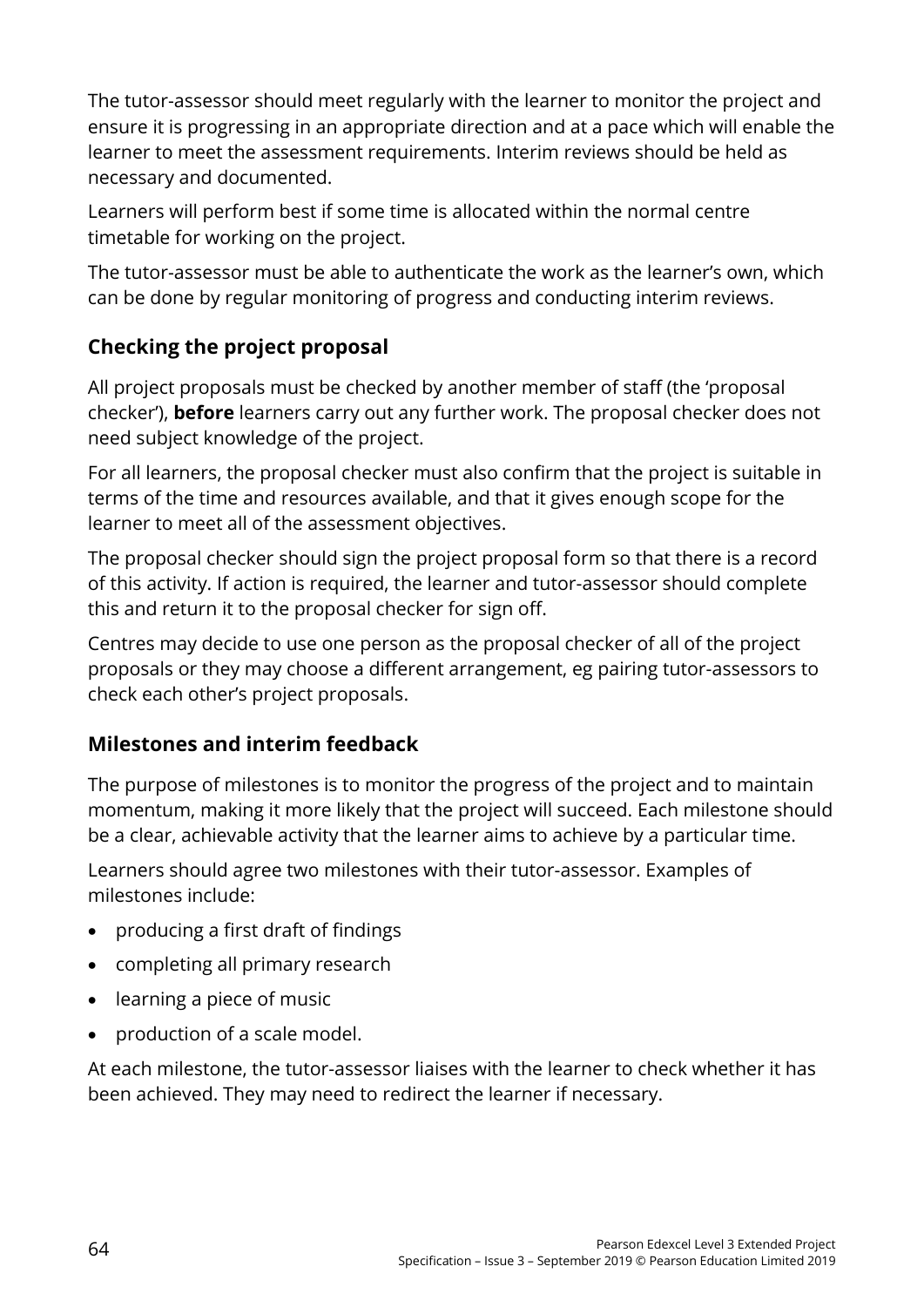The tutor-assessor should meet regularly with the learner to monitor the project and ensure it is progressing in an appropriate direction and at a pace which will enable the learner to meet the assessment requirements. Interim reviews should be held as necessary and documented.

Learners will perform best if some time is allocated within the normal centre timetable for working on the project.

The tutor-assessor must be able to authenticate the work as the learner's own, which can be done by regular monitoring of progress and conducting interim reviews.

# **Checking the project proposal**

All project proposals must be checked by another member of staff (the 'proposal checker'), **before** learners carry out any further work. The proposal checker does not need subject knowledge of the project.

For all learners, the proposal checker must also confirm that the project is suitable in terms of the time and resources available, and that it gives enough scope for the learner to meet all of the assessment objectives.

The proposal checker should sign the project proposal form so that there is a record of this activity. If action is required, the learner and tutor-assessor should complete this and return it to the proposal checker for sign off.

Centres may decide to use one person as the proposal checker of all of the project proposals or they may choose a different arrangement, eg pairing tutor-assessors to check each other's project proposals.

# **Milestones and interim feedback**

The purpose of milestones is to monitor the progress of the project and to maintain momentum, making it more likely that the project will succeed. Each milestone should be a clear, achievable activity that the learner aims to achieve by a particular time.

Learners should agree two milestones with their tutor-assessor. Examples of milestones include:

- producing a first draft of findings
- completing all primary research
- learning a piece of music
- production of a scale model.

At each milestone, the tutor-assessor liaises with the learner to check whether it has been achieved. They may need to redirect the learner if necessary.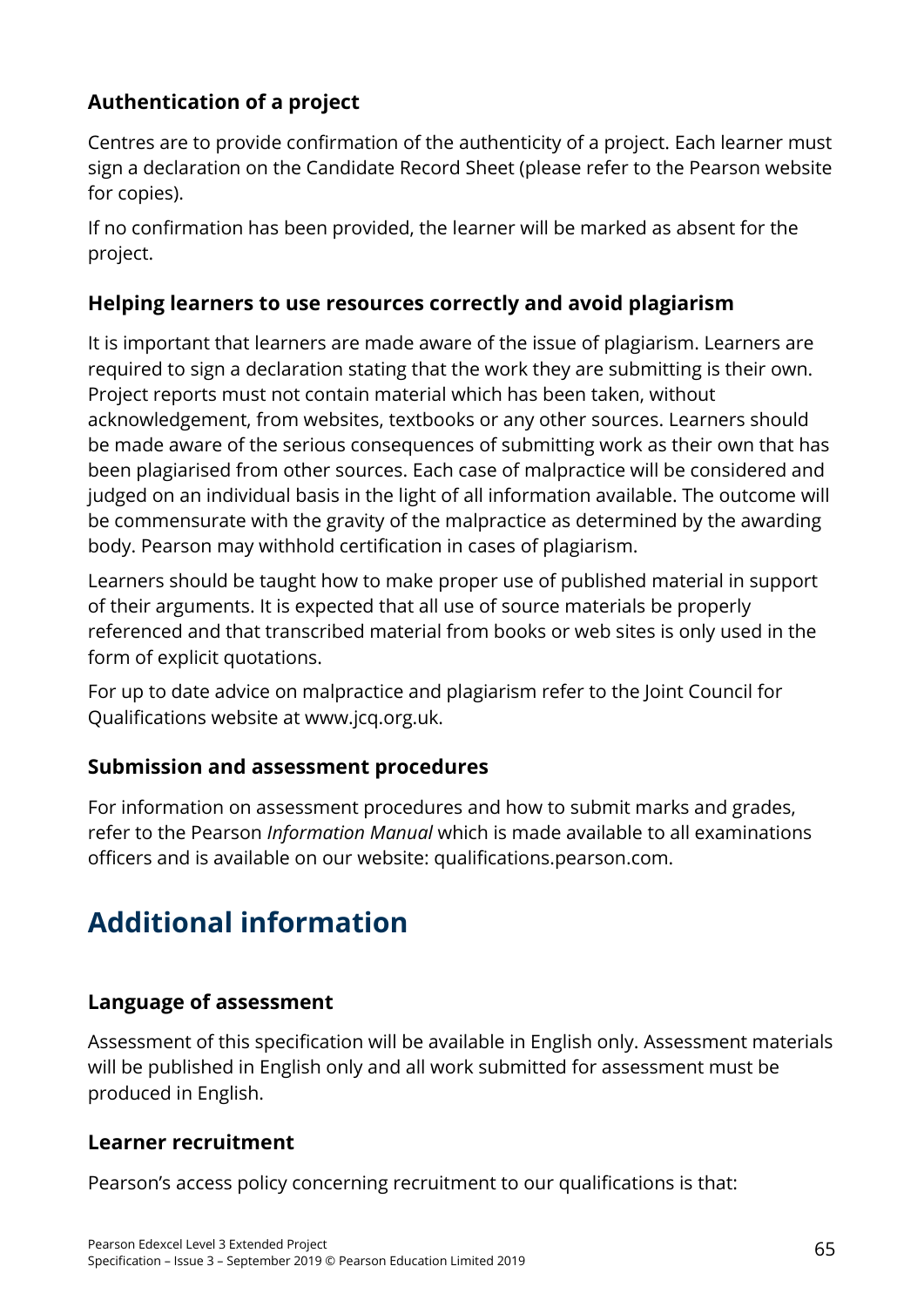# **Authentication of a project**

Centres are to provide confirmation of the authenticity of a project. Each learner must sign a declaration on the Candidate Record Sheet (please refer to the Pearson website for copies).

If no confirmation has been provided, the learner will be marked as absent for the project.

# **Helping learners to use resources correctly and avoid plagiarism**

It is important that learners are made aware of the issue of plagiarism. Learners are required to sign a declaration stating that the work they are submitting is their own. Project reports must not contain material which has been taken, without acknowledgement, from websites, textbooks or any other sources. Learners should be made aware of the serious consequences of submitting work as their own that has been plagiarised from other sources. Each case of malpractice will be considered and judged on an individual basis in the light of all information available. The outcome will be commensurate with the gravity of the malpractice as determined by the awarding body. Pearson may withhold certification in cases of plagiarism.

Learners should be taught how to make proper use of published material in support of their arguments. It is expected that all use of source materials be properly referenced and that transcribed material from books or web sites is only used in the form of explicit quotations.

For up to date advice on malpractice and plagiarism refer to the Joint Council for Qualifications website at [www.jcq.org.uk.](http://www.jcq.org.uk/)

# **Submission and assessment procedures**

For information on assessment procedures and how to submit marks and grades, refer to the Pearson *Information Manual* which is made available to all examinations officers and is available on our website: [qualifications.pearson.com.](https://qualifications.pearson.com/)

# **Additional information**

# **Language of assessment**

Assessment of this specification will be available in English only. Assessment materials will be published in English only and all work submitted for assessment must be produced in English.

# **Learner recruitment**

Pearson's access policy concerning recruitment to our qualifications is that: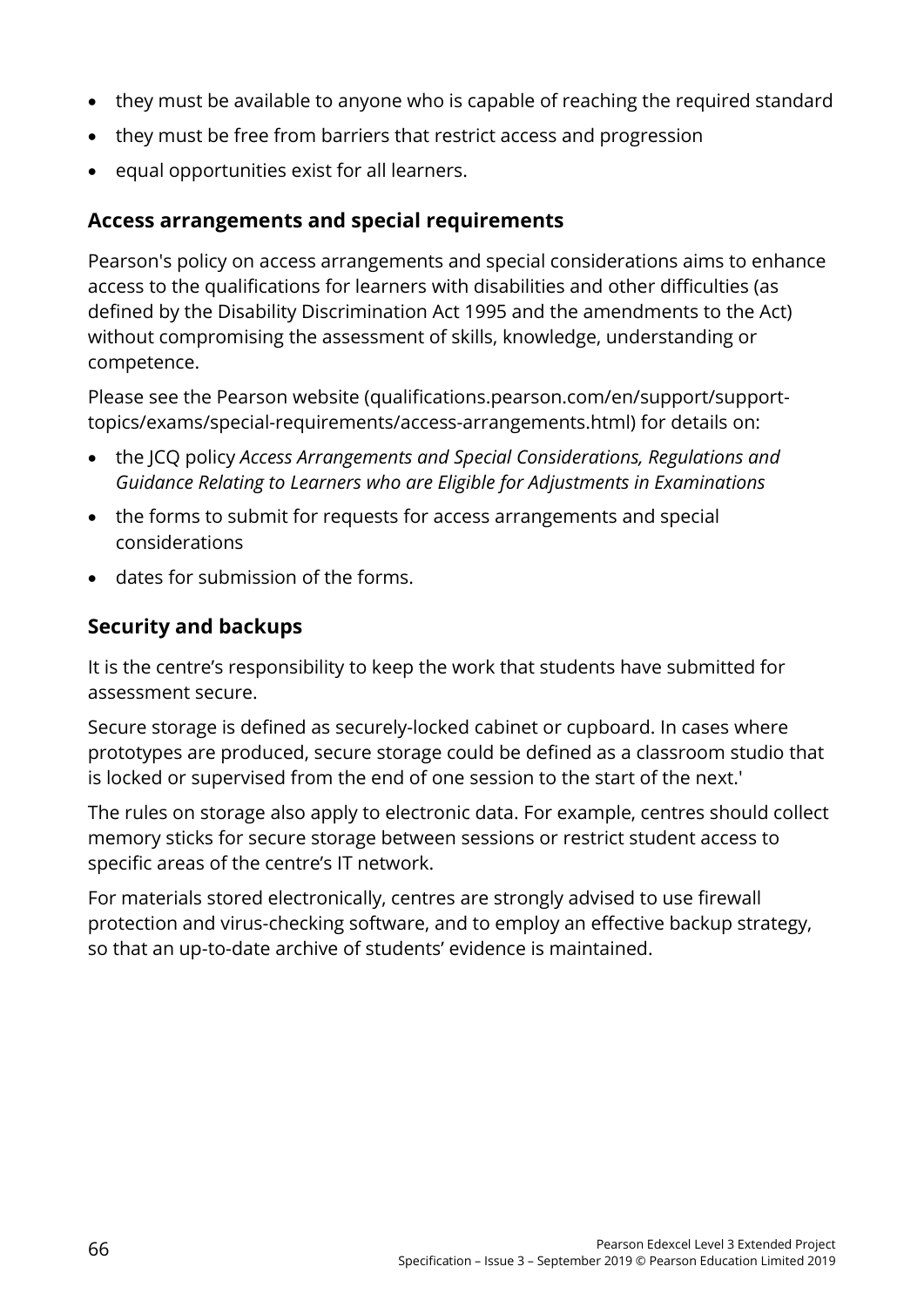- they must be available to anyone who is capable of reaching the required standard
- they must be free from barriers that restrict access and progression
- equal opportunities exist for all learners.

## **Access arrangements and special requirements**

Pearson's policy on access arrangements and special considerations aims to enhance access to the qualifications for learners with disabilities and other difficulties (as defined by the Disability Discrimination Act 1995 and the amendments to the Act) without compromising the assessment of skills, knowledge, understanding or competence.

Please see the Pearson website [\(qualifications.pearson.com/en/support/support](https://qualifications.pearson.com/en/support/support-topics/exams/special-requirements/access-arrangements.html)[topics/exams/special-requirements/access-arrangements.html\)](https://qualifications.pearson.com/en/support/support-topics/exams/special-requirements/access-arrangements.html) for details on:

- the JCQ policy *Access Arrangements and Special Considerations, Regulations and Guidance Relating to Learners who are Eligible for Adjustments in Examinations*
- the forms to submit for requests for access arrangements and special considerations
- dates for submission of the forms.

# **Security and backups**

It is the centre's responsibility to keep the work that students have submitted for assessment secure.

Secure storage is defined as securely-locked cabinet or cupboard. In cases where prototypes are produced, secure storage could be defined as a classroom studio that is locked or supervised from the end of one session to the start of the next.'

The rules on storage also apply to electronic data. For example, centres should collect memory sticks for secure storage between sessions or restrict student access to specific areas of the centre's IT network.

For materials stored electronically, centres are strongly advised to use firewall protection and virus-checking software, and to employ an effective backup strategy, so that an up-to-date archive of students' evidence is maintained.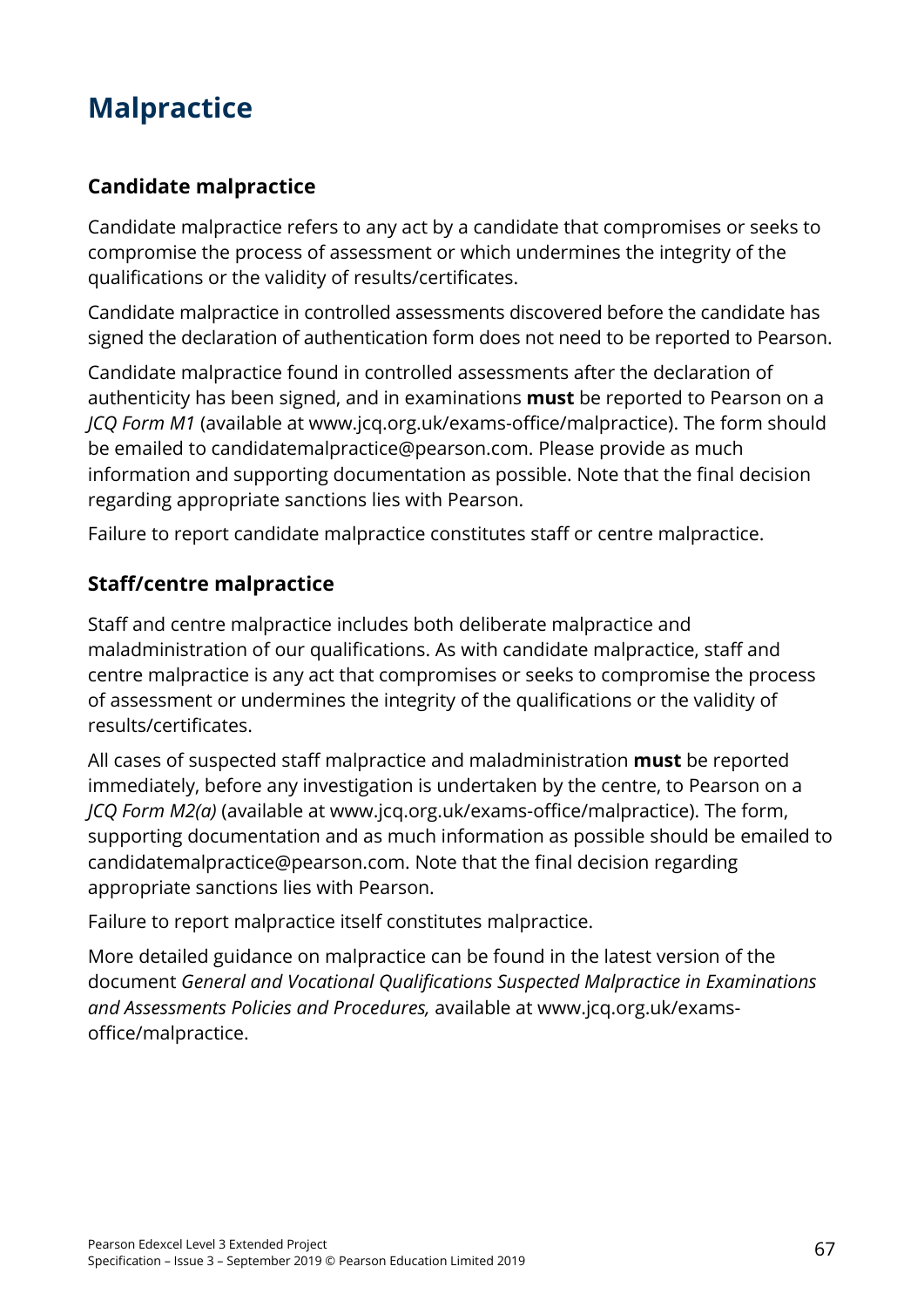# **Malpractice**

### **Candidate malpractice**

Candidate malpractice refers to any act by a candidate that compromises or seeks to compromise the process of assessment or which undermines the integrity of the qualifications or the validity of results/certificates.

Candidate malpractice in controlled assessments discovered before the candidate has signed the declaration of authentication form does not need to be reported to Pearson.

Candidate malpractice found in controlled assessments after the declaration of authenticity has been signed, and in examinations **must** be reported to Pearson on a *JCQ Form M1* (available at [www.jcq.org.uk/exams-office/malpractice\)](http://www.jcq.org.uk/exams-office/malpractice). The form should be emailed to [candidatemalpractice@pearson.com.](mailto:candidatemalpractice@pearson.com) Please provide as much information and supporting documentation as possible. Note that the final decision regarding appropriate sanctions lies with Pearson.

Failure to report candidate malpractice constitutes staff or centre malpractice.

### **Staff/centre malpractice**

Staff and centre malpractice includes both deliberate malpractice and maladministration of our qualifications. As with candidate malpractice, staff and centre malpractice is any act that compromises or seeks to compromise the process of assessment or undermines the integrity of the qualifications or the validity of results/certificates.

All cases of suspected staff malpractice and maladministration **must** be reported immediately, before any investigation is undertaken by the centre, to Pearson on a *JCQ Form M2(a)* (available at www.jcq.org.uk/exams-office/malpractice). The form, supporting documentation and as much information as possible should be emailed to [candidatemalpractice@pearson.com.](mailto:candidatemalpractice@pearson.com) Note that the final decision regarding appropriate sanctions lies with Pearson.

Failure to report malpractice itself constitutes malpractice.

More detailed guidance on malpractice can be found in the latest version of the document *General and Vocational Qualifications Suspected Malpractice in Examinations and Assessments Policies and Procedures,* available at www.jcq.org.uk/examsoffice/malpractice.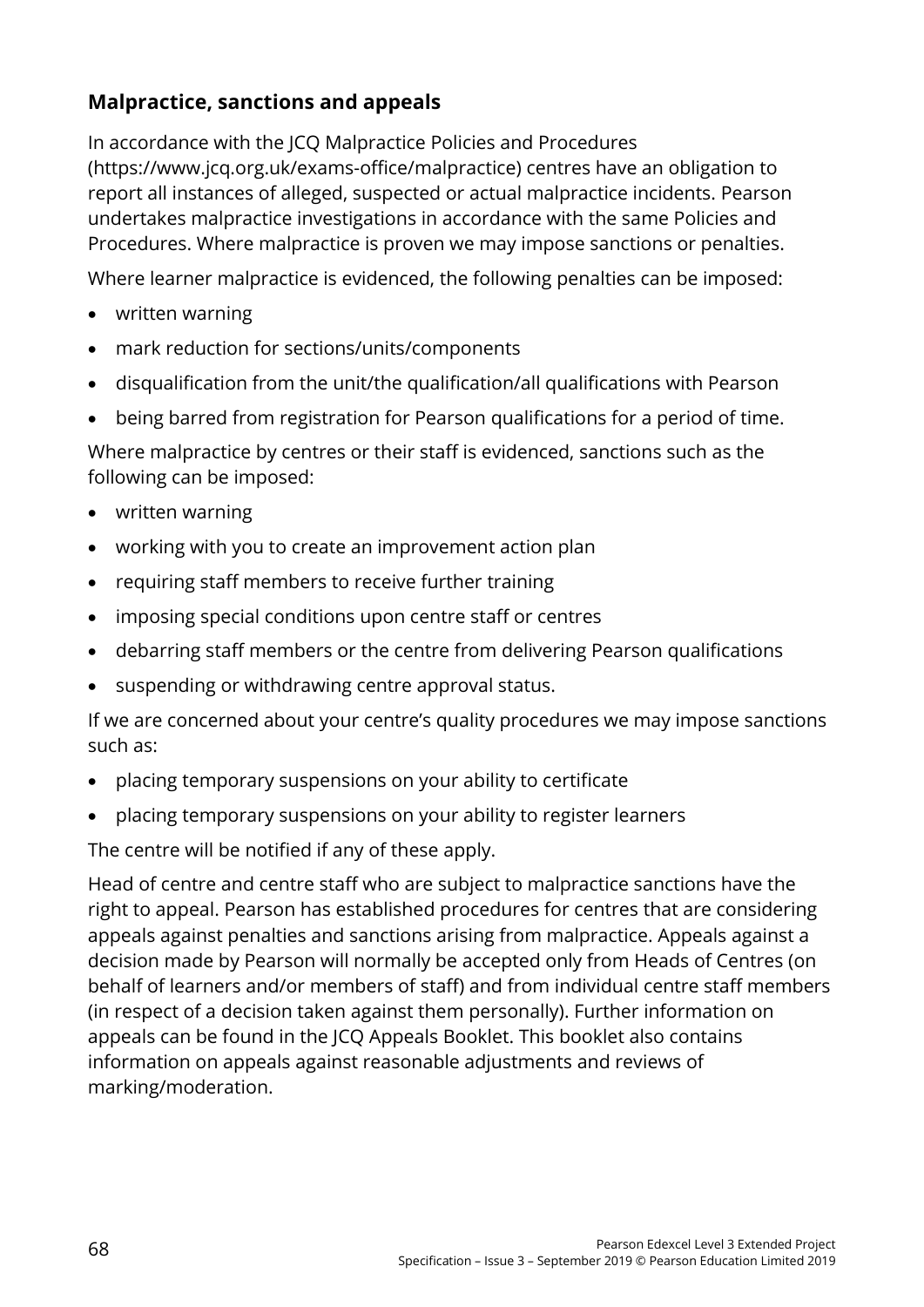### **Malpractice, sanctions and appeals**

In accordance with the JCQ Malpractice Policies and Procedures [\(https://www.jcq.org.uk/exams-office/malpractice\)](https://www.jcq.org.uk/exams-office/malpractice) centres have an obligation to report all instances of alleged, suspected or actual malpractice incidents. Pearson undertakes malpractice investigations in accordance with the same Policies and Procedures. Where malpractice is proven we may impose sanctions or penalties.

Where learner malpractice is evidenced, the following penalties can be imposed:

- written warning
- mark reduction for sections/units/components
- disqualification from the unit/the qualification/all qualifications with Pearson
- being barred from registration for Pearson qualifications for a period of time.

Where malpractice by centres or their staff is evidenced, sanctions such as the following can be imposed:

- written warning
- working with you to create an improvement action plan
- requiring staff members to receive further training
- imposing special conditions upon centre staff or centres
- debarring staff members or the centre from delivering Pearson qualifications
- suspending or withdrawing centre approval status.

If we are concerned about your centre's quality procedures we may impose sanctions such as:

- placing temporary suspensions on your ability to certificate
- placing temporary suspensions on your ability to register learners

The centre will be notified if any of these apply.

Head of centre and centre staff who are subject to malpractice sanctions have the right to appeal. Pearson has established procedures for centres that are considering appeals against penalties and sanctions arising from malpractice. Appeals against a decision made by Pearson will normally be accepted only from Heads of Centres (on behalf of learners and/or members of staff) and from individual centre staff members (in respect of a decision taken against them personally). Further information on appeals can be found in the [JCQ Appeals Booklet.](https://www.jcq.org.uk/exams-office/appeals) This booklet also contains information on appeals against reasonable adjustments and reviews of marking/moderation.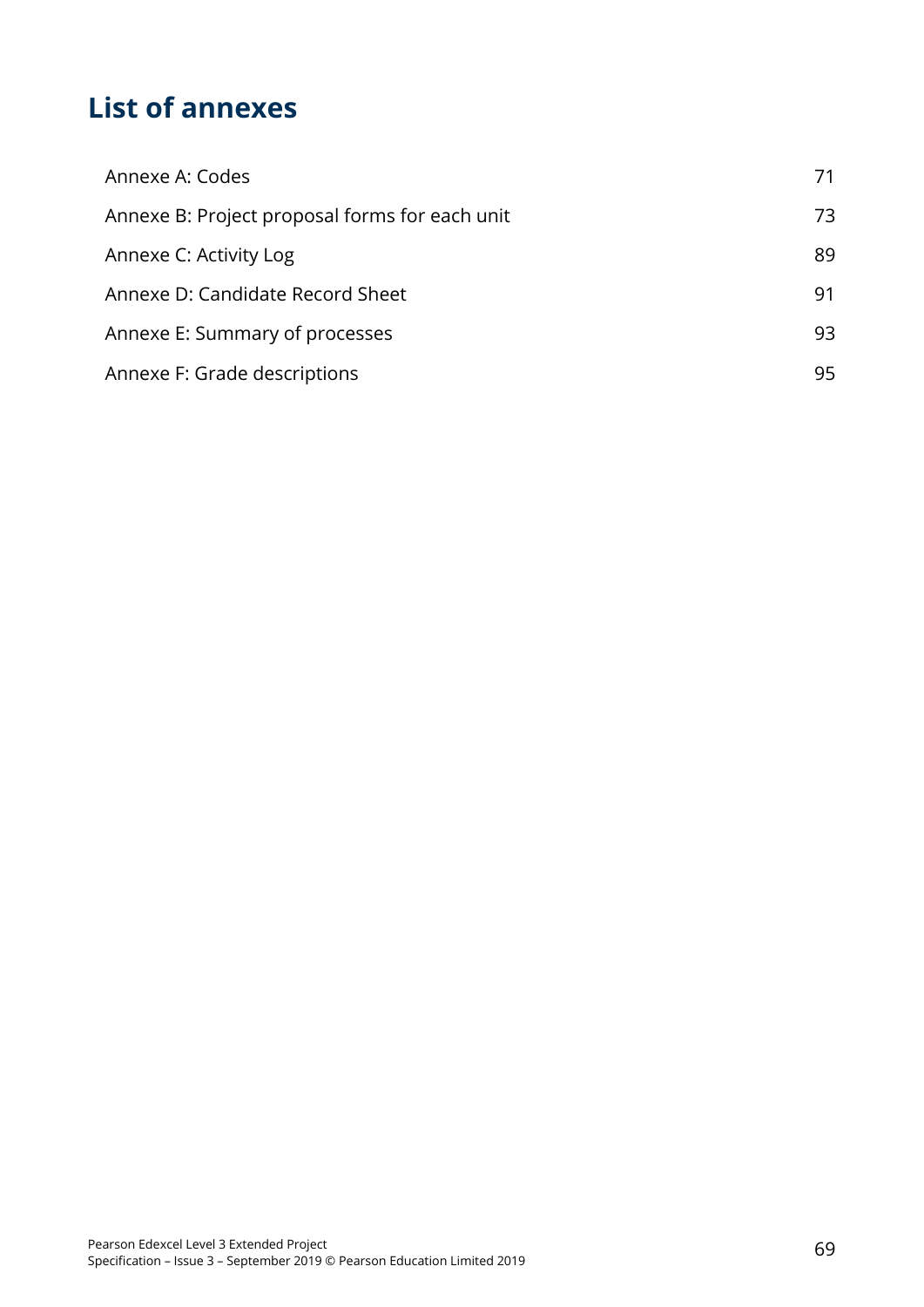# **List of annexes**

| Annexe A: Codes                                | 71. |
|------------------------------------------------|-----|
| Annexe B: Project proposal forms for each unit | 73  |
| Annexe C: Activity Log                         | 89  |
| Annexe D: Candidate Record Sheet               | 91  |
| Annexe E: Summary of processes                 | 93  |
| Annexe F: Grade descriptions                   | 95  |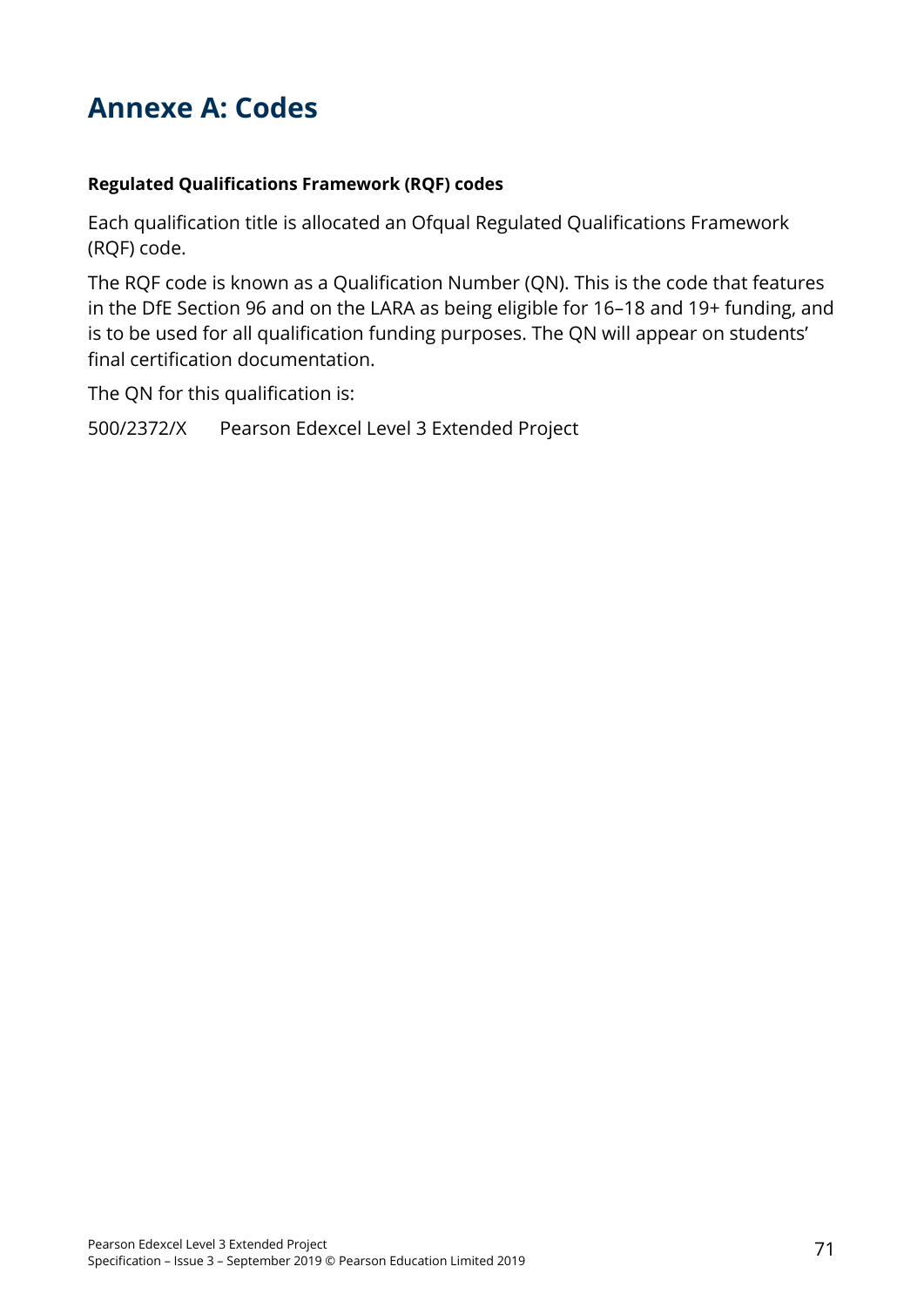## **Annexe A: Codes**

#### **Regulated Qualifications Framework (RQF) codes**

Each qualification title is allocated an Ofqual Regulated Qualifications Framework (RQF) code.

The RQF code is known as a Qualification Number (QN). This is the code that features in the DfE Section 96 and on the LARA as being eligible for 16–18 and 19+ funding, and is to be used for all qualification funding purposes. The QN will appear on students' final certification documentation.

The QN for this qualification is:

500/2372/X Pearson Edexcel Level 3 Extended Project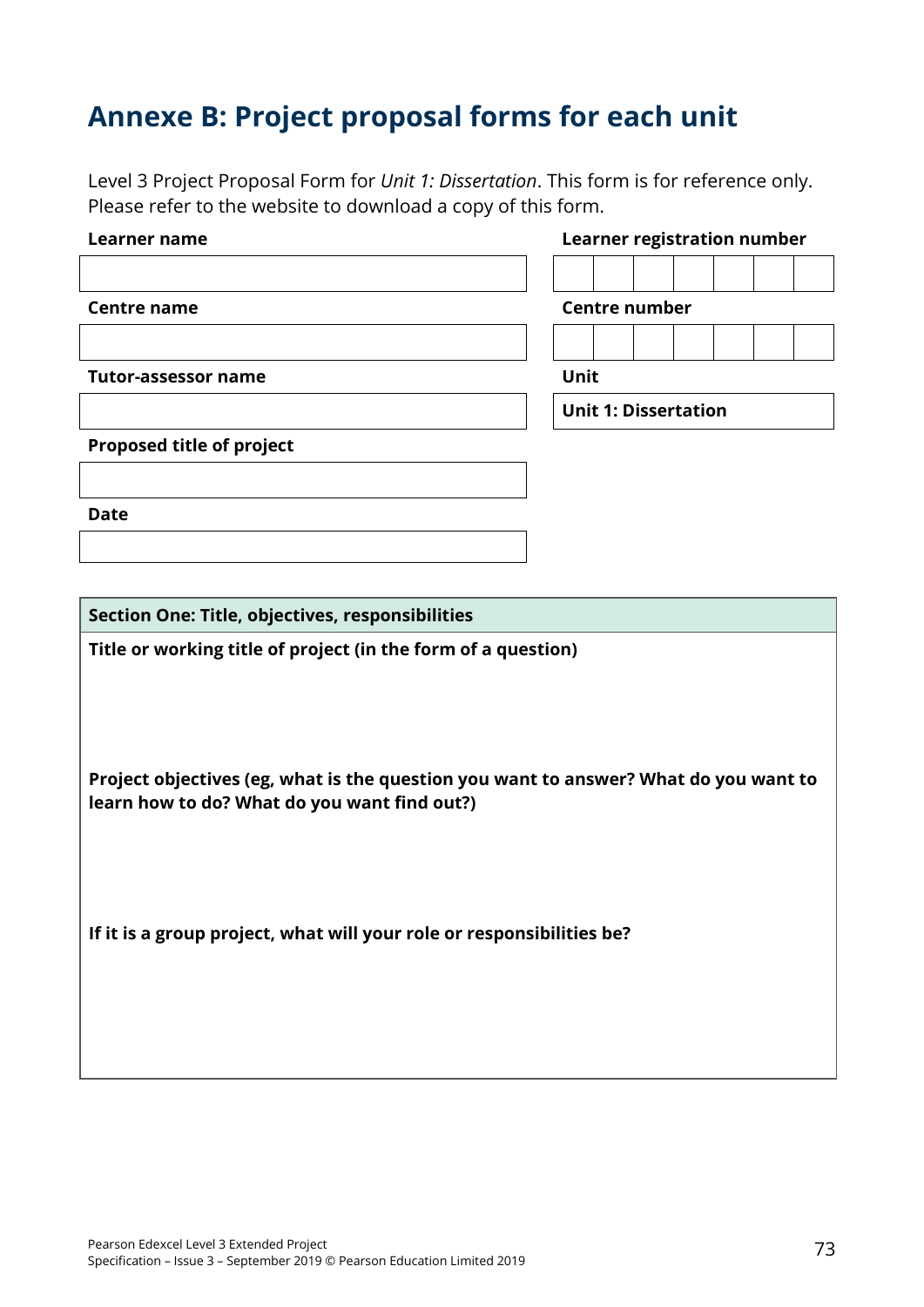# **Annexe B: Project proposal forms for each unit**

Level 3 Project Proposal Form for *Unit 1: Dissertation*. This form is for reference only. Please refer to the website to download a copy of this form.

| Learner name                                                                                                                         | <b>Learner registration number</b> |  |  |
|--------------------------------------------------------------------------------------------------------------------------------------|------------------------------------|--|--|
|                                                                                                                                      |                                    |  |  |
| <b>Centre name</b>                                                                                                                   | <b>Centre number</b>               |  |  |
|                                                                                                                                      |                                    |  |  |
| <b>Tutor-assessor name</b>                                                                                                           | Unit                               |  |  |
|                                                                                                                                      | <b>Unit 1: Dissertation</b>        |  |  |
| <b>Proposed title of project</b>                                                                                                     |                                    |  |  |
|                                                                                                                                      |                                    |  |  |
| <b>Date</b>                                                                                                                          |                                    |  |  |
|                                                                                                                                      |                                    |  |  |
|                                                                                                                                      |                                    |  |  |
| Section One: Title, objectives, responsibilities                                                                                     |                                    |  |  |
| Title or working title of project (in the form of a question)                                                                        |                                    |  |  |
|                                                                                                                                      |                                    |  |  |
|                                                                                                                                      |                                    |  |  |
|                                                                                                                                      |                                    |  |  |
| Project objectives (eg, what is the question you want to answer? What do you want to<br>learn how to do? What do you want find out?) |                                    |  |  |
|                                                                                                                                      |                                    |  |  |
|                                                                                                                                      |                                    |  |  |
|                                                                                                                                      |                                    |  |  |
| If it is a group project, what will your role or responsibilities be?                                                                |                                    |  |  |
|                                                                                                                                      |                                    |  |  |
|                                                                                                                                      |                                    |  |  |
|                                                                                                                                      |                                    |  |  |
|                                                                                                                                      |                                    |  |  |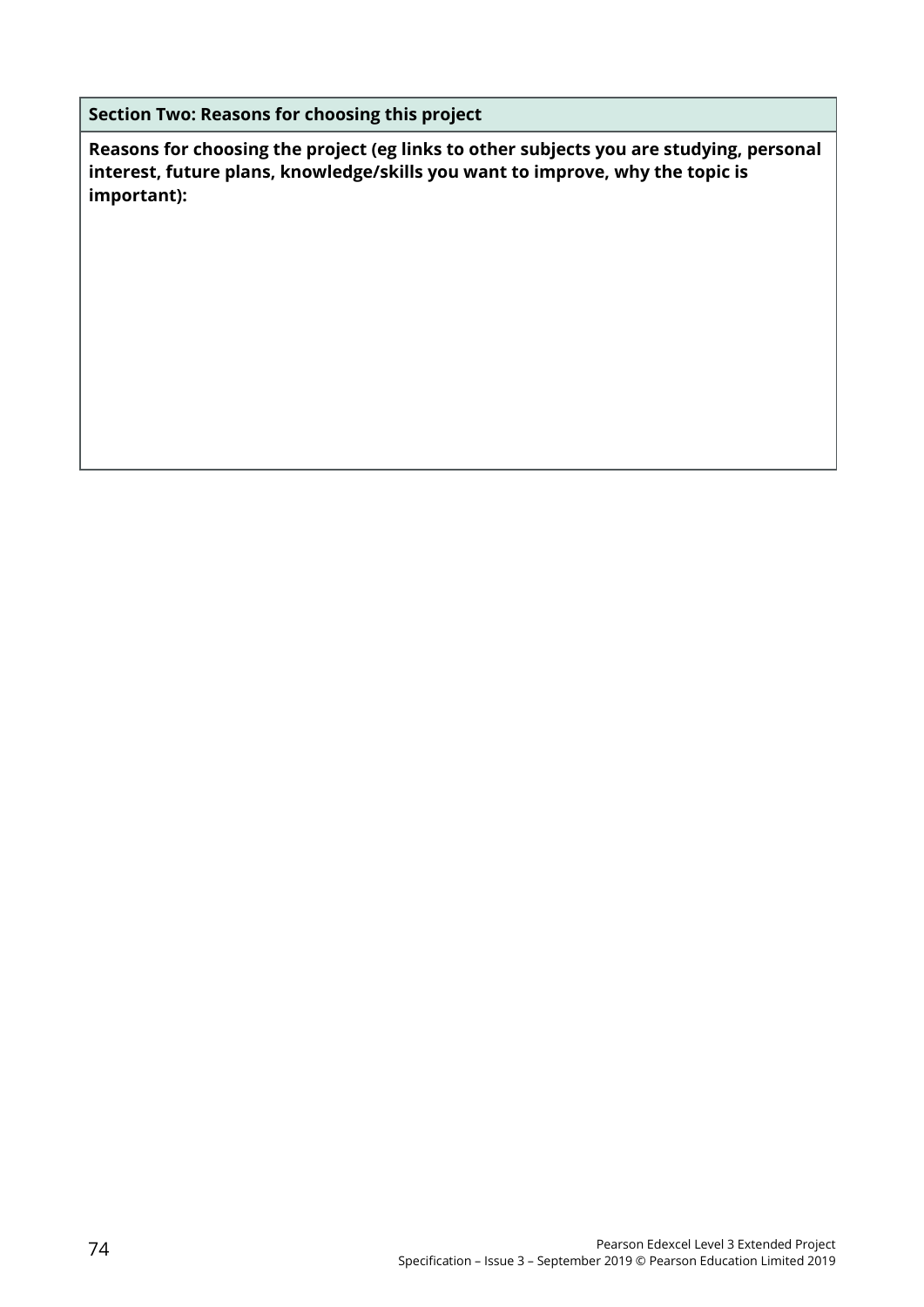**Section Two: Reasons for choosing this project** 

**Reasons for choosing the project (eg links to other subjects you are studying, personal interest, future plans, knowledge/skills you want to improve, why the topic is important):**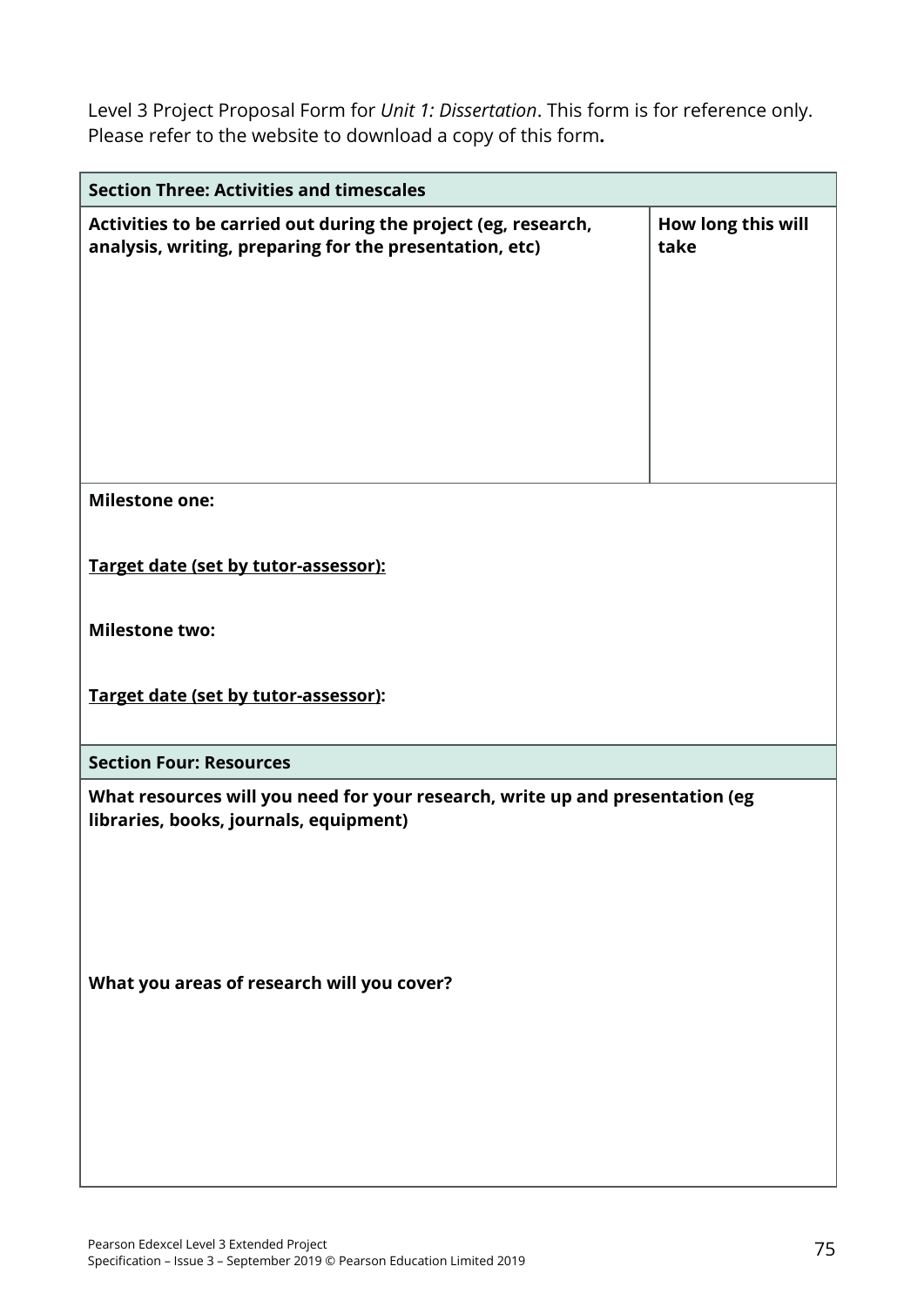Level 3 Project Proposal Form for *Unit 1: Dissertation*. This form is for reference only. Please refer to the website to download a copy of this form**.**

| <b>Section Three: Activities and timescales</b>                                                                           |                            |
|---------------------------------------------------------------------------------------------------------------------------|----------------------------|
| Activities to be carried out during the project (eg, research,<br>analysis, writing, preparing for the presentation, etc) | How long this will<br>take |
| <b>Milestone one:</b>                                                                                                     |                            |
| Target date (set by tutor-assessor):                                                                                      |                            |
| <b>Milestone two:</b>                                                                                                     |                            |
| Target date (set by tutor-assessor):                                                                                      |                            |
| <b>Section Four: Resources</b>                                                                                            |                            |
| What resources will you need for your research, write up and presentation (eg<br>libraries, books, journals, equipment)   |                            |
| What you areas of research will you cover?                                                                                |                            |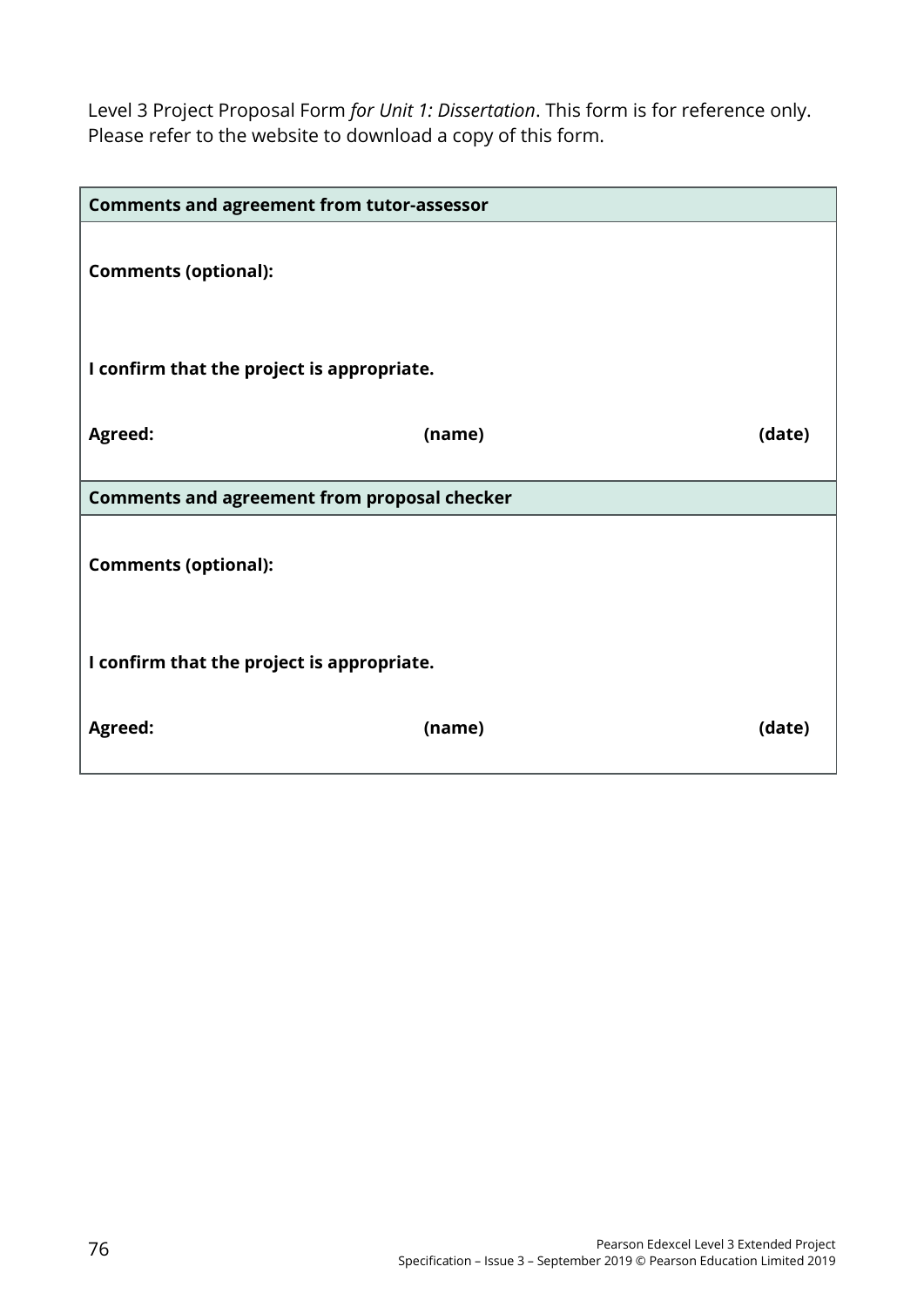Level 3 Project Proposal Form *for Unit 1: Dissertation*. This form is for reference only. Please refer to the website to download a copy of this form.

| <b>Comments and agreement from tutor-assessor</b>   |        |        |  |  |
|-----------------------------------------------------|--------|--------|--|--|
| <b>Comments (optional):</b>                         |        |        |  |  |
| I confirm that the project is appropriate.          |        |        |  |  |
| <b>Agreed:</b>                                      | (name) | (date) |  |  |
| <b>Comments and agreement from proposal checker</b> |        |        |  |  |
| <b>Comments (optional):</b>                         |        |        |  |  |
| I confirm that the project is appropriate.          |        |        |  |  |
| Agreed:                                             | (name) | (date) |  |  |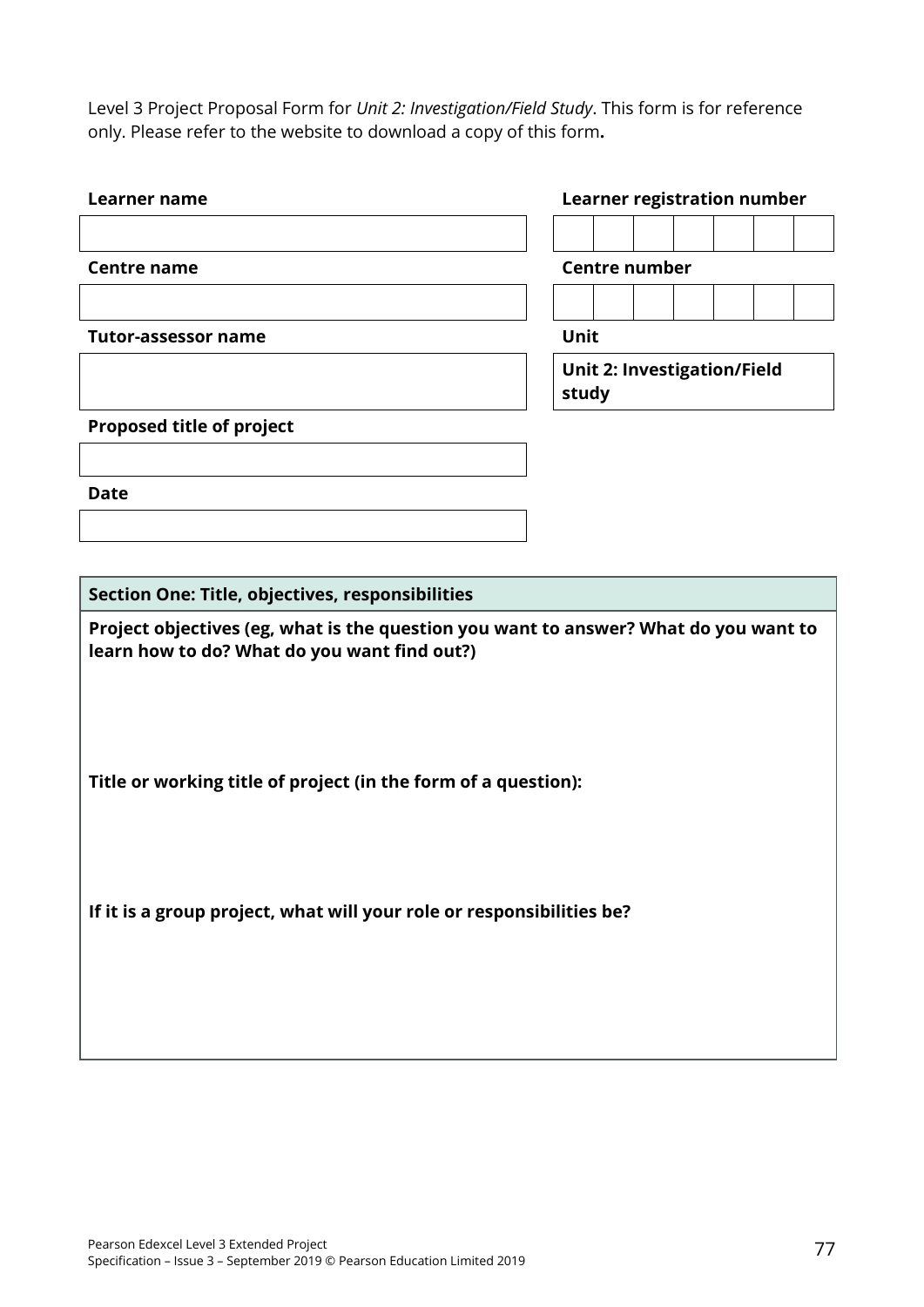Level 3 Project Proposal Form for *Unit 2: Investigation/Field Study*. This form is for reference only. Please refer to the website to download a copy of this form**.**

| Learner name                                                                                                                         |                                             |  |  | <b>Learner registration number</b> |  |  |
|--------------------------------------------------------------------------------------------------------------------------------------|---------------------------------------------|--|--|------------------------------------|--|--|
|                                                                                                                                      |                                             |  |  |                                    |  |  |
| <b>Centre name</b>                                                                                                                   | <b>Centre number</b>                        |  |  |                                    |  |  |
|                                                                                                                                      |                                             |  |  |                                    |  |  |
| <b>Tutor-assessor name</b>                                                                                                           | Unit                                        |  |  |                                    |  |  |
|                                                                                                                                      | <b>Unit 2: Investigation/Field</b><br>study |  |  |                                    |  |  |
| <b>Proposed title of project</b>                                                                                                     |                                             |  |  |                                    |  |  |
|                                                                                                                                      |                                             |  |  |                                    |  |  |
| <b>Date</b>                                                                                                                          |                                             |  |  |                                    |  |  |
|                                                                                                                                      |                                             |  |  |                                    |  |  |
|                                                                                                                                      |                                             |  |  |                                    |  |  |
| Section One: Title, objectives, responsibilities                                                                                     |                                             |  |  |                                    |  |  |
| Project objectives (eg, what is the question you want to answer? What do you want to<br>learn how to do? What do you want find out?) |                                             |  |  |                                    |  |  |
| Title or working title of project (in the form of a question):                                                                       |                                             |  |  |                                    |  |  |
| If it is a group project, what will your role or responsibilities be?                                                                |                                             |  |  |                                    |  |  |
|                                                                                                                                      |                                             |  |  |                                    |  |  |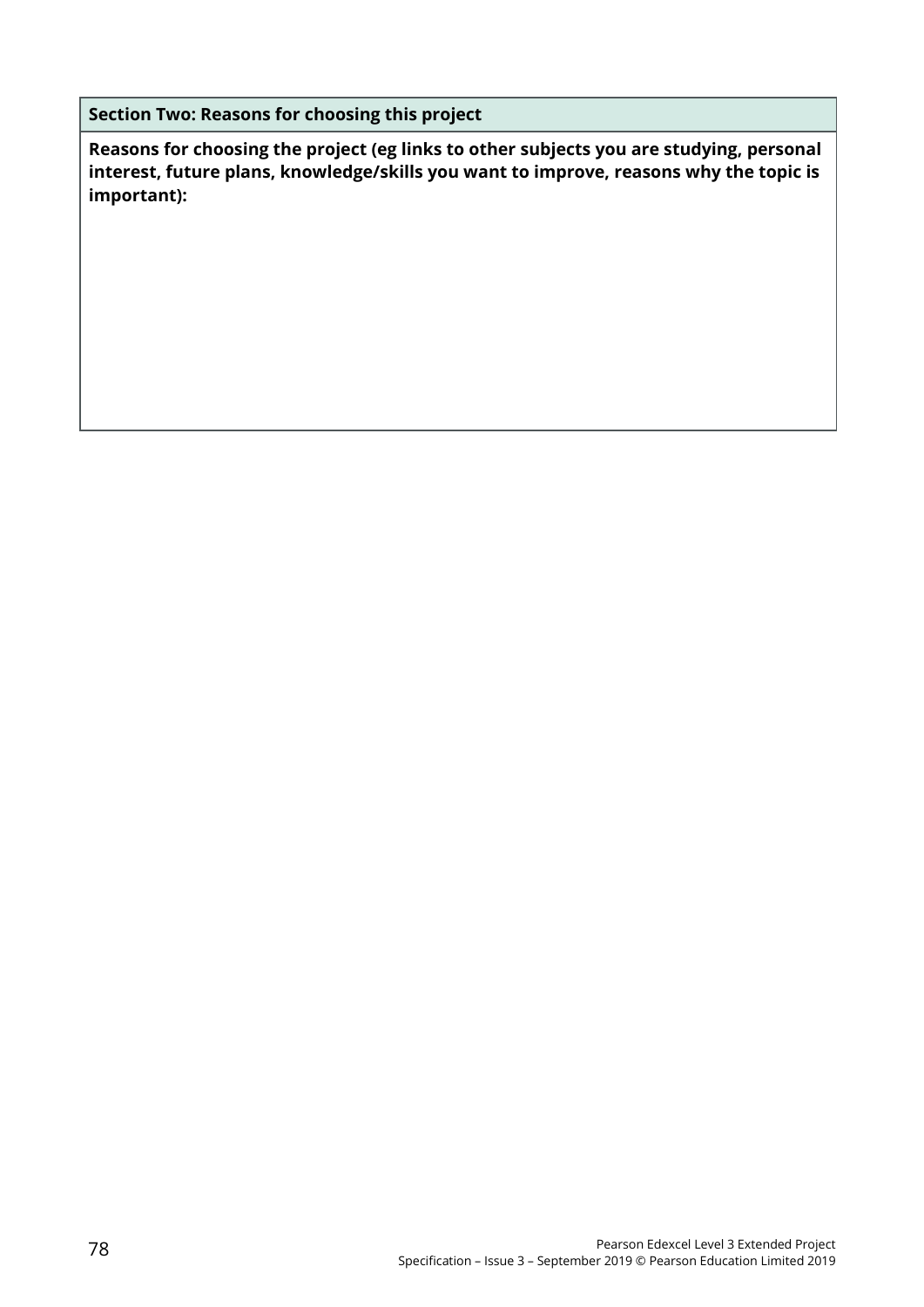**Section Two: Reasons for choosing this project** 

**Reasons for choosing the project (eg links to other subjects you are studying, personal interest, future plans, knowledge/skills you want to improve, reasons why the topic is important):**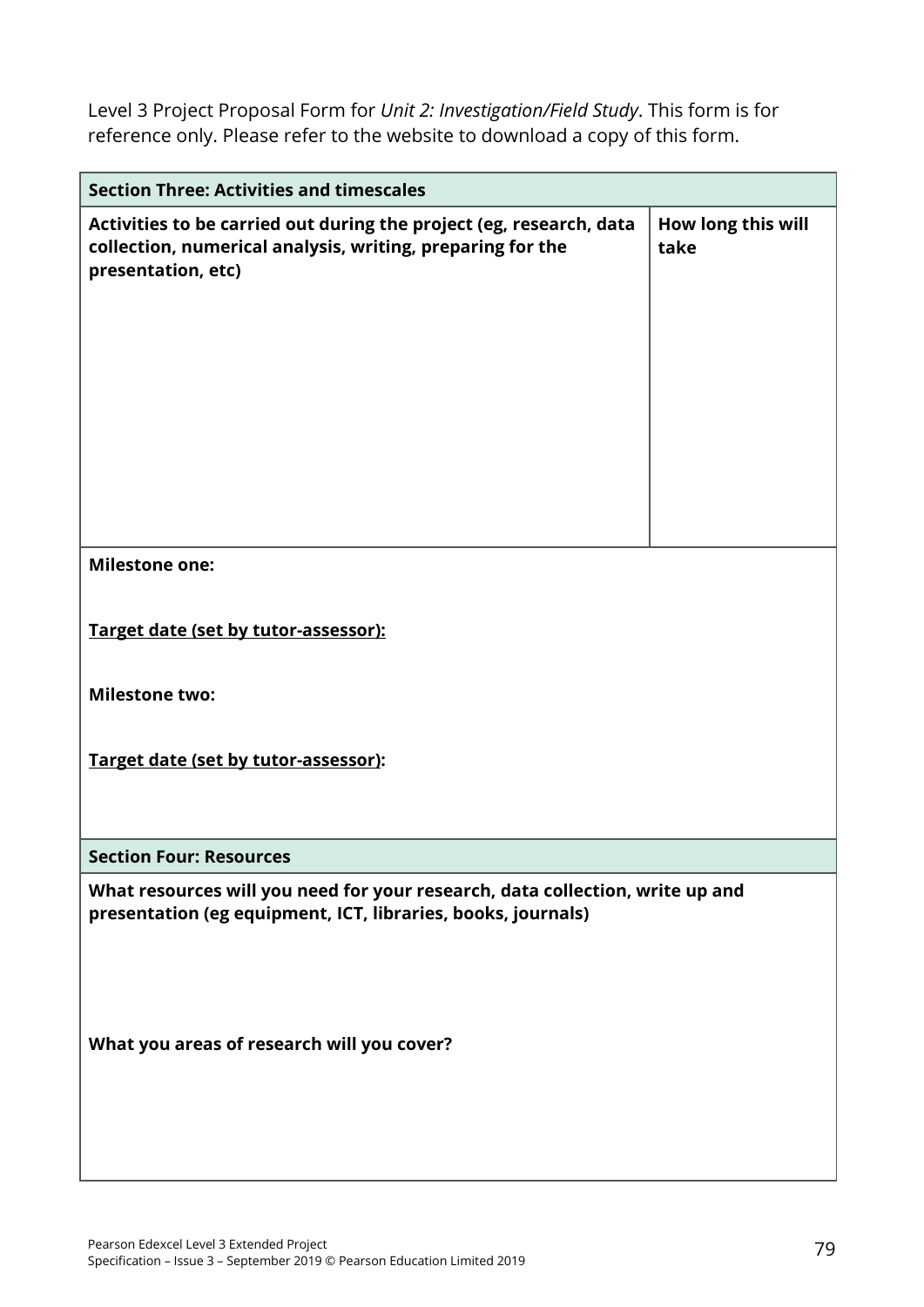Level 3 Project Proposal Form for *Unit 2: Investigation/Field Study*. This form is for reference only. Please refer to the website to download a copy of this form.

| <b>Section Three: Activities and timescales</b>                                                                                                         |                            |  |  |  |
|---------------------------------------------------------------------------------------------------------------------------------------------------------|----------------------------|--|--|--|
| Activities to be carried out during the project (eg, research, data<br>collection, numerical analysis, writing, preparing for the<br>presentation, etc) | How long this will<br>take |  |  |  |
| <b>Milestone one:</b>                                                                                                                                   |                            |  |  |  |
|                                                                                                                                                         |                            |  |  |  |
| Target date (set by tutor-assessor):                                                                                                                    |                            |  |  |  |
|                                                                                                                                                         |                            |  |  |  |
| <b>Milestone two:</b>                                                                                                                                   |                            |  |  |  |
| Target date (set by tutor-assessor):                                                                                                                    |                            |  |  |  |
|                                                                                                                                                         |                            |  |  |  |
| <b>Section Four: Resources</b>                                                                                                                          |                            |  |  |  |
| What resources will you need for your research, data collection, write up and<br>presentation (eg equipment, ICT, libraries, books, journals)           |                            |  |  |  |
| What you areas of research will you cover?                                                                                                              |                            |  |  |  |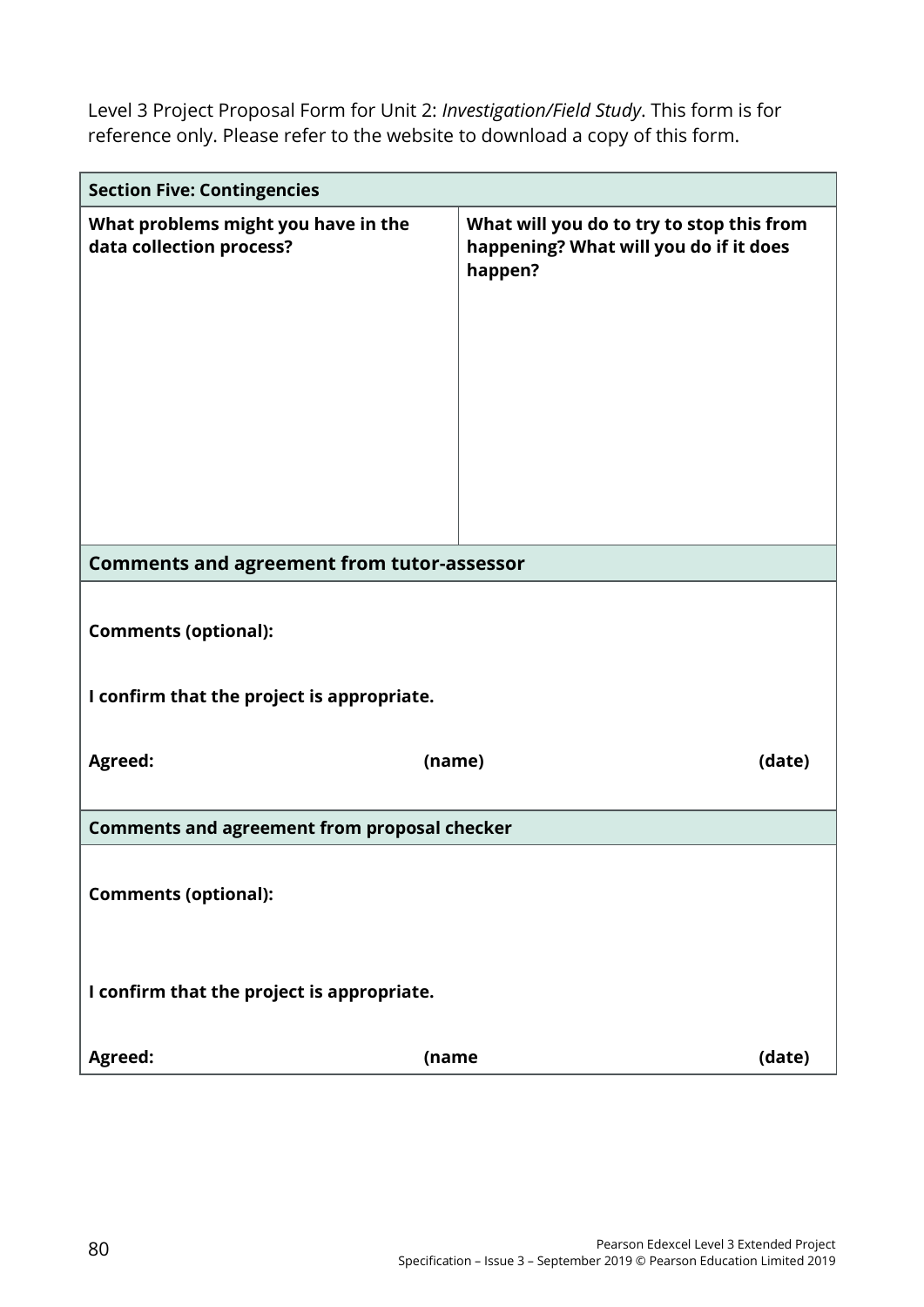Level 3 Project Proposal Form for Unit 2: *Investigation/Field Study*. This form is for reference only. Please refer to the website to download a copy of this form.

| <b>Section Five: Contingencies</b>                              |                                                                                                |  |  |  |  |
|-----------------------------------------------------------------|------------------------------------------------------------------------------------------------|--|--|--|--|
| What problems might you have in the<br>data collection process? | What will you do to try to stop this from<br>happening? What will you do if it does<br>happen? |  |  |  |  |
| <b>Comments and agreement from tutor-assessor</b>               |                                                                                                |  |  |  |  |
| <b>Comments (optional):</b>                                     |                                                                                                |  |  |  |  |
| I confirm that the project is appropriate.                      |                                                                                                |  |  |  |  |
| Agreed:                                                         | (date)<br>(name)                                                                               |  |  |  |  |
| <b>Comments and agreement from proposal checker</b>             |                                                                                                |  |  |  |  |
| <b>Comments (optional):</b>                                     |                                                                                                |  |  |  |  |
| I confirm that the project is appropriate.                      |                                                                                                |  |  |  |  |
| Agreed:<br>(name                                                | (date)                                                                                         |  |  |  |  |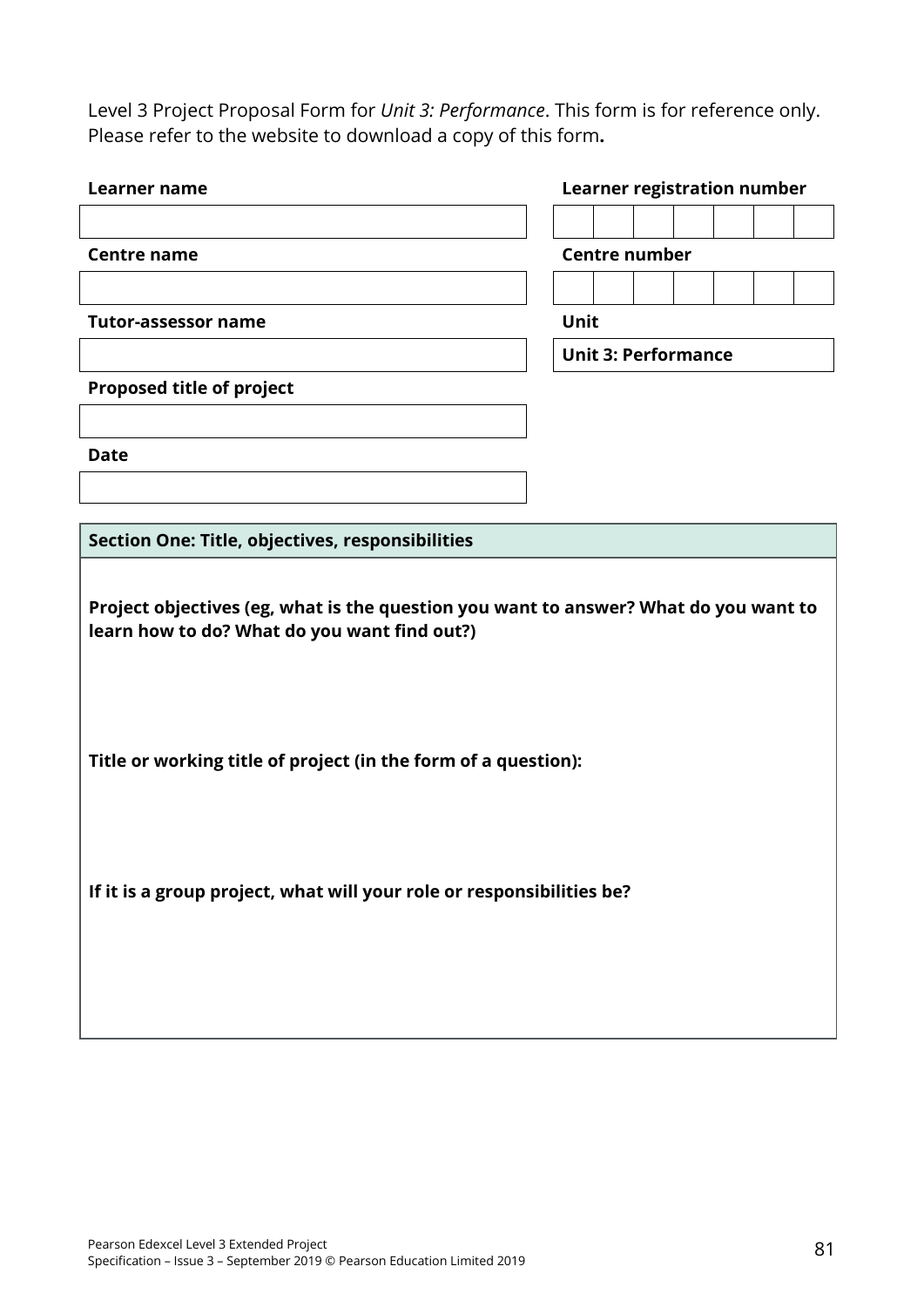Level 3 Project Proposal Form for *Unit 3: Performance*. This form is for reference only. Please refer to the website to download a copy of this form**.**

| Learner name                                                                                                                         | <b>Learner registration number</b> |  |  |  |
|--------------------------------------------------------------------------------------------------------------------------------------|------------------------------------|--|--|--|
|                                                                                                                                      |                                    |  |  |  |
| <b>Centre name</b>                                                                                                                   | <b>Centre number</b>               |  |  |  |
|                                                                                                                                      |                                    |  |  |  |
| <b>Tutor-assessor name</b>                                                                                                           | Unit                               |  |  |  |
|                                                                                                                                      | <b>Unit 3: Performance</b>         |  |  |  |
| <b>Proposed title of project</b>                                                                                                     |                                    |  |  |  |
|                                                                                                                                      |                                    |  |  |  |
| <b>Date</b>                                                                                                                          |                                    |  |  |  |
|                                                                                                                                      |                                    |  |  |  |
| Section One: Title, objectives, responsibilities                                                                                     |                                    |  |  |  |
|                                                                                                                                      |                                    |  |  |  |
| Project objectives (eg, what is the question you want to answer? What do you want to<br>learn how to do? What do you want find out?) |                                    |  |  |  |
| Title or working title of project (in the form of a question):                                                                       |                                    |  |  |  |
| If it is a group project, what will your role or responsibilities be?                                                                |                                    |  |  |  |
|                                                                                                                                      |                                    |  |  |  |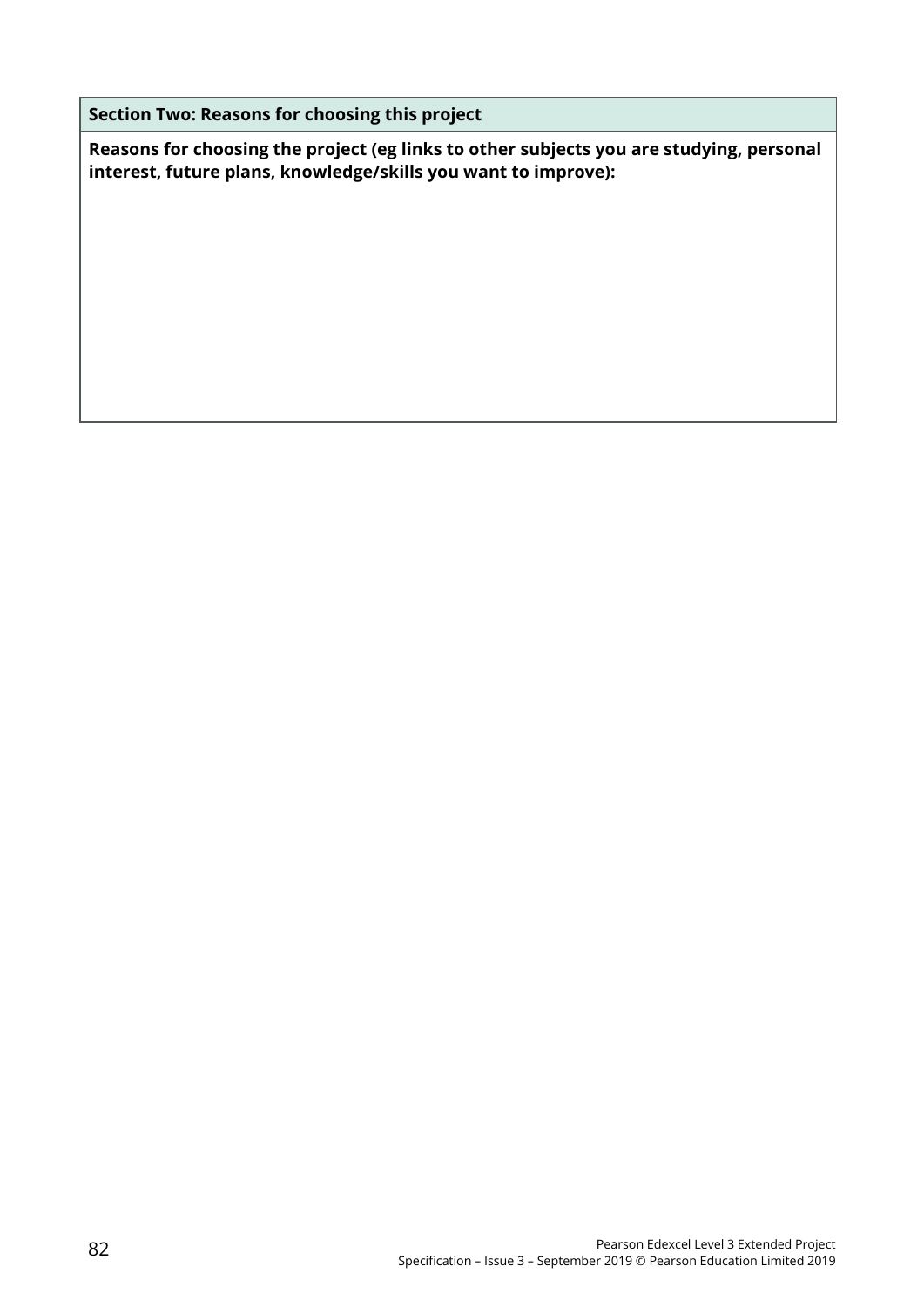**Section Two: Reasons for choosing this project** 

**Reasons for choosing the project (eg links to other subjects you are studying, personal interest, future plans, knowledge/skills you want to improve):**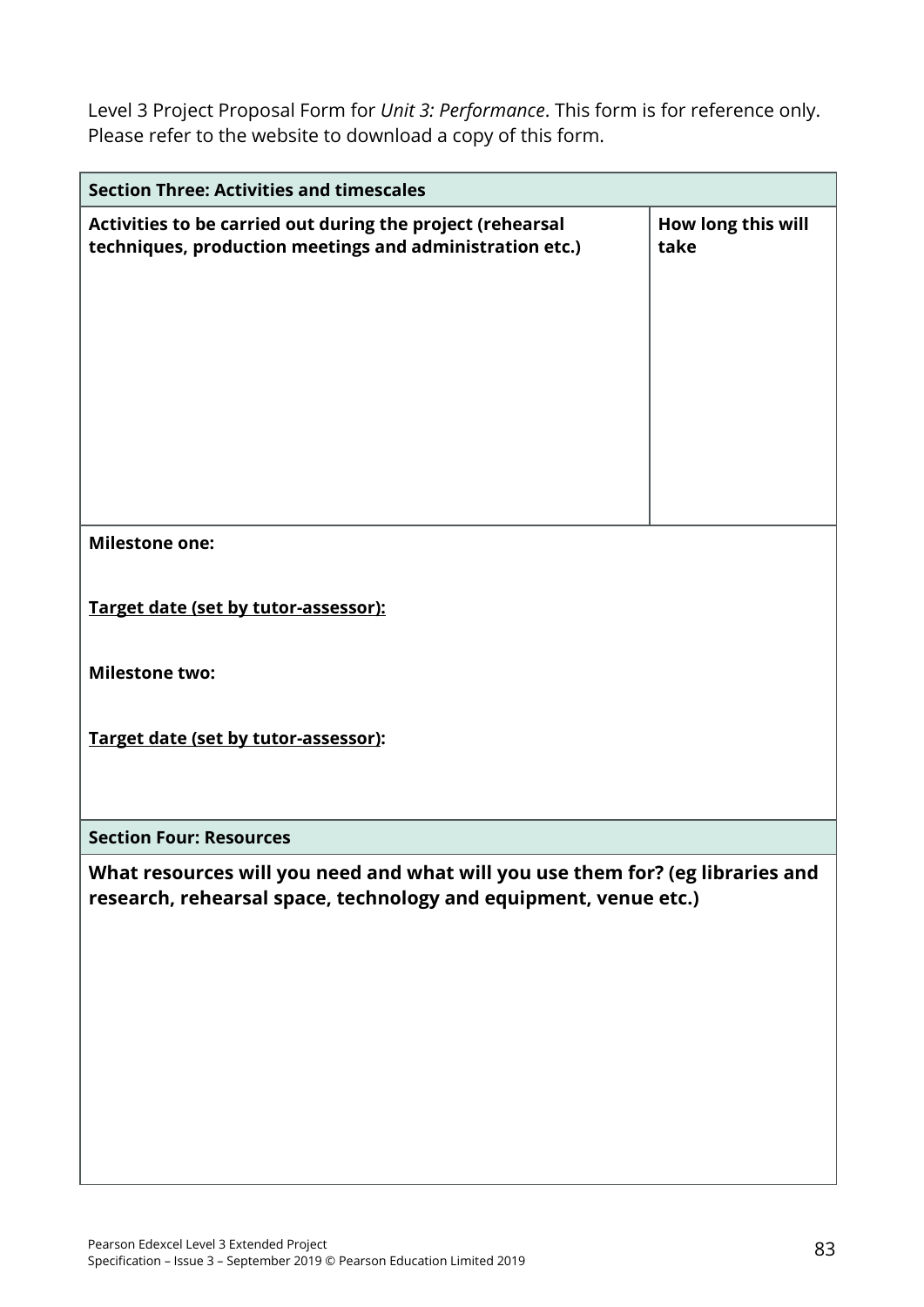Level 3 Project Proposal Form for *Unit 3: Performance*. This form is for reference only. Please refer to the website to download a copy of this form.

| <b>Section Three: Activities and timescales</b>                                                                        |                            |  |  |  |  |
|------------------------------------------------------------------------------------------------------------------------|----------------------------|--|--|--|--|
| Activities to be carried out during the project (rehearsal<br>techniques, production meetings and administration etc.) | How long this will<br>take |  |  |  |  |
| <b>Milestone one:</b>                                                                                                  |                            |  |  |  |  |
|                                                                                                                        |                            |  |  |  |  |
|                                                                                                                        |                            |  |  |  |  |
| Target date (set by tutor-assessor):                                                                                   |                            |  |  |  |  |
|                                                                                                                        |                            |  |  |  |  |
| <b>Milestone two:</b>                                                                                                  |                            |  |  |  |  |
|                                                                                                                        |                            |  |  |  |  |
|                                                                                                                        |                            |  |  |  |  |
| Target date (set by tutor-assessor):                                                                                   |                            |  |  |  |  |
|                                                                                                                        |                            |  |  |  |  |
|                                                                                                                        |                            |  |  |  |  |
| <b>Section Four: Resources</b>                                                                                         |                            |  |  |  |  |
| What resources will you need and what will you use them for? (eg libraries and                                         |                            |  |  |  |  |
| research, rehearsal space, technology and equipment, venue etc.)                                                       |                            |  |  |  |  |
|                                                                                                                        |                            |  |  |  |  |
|                                                                                                                        |                            |  |  |  |  |
|                                                                                                                        |                            |  |  |  |  |
|                                                                                                                        |                            |  |  |  |  |
|                                                                                                                        |                            |  |  |  |  |
|                                                                                                                        |                            |  |  |  |  |
|                                                                                                                        |                            |  |  |  |  |
|                                                                                                                        |                            |  |  |  |  |
|                                                                                                                        |                            |  |  |  |  |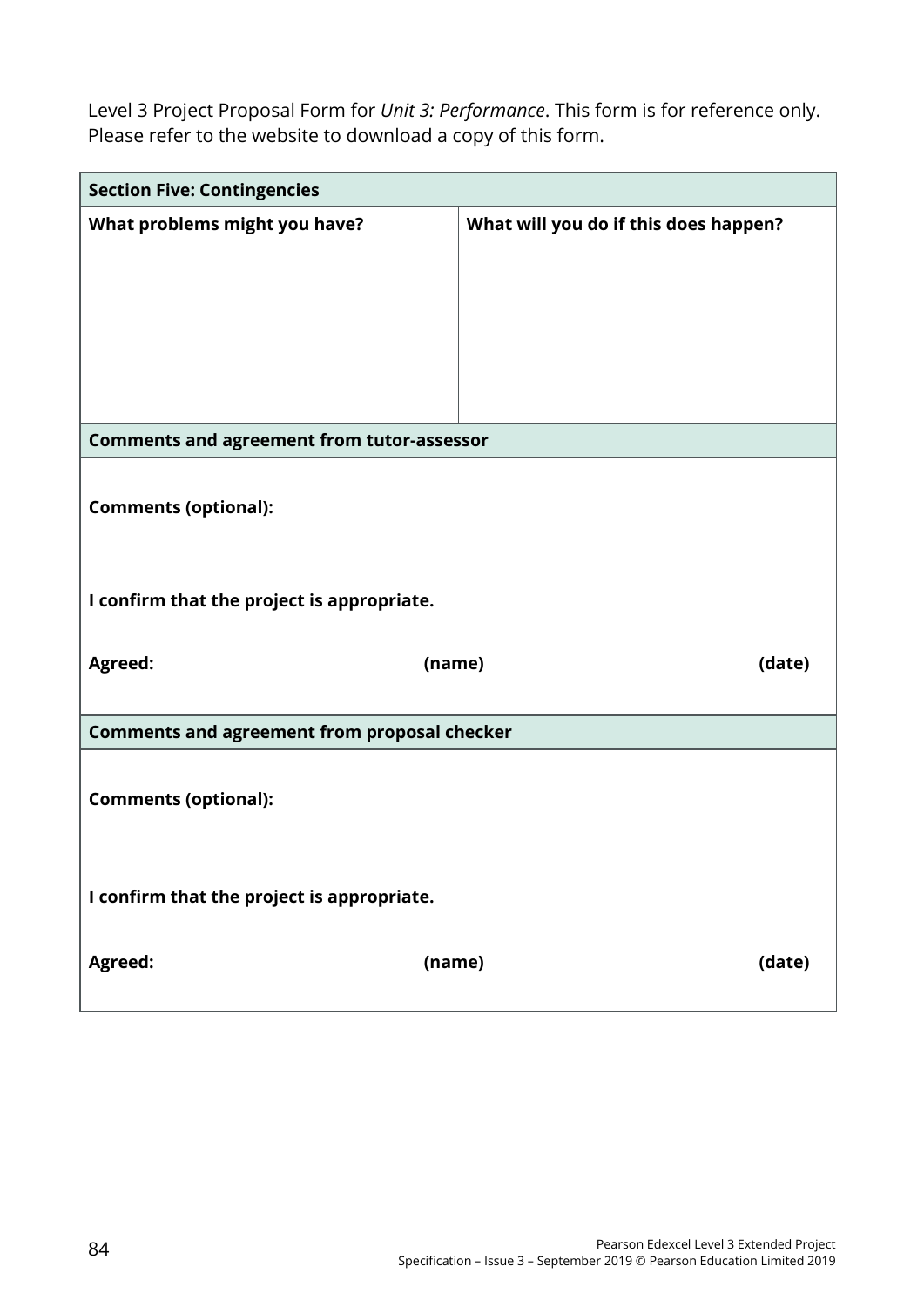Level 3 Project Proposal Form for *Unit 3: Performance*. This form is for reference only. Please refer to the website to download a copy of this form.

| <b>Section Five: Contingencies</b>                  |                                       |  |  |  |
|-----------------------------------------------------|---------------------------------------|--|--|--|
| What problems might you have?                       | What will you do if this does happen? |  |  |  |
| <b>Comments and agreement from tutor-assessor</b>   |                                       |  |  |  |
| <b>Comments (optional):</b>                         |                                       |  |  |  |
| I confirm that the project is appropriate.          |                                       |  |  |  |
| Agreed:<br>(name)                                   | (date)                                |  |  |  |
| <b>Comments and agreement from proposal checker</b> |                                       |  |  |  |
| <b>Comments (optional):</b>                         |                                       |  |  |  |
| I confirm that the project is appropriate.          |                                       |  |  |  |
| Agreed:<br>(name)                                   | (date)                                |  |  |  |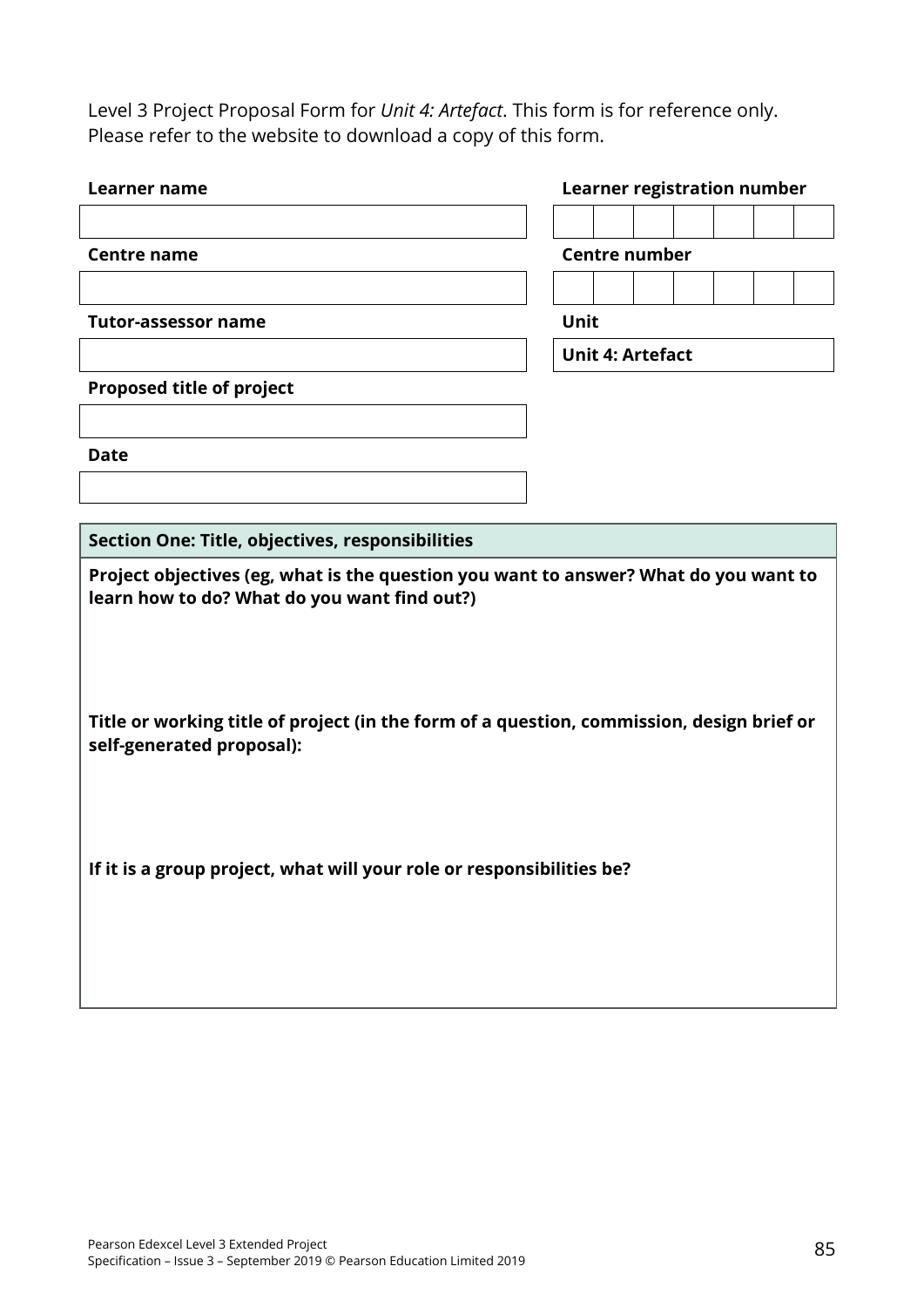Level 3 Project Proposal Form for *Unit 4: Artefact*. This form is for reference only. Please refer to the website to download a copy of this form.

| <b>Learner name</b>                                                                                                                  | <b>Learner registration number</b> |  |  |  |
|--------------------------------------------------------------------------------------------------------------------------------------|------------------------------------|--|--|--|
|                                                                                                                                      |                                    |  |  |  |
| <b>Centre name</b>                                                                                                                   | <b>Centre number</b>               |  |  |  |
|                                                                                                                                      |                                    |  |  |  |
| <b>Tutor-assessor name</b>                                                                                                           | Unit                               |  |  |  |
|                                                                                                                                      | <b>Unit 4: Artefact</b>            |  |  |  |
| Proposed title of project                                                                                                            |                                    |  |  |  |
|                                                                                                                                      |                                    |  |  |  |
| <b>Date</b>                                                                                                                          |                                    |  |  |  |
|                                                                                                                                      |                                    |  |  |  |
|                                                                                                                                      |                                    |  |  |  |
| Section One: Title, objectives, responsibilities                                                                                     |                                    |  |  |  |
| Project objectives (eg, what is the question you want to answer? What do you want to<br>learn how to do? What do you want find out?) |                                    |  |  |  |
| Title or working title of project (in the form of a question, commission, design brief or<br>self-generated proposal):               |                                    |  |  |  |
|                                                                                                                                      |                                    |  |  |  |
| If it is a group project, what will your role or responsibilities be?                                                                |                                    |  |  |  |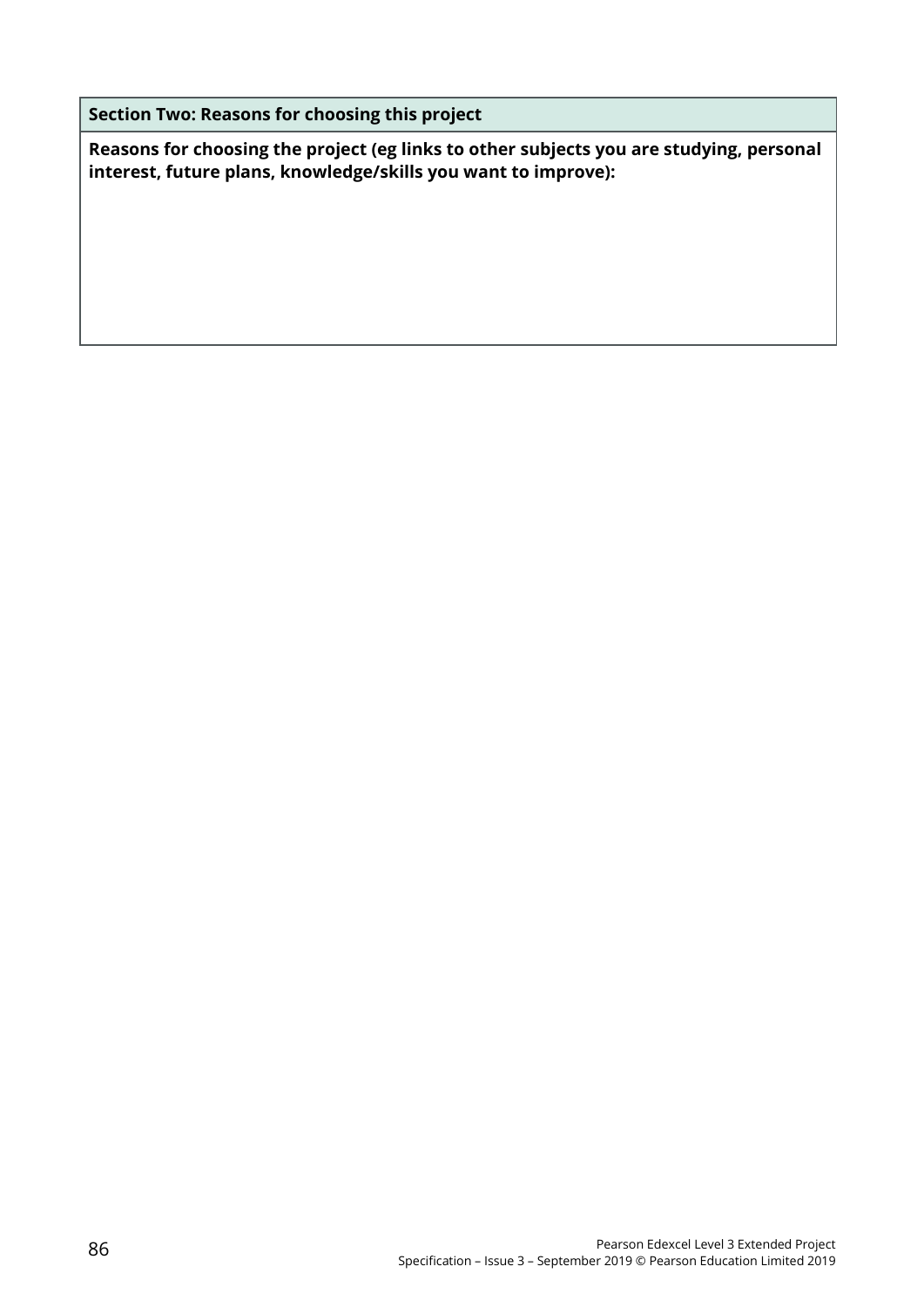**Section Two: Reasons for choosing this project** 

**Reasons for choosing the project (eg links to other subjects you are studying, personal interest, future plans, knowledge/skills you want to improve):**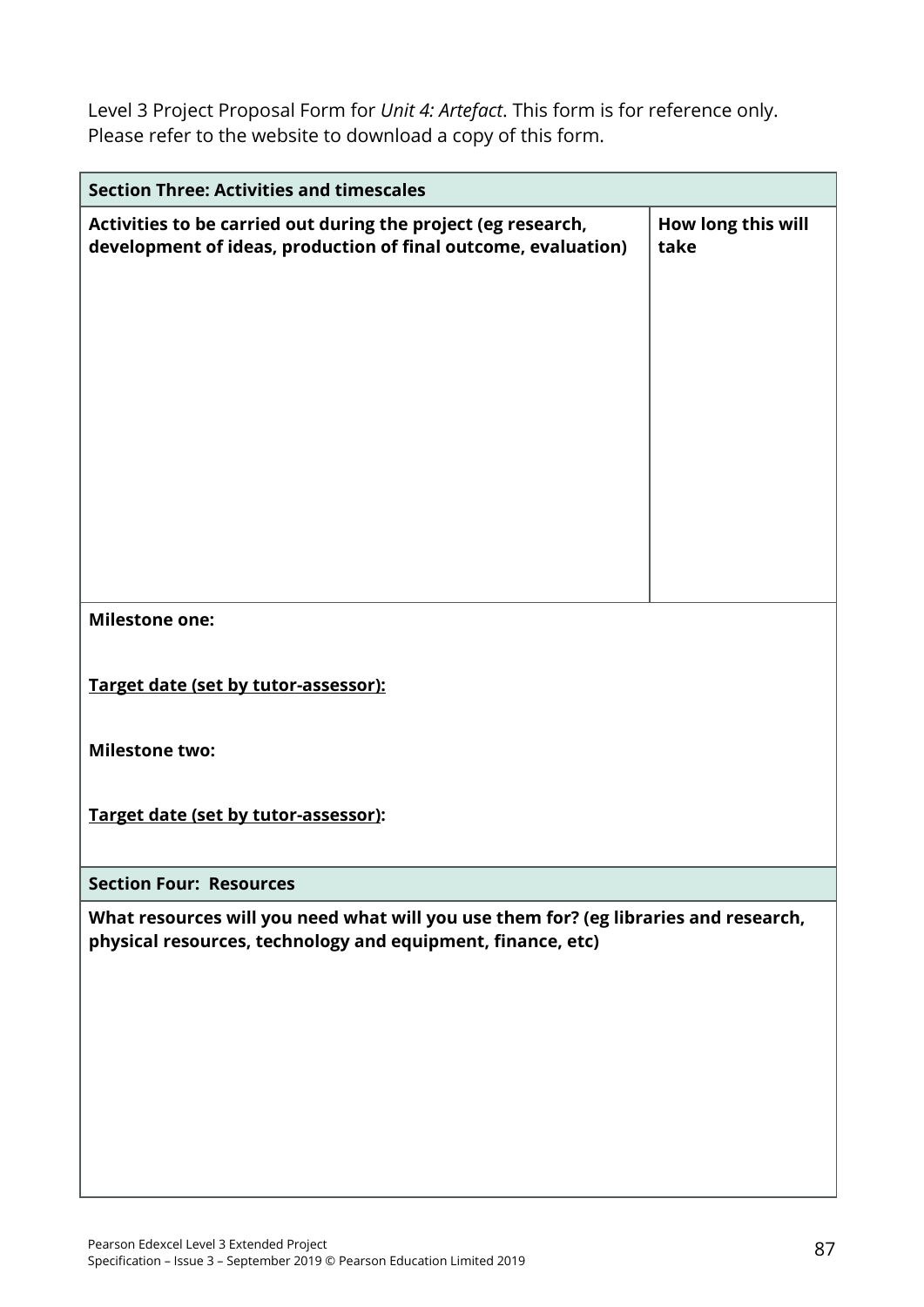Level 3 Project Proposal Form for *Unit 4: Artefact*. This form is for reference only. Please refer to the website to download a copy of this form.

| <b>Section Three: Activities and timescales</b>                                                                                                     |                            |
|-----------------------------------------------------------------------------------------------------------------------------------------------------|----------------------------|
| Activities to be carried out during the project (eg research,<br>development of ideas, production of final outcome, evaluation)                     | How long this will<br>take |
| <b>Milestone one:</b>                                                                                                                               |                            |
| Target date (set by tutor-assessor):                                                                                                                |                            |
| <b>Milestone two:</b>                                                                                                                               |                            |
| Target date (set by tutor-assessor):                                                                                                                |                            |
| <b>Section Four: Resources</b>                                                                                                                      |                            |
| What resources will you need what will you use them for? (eg libraries and research,<br>physical resources, technology and equipment, finance, etc) |                            |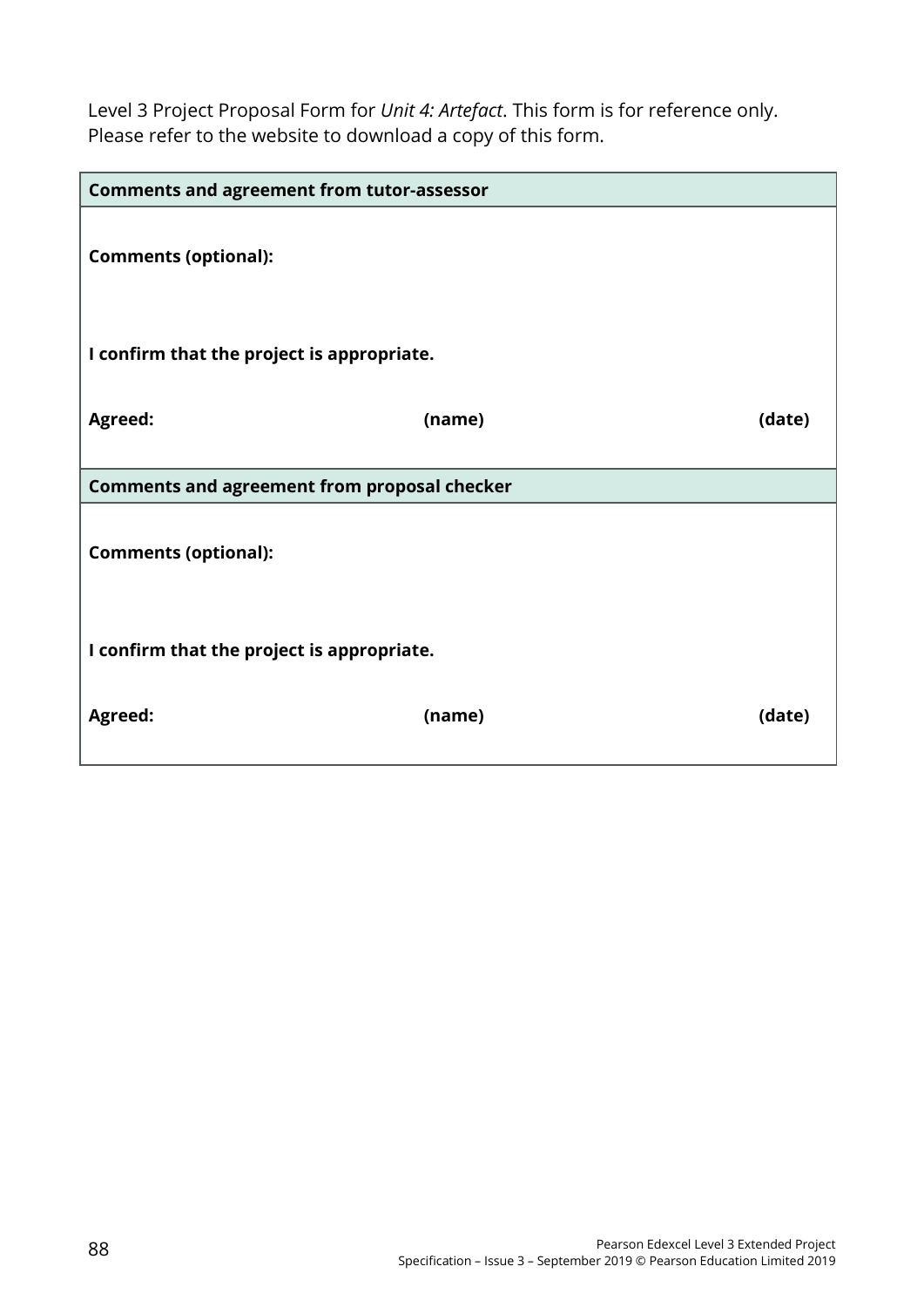Level 3 Project Proposal Form for *Unit 4: Artefact*. This form is for reference only. Please refer to the website to download a copy of this form.

| <b>Comments and agreement from tutor-assessor</b>   |        |        |
|-----------------------------------------------------|--------|--------|
| <b>Comments (optional):</b>                         |        |        |
| I confirm that the project is appropriate.          |        |        |
| Agreed:                                             | (name) | (date) |
| <b>Comments and agreement from proposal checker</b> |        |        |
| <b>Comments (optional):</b>                         |        |        |
| I confirm that the project is appropriate.          |        |        |
| <b>Agreed:</b>                                      | (name) | (date) |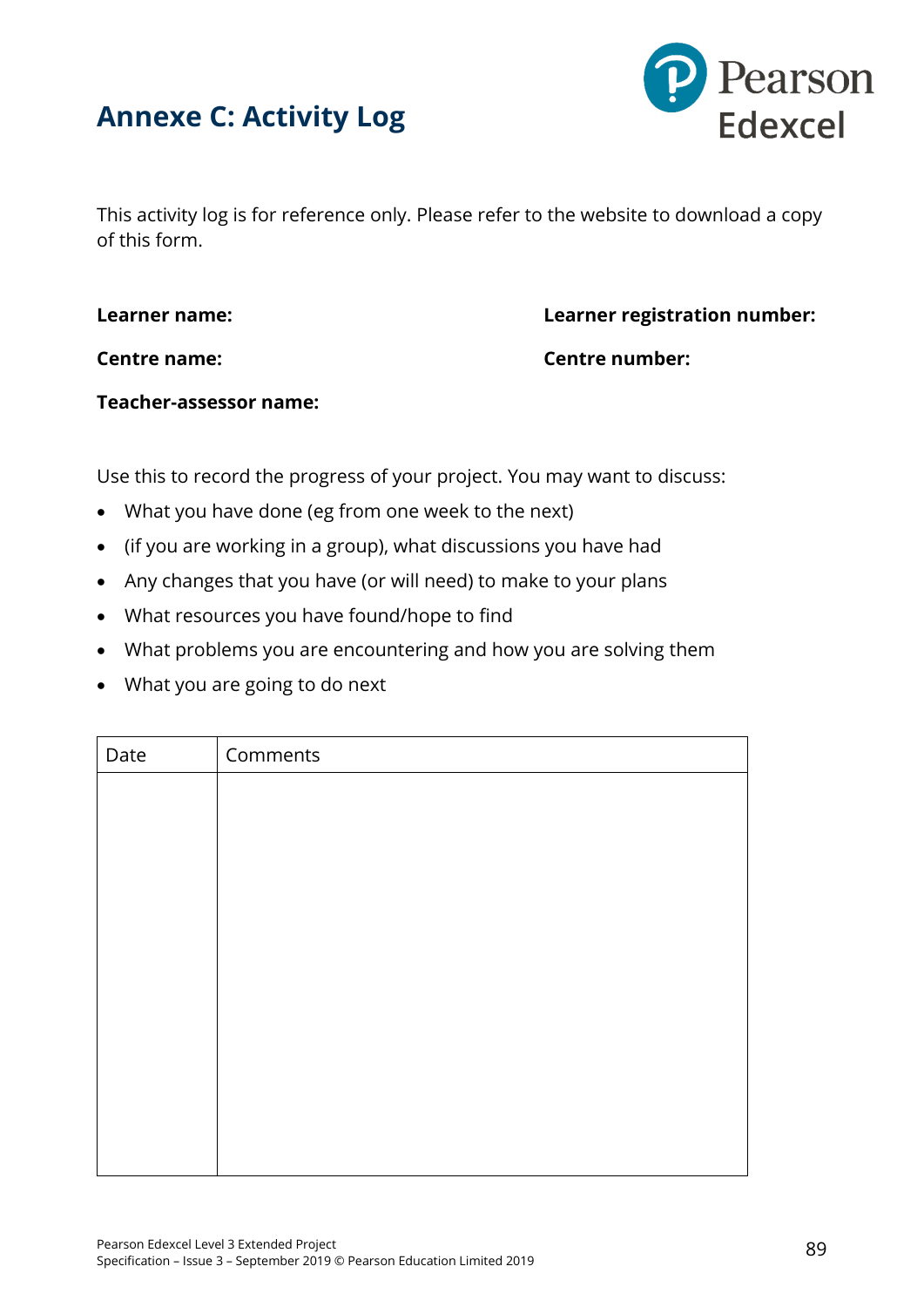



This activity log is for reference only. Please refer to the website to download a copy of this form.

**Learner name: Learner registration number:**

**Centre name: Centre number:**

#### **Teacher-assessor name:**

Use this to record the progress of your project. You may want to discuss:

- What you have done (eg from one week to the next)
- (if you are working in a group), what discussions you have had
- Any changes that you have (or will need) to make to your plans
- What resources you have found/hope to find
- What problems you are encountering and how you are solving them
- What you are going to do next

| Date | Comments |
|------|----------|
|      |          |
|      |          |
|      |          |
|      |          |
|      |          |
|      |          |
|      |          |
|      |          |
|      |          |
|      |          |
|      |          |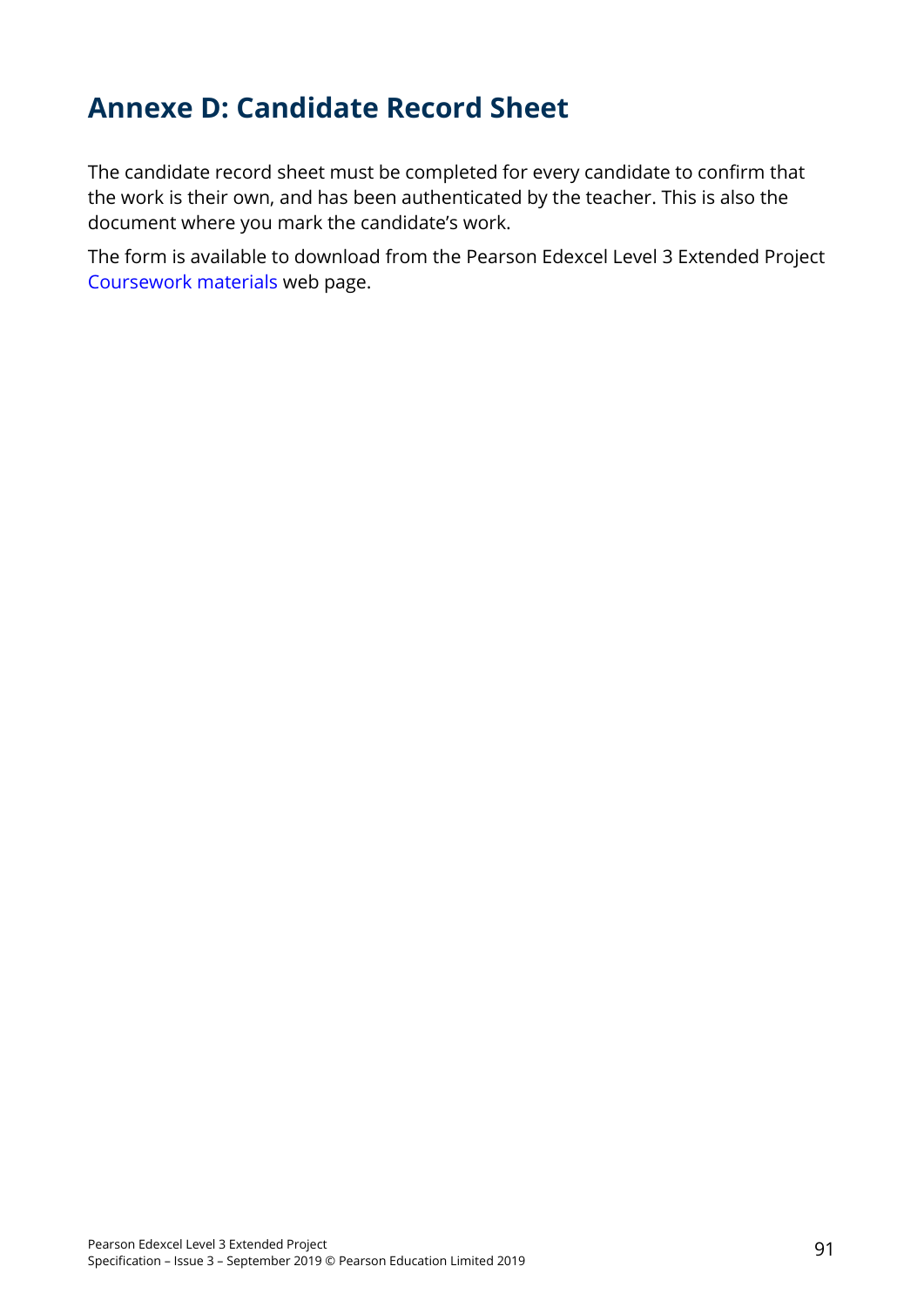## **Annexe D: Candidate Record Sheet**

The candidate record sheet must be completed for every candidate to confirm that the work is their own, and has been authenticated by the teacher. This is also the document where you mark the candidate's work.

The form is available to download from the Pearson Edexcel Level 3 Extended Project [Coursework materials](https://qualifications.pearson.com/en/qualifications/edexcel-project-qualification/level-3.coursematerials.html#filterQuery=Pearson-UK:Category%2FCoursework-materials) web page.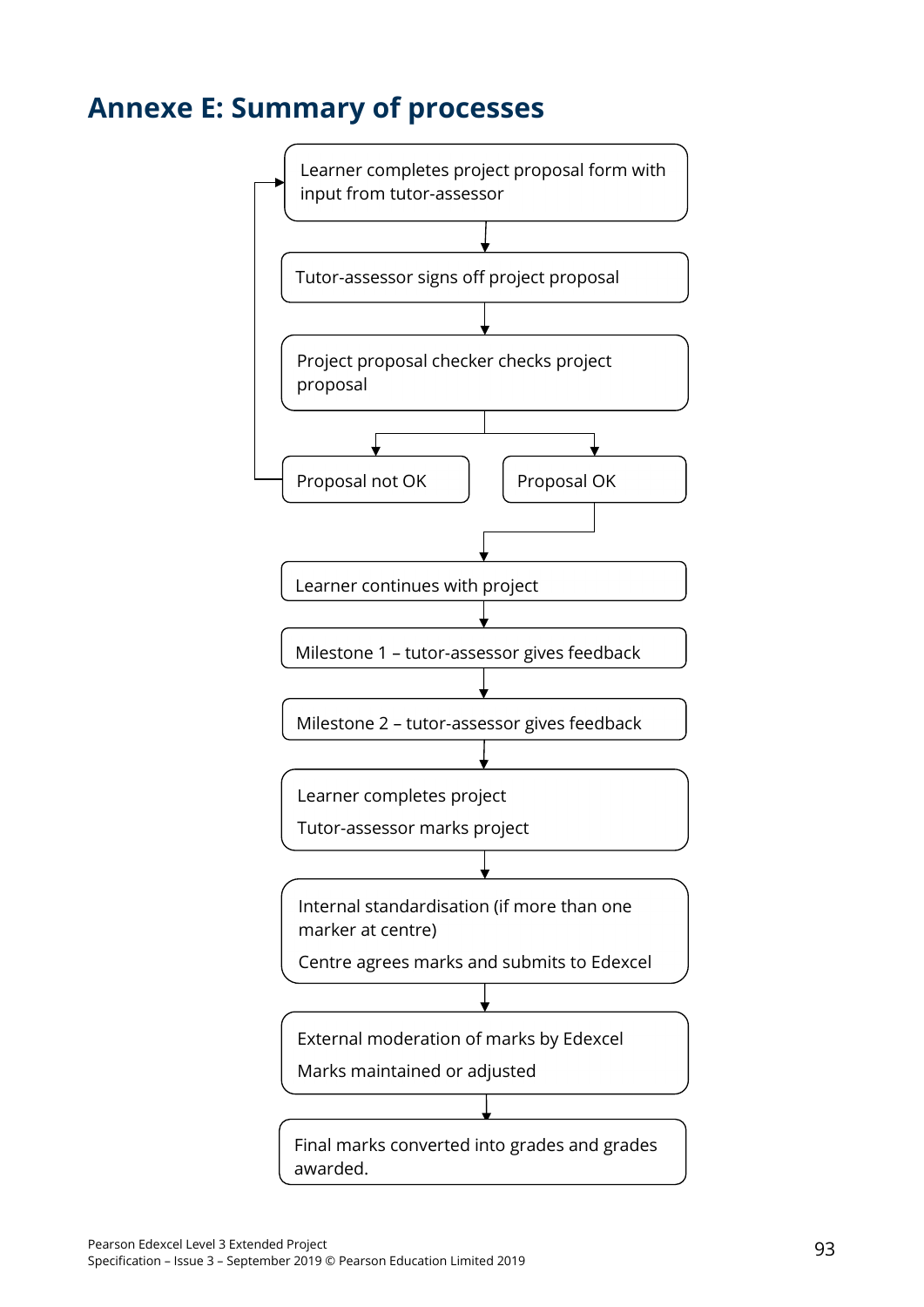### **Annexe E: Summary of processes**

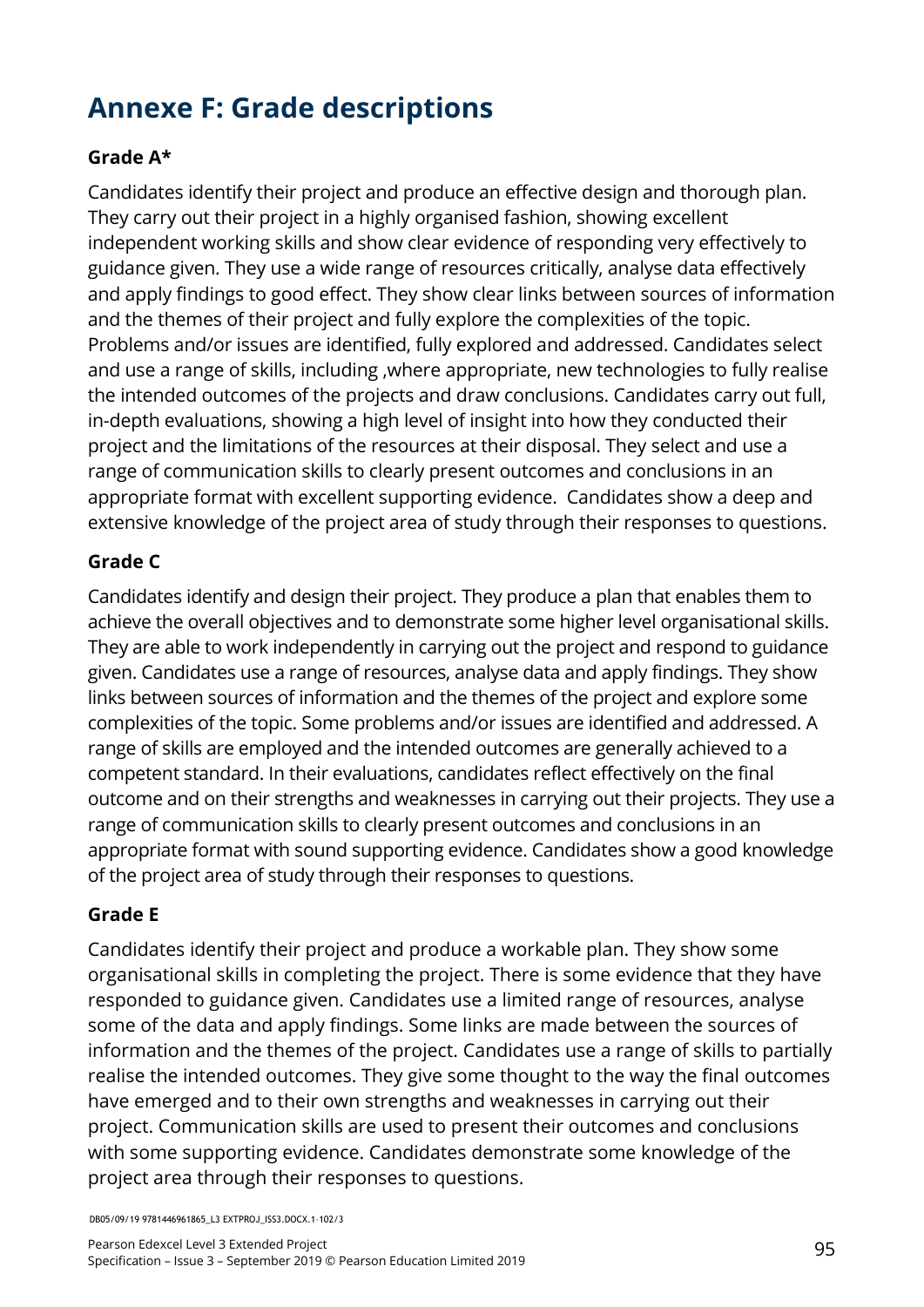# **Annexe F: Grade descriptions**

### **Grade A\***

Candidates identify their project and produce an effective design and thorough plan. They carry out their project in a highly organised fashion, showing excellent independent working skills and show clear evidence of responding very effectively to guidance given. They use a wide range of resources critically, analyse data effectively and apply findings to good effect. They show clear links between sources of information and the themes of their project and fully explore the complexities of the topic. Problems and/or issues are identified, fully explored and addressed. Candidates select and use a range of skills, including ,where appropriate, new technologies to fully realise the intended outcomes of the projects and draw conclusions. Candidates carry out full, in-depth evaluations, showing a high level of insight into how they conducted their project and the limitations of the resources at their disposal. They select and use a range of communication skills to clearly present outcomes and conclusions in an appropriate format with excellent supporting evidence. Candidates show a deep and extensive knowledge of the project area of study through their responses to questions.

### **Grade C**

Candidates identify and design their project. They produce a plan that enables them to achieve the overall objectives and to demonstrate some higher level organisational skills. They are able to work independently in carrying out the project and respond to guidance given. Candidates use a range of resources, analyse data and apply findings. They show links between sources of information and the themes of the project and explore some complexities of the topic. Some problems and/or issues are identified and addressed. A range of skills are employed and the intended outcomes are generally achieved to a competent standard. In their evaluations, candidates reflect effectively on the final outcome and on their strengths and weaknesses in carrying out their projects. They use a range of communication skills to clearly present outcomes and conclusions in an appropriate format with sound supporting evidence. Candidates show a good knowledge of the project area of study through their responses to questions.

### **Grade E**

Candidates identify their project and produce a workable plan. They show some organisational skills in completing the project. There is some evidence that they have responded to guidance given. Candidates use a limited range of resources, analyse some of the data and apply findings. Some links are made between the sources of information and the themes of the project. Candidates use a range of skills to partially realise the intended outcomes. They give some thought to the way the final outcomes have emerged and to their own strengths and weaknesses in carrying out their project. Communication skills are used to present their outcomes and conclusions with some supporting evidence. Candidates demonstrate some knowledge of the project area through their responses to questions.

DB05/09/19 9781446961865\_L3 EXTPROJ\_ISS3.DOCX.1–102/3